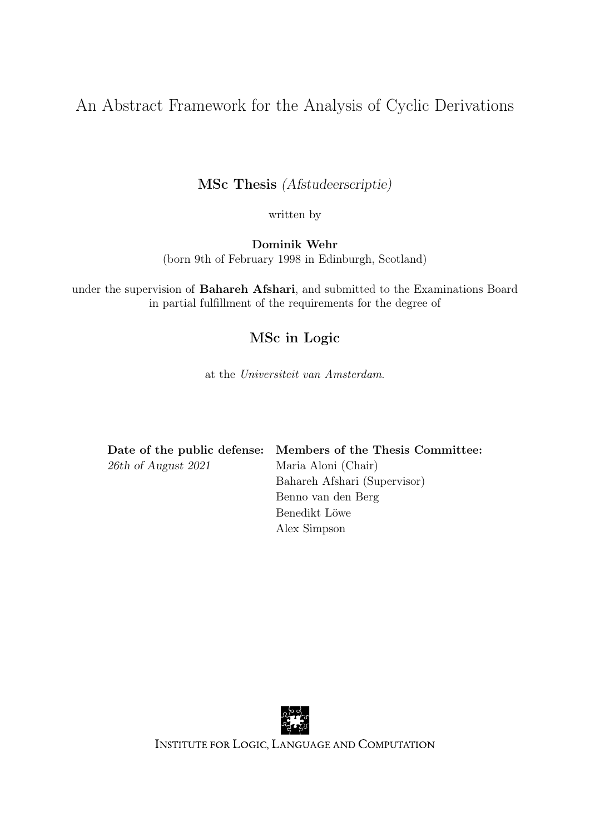### An Abstract Framework for the Analysis of Cyclic Derivations

MSc Thesis (Afstudeerscriptie)

written by

Dominik Wehr (born 9th of February 1998 in Edinburgh, Scotland)

under the supervision of Bahareh Afshari, and submitted to the Examinations Board in partial fulfillment of the requirements for the degree of

#### MSc in Logic

at the Universiteit van Amsterdam.

|                     | Date of the public defense: Members of the Thesis Committee: |
|---------------------|--------------------------------------------------------------|
| 26th of August 2021 | Maria Aloni (Chair)                                          |
|                     | Bahareh Afshari (Supervisor)                                 |
|                     | Benno van den Berg                                           |
|                     | Benedikt Löwe                                                |
|                     | Alex Simpson                                                 |



INSTITUTE FOR LOGIC, LANGUAGE AND COMPUTATION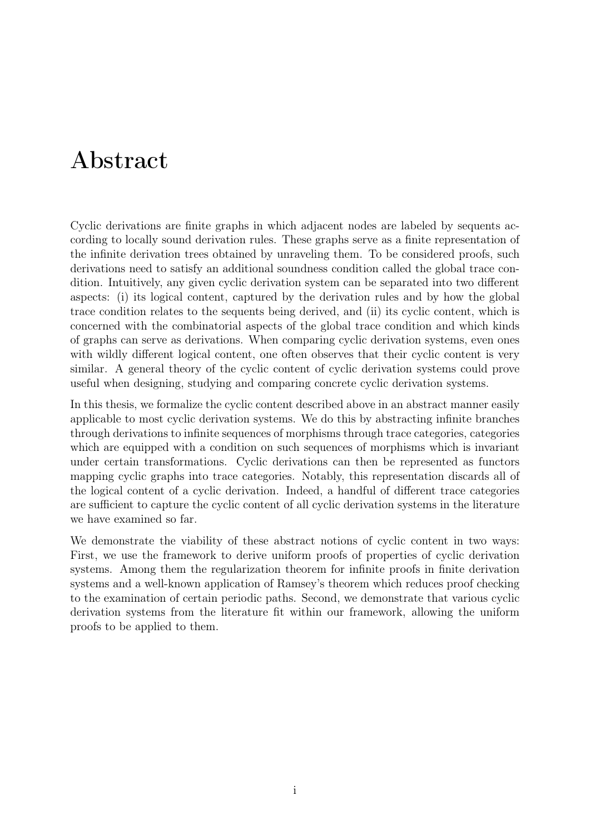## Abstract

Cyclic derivations are finite graphs in which adjacent nodes are labeled by sequents according to locally sound derivation rules. These graphs serve as a finite representation of the infinite derivation trees obtained by unraveling them. To be considered proofs, such derivations need to satisfy an additional soundness condition called the global trace condition. Intuitively, any given cyclic derivation system can be separated into two different aspects: (i) its logical content, captured by the derivation rules and by how the global trace condition relates to the sequents being derived, and (ii) its cyclic content, which is concerned with the combinatorial aspects of the global trace condition and which kinds of graphs can serve as derivations. When comparing cyclic derivation systems, even ones with wildly different logical content, one often observes that their cyclic content is very similar. A general theory of the cyclic content of cyclic derivation systems could prove useful when designing, studying and comparing concrete cyclic derivation systems.

In this thesis, we formalize the cyclic content described above in an abstract manner easily applicable to most cyclic derivation systems. We do this by abstracting infinite branches through derivations to infinite sequences of morphisms through trace categories, categories which are equipped with a condition on such sequences of morphisms which is invariant under certain transformations. Cyclic derivations can then be represented as functors mapping cyclic graphs into trace categories. Notably, this representation discards all of the logical content of a cyclic derivation. Indeed, a handful of different trace categories are sufficient to capture the cyclic content of all cyclic derivation systems in the literature we have examined so far.

We demonstrate the viability of these abstract notions of cyclic content in two ways: First, we use the framework to derive uniform proofs of properties of cyclic derivation systems. Among them the regularization theorem for infinite proofs in finite derivation systems and a well-known application of Ramsey's theorem which reduces proof checking to the examination of certain periodic paths. Second, we demonstrate that various cyclic derivation systems from the literature fit within our framework, allowing the uniform proofs to be applied to them.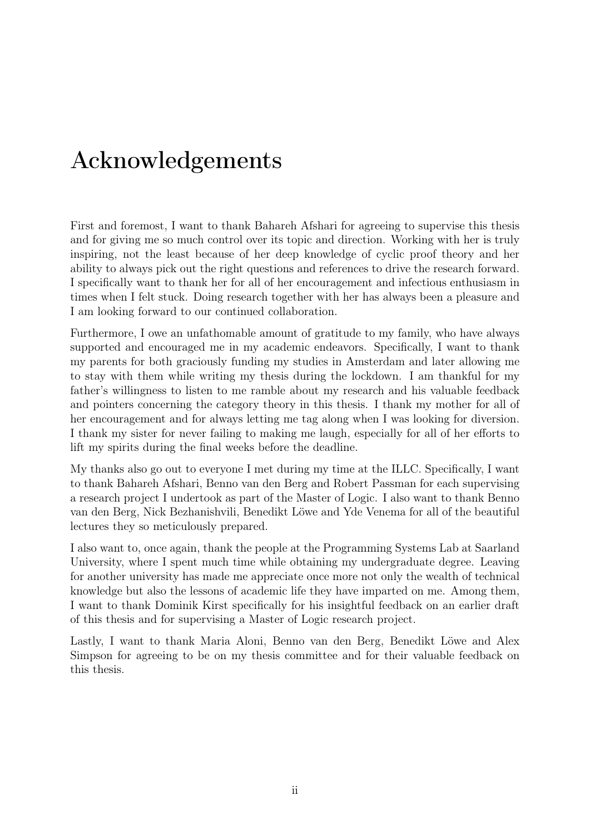# Acknowledgements

First and foremost, I want to thank Bahareh Afshari for agreeing to supervise this thesis and for giving me so much control over its topic and direction. Working with her is truly inspiring, not the least because of her deep knowledge of cyclic proof theory and her ability to always pick out the right questions and references to drive the research forward. I specifically want to thank her for all of her encouragement and infectious enthusiasm in times when I felt stuck. Doing research together with her has always been a pleasure and I am looking forward to our continued collaboration.

Furthermore, I owe an unfathomable amount of gratitude to my family, who have always supported and encouraged me in my academic endeavors. Specifically, I want to thank my parents for both graciously funding my studies in Amsterdam and later allowing me to stay with them while writing my thesis during the lockdown. I am thankful for my father's willingness to listen to me ramble about my research and his valuable feedback and pointers concerning the category theory in this thesis. I thank my mother for all of her encouragement and for always letting me tag along when I was looking for diversion. I thank my sister for never failing to making me laugh, especially for all of her efforts to lift my spirits during the final weeks before the deadline.

My thanks also go out to everyone I met during my time at the ILLC. Specifically, I want to thank Bahareh Afshari, Benno van den Berg and Robert Passman for each supervising a research project I undertook as part of the Master of Logic. I also want to thank Benno van den Berg, Nick Bezhanishvili, Benedikt Löwe and Yde Venema for all of the beautiful lectures they so meticulously prepared.

I also want to, once again, thank the people at the Programming Systems Lab at Saarland University, where I spent much time while obtaining my undergraduate degree. Leaving for another university has made me appreciate once more not only the wealth of technical knowledge but also the lessons of academic life they have imparted on me. Among them, I want to thank Dominik Kirst specifically for his insightful feedback on an earlier draft of this thesis and for supervising a Master of Logic research project.

Lastly, I want to thank Maria Aloni, Benno van den Berg, Benedikt Löwe and Alex Simpson for agreeing to be on my thesis committee and for their valuable feedback on this thesis.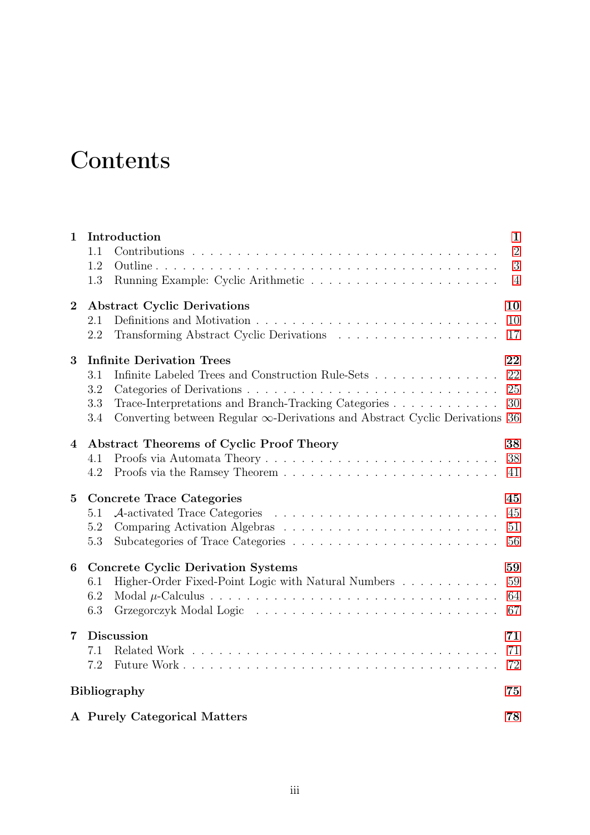# **Contents**

| $\mathbf{1}$   | Introduction                                                                            | $\mathbf{1}$   |
|----------------|-----------------------------------------------------------------------------------------|----------------|
|                | 1.1                                                                                     | $\overline{2}$ |
|                | 1.2<br>Outline                                                                          | 3              |
|                | 1.3                                                                                     | $\overline{4}$ |
| $\overline{2}$ | <b>Abstract Cyclic Derivations</b>                                                      |                |
|                | 2.1                                                                                     | 10             |
|                | 2.2                                                                                     | 17             |
| 3              | <b>Infinite Derivation Trees</b>                                                        | 22             |
|                | Infinite Labeled Trees and Construction Rule-Sets<br>3.1                                | 22             |
|                | 3.2                                                                                     | 25             |
|                | Trace-Interpretations and Branch-Tracking Categories<br>3.3                             | 30             |
|                | Converting between Regular $\infty$ -Derivations and Abstract Cyclic Derivations<br>3.4 | 36             |
| 4              | Abstract Theorems of Cyclic Proof Theory                                                | 38             |
|                | 4.1                                                                                     | 38             |
|                | 4.2                                                                                     | 41             |
| $\bf{5}$       | <b>Concrete Trace Categories</b>                                                        | 45             |
|                | 5.1                                                                                     | 45             |
|                | 5.2                                                                                     | 51             |
|                | 5.3                                                                                     | 56             |
| 6              | <b>Concrete Cyclic Derivation Systems</b>                                               | 59             |
|                | Higher-Order Fixed-Point Logic with Natural Numbers<br>6.1                              | 59             |
|                | 6.2                                                                                     | 64             |
|                | 6.3                                                                                     | 67             |
| 7              | <b>Discussion</b>                                                                       |                |
|                | 7.1                                                                                     | 71             |
|                | 7.2                                                                                     | 72             |
|                | <b>Bibliography</b>                                                                     | 75             |
|                | A Purely Categorical Matters                                                            | 78             |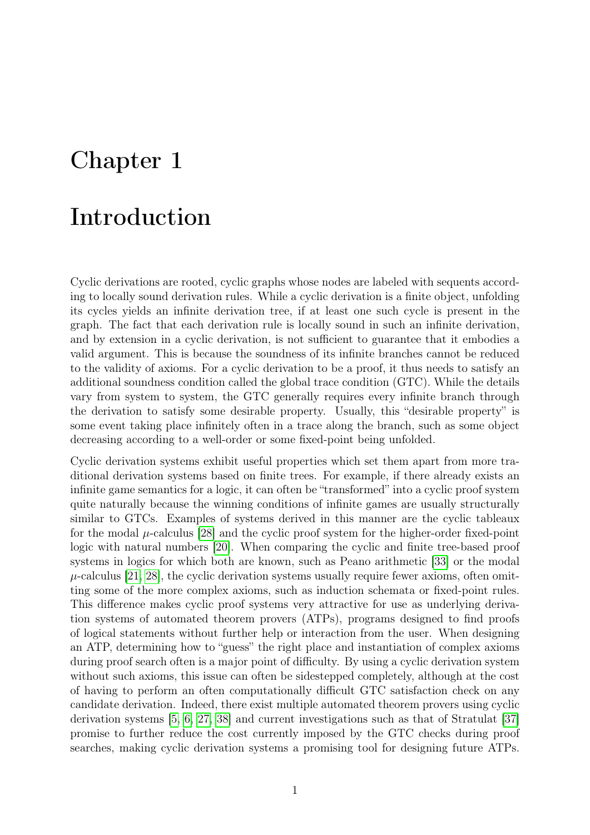## <span id="page-4-0"></span>Chapter 1

### Introduction

Cyclic derivations are rooted, cyclic graphs whose nodes are labeled with sequents according to locally sound derivation rules. While a cyclic derivation is a finite object, unfolding its cycles yields an infinite derivation tree, if at least one such cycle is present in the graph. The fact that each derivation rule is locally sound in such an infinite derivation, and by extension in a cyclic derivation, is not sufficient to guarantee that it embodies a valid argument. This is because the soundness of its infinite branches cannot be reduced to the validity of axioms. For a cyclic derivation to be a proof, it thus needs to satisfy an additional soundness condition called the global trace condition (GTC). While the details vary from system to system, the GTC generally requires every infinite branch through the derivation to satisfy some desirable property. Usually, this "desirable property" is some event taking place infinitely often in a trace along the branch, such as some object decreasing according to a well-order or some fixed-point being unfolded.

Cyclic derivation systems exhibit useful properties which set them apart from more traditional derivation systems based on finite trees. For example, if there already exists an infinite game semantics for a logic, it can often be "transformed" into a cyclic proof system quite naturally because the winning conditions of infinite games are usually structurally similar to GTCs. Examples of systems derived in this manner are the cyclic tableaux for the modal  $\mu$ -calculus [\[28\]](#page-79-0) and the cyclic proof system for the higher-order fixed-point logic with natural numbers [\[20\]](#page-79-1). When comparing the cyclic and finite tree-based proof systems in logics for which both are known, such as Peano arithmetic [\[33\]](#page-79-2) or the modal  $\mu$ -calculus [\[21,](#page-79-3) [28\]](#page-79-0), the cyclic derivation systems usually require fewer axioms, often omitting some of the more complex axioms, such as induction schemata or fixed-point rules. This difference makes cyclic proof systems very attractive for use as underlying derivation systems of automated theorem provers (ATPs), programs designed to find proofs of logical statements without further help or interaction from the user. When designing an ATP, determining how to "guess" the right place and instantiation of complex axioms during proof search often is a major point of difficulty. By using a cyclic derivation system without such axioms, this issue can often be sidestepped completely, although at the cost of having to perform an often computationally difficult GTC satisfaction check on any candidate derivation. Indeed, there exist multiple automated theorem provers using cyclic derivation systems [\[5,](#page-78-0) [6,](#page-78-1) [27,](#page-79-4) [38\]](#page-80-0) and current investigations such as that of Stratulat [\[37\]](#page-80-1) promise to further reduce the cost currently imposed by the GTC checks during proof searches, making cyclic derivation systems a promising tool for designing future ATPs.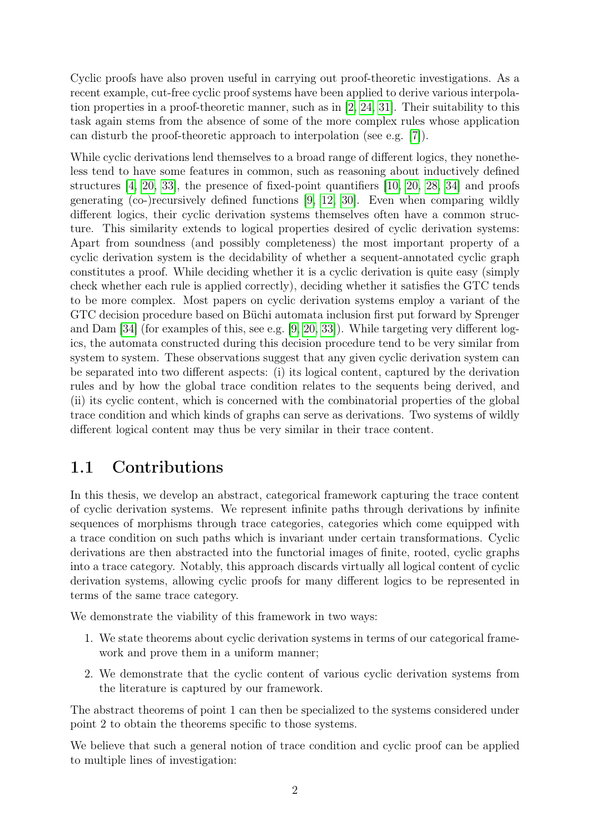Cyclic proofs have also proven useful in carrying out proof-theoretic investigations. As a recent example, cut-free cyclic proof systems have been applied to derive various interpolation properties in a proof-theoretic manner, such as in [\[2,](#page-78-2) [24,](#page-79-5) [31\]](#page-79-6). Their suitability to this task again stems from the absence of some of the more complex rules whose application can disturb the proof-theoretic approach to interpolation (see e.g. [\[7\]](#page-78-3)).

While cyclic derivations lend themselves to a broad range of different logics, they nonetheless tend to have some features in common, such as reasoning about inductively defined structures  $\begin{bmatrix}4, 20, 33\end{bmatrix}$  $\begin{bmatrix}4, 20, 33\end{bmatrix}$  $\begin{bmatrix}4, 20, 33\end{bmatrix}$ , the presence of fixed-point quantifiers  $\begin{bmatrix}10, 20, 28, 34\end{bmatrix}$  $\begin{bmatrix}10, 20, 28, 34\end{bmatrix}$  $\begin{bmatrix}10, 20, 28, 34\end{bmatrix}$  and proofs generating (co-)recursively defined functions [\[9,](#page-78-6) [12,](#page-78-7) [30\]](#page-79-8). Even when comparing wildly different logics, their cyclic derivation systems themselves often have a common structure. This similarity extends to logical properties desired of cyclic derivation systems: Apart from soundness (and possibly completeness) the most important property of a cyclic derivation system is the decidability of whether a sequent-annotated cyclic graph constitutes a proof. While deciding whether it is a cyclic derivation is quite easy (simply check whether each rule is applied correctly), deciding whether it satisfies the GTC tends to be more complex. Most papers on cyclic derivation systems employ a variant of the GTC decision procedure based on Büchi automata inclusion first put forward by Sprenger and Dam [\[34\]](#page-79-7) (for examples of this, see e.g. [\[9,](#page-78-6) [20,](#page-79-1) [33\]](#page-79-2)). While targeting very different logics, the automata constructed during this decision procedure tend to be very similar from system to system. These observations suggest that any given cyclic derivation system can be separated into two different aspects: (i) its logical content, captured by the derivation rules and by how the global trace condition relates to the sequents being derived, and (ii) its cyclic content, which is concerned with the combinatorial properties of the global trace condition and which kinds of graphs can serve as derivations. Two systems of wildly different logical content may thus be very similar in their trace content.

#### <span id="page-5-0"></span>1.1 Contributions

In this thesis, we develop an abstract, categorical framework capturing the trace content of cyclic derivation systems. We represent infinite paths through derivations by infinite sequences of morphisms through trace categories, categories which come equipped with a trace condition on such paths which is invariant under certain transformations. Cyclic derivations are then abstracted into the functorial images of finite, rooted, cyclic graphs into a trace category. Notably, this approach discards virtually all logical content of cyclic derivation systems, allowing cyclic proofs for many different logics to be represented in terms of the same trace category.

We demonstrate the viability of this framework in two ways:

- 1. We state theorems about cyclic derivation systems in terms of our categorical framework and prove them in a uniform manner;
- 2. We demonstrate that the cyclic content of various cyclic derivation systems from the literature is captured by our framework.

The abstract theorems of point 1 can then be specialized to the systems considered under point 2 to obtain the theorems specific to those systems.

We believe that such a general notion of trace condition and cyclic proof can be applied to multiple lines of investigation: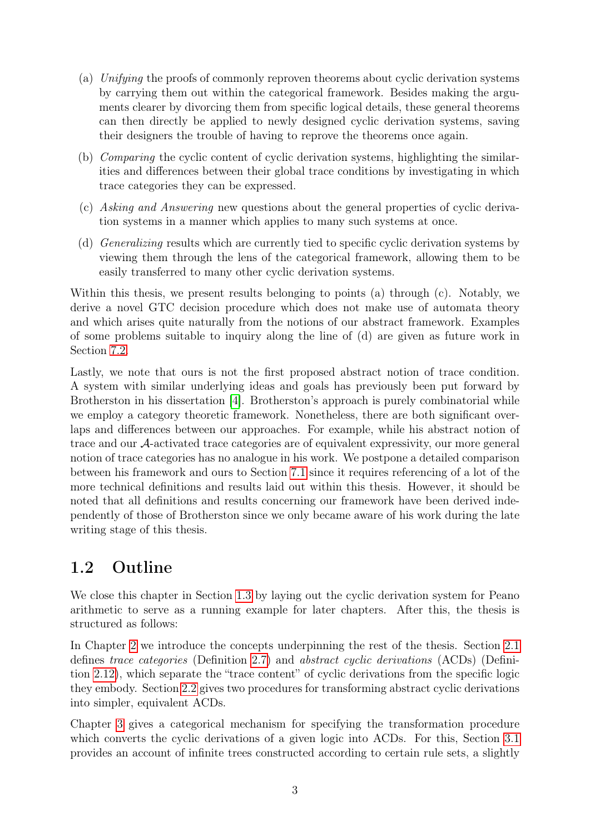- (a) Unifying the proofs of commonly reproven theorems about cyclic derivation systems by carrying them out within the categorical framework. Besides making the arguments clearer by divorcing them from specific logical details, these general theorems can then directly be applied to newly designed cyclic derivation systems, saving their designers the trouble of having to reprove the theorems once again.
- (b) Comparing the cyclic content of cyclic derivation systems, highlighting the similarities and differences between their global trace conditions by investigating in which trace categories they can be expressed.
- (c) Asking and Answering new questions about the general properties of cyclic derivation systems in a manner which applies to many such systems at once.
- (d) Generalizing results which are currently tied to specific cyclic derivation systems by viewing them through the lens of the categorical framework, allowing them to be easily transferred to many other cyclic derivation systems.

Within this thesis, we present results belonging to points (a) through (c). Notably, we derive a novel GTC decision procedure which does not make use of automata theory and which arises quite naturally from the notions of our abstract framework. Examples of some problems suitable to inquiry along the line of (d) are given as future work in Section [7.2.](#page-75-0)

Lastly, we note that ours is not the first proposed abstract notion of trace condition. A system with similar underlying ideas and goals has previously been put forward by Brotherston in his dissertation [\[4\]](#page-78-4). Brotherston's approach is purely combinatorial while we employ a category theoretic framework. Nonetheless, there are both significant overlaps and differences between our approaches. For example, while his abstract notion of trace and our A-activated trace categories are of equivalent expressivity, our more general notion of trace categories has no analogue in his work. We postpone a detailed comparison between his framework and ours to Section [7.1](#page-74-1) since it requires referencing of a lot of the more technical definitions and results laid out within this thesis. However, it should be noted that all definitions and results concerning our framework have been derived independently of those of Brotherston since we only became aware of his work during the late writing stage of this thesis.

#### <span id="page-6-0"></span>1.2 Outline

We close this chapter in Section [1.3](#page-7-0) by laying out the cyclic derivation system for Peano arithmetic to serve as a running example for later chapters. After this, the thesis is structured as follows:

In Chapter [2](#page-13-0) we introduce the concepts underpinning the rest of the thesis. Section [2.1](#page-13-1) defines trace categories (Definition [2.7\)](#page-16-0) and abstract cyclic derivations (ACDs) (Definition [2.12\)](#page-19-0), which separate the "trace content" of cyclic derivations from the specific logic they embody. Section [2.2](#page-20-0) gives two procedures for transforming abstract cyclic derivations into simpler, equivalent ACDs.

Chapter [3](#page-25-0) gives a categorical mechanism for specifying the transformation procedure which converts the cyclic derivations of a given logic into ACDs. For this, Section [3.1](#page-25-1) provides an account of infinite trees constructed according to certain rule sets, a slightly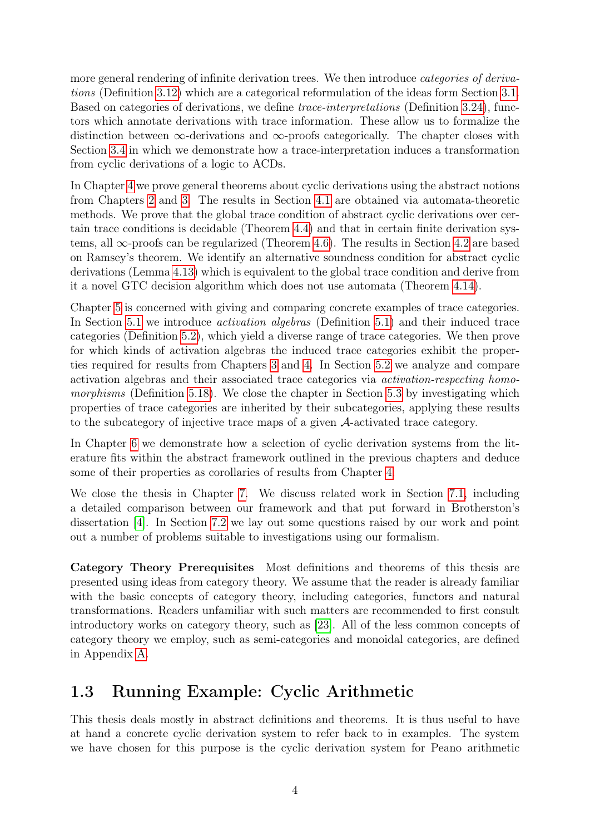more general rendering of infinite derivation trees. We then introduce *categories of deriva*tions (Definition [3.12\)](#page-28-1) which are a categorical reformulation of the ideas form Section [3.1.](#page-25-1) Based on categories of derivations, we define trace-interpretations (Definition [3.24\)](#page-33-1), functors which annotate derivations with trace information. These allow us to formalize the distinction between  $\infty$ -derivations and  $\infty$ -proofs categorically. The chapter closes with Section [3.4](#page-39-0) in which we demonstrate how a trace-interpretation induces a transformation from cyclic derivations of a logic to ACDs.

In Chapter [4](#page-41-0) we prove general theorems about cyclic derivations using the abstract notions from Chapters [2](#page-13-0) and [3.](#page-25-0) The results in Section [4.1](#page-41-1) are obtained via automata-theoretic methods. We prove that the global trace condition of abstract cyclic derivations over certain trace conditions is decidable (Theorem [4.4\)](#page-42-0) and that in certain finite derivation systems, all  $\infty$ -proofs can be regularized (Theorem [4.6\)](#page-43-0). The results in Section [4.2](#page-44-0) are based on Ramsey's theorem. We identify an alternative soundness condition for abstract cyclic derivations (Lemma [4.13\)](#page-45-0) which is equivalent to the global trace condition and derive from it a novel GTC decision algorithm which does not use automata (Theorem [4.14\)](#page-46-0).

Chapter [5](#page-48-0) is concerned with giving and comparing concrete examples of trace categories. In Section [5.1](#page-48-1) we introduce activation algebras (Definition [5.1\)](#page-48-2) and their induced trace categories (Definition [5.2\)](#page-48-3), which yield a diverse range of trace categories. We then prove for which kinds of activation algebras the induced trace categories exhibit the properties required for results from Chapters [3](#page-25-0) and [4.](#page-41-0) In Section [5.2](#page-54-0) we analyze and compare activation algebras and their associated trace categories via activation-respecting homo-morphisms (Definition [5.18\)](#page-55-0). We close the chapter in Section [5.3](#page-59-0) by investigating which properties of trace categories are inherited by their subcategories, applying these results to the subcategory of injective trace maps of a given A-activated trace category.

In Chapter [6](#page-62-0) we demonstrate how a selection of cyclic derivation systems from the literature fits within the abstract framework outlined in the previous chapters and deduce some of their properties as corollaries of results from Chapter [4.](#page-41-0)

We close the thesis in Chapter [7.](#page-74-0) We discuss related work in Section [7.1,](#page-74-1) including a detailed comparison between our framework and that put forward in Brotherston's dissertation [\[4\]](#page-78-4). In Section [7.2](#page-75-0) we lay out some questions raised by our work and point out a number of problems suitable to investigations using our formalism.

Category Theory Prerequisites Most definitions and theorems of this thesis are presented using ideas from category theory. We assume that the reader is already familiar with the basic concepts of category theory, including categories, functors and natural transformations. Readers unfamiliar with such matters are recommended to first consult introductory works on category theory, such as [\[23\]](#page-79-9). All of the less common concepts of category theory we employ, such as semi-categories and monoidal categories, are defined in Appendix [A.](#page-81-0)

### <span id="page-7-0"></span>1.3 Running Example: Cyclic Arithmetic

This thesis deals mostly in abstract definitions and theorems. It is thus useful to have at hand a concrete cyclic derivation system to refer back to in examples. The system we have chosen for this purpose is the cyclic derivation system for Peano arithmetic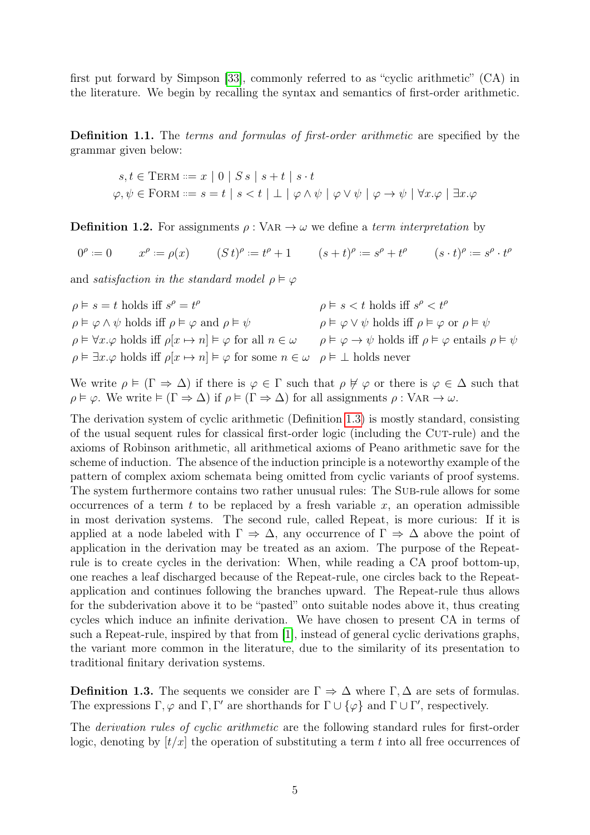first put forward by Simpson [\[33\]](#page-79-2), commonly referred to as "cyclic arithmetic" (CA) in the literature. We begin by recalling the syntax and semantics of first-order arithmetic.

Definition 1.1. The terms and formulas of first-order arithmetic are specified by the grammar given below:

$$
s, t \in \text{TERM} ::= x \mid 0 \mid S s \mid s+t \mid s \cdot t
$$
  

$$
\varphi, \psi \in \text{FORM} ::= s = t \mid s < t \mid \bot \mid \varphi \land \psi \mid \varphi \lor \psi \mid \varphi \rightarrow \psi \mid \forall x. \varphi \mid \exists x. \varphi
$$

**Definition 1.2.** For assignments  $\rho : \text{VAR} \rightarrow \omega$  we define a term interpretation by

 $0^{\rho}$ :  $x^{\rho} := \rho(x)$   $(S t)^{\rho} := t^{\rho} + 1$   $(s + t)^{\rho} := s^{\rho} + t^{\rho}$   $(s \cdot t)^{\rho} := s^{\rho} \cdot t^{\rho}$ 

and satisfaction in the standard model  $\rho \models \varphi$ 

| $\rho \models s = t$ holds iff $s^{\rho} = t^{\rho}$                                                                                   | $\rho \models s < t$ holds iff $s^{\rho} < t^{\rho}$                                                 |
|----------------------------------------------------------------------------------------------------------------------------------------|------------------------------------------------------------------------------------------------------|
| $\rho \models \varphi \land \psi$ holds iff $\rho \models \varphi$ and $\rho \models \psi$                                             | $\rho \models \varphi \lor \psi$ holds iff $\rho \models \varphi$ or $\rho \models \psi$             |
| $\rho \models \forall x \ldotp \varphi$ holds iff $\rho[x \mapsto n] \models \varphi$ for all $n \in \omega$                           | $\rho \models \varphi \rightarrow \psi$ holds iff $\rho \models \varphi$ entails $\rho \models \psi$ |
| $\rho \models \exists x.\varphi$ holds iff $\rho[x \mapsto n] \models \varphi$ for some $n \in \omega$ $\rho \models \bot$ holds never |                                                                                                      |

We write  $\rho \models (\Gamma \Rightarrow \Delta)$  if there is  $\varphi \in \Gamma$  such that  $\rho \not\vdash \varphi$  or there is  $\varphi \in \Delta$  such that  $\rho \models \varphi$ . We write  $\models (\Gamma \Rightarrow \Delta)$  if  $\rho \models (\Gamma \Rightarrow \Delta)$  for all assignments  $\rho : \text{VAR} \rightarrow \omega$ .

The derivation system of cyclic arithmetic (Definition [1.3\)](#page-8-0) is mostly standard, consisting of the usual sequent rules for classical first-order logic (including the Cut-rule) and the axioms of Robinson arithmetic, all arithmetical axioms of Peano arithmetic save for the scheme of induction. The absence of the induction principle is a noteworthy example of the pattern of complex axiom schemata being omitted from cyclic variants of proof systems. The system furthermore contains two rather unusual rules: The SUB-rule allows for some occurrences of a term  $t$  to be replaced by a fresh variable  $x$ , an operation admissible in most derivation systems. The second rule, called Repeat, is more curious: If it is applied at a node labeled with  $\Gamma \Rightarrow \Delta$ , any occurrence of  $\Gamma \Rightarrow \Delta$  above the point of application in the derivation may be treated as an axiom. The purpose of the Repeatrule is to create cycles in the derivation: When, while reading a CA proof bottom-up, one reaches a leaf discharged because of the Repeat-rule, one circles back to the Repeatapplication and continues following the branches upward. The Repeat-rule thus allows for the subderivation above it to be "pasted" onto suitable nodes above it, thus creating cycles which induce an infinite derivation. We have chosen to present CA in terms of such a Repeat-rule, inspired by that from [\[1\]](#page-78-8), instead of general cyclic derivations graphs, the variant more common in the literature, due to the similarity of its presentation to traditional finitary derivation systems.

<span id="page-8-0"></span>**Definition 1.3.** The sequents we consider are  $\Gamma \Rightarrow \Delta$  where  $\Gamma, \Delta$  are sets of formulas. The expressions  $\Gamma, \varphi$  and  $\Gamma, \Gamma'$  are shorthands for  $\Gamma \cup {\varphi}$  and  $\Gamma \cup \Gamma'$ , respectively.

The derivation rules of cyclic arithmetic are the following standard rules for first-order logic, denoting by  $[t/x]$  the operation of substituting a term t into all free occurrences of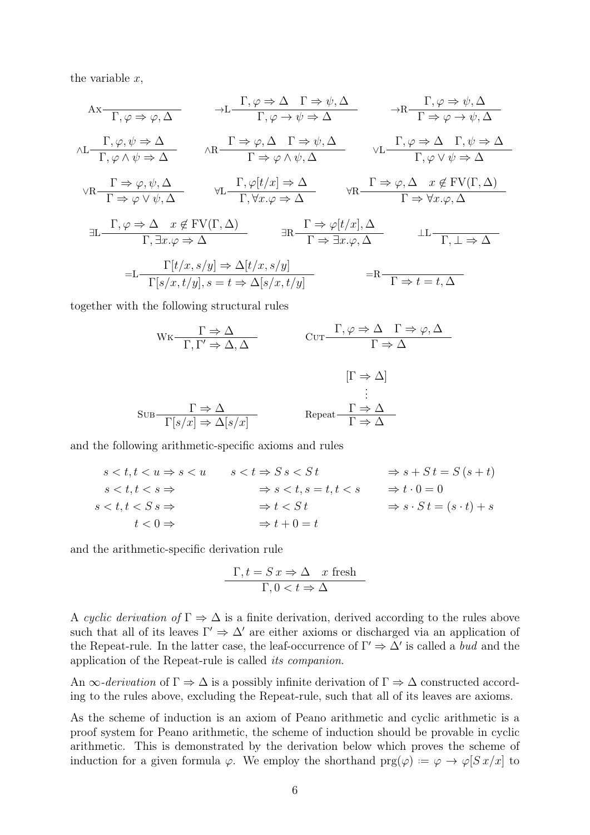the variable  $x$ ,

$$
A x \frac{\Gamma, \varphi \Rightarrow \varphi, \Delta \qquad \rightarrow L \frac{\Gamma, \varphi \Rightarrow \Delta \qquad \Gamma \Rightarrow \psi, \Delta}{\Gamma, \varphi \rightarrow \psi \Rightarrow \Delta} \qquad \rightarrow R \frac{\Gamma, \varphi \Rightarrow \psi, \Delta}{\Gamma \Rightarrow \varphi \rightarrow \psi, \Delta}
$$
  
\n
$$
\wedge L \frac{\Gamma, \varphi, \psi \Rightarrow \Delta}{\Gamma, \varphi \land \psi \Rightarrow \Delta} \qquad \wedge R \frac{\Gamma \Rightarrow \varphi, \Delta \qquad \Gamma \Rightarrow \psi, \Delta}{\Gamma \Rightarrow \varphi \land \psi, \Delta} \qquad \vee L \frac{\Gamma, \varphi \Rightarrow \Delta \qquad \Gamma, \psi \Rightarrow \Delta}{\Gamma, \varphi \lor \psi \Rightarrow \Delta}
$$
  
\n
$$
\vee R \frac{\Gamma \Rightarrow \varphi, \psi, \Delta}{\Gamma \Rightarrow \varphi \lor \psi, \Delta} \qquad \forall L \frac{\Gamma, \varphi[t/x] \Rightarrow \Delta}{\Gamma, \forall x. \varphi \Rightarrow \Delta} \qquad \forall R \frac{\Gamma \Rightarrow \varphi, \Delta \qquad x \notin FV(\Gamma, \Delta)}{\Gamma \Rightarrow \forall x. \varphi, \Delta}
$$
  
\n
$$
\exists L \frac{\Gamma, \varphi \Rightarrow \Delta \qquad x \notin FV(\Gamma, \Delta)}{\Gamma, \exists x. \varphi \Rightarrow \Delta} \qquad \exists R \frac{\Gamma \Rightarrow \varphi[t/x], \Delta}{\Gamma \Rightarrow \exists x. \varphi, \Delta} \qquad \bot L \frac{\Gamma, \bot \Rightarrow \Delta}{\Gamma, \bot \Rightarrow \Delta}
$$
  
\n
$$
= L \frac{\Gamma[t/x, s/y] \Rightarrow \Delta[t/x, s/y]}{\Gamma[s/x, t/y], s = t \Rightarrow \Delta[s/x, t/y]} \qquad \exists R \frac{\Gamma \Rightarrow \Gamma, \bot \Rightarrow \Gamma, \bot \Rightarrow \Delta}{\Gamma \Rightarrow \exists x. \varphi, \Delta}
$$

together with the following structural rules

$$
WK \frac{\Gamma \Rightarrow \Delta}{\Gamma, \Gamma' \Rightarrow \Delta, \Delta} \qquad \text{Cur} \frac{\Gamma, \varphi \Rightarrow \Delta \Gamma \Rightarrow \varphi, \Delta}{\Gamma \Rightarrow \Delta}
$$

$$
[\Gamma \Rightarrow \Delta] \qquad [\Gamma \Rightarrow \Delta]
$$

$$
\vdots
$$

$$
SUB \frac{\Gamma \Rightarrow \Delta}{\Gamma[s/x] \Rightarrow \Delta[s/x]} \qquad \text{Repeat} \frac{\Gamma \Rightarrow \Delta}{\Gamma \Rightarrow \Delta}
$$

and the following arithmetic-specific axioms and rules

| $s < t, t < u \Rightarrow s < u$ | $s < t \Rightarrow S s < S t$     | $\Rightarrow s + St = S(s + t)$              |
|----------------------------------|-----------------------------------|----------------------------------------------|
| $s < t, t < s \Rightarrow$       | $\Rightarrow$ s < t, s = t, t < s | $\Rightarrow t \cdot 0 = 0$                  |
| $s < t, t < S$ $s \Rightarrow$   | $\Rightarrow t < S t$             | $\Rightarrow$ $s \cdot St = (s \cdot t) + s$ |
| $t < 0 \Rightarrow$              | $\Rightarrow t+0=t$               |                                              |

and the arithmetic-specific derivation rule

$$
\frac{\Gamma, t = S \, x \Rightarrow \Delta \quad x \text{ fresh}}{\Gamma, 0 < t \Rightarrow \Delta}
$$

A cyclic derivation of  $\Gamma \Rightarrow \Delta$  is a finite derivation, derived according to the rules above such that all of its leaves  $\Gamma' \Rightarrow \Delta'$  are either axioms or discharged via an application of the Repeat-rule. In the latter case, the leaf-occurrence of  $\Gamma' \Rightarrow \Delta'$  is called a bud and the application of the Repeat-rule is called its companion.

An  $\infty$ -derivation of  $\Gamma \Rightarrow \Delta$  is a possibly infinite derivation of  $\Gamma \Rightarrow \Delta$  constructed according to the rules above, excluding the Repeat-rule, such that all of its leaves are axioms.

As the scheme of induction is an axiom of Peano arithmetic and cyclic arithmetic is a proof system for Peano arithmetic, the scheme of induction should be provable in cyclic arithmetic. This is demonstrated by the derivation below which proves the scheme of induction for a given formula  $\varphi$ . We employ the shorthand  $\text{prg}(\varphi) := \varphi \to \varphi[Sx/x]$  to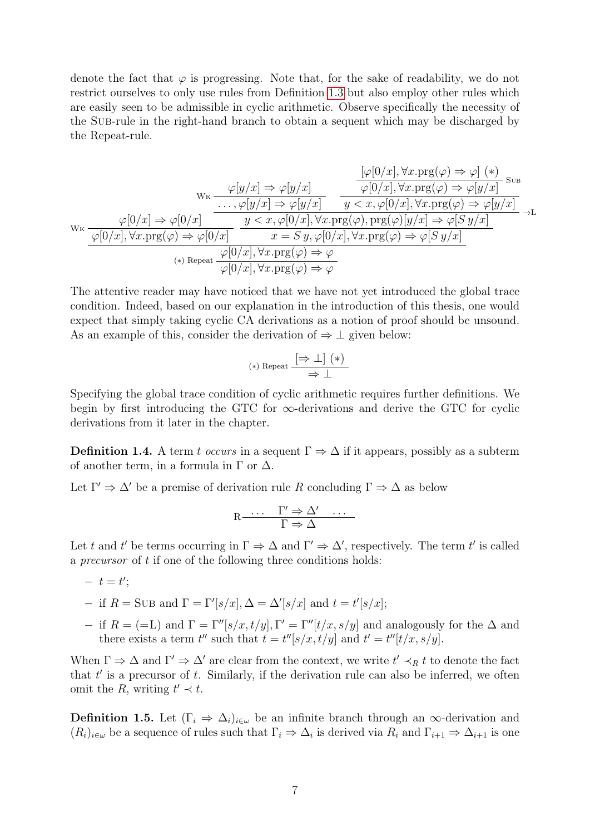denote the fact that  $\varphi$  is progressing. Note that, for the sake of readability, we do not restrict ourselves to only use rules from Definition [1.3](#page-8-0) but also employ other rules which are easily seen to be admissible in cyclic arithmetic. Observe specifically the necessity of the Sub-rule in the right-hand branch to obtain a sequent which may be discharged by the Repeat-rule.

$$
w_{\kappa} \frac{\varphi[y/x] \Rightarrow \varphi[y/x]}{\cdots, \varphi[y/x]} \frac{\varphi[0/x], \forall x. \text{prg}(\varphi) \Rightarrow \varphi] (*)}{\varphi[0/x], \forall x. \text{prg}(\varphi) \Rightarrow \varphi[y/x]} \text{ s.t.}
$$
\n
$$
w_{\kappa} \frac{\varphi[0/x] \Rightarrow \varphi[y/x]}{\cdots, \varphi[y/x]} \frac{\cdots, \varphi[y/x]}{y < x, \varphi[0/x], \forall x. \text{prg}(\varphi) \Rightarrow \varphi[y/x]} \xrightarrow{\gamma \text{prg}(\varphi) \Rightarrow \varphi[y/x]} \frac{\varphi[0/x], \forall x. \text{prg}(\varphi), \text{prg}(\varphi)[y/x] \Rightarrow \varphi[0/y]}{\cdots, \forall x. \text{prg}(\varphi) \Rightarrow \varphi[0/y], \forall x. \text{prg}(\varphi) \Rightarrow \varphi[0/y]} \xrightarrow{\gamma \text{prg}(\varphi) \Rightarrow \varphi} (s, s, \varphi) \text{ s.t.}
$$
\n
$$
w_{\kappa} \frac{\varphi[0/x], \forall x. \text{prg}(\varphi) \Rightarrow \varphi}{\varphi[0/x], \forall x. \text{prg}(\varphi) \Rightarrow \varphi}
$$

The attentive reader may have noticed that we have not yet introduced the global trace condition. Indeed, based on our explanation in the introduction of this thesis, one would expect that simply taking cyclic CA derivations as a notion of proof should be unsound. As an example of this, consider the derivation of  $\Rightarrow \bot$  given below:

$$
(*)\ \text{Repeat}\ \frac{\left[\Rightarrow\ \bot\right]\ (\ast)}{\Rightarrow\ \bot}
$$

Specifying the global trace condition of cyclic arithmetic requires further definitions. We begin by first introducing the GTC for  $\infty$ -derivations and derive the GTC for cyclic derivations from it later in the chapter.

<span id="page-10-0"></span>**Definition 1.4.** A term t occurs in a sequent  $\Gamma \Rightarrow \Delta$  if it appears, possibly as a subterm of another term, in a formula in  $\Gamma$  or  $\Delta$ .

Let  $\Gamma' \Rightarrow \Delta'$  be a premise of derivation rule R concluding  $\Gamma \Rightarrow \Delta$  as below

$$
R \xrightarrow{\cdots} \frac{\Gamma' \Rightarrow \Delta' \quad \cdots}{\Gamma \Rightarrow \Delta}
$$

Let t and t' be terms occurring in  $\Gamma \Rightarrow \Delta$  and  $\Gamma' \Rightarrow \Delta'$ , respectively. The term t' is called a *precursor* of t if one of the following three conditions holds:

 $-t=t';$ 

− if  $R =$  SUB and  $\Gamma = \Gamma'[s/x], Δ = Δ'[s/x]$  and  $t = t'[s/x];$ 

− if  $R = (=L)$  and  $\Gamma = \Gamma''[s/x, t/y], \Gamma' = \Gamma''[t/x, s/y]$  and analogously for the  $\Delta$  and there exists a term  $t''$  such that  $t = t''[s/x, t/y]$  and  $t' = t''[t/x, s/y]$ .

When  $\Gamma \Rightarrow \Delta$  and  $\Gamma' \Rightarrow \Delta'$  are clear from the context, we write  $t' \prec_R t$  to denote the fact that  $t'$  is a precursor of  $t$ . Similarly, if the derivation rule can also be inferred, we often omit the R, writing  $t' \prec t$ .

<span id="page-10-1"></span>**Definition 1.5.** Let  $(\Gamma_i \Rightarrow \Delta_i)_{i \in \omega}$  be an infinite branch through an  $\infty$ -derivation and  $(R_i)_{i\in\omega}$  be a sequence of rules such that  $\Gamma_i \Rightarrow \Delta_i$  is derived via  $R_i$  and  $\Gamma_{i+1} \Rightarrow \Delta_{i+1}$  is one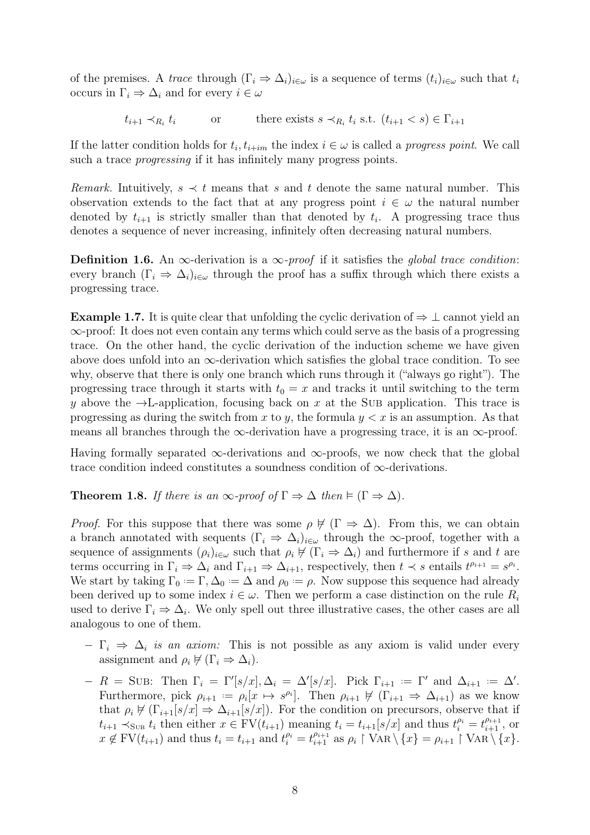of the premises. A trace through  $(\Gamma_i \Rightarrow \Delta_i)_{i\in\omega}$  is a sequence of terms  $(t_i)_{i\in\omega}$  such that  $t_i$ occurs in  $\Gamma_i \Rightarrow \Delta_i$  and for every  $i \in \omega$ 

> $t_{i+1} \prec_{R_i} t_i$  $t_i$  or there exists  $s \prec_{R_i} t_i$  s.t.  $(t_{i+1} < s) \in \Gamma_{i+1}$

If the latter condition holds for  $t_i, t_{i+im}$  the index  $i \in \omega$  is called a *progress point*. We call such a trace *progressing* if it has infinitely many progress points.

Remark. Intuitively,  $s \prec t$  means that s and t denote the same natural number. This observation extends to the fact that at any progress point  $i \in \omega$  the natural number denoted by  $t_{i+1}$  is strictly smaller than that denoted by  $t_i$ . A progressing trace thus denotes a sequence of never increasing, infinitely often decreasing natural numbers.

**Definition 1.6.** An  $\infty$ -derivation is a  $\infty$ -proof if it satisfies the global trace condition: every branch  $(\Gamma_i \Rightarrow \Delta_i)_{i \in \omega}$  through the proof has a suffix through which there exists a progressing trace.

**Example 1.7.** It is quite clear that unfolding the cyclic derivation of  $\Rightarrow \bot$  cannot yield an ∞-proof: It does not even contain any terms which could serve as the basis of a progressing trace. On the other hand, the cyclic derivation of the induction scheme we have given above does unfold into an  $\infty$ -derivation which satisfies the global trace condition. To see why, observe that there is only one branch which runs through it ("always go right"). The progressing trace through it starts with  $t_0 = x$  and tracks it until switching to the term y above the  $\rightarrow$ L-application, focusing back on x at the SUB application. This trace is progressing as during the switch from x to y, the formula  $y < x$  is an assumption. As that means all branches through the  $\infty$ -derivation have a progressing trace, it is an  $\infty$ -proof.

Having formally separated  $\infty$ -derivations and  $\infty$ -proofs, we now check that the global trace condition indeed constitutes a soundness condition of ∞-derivations.

<span id="page-11-0"></span>**Theorem 1.8.** If there is an  $\infty$ -proof of  $\Gamma \Rightarrow \Delta$  then  $\models (\Gamma \Rightarrow \Delta)$ .

*Proof.* For this suppose that there was some  $\rho \not\vdash (\Gamma \Rightarrow \Delta)$ . From this, we can obtain a branch annotated with sequents  $(\Gamma_i \Rightarrow \Delta_i)_{i \in \omega}$  through the ∞-proof, together with a sequence of assignments  $(\rho_i)_{i\in\omega}$  such that  $\rho_i \not\vdash (\Gamma_i \Rightarrow \Delta_i)$  and furthermore if s and t are terms occurring in  $\Gamma_i \Rightarrow \Delta_i$  and  $\Gamma_{i+1} \Rightarrow \Delta_{i+1}$ , respectively, then  $t \prec s$  entails  $t^{\rho_{i+1}} = s^{\rho_i}$ . We start by taking  $\Gamma_0 := \Gamma, \Delta_0 := \Delta$  and  $\rho_0 := \rho$ . Now suppose this sequence had already been derived up to some index  $i \in \omega$ . Then we perform a case distinction on the rule  $R_i$ used to derive  $\Gamma_i \Rightarrow \Delta_i$ . We only spell out three illustrative cases, the other cases are all analogous to one of them.

- $-\Gamma_i \Rightarrow \Delta_i$  is an axiom: This is not possible as any axiom is valid under every assignment and  $\rho_i \not\vdash (\Gamma_i \Rightarrow \Delta_i)$ .
- $-R = \text{SUB: Then } \Gamma_i = \Gamma'[s/x], \Delta_i = \Delta'[s/x]. \text{ Pick } \Gamma_{i+1} := \Gamma' \text{ and } \Delta_{i+1} := \Delta'.$ Furthermore, pick  $\rho_{i+1} := \rho_i[x \mapsto s^{\rho_i}].$  Then  $\rho_{i+1} \not\vdash (\Gamma_{i+1} \Rightarrow \Delta_{i+1})$  as we know that  $\rho_i \not\vdash (\Gamma_{i+1}[s/x] \Rightarrow \Delta_{i+1}[s/x])$ . For the condition on precursors, observe that if  $t_{i+1} \prec_{\text{SUB }} t_i$  then either  $x \in \text{FV}(t_{i+1})$  meaning  $t_i = t_{i+1}[s/x]$  and thus  $t_i^{\rho_i} = t_{i+1}^{\rho_{i+1}}$ , or  $x \notin \text{FV}(t_{i+1})$  and thus  $t_i = t_{i+1}$  and  $t_i^{\rho_i} = t_{i+1}^{\rho_{i+1}}$  as  $\rho_i \upharpoonright \text{VAR} \setminus \{x\} = \rho_{i+1} \upharpoonright \text{VAR} \setminus \{x\}.$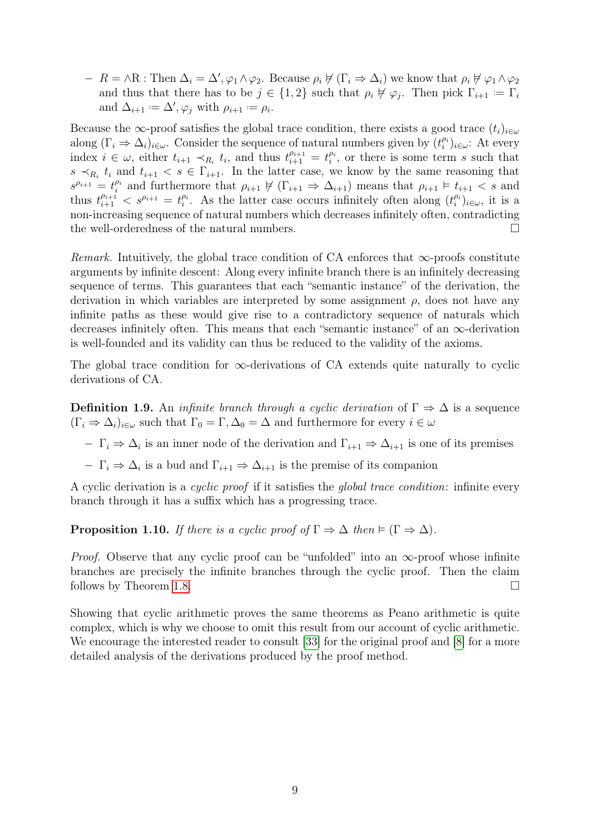$-R = \land R$ : Then  $\Delta_i = \Delta', \varphi_1 \land \varphi_2$ . Because  $\rho_i \not\vdash (\Gamma_i \Rightarrow \Delta_i)$  we know that  $\rho_i \not\vdash \varphi_1 \land \varphi_2$ and thus that there has to be  $j \in \{1,2\}$  such that  $\rho_i \not\vdash \varphi_j$ . Then pick  $\Gamma_{i+1} := \Gamma_i$ and  $\Delta_{i+1} := \Delta', \varphi_j$  with  $\rho_{i+1} := \rho_i$ .

Because the ∞-proof satisfies the global trace condition, there exists a good trace  $(t_i)_{i\in\omega}$ along  $(\Gamma_i \Rightarrow \Delta_i)_{i \in \omega}$ . Consider the sequence of natural numbers given by  $(t_i^{p_i})_{i \in \omega}$ : At every index  $i \in \omega$ , either  $t_{i+1} \prec_{R_i} t_i$ , and thus  $t_{i+1}^{\rho_{i+1}} = t_i^{\rho_i}$ , or there is some term s such that  $s \prec_{R_i} t_i$  and  $t_{i+1} < s \in \Gamma_{i+1}$ . In the latter case, we know by the same reasoning that  $s^{\rho_{i+1}} = t_i^{\rho_i}$  and furthermore that  $\rho_{i+1} \not\vdash (\Gamma_{i+1} \Rightarrow \Delta_{i+1})$  means that  $\rho_{i+1} \models t_{i+1} < s$  and thus  $t_{i+1}^{\rho_{i+1}} < s^{\rho_{i+1}} = t_i^{\rho_i}$ . As the latter case occurs infinitely often along  $(t_i^{\rho_i})_{i \in \omega}$ , it is a non-increasing sequence of natural numbers which decreases infinitely often, contradicting the well-orderedness of the natural numbers.

Remark. Intuitively, the global trace condition of CA enforces that  $\infty$ -proofs constitute arguments by infinite descent: Along every infinite branch there is an infinitely decreasing sequence of terms. This guarantees that each "semantic instance" of the derivation, the derivation in which variables are interpreted by some assignment  $\rho$ , does not have any infinite paths as these would give rise to a contradictory sequence of naturals which decreases infinitely often. This means that each "semantic instance" of an ∞-derivation is well-founded and its validity can thus be reduced to the validity of the axioms.

The global trace condition for  $\infty$ -derivations of CA extends quite naturally to cyclic derivations of CA.

<span id="page-12-0"></span>**Definition 1.9.** An *infinite branch through a cyclic derivation* of  $\Gamma \Rightarrow \Delta$  is a sequence  $(\Gamma_i \Rightarrow \Delta_i)_{i \in \omega}$  such that  $\Gamma_0 = \Gamma, \Delta_0 = \Delta$  and furthermore for every  $i \in \omega$ 

 $-$  Γ<sub>i</sub>  $\Rightarrow$  Δ<sub>i</sub> is an inner node of the derivation and Γ<sub>i+1</sub>  $\Rightarrow$  Δ<sub>i+1</sub> is one of its premises

 $-\Gamma_i \Rightarrow \Delta_i$  is a bud and  $\Gamma_{i+1} \Rightarrow \Delta_{i+1}$  is the premise of its companion

A cyclic derivation is a cyclic proof if it satisfies the global trace condition: infinite every branch through it has a suffix which has a progressing trace.

**Proposition 1.10.** If there is a cyclic proof of  $\Gamma \Rightarrow \Delta$  then  $\models (\Gamma \Rightarrow \Delta)$ .

*Proof.* Observe that any cyclic proof can be "unfolded" into an  $\infty$ -proof whose infinite branches are precisely the infinite branches through the cyclic proof. Then the claim follows by Theorem [1.8.](#page-11-0)

Showing that cyclic arithmetic proves the same theorems as Peano arithmetic is quite complex, which is why we choose to omit this result from our account of cyclic arithmetic. We encourage the interested reader to consult [\[33\]](#page-79-2) for the original proof and [\[8\]](#page-78-9) for a more detailed analysis of the derivations produced by the proof method.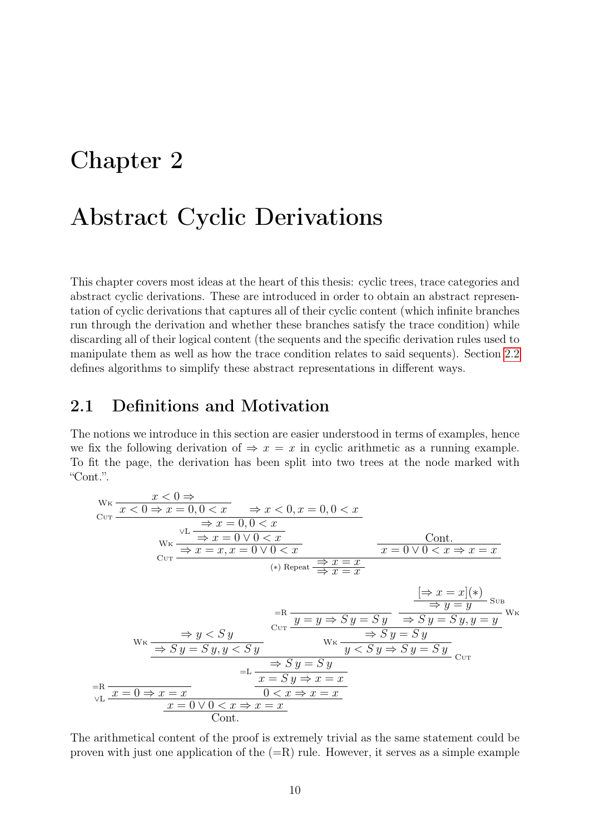## <span id="page-13-0"></span>Chapter 2

## Abstract Cyclic Derivations

This chapter covers most ideas at the heart of this thesis: cyclic trees, trace categories and abstract cyclic derivations. These are introduced in order to obtain an abstract representation of cyclic derivations that captures all of their cyclic content (which infinite branches run through the derivation and whether these branches satisfy the trace condition) while discarding all of their logical content (the sequents and the specific derivation rules used to manipulate them as well as how the trace condition relates to said sequents). Section [2.2](#page-20-0) defines algorithms to simplify these abstract representations in different ways.

#### <span id="page-13-1"></span>2.1 Definitions and Motivation

The notions we introduce in this section are easier understood in terms of examples, hence we fix the following derivation of  $\Rightarrow x = x$  in cyclic arithmetic as a running example. To fit the page, the derivation has been split into two trees at the node marked with "Cont.".

$$
\begin{array}{ll}\n\text{W}_{\text{K}} & \frac{x < 0 \Rightarrow}{x < 0 \Rightarrow x = 0, 0 < x} & \Rightarrow x < 0, x = 0, 0 < x \\
& \text{W}_{\text{K}} & \frac{\Rightarrow x = 0, 0 < x}{\Rightarrow x = 0 \lor 0 < x} & \frac{\text{Cont.}}{x = 0 \lor 0 < x \Rightarrow x = x} \\
& \text{W}_{\text{K}} & \frac{\Rightarrow x = x, x = 0 \lor 0 < x}{\Rightarrow x = x} & \frac{\Rightarrow x = x}{x = 0 \lor 0 < x \Rightarrow x = x} \\
& \text{H}_{\text{R}} & \frac{\Rightarrow x = x}{\Rightarrow x = x} & \frac{\Rightarrow x = x}{\Rightarrow x = x} \\
& \text{H}_{\text{R}} & \frac{\Rightarrow x = x | (*)}{\Rightarrow y = y} \text{ Sub} \\
\text{W}_{\text{K}} & \frac{\Rightarrow y < Sy}{\Rightarrow Sy = Sy, y < Sy} & \frac{\Rightarrow Sy = Sy}{\Rightarrow Sy = Sy} & \frac{\Rightarrow Sy = Sy}{\Rightarrow Sy = Sy} \\
& \text{H}_{\text{R}} & \frac{\Rightarrow Sy = Sy}{x = Sy \Rightarrow x = x} & \frac{\Rightarrow Sy = Sy}{\Rightarrow Sy = Sy} & \frac{\Rightarrow Sy = Sy}{\Rightarrow Sy = Sy} \\
& \text{H}_{\text{R}} & \frac{x = 0 \Rightarrow x = x}{x = 0 \lor 0 < x \Rightarrow x = x} & \frac{0 < x \Rightarrow x = x}{\text{Cont.}}\n\end{array}
$$

The arithmetical content of the proof is extremely trivial as the same statement could be proven with just one application of the  $(=R)$  rule. However, it serves as a simple example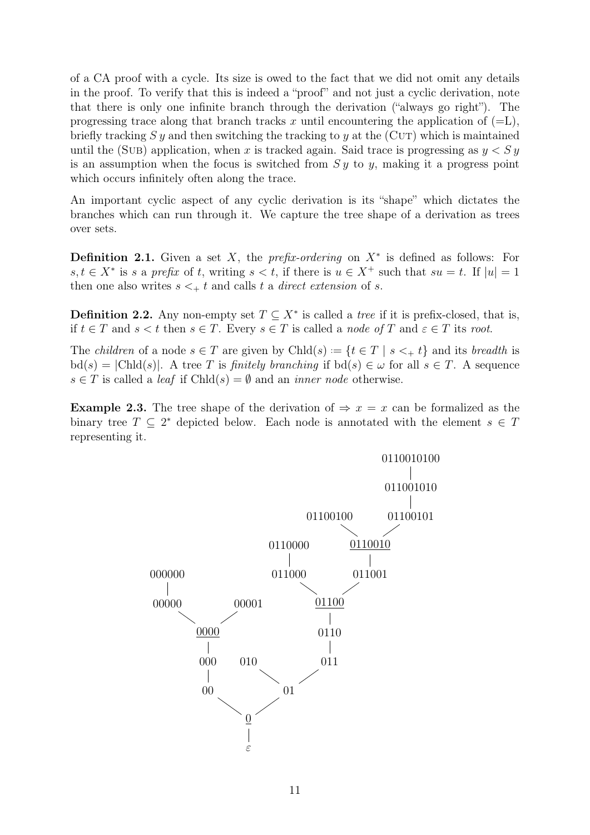of a CA proof with a cycle. Its size is owed to the fact that we did not omit any details in the proof. To verify that this is indeed a "proof" and not just a cyclic derivation, note that there is only one infinite branch through the derivation ("always go right"). The progressing trace along that branch tracks x until encountering the application of  $(=L)$ , briefly tracking S y and then switching the tracking to y at the (CUT) which is maintained until the (SUB) application, when x is tracked again. Said trace is progressing as  $y < S y$ is an assumption when the focus is switched from  $S y$  to y, making it a progress point which occurs infinitely often along the trace.

An important cyclic aspect of any cyclic derivation is its "shape" which dictates the branches which can run through it. We capture the tree shape of a derivation as trees over sets.

**Definition 2.1.** Given a set X, the *prefix-ordering* on  $X^*$  is defined as follows: For  $s, t \in X^*$  is s a prefix of t, writing  $s < t$ , if there is  $u \in X^+$  such that  $su = t$ . If  $|u| = 1$ then one also writes  $s \leq t$  and calls t a direct extension of s.

**Definition 2.2.** Any non-empty set  $T \subseteq X^*$  is called a *tree* if it is prefix-closed, that is, if  $t \in T$  and  $s < t$  then  $s \in T$ . Every  $s \in T$  is called a node of T and  $\varepsilon \in T$  its root.

The *children* of a node  $s \in T$  are given by  $Chld(s) := \{t \in T \mid s \leq t \}$  and its *breadth* is  $\text{bd}(s) = |\text{Chld}(s)|$ . A tree T is finitely branching if  $\text{bd}(s) \in \omega$  for all  $s \in T$ . A sequence  $s \in T$  is called a *leaf* if Chld $(s) = \emptyset$  and an *inner node* otherwise.

<span id="page-14-0"></span>**Example 2.3.** The tree shape of the derivation of  $\Rightarrow x = x$  can be formalized as the binary tree  $T \subseteq 2^*$  depicted below. Each node is annotated with the element  $s \in T$ representing it.

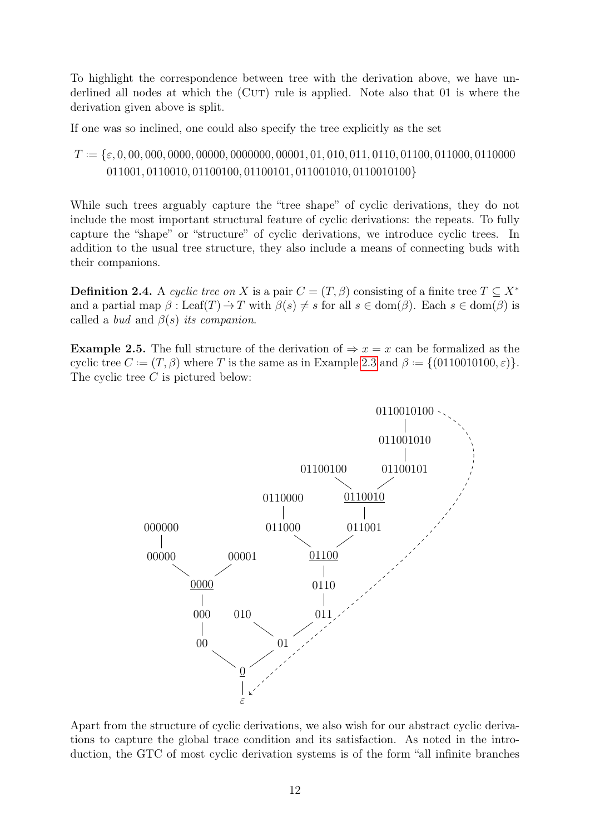To highlight the correspondence between tree with the derivation above, we have underlined all nodes at which the (CUT) rule is applied. Note also that 01 is where the derivation given above is split.

If one was so inclined, one could also specify the tree explicitly as the set

T . .= {ε, 0, 00, 000, 0000, 00000, 0000000, 00001, 01, 010, 011, 0110, 01100, 011000, 0110000 011001, 0110010, 01100100, 01100101, 011001010, 0110010100}

While such trees arguably capture the "tree shape" of cyclic derivations, they do not include the most important structural feature of cyclic derivations: the repeats. To fully capture the "shape" or "structure" of cyclic derivations, we introduce cyclic trees. In addition to the usual tree structure, they also include a means of connecting buds with their companions.

**Definition 2.4.** A cyclic tree on X is a pair  $C = (T, \beta)$  consisting of a finite tree  $T \subseteq X^*$ and a partial map  $\beta$ : Leaf(T)  $\rightarrow$  T with  $\beta(s) \neq s$  for all  $s \in \text{dom}(\beta)$ . Each  $s \in \text{dom}(\beta)$  is called a *bud* and  $\beta(s)$  *its companion.* 

<span id="page-15-0"></span>**Example 2.5.** The full structure of the derivation of  $\Rightarrow x = x$  can be formalized as the cyclic tree  $C := (T, \beta)$  where T is the same as in Example [2.3](#page-14-0) and  $\beta = \{(0110010100, \varepsilon)\}.$ The cyclic tree C is pictured below:



Apart from the structure of cyclic derivations, we also wish for our abstract cyclic derivations to capture the global trace condition and its satisfaction. As noted in the introduction, the GTC of most cyclic derivation systems is of the form "all infinite branches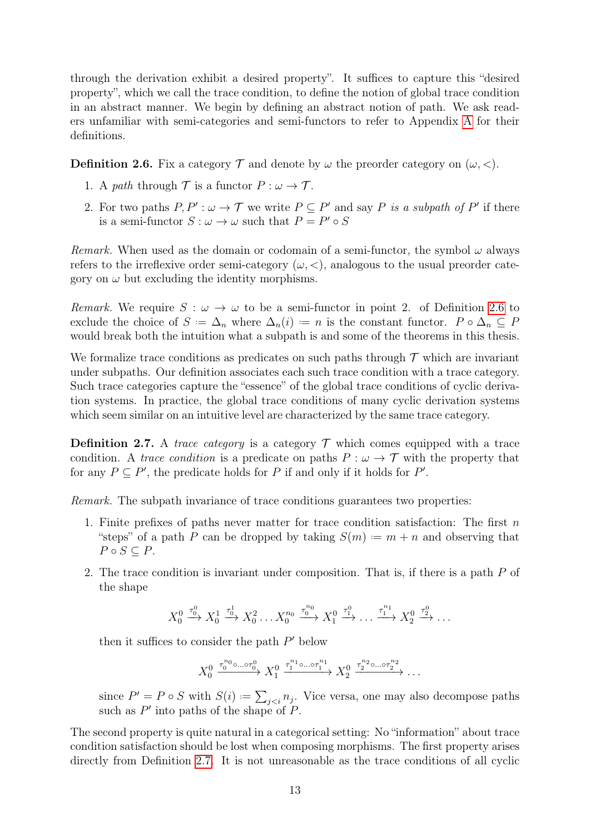through the derivation exhibit a desired property". It suffices to capture this "desired property", which we call the trace condition, to define the notion of global trace condition in an abstract manner. We begin by defining an abstract notion of path. We ask readers unfamiliar with semi-categories and semi-functors to refer to Appendix [A](#page-81-0) for their definitions.

<span id="page-16-1"></span>**Definition 2.6.** Fix a category  $\mathcal{T}$  and denote by  $\omega$  the preorder category on  $(\omega, <)$ .

- 1. A path through  $\mathcal T$  is a functor  $P : \omega \to \mathcal T$ .
- 2. For two paths  $P, P' : \omega \to \mathcal{T}$  we write  $P \subseteq P'$  and say P is a subpath of P' if there is a semi-functor  $S: \omega \to \omega$  such that  $P = P' \circ S$

Remark. When used as the domain or codomain of a semi-functor, the symbol  $\omega$  always refers to the irreflexive order semi-category  $(\omega, <)$ , analogous to the usual preorder category on  $\omega$  but excluding the identity morphisms.

Remark. We require  $S : \omega \to \omega$  to be a semi-functor in point 2. of Definition [2.6](#page-16-1) to exclude the choice of  $S := \Delta_n$  where  $\Delta_n(i) := n$  is the constant functor.  $P \circ \Delta_n \subseteq P$ would break both the intuition what a subpath is and some of the theorems in this thesis.

We formalize trace conditions as predicates on such paths through  $\mathcal T$  which are invariant under subpaths. Our definition associates each such trace condition with a trace category. Such trace categories capture the "essence" of the global trace conditions of cyclic derivation systems. In practice, the global trace conditions of many cyclic derivation systems which seem similar on an intuitive level are characterized by the same trace category.

<span id="page-16-0"></span>**Definition 2.7.** A *trace category* is a category  $\mathcal{T}$  which comes equipped with a trace condition. A trace condition is a predicate on paths  $P : \omega \to \mathcal{T}$  with the property that for any  $P \subseteq P'$ , the predicate holds for P if and only if it holds for P'.

Remark. The subpath invariance of trace conditions guarantees two properties:

- 1. Finite prefixes of paths never matter for trace condition satisfaction: The first  $n$ "steps" of a path P can be dropped by taking  $S(m) := m + n$  and observing that  $P \circ S \subseteq P$ .
- 2. The trace condition is invariant under composition. That is, if there is a path P of the shape

$$
X_0^0 \xrightarrow{\tau_0^0} X_0^1 \xrightarrow{\tau_0^1} X_0^2 \dots X_0^{n_0} \xrightarrow{\tau_0^{n_0}} X_1^0 \xrightarrow{\tau_1^0} \dots \xrightarrow{\tau_1^{n_1}} X_2^0 \xrightarrow{\tau_2^0} \dots
$$

then it suffices to consider the path  $P'$  below

$$
X_0^0 \xrightarrow{\tau_0^{n_0} \circ \dots \circ \tau_0^0} X_1^0 \xrightarrow{\tau_1^{n_1} \circ \dots \circ \tau_1^{n_1}} X_2^0 \xrightarrow{\tau_2^{n_2} \circ \dots \circ \tau_2^{n_2}} \dots
$$

since  $P' = P \circ S$  with  $S(i) := \sum_{j \leq i} n_j$ . Vice versa, one may also decompose paths such as  $P'$  into paths of the shape of  $P$ .

The second property is quite natural in a categorical setting: No "information" about trace condition satisfaction should be lost when composing morphisms. The first property arises directly from Definition [2.7.](#page-16-0) It is not unreasonable as the trace conditions of all cyclic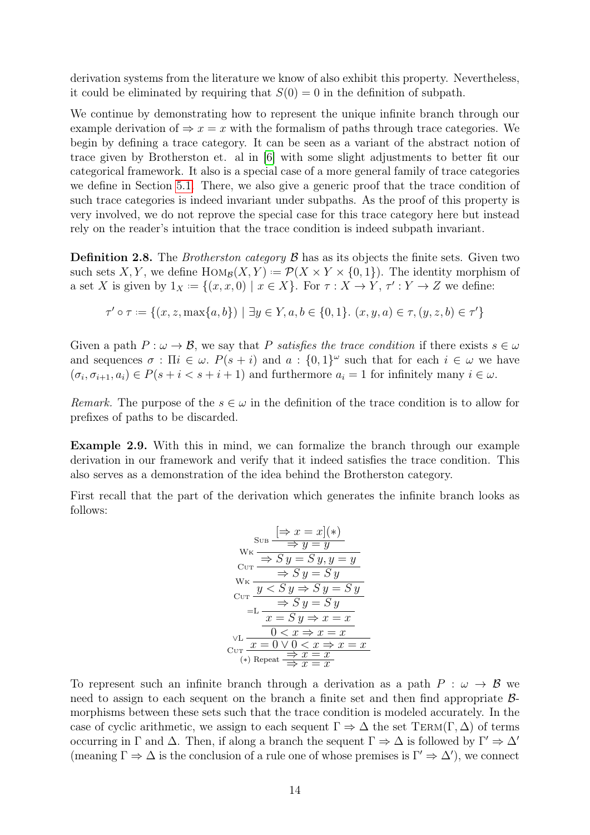derivation systems from the literature we know of also exhibit this property. Nevertheless, it could be eliminated by requiring that  $S(0) = 0$  in the definition of subpath.

We continue by demonstrating how to represent the unique infinite branch through our example derivation of  $\Rightarrow x = x$  with the formalism of paths through trace categories. We begin by defining a trace category. It can be seen as a variant of the abstract notion of trace given by Brotherston et. al in [\[6\]](#page-78-1) with some slight adjustments to better fit our categorical framework. It also is a special case of a more general family of trace categories we define in Section [5.1.](#page-48-1) There, we also give a generic proof that the trace condition of such trace categories is indeed invariant under subpaths. As the proof of this property is very involved, we do not reprove the special case for this trace category here but instead rely on the reader's intuition that the trace condition is indeed subpath invariant.

**Definition 2.8.** The *Brotherston category*  $\beta$  has as its objects the finite sets. Given two such sets X, Y, we define  $\text{Hom}_{\mathcal{B}}(X, Y) := \mathcal{P}(X \times Y \times \{0, 1\})$ . The identity morphism of a set X is given by  $1_X := \{(x, x, 0) \mid x \in X\}$ . For  $\tau : X \to Y$ ,  $\tau' : Y \to Z$  we define:

$$
\tau' \circ \tau := \{(x, z, \max\{a, b\}) \mid \exists y \in Y, a, b \in \{0, 1\}. (x, y, a) \in \tau, (y, z, b) \in \tau'\}
$$

Given a path  $P : \omega \to \mathcal{B}$ , we say that P satisfies the trace condition if there exists  $s \in \omega$ and sequences  $\sigma$ :  $\Pi i \in \omega$ .  $P(s+i)$  and  $a:\{0,1\}^\omega$  such that for each  $i \in \omega$  we have  $(\sigma_i, \sigma_{i+1}, a_i) \in P(s+i < s+i+1)$  and furthermore  $a_i = 1$  for infinitely many  $i \in \omega$ .

*Remark.* The purpose of the  $s \in \omega$  in the definition of the trace condition is to allow for prefixes of paths to be discarded.

<span id="page-17-0"></span>Example 2.9. With this in mind, we can formalize the branch through our example derivation in our framework and verify that it indeed satisfies the trace condition. This also serves as a demonstration of the idea behind the Brotherston category.

First recall that the part of the derivation which generates the infinite branch looks as follows:

$$
SUB \xrightarrow{\text{SUB}} \frac{[\Rightarrow x = x](*)}{\Rightarrow y = y}
$$
  
\n
$$
WK \xrightarrow{\Rightarrow S y = S y}
$$
  
\n
$$
WK \xrightarrow{\Rightarrow S y = S y}
$$
  
\n
$$
WK \xrightarrow{y < S y \Rightarrow S y = S y}
$$
  
\n
$$
=L \xrightarrow{\Rightarrow S y = S y}
$$
  
\n
$$
T = S y \Rightarrow x = x
$$
  
\n
$$
VL \xrightarrow{0 < x \Rightarrow x = x}
$$
  
\n
$$
CUT \xrightarrow{x = 0 \lor 0 < x \Rightarrow x = x}
$$
  
\n
$$
(\ast) \text{ Repeat} \xrightarrow{\Rightarrow x = x}
$$

To represent such an infinite branch through a derivation as a path  $P : \omega \to \mathcal{B}$  we need to assign to each sequent on the branch a finite set and then find appropriate  $\beta$ morphisms between these sets such that the trace condition is modeled accurately. In the case of cyclic arithmetic, we assign to each sequent  $\Gamma \Rightarrow \Delta$  the set TERM(Γ,  $\Delta$ ) of terms occurring in  $\Gamma$  and  $\Delta$ . Then, if along a branch the sequent  $\Gamma \Rightarrow \Delta$  is followed by  $\Gamma' \Rightarrow \Delta'$ (meaning  $\Gamma \Rightarrow \Delta$  is the conclusion of a rule one of whose premises is  $\Gamma' \Rightarrow \Delta'$ ), we connect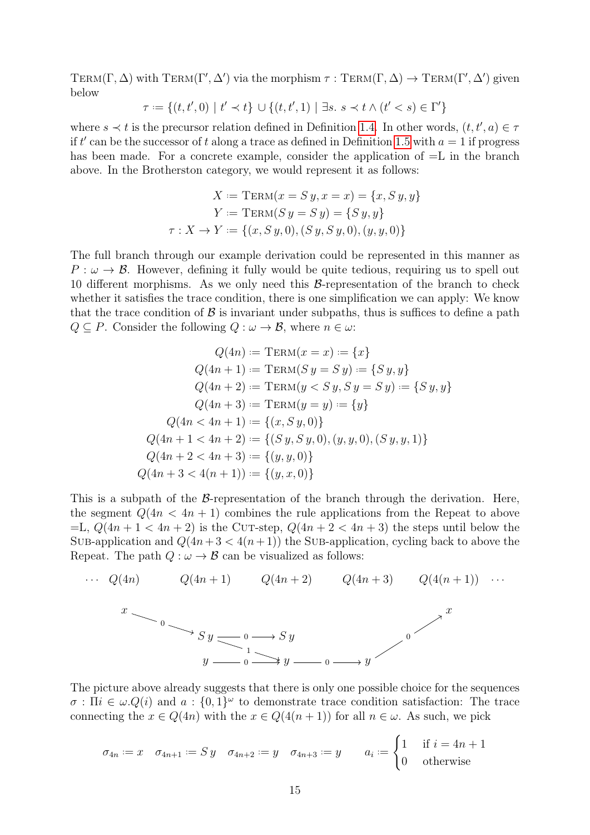TERM( $\Gamma$ ,  $\Delta$ ) with TERM( $\Gamma'$ ,  $\Delta'$ ) via the morphism  $\tau$ : TERM( $\Gamma$ ,  $\Delta$ )  $\rightarrow$  TERM( $\Gamma'$ ,  $\Delta'$ ) given below

$$
\tau:=\{(t,t',0)\ |\ t'\prec t\}\,\cup\{(t,t',1)\ |\ \exists s.\ s\prec t\wedge (t'
$$

where  $s \prec t$  is the precursor relation defined in Definition [1.4.](#page-10-0) In other words,  $(t, t', a) \in \tau$ if t' can be the successor of t along a trace as defined in Definition [1.5](#page-10-1) with  $a = 1$  if progress has been made. For a concrete example, consider the application of  $=L$  in the branch above. In the Brotherston category, we would represent it as follows:

$$
X := \text{TERM}(x = S y, x = x) = \{x, S y, y\}
$$

$$
Y := \text{TERM}(S y = S y) = \{S y, y\}
$$

$$
\tau : X \to Y := \{(x, S y, 0), (S y, S y, 0), (y, y, 0)\}
$$

The full branch through our example derivation could be represented in this manner as  $P : \omega \to \mathcal{B}$ . However, defining it fully would be quite tedious, requiring us to spell out 10 different morphisms. As we only need this  $\beta$ -representation of the branch to check whether it satisfies the trace condition, there is one simplification we can apply: We know that the trace condition of  $\beta$  is invariant under subpaths, thus is suffices to define a path  $Q \subseteq P$ . Consider the following  $Q : \omega \to \mathcal{B}$ , where  $n \in \omega$ :

$$
Q(4n) := \text{TERM}(x = x) := \{x\}
$$
  
\n
$$
Q(4n + 1) := \text{TERM}(Sy = Sy) := \{Sy, y\}
$$
  
\n
$$
Q(4n + 2) := \text{TERM}(y < Sy, Sy = Sy) := \{Sy, y\}
$$
  
\n
$$
Q(4n + 3) := \text{TERM}(y = y) := \{y\}
$$
  
\n
$$
Q(4n < 4n + 1) := \{(x, Sy, 0)\}
$$
  
\n
$$
Q(4n + 1 < 4n + 2) := \{(S, y, Sy, 0), (y, y, 0), (Sy, y, 1)\}
$$
  
\n
$$
Q(4n + 2 < 4n + 3) := \{(y, y, 0)\}
$$
  
\n
$$
Q(4n + 3 < 4(n + 1)) := \{(y, x, 0)\}
$$

This is a subpath of the  $\beta$ -representation of the branch through the derivation. Here, the segment  $Q(4n < 4n + 1)$  combines the rule applications from the Repeat to above =L,  $Q(4n + 1 < 4n + 2)$  is the CUT-step,  $Q(4n + 2 < 4n + 3)$  the steps until below the SUB-application and  $Q(4n+3 < 4(n+1))$  the SUB-application, cycling back to above the Repeat. The path  $Q : \omega \to \mathcal{B}$  can be visualized as follows:



The picture above already suggests that there is only one possible choice for the sequences  $\sigma$ :  $\Pi i \in \omega. Q(i)$  and  $a: \{0,1\}^\omega$  to demonstrate trace condition satisfaction: The trace connecting the  $x \in Q(4n)$  with the  $x \in Q(4(n+1))$  for all  $n \in \omega$ . As such, we pick

$$
\sigma_{4n} := x \quad \sigma_{4n+1} := Sy \quad \sigma_{4n+2} := y \quad \sigma_{4n+3} := y \quad a_i := \begin{cases} 1 & \text{if } i = 4n+1 \\ 0 & \text{otherwise} \end{cases}
$$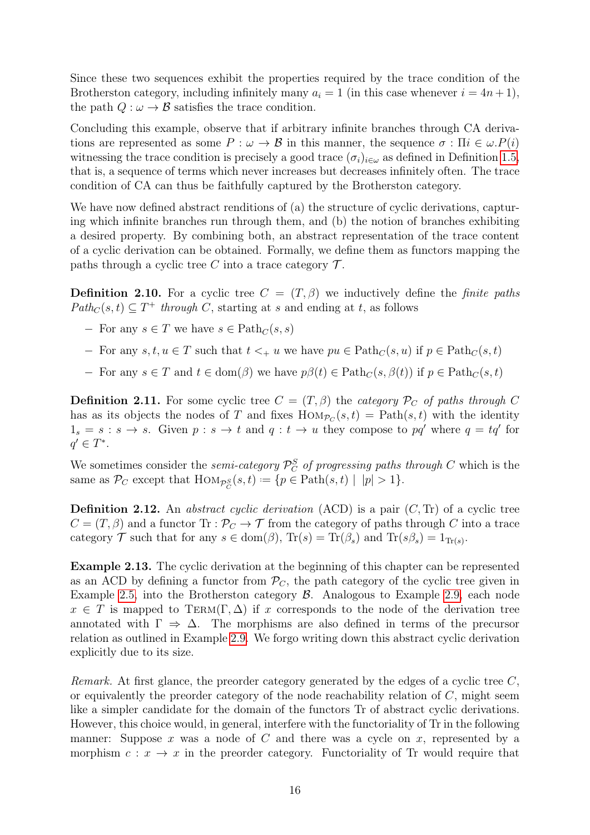Since these two sequences exhibit the properties required by the trace condition of the Brotherston category, including infinitely many  $a_i = 1$  (in this case whenever  $i = 4n + 1$ ), the path  $Q : \omega \to \mathcal{B}$  satisfies the trace condition.

Concluding this example, observe that if arbitrary infinite branches through CA derivations are represented as some  $P : \omega \to \mathcal{B}$  in this manner, the sequence  $\sigma : \Pi i \in \omega.P(i)$ witnessing the trace condition is precisely a good trace  $(\sigma_i)_{i\in\omega}$  as defined in Definition [1.5,](#page-10-1) that is, a sequence of terms which never increases but decreases infinitely often. The trace condition of CA can thus be faithfully captured by the Brotherston category.

We have now defined abstract renditions of (a) the structure of cyclic derivations, capturing which infinite branches run through them, and (b) the notion of branches exhibiting a desired property. By combining both, an abstract representation of the trace content of a cyclic derivation can be obtained. Formally, we define them as functors mapping the paths through a cyclic tree C into a trace category  $\mathcal{T}$ .

**Definition 2.10.** For a cyclic tree  $C = (T, \beta)$  we inductively define the *finite paths*  $Path_C(s, t) \subseteq T^+$  through C, starting at s and ending at t, as follows

- $-$  For any  $s \in T$  we have  $s \in \text{Path}_C(s, s)$
- − For any  $s, t, u \in T$  such that  $t <_{+} u$  we have  $pu \in \text{Path}_C(s, u)$  if  $p \in \text{Path}_C(s, t)$
- − For any  $s \in T$  and  $t \in \text{dom}(\beta)$  we have  $p\beta(t) \in \text{Path}_C(s, \beta(t))$  if  $p \in \text{Path}_C(s, t)$

**Definition 2.11.** For some cyclic tree  $C = (T, \beta)$  the *category*  $\mathcal{P}_C$  of paths through C has as its objects the nodes of T and fixes  $\text{Hom}_{\mathcal{P}_C}(s,t) = \text{Path}(s,t)$  with the identity  $1_s = s : s \to s$ . Given  $p : s \to t$  and  $q : t \to u$  they compose to pq' where  $q = tq'$  for  $q' \in T^*$ .

We sometimes consider the *semi-category*  $\mathcal{P}_C^S$  of progressing paths through C which is the same as  $\mathcal{P}_C$  except that  $\text{Hom}_{\mathcal{P}_C^S}(s,t) := \{p \in \text{Path}(s,t) \mid |p| > 1\}.$ 

<span id="page-19-0"></span>**Definition 2.12.** An *abstract cyclic derivation* (ACD) is a pair  $(C, Tr)$  of a cyclic tree  $C = (T, \beta)$  and a functor  $\text{Tr} : \mathcal{P}_C \to \mathcal{T}$  from the category of paths through C into a trace category  $\mathcal T$  such that for any  $s \in \text{dom}(\beta)$ ,  $\text{Tr}(s) = \text{Tr}(\beta_s)$  and  $\text{Tr}(s\beta_s) = 1_{\text{Tr}(s)}$ .

<span id="page-19-1"></span>Example 2.13. The cyclic derivation at the beginning of this chapter can be represented as an ACD by defining a functor from  $\mathcal{P}_C$ , the path category of the cyclic tree given in Example [2.5,](#page-15-0) into the Brotherston category B. Analogous to Example [2.9,](#page-17-0) each node  $x \in T$  is mapped to TERM( $\Gamma$ ,  $\Delta$ ) if x corresponds to the node of the derivation tree annotated with  $\Gamma \Rightarrow \Delta$ . The morphisms are also defined in terms of the precursor relation as outlined in Example [2.9.](#page-17-0) We forgo writing down this abstract cyclic derivation explicitly due to its size.

Remark. At first glance, the preorder category generated by the edges of a cyclic tree  $C$ , or equivalently the preorder category of the node reachability relation of  $C$ , might seem like a simpler candidate for the domain of the functors Tr of abstract cyclic derivations. However, this choice would, in general, interfere with the functoriality of Tr in the following manner: Suppose x was a node of C and there was a cycle on x, represented by a morphism  $c: x \to x$  in the preorder category. Functoriality of Tr would require that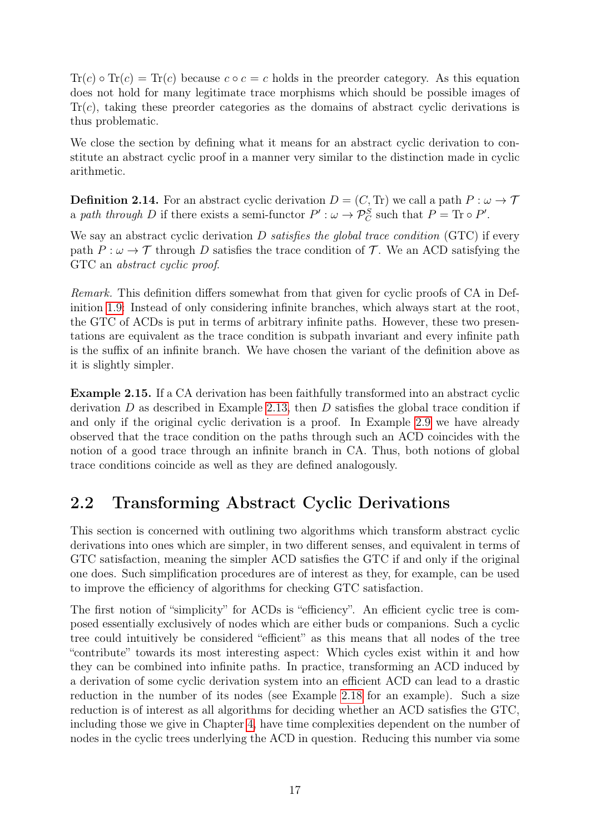$Tr(c) \circ Tr(c) = Tr(c)$  because  $c \circ c = c$  holds in the preorder category. As this equation does not hold for many legitimate trace morphisms which should be possible images of  $Tr(c)$ , taking these preorder categories as the domains of abstract cyclic derivations is thus problematic.

We close the section by defining what it means for an abstract cyclic derivation to constitute an abstract cyclic proof in a manner very similar to the distinction made in cyclic arithmetic.

**Definition 2.14.** For an abstract cyclic derivation  $D = (C, Tr)$  we call a path  $P : \omega \to \mathcal{T}$ a path through D if there exists a semi-functor  $P' : \omega \to \mathcal{P}_C^S$  such that  $P = \text{Tr} \circ P'$ .

We say an abstract cyclic derivation  $D$  satisfies the global trace condition (GTC) if every path  $P : \omega \to \mathcal{T}$  through D satisfies the trace condition of  $\mathcal{T}$ . We an ACD satisfying the GTC an abstract cyclic proof.

Remark. This definition differs somewhat from that given for cyclic proofs of CA in Definition [1.9:](#page-12-0) Instead of only considering infinite branches, which always start at the root, the GTC of ACDs is put in terms of arbitrary infinite paths. However, these two presentations are equivalent as the trace condition is subpath invariant and every infinite path is the suffix of an infinite branch. We have chosen the variant of the definition above as it is slightly simpler.

Example 2.15. If a CA derivation has been faithfully transformed into an abstract cyclic derivation  $D$  as described in Example [2.13,](#page-19-1) then  $D$  satisfies the global trace condition if and only if the original cyclic derivation is a proof. In Example [2.9](#page-17-0) we have already observed that the trace condition on the paths through such an ACD coincides with the notion of a good trace through an infinite branch in CA. Thus, both notions of global trace conditions coincide as well as they are defined analogously.

### <span id="page-20-0"></span>2.2 Transforming Abstract Cyclic Derivations

This section is concerned with outlining two algorithms which transform abstract cyclic derivations into ones which are simpler, in two different senses, and equivalent in terms of GTC satisfaction, meaning the simpler ACD satisfies the GTC if and only if the original one does. Such simplification procedures are of interest as they, for example, can be used to improve the efficiency of algorithms for checking GTC satisfaction.

The first notion of "simplicity" for ACDs is "efficiency". An efficient cyclic tree is composed essentially exclusively of nodes which are either buds or companions. Such a cyclic tree could intuitively be considered "efficient" as this means that all nodes of the tree "contribute" towards its most interesting aspect: Which cycles exist within it and how they can be combined into infinite paths. In practice, transforming an ACD induced by a derivation of some cyclic derivation system into an efficient ACD can lead to a drastic reduction in the number of its nodes (see Example [2.18](#page-22-0) for an example). Such a size reduction is of interest as all algorithms for deciding whether an ACD satisfies the GTC, including those we give in Chapter [4,](#page-41-0) have time complexities dependent on the number of nodes in the cyclic trees underlying the ACD in question. Reducing this number via some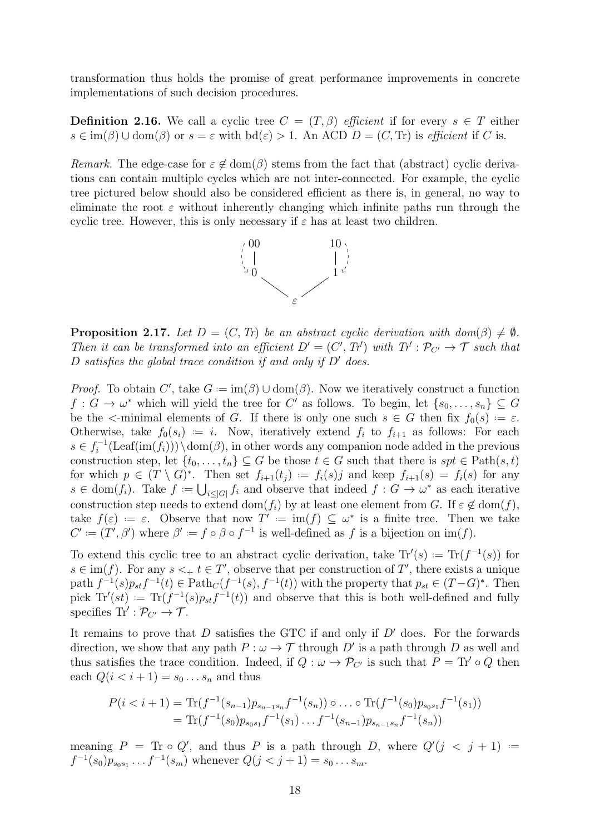transformation thus holds the promise of great performance improvements in concrete implementations of such decision procedures.

**Definition 2.16.** We call a cyclic tree  $C = (T, \beta)$  efficient if for every  $s \in T$  either  $s \in \text{im}(\beta) \cup \text{dom}(\beta)$  or  $s = \varepsilon$  with  $\text{bd}(\varepsilon) > 1$ . An ACD  $D = (C, \text{Tr})$  is efficient if C is.

Remark. The edge-case for  $\varepsilon \notin \text{dom}(\beta)$  stems from the fact that (abstract) cyclic derivations can contain multiple cycles which are not inter-connected. For example, the cyclic tree pictured below should also be considered efficient as there is, in general, no way to eliminate the root  $\varepsilon$  without inherently changing which infinite paths run through the cyclic tree. However, this is only necessary if  $\varepsilon$  has at least two children.



<span id="page-21-0"></span>**Proposition 2.17.** Let  $D = (C, Tr)$  be an abstract cyclic derivation with dom( $\beta$ )  $\neq \emptyset$ . Then it can be transformed into an efficient  $D' = (C', T')$  with  $T' : \mathcal{P}_{C'} \to \mathcal{T}$  such that D satisfies the global trace condition if and only if  $D'$  does.

*Proof.* To obtain C', take  $G := \text{im}(\beta) \cup \text{dom}(\beta)$ . Now we iteratively construct a function  $f: G \to \omega^*$  which will yield the tree for C' as follows. To begin, let  $\{s_0, \ldots, s_n\} \subseteq G$ be the  $\le$ -minimal elements of G. If there is only one such  $s \in G$  then fix  $f_0(s) := \varepsilon$ . Otherwise, take  $f_0(s_i) := i$ . Now, iteratively extend  $f_i$  to  $f_{i+1}$  as follows: For each  $s \in f_i^{-1}$  $i^{-1}(\text{Leaf}(im(f_i)))\setminus \text{dom}(\beta)$ , in other words any companion node added in the previous construction step, let  $\{t_0, \ldots, t_n\} \subseteq G$  be those  $t \in G$  such that there is  $spt \in \text{Path}(s, t)$ for which  $p \in (T \setminus G)^*$ . Then set  $f_{i+1}(t_j) := f_i(s)j$  and keep  $f_{i+1}(s) = f_i(s)$  for any  $s \in \text{dom}(f_i)$ . Take  $f := \bigcup_{i \leq |G|} f_i$  and observe that indeed  $f : G \to \omega^*$  as each iterative construction step needs to extend dom( $f_i$ ) by at least one element from G. If  $\varepsilon \notin \text{dom}(f)$ , take  $f(\varepsilon) := \varepsilon$ . Observe that now  $T' := \text{im}(f) \subseteq \omega^*$  is a finite tree. Then we take  $C' := (T', \beta')$  where  $\beta' := f \circ \beta \circ f^{-1}$  is well-defined as f is a bijection on im(f).

To extend this cyclic tree to an abstract cyclic derivation, take  $\text{Tr}'(s) := \text{Tr}(f^{-1}(s))$  for  $s \in \text{im}(f)$ . For any  $s <_+ t \in T'$ , observe that per construction of T', there exists a unique path  $f^{-1}(s)p_{st}f^{-1}(t) \in \text{Path}_{C}(f^{-1}(s), f^{-1}(t))$  with the property that  $p_{st} \in (T-G)^{*}$ . Then pick  $\text{Tr}'(st) := \text{Tr}(f^{-1}(s)p_{st}f^{-1}(t))$  and observe that this is both well-defined and fully specifies  $\text{Tr}' : \mathcal{P}_{C'} \to \mathcal{T}$ .

It remains to prove that  $D$  satisfies the GTC if and only if  $D'$  does. For the forwards direction, we show that any path  $P : \omega \to \mathcal{T}$  through D' is a path through D as well and thus satisfies the trace condition. Indeed, if  $Q : \omega \to \mathcal{P}_{C'}$  is such that  $P = \text{Tr}' \circ Q$  then each  $Q(i < i+1) = s_0 \dots s_n$  and thus

$$
P(i < i + 1) = \text{Tr}(f^{-1}(s_{n-1})p_{s_{n-1}s_n}f^{-1}(s_n)) \circ \dots \circ \text{Tr}(f^{-1}(s_0)p_{s_0s_1}f^{-1}(s_1))
$$
  
=  $\text{Tr}(f^{-1}(s_0)p_{s_0s_1}f^{-1}(s_1)\dots f^{-1}(s_{n-1})p_{s_{n-1}s_n}f^{-1}(s_n))$ 

meaning  $P = \text{Tr} \circ Q'$ , and thus P is a path through D, where  $Q'(j \lt j+1) =$  $f^{-1}(s_0)p_{s_0s_1} \ldots f^{-1}(s_m)$  whenever  $Q(j < j + 1) = s_0 \ldots s_m$ .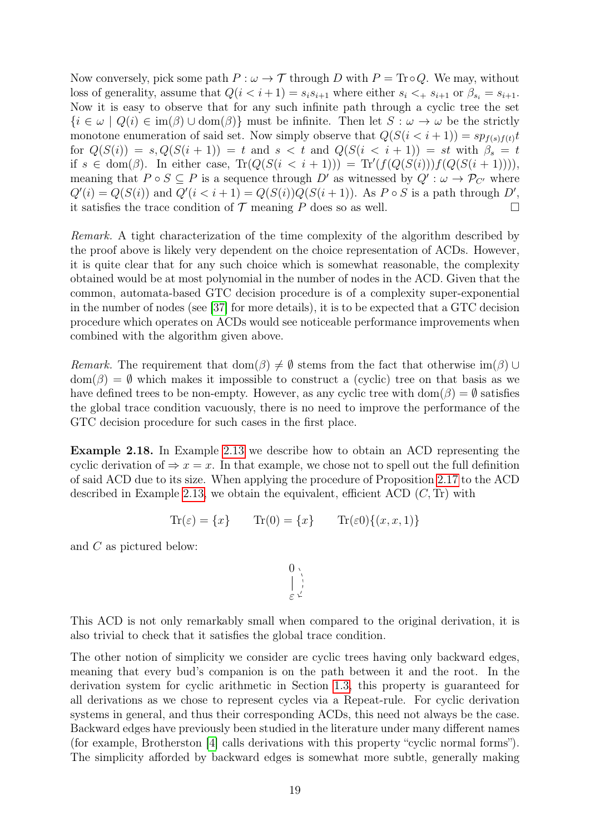Now conversely, pick some path  $P : \omega \to \mathcal{T}$  through D with  $P = \text{Tr} \circ Q$ . We may, without loss of generality, assume that  $Q(i \leq i+1) = s_i s_{i+1}$  where either  $s_i \leq s_{i+1}$  or  $\beta_{s_i} = s_{i+1}$ . Now it is easy to observe that for any such infinite path through a cyclic tree the set  ${i \in \omega \mid Q(i) \in \text{im}(\beta) \cup \text{dom}(\beta)}$  must be infinite. Then let  $S : \omega \to \omega$  be the strictly monotone enumeration of said set. Now simply observe that  $Q(S(i < i+1)) = sp_{f(s)f(t)}t$ for  $Q(S(i)) = s$ ,  $Q(S(i+1)) = t$  and  $s < t$  and  $Q(S(i < i+1)) = st$  with  $\beta_s = t$ if  $s \in \text{dom}(\beta)$ . In either case,  $\text{Tr}(Q(S(i \leq i+1))) = \text{Tr}'(f(Q(S(i)))f(Q(S(i+1))))$ , meaning that  $P \circ S \subseteq P$  is a sequence through D' as witnessed by  $Q' : \omega \to P_{C'}$  where  $Q'(i) = Q(S(i))$  and  $Q'(i \lt i+1) = Q(S(i))Q(S(i+1))$ . As  $P \circ S$  is a path through  $D'$ , it satisfies the trace condition of  $\mathcal T$  meaning  $P$  does so as well.

Remark. A tight characterization of the time complexity of the algorithm described by the proof above is likely very dependent on the choice representation of ACDs. However, it is quite clear that for any such choice which is somewhat reasonable, the complexity obtained would be at most polynomial in the number of nodes in the ACD. Given that the common, automata-based GTC decision procedure is of a complexity super-exponential in the number of nodes (see [\[37\]](#page-80-1) for more details), it is to be expected that a GTC decision procedure which operates on ACDs would see noticeable performance improvements when combined with the algorithm given above.

Remark. The requirement that dom( $\beta$ )  $\neq$  Ø stems from the fact that otherwise im( $\beta$ ) ∪  $dom(\beta) = \emptyset$  which makes it impossible to construct a (cyclic) tree on that basis as we have defined trees to be non-empty. However, as any cyclic tree with dom $(\beta) = \emptyset$  satisfies the global trace condition vacuously, there is no need to improve the performance of the GTC decision procedure for such cases in the first place.

<span id="page-22-0"></span>Example 2.18. In Example [2.13](#page-19-1) we describe how to obtain an ACD representing the cyclic derivation of  $\Rightarrow x = x$ . In that example, we chose not to spell out the full definition of said ACD due to its size. When applying the procedure of Proposition [2.17](#page-21-0) to the ACD described in Example [2.13,](#page-19-1) we obtain the equivalent, efficient ACD  $(C, Tr)$  with

$$
Tr(\varepsilon) = \{x\} \qquad Tr(0) = \{x\} \qquad Tr(\varepsilon 0) \{(x, x, 1)\}
$$

and  $C$  as pictured below:

$$
\begin{matrix}0\\ \downarrow\\ \varepsilon\end{matrix}
$$

This ACD is not only remarkably small when compared to the original derivation, it is also trivial to check that it satisfies the global trace condition.

The other notion of simplicity we consider are cyclic trees having only backward edges, meaning that every bud's companion is on the path between it and the root. In the derivation system for cyclic arithmetic in Section [1.3,](#page-7-0) this property is guaranteed for all derivations as we chose to represent cycles via a Repeat-rule. For cyclic derivation systems in general, and thus their corresponding ACDs, this need not always be the case. Backward edges have previously been studied in the literature under many different names (for example, Brotherston [\[4\]](#page-78-4) calls derivations with this property "cyclic normal forms"). The simplicity afforded by backward edges is somewhat more subtle, generally making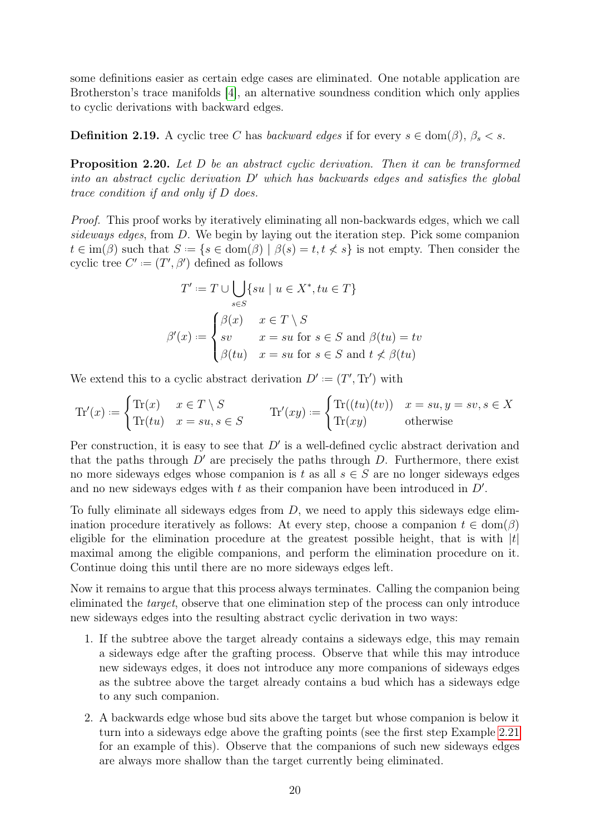some definitions easier as certain edge cases are eliminated. One notable application are Brotherston's trace manifolds [\[4\]](#page-78-4), an alternative soundness condition which only applies to cyclic derivations with backward edges.

<span id="page-23-0"></span>**Definition 2.19.** A cyclic tree C has *backward edges* if for every  $s \in \text{dom}(\beta)$ ,  $\beta_s < s$ .

Proposition 2.20. Let D be an abstract cyclic derivation. Then it can be transformed into an abstract cyclic derivation  $D'$  which has backwards edges and satisfies the global trace condition if and only if D does.

Proof. This proof works by iteratively eliminating all non-backwards edges, which we call sideways edges, from D. We begin by laying out the iteration step. Pick some companion  $t \in \text{im}(\beta)$  such that  $S := \{s \in \text{dom}(\beta) \mid \beta(s) = t, t \neq s\}$  is not empty. Then consider the cyclic tree  $C' := (T', \beta')$  defined as follows

$$
T' := T \cup \bigcup_{s \in S} \{ su \mid u \in X^*, tu \in T \}
$$

$$
\beta'(x) := \begin{cases} \beta(x) & x \in T \setminus S \\ sv & x = su \text{ for } s \in S \text{ and } \beta(tu) = tv \\ \beta(tu) & x = su \text{ for } s \in S \text{ and } t \nless \beta(tu) \end{cases}
$$

We extend this to a cyclic abstract derivation  $D' := (T', \text{Tr}')$  with

$$
\text{Tr}'(x) := \begin{cases} \text{Tr}(x) & x \in T \setminus S \\ \text{Tr}(tu) & x = su, s \in S \end{cases} \qquad \text{Tr}'(xy) := \begin{cases} \text{Tr}((tu)(tv)) & x = su, y = sv, s \in X \\ \text{Tr}(xy) & \text{otherwise} \end{cases}
$$

Per construction, it is easy to see that  $D'$  is a well-defined cyclic abstract derivation and that the paths through  $D'$  are precisely the paths through  $D$ . Furthermore, there exist no more sideways edges whose companion is t as all  $s \in S$  are no longer sideways edges and no new sideways edges with  $t$  as their companion have been introduced in  $D'$ .

To fully eliminate all sideways edges from  $D$ , we need to apply this sideways edge elimination procedure iteratively as follows: At every step, choose a companion  $t \in \text{dom}(\beta)$ eligible for the elimination procedure at the greatest possible height, that is with  $|t|$ maximal among the eligible companions, and perform the elimination procedure on it. Continue doing this until there are no more sideways edges left.

Now it remains to argue that this process always terminates. Calling the companion being eliminated the target, observe that one elimination step of the process can only introduce new sideways edges into the resulting abstract cyclic derivation in two ways:

- 1. If the subtree above the target already contains a sideways edge, this may remain a sideways edge after the grafting process. Observe that while this may introduce new sideways edges, it does not introduce any more companions of sideways edges as the subtree above the target already contains a bud which has a sideways edge to any such companion.
- 2. A backwards edge whose bud sits above the target but whose companion is below it turn into a sideways edge above the grafting points (see the first step Example [2.21](#page-24-0) for an example of this). Observe that the companions of such new sideways edges are always more shallow than the target currently being eliminated.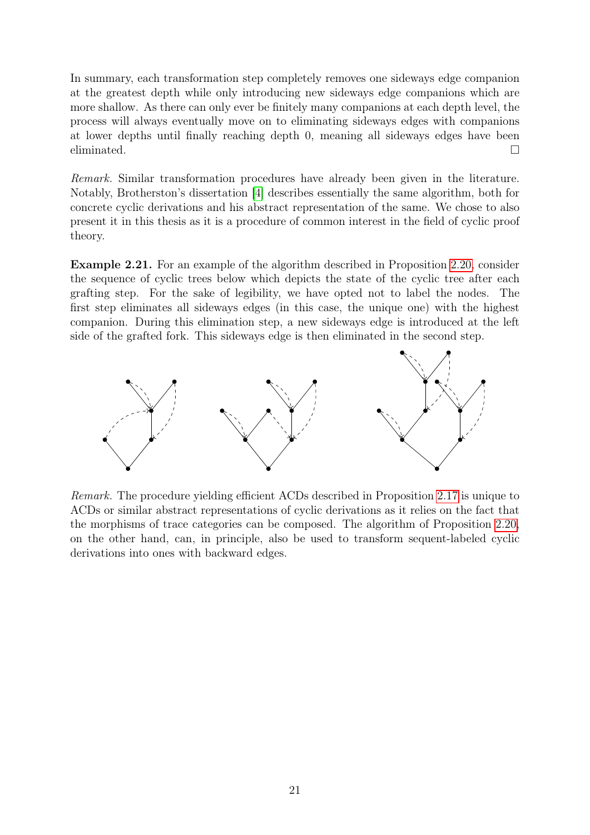In summary, each transformation step completely removes one sideways edge companion at the greatest depth while only introducing new sideways edge companions which are more shallow. As there can only ever be finitely many companions at each depth level, the process will always eventually move on to eliminating sideways edges with companions at lower depths until finally reaching depth 0, meaning all sideways edges have been eliminated.  $\Box$ 

Remark. Similar transformation procedures have already been given in the literature. Notably, Brotherston's dissertation [\[4\]](#page-78-4) describes essentially the same algorithm, both for concrete cyclic derivations and his abstract representation of the same. We chose to also present it in this thesis as it is a procedure of common interest in the field of cyclic proof theory.

<span id="page-24-0"></span>Example 2.21. For an example of the algorithm described in Proposition [2.20,](#page-23-0) consider the sequence of cyclic trees below which depicts the state of the cyclic tree after each grafting step. For the sake of legibility, we have opted not to label the nodes. The first step eliminates all sideways edges (in this case, the unique one) with the highest companion. During this elimination step, a new sideways edge is introduced at the left side of the grafted fork. This sideways edge is then eliminated in the second step.



Remark. The procedure yielding efficient ACDs described in Proposition [2.17](#page-21-0) is unique to ACDs or similar abstract representations of cyclic derivations as it relies on the fact that the morphisms of trace categories can be composed. The algorithm of Proposition [2.20,](#page-23-0) on the other hand, can, in principle, also be used to transform sequent-labeled cyclic derivations into ones with backward edges.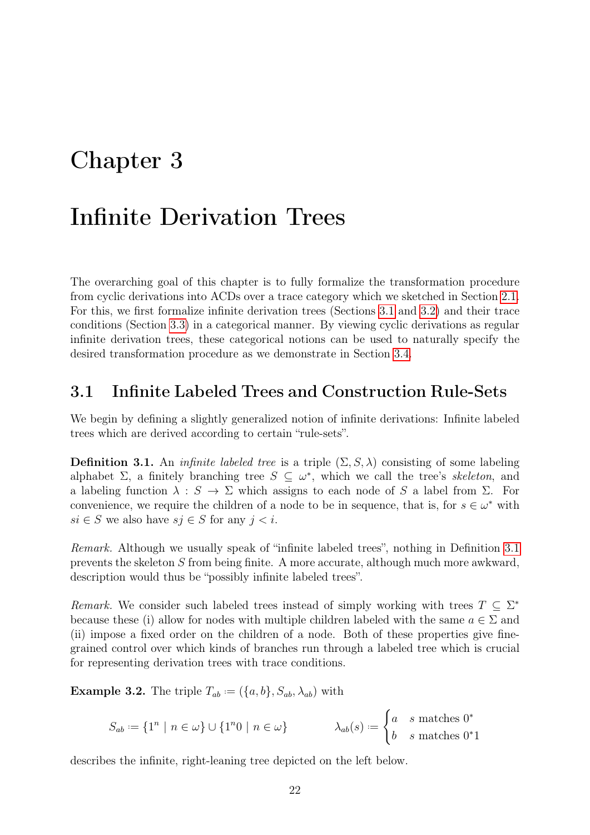## <span id="page-25-0"></span>Chapter 3

### Infinite Derivation Trees

The overarching goal of this chapter is to fully formalize the transformation procedure from cyclic derivations into ACDs over a trace category which we sketched in Section [2.1.](#page-13-1) For this, we first formalize infinite derivation trees (Sections [3.1](#page-25-1) and [3.2\)](#page-28-0) and their trace conditions (Section [3.3\)](#page-33-0) in a categorical manner. By viewing cyclic derivations as regular infinite derivation trees, these categorical notions can be used to naturally specify the desired transformation procedure as we demonstrate in Section [3.4.](#page-39-0)

#### <span id="page-25-1"></span>3.1 Infinite Labeled Trees and Construction Rule-Sets

We begin by defining a slightly generalized notion of infinite derivations: Infinite labeled trees which are derived according to certain "rule-sets".

<span id="page-25-2"></span>**Definition 3.1.** An *infinite labeled tree* is a triple  $(\Sigma, S, \lambda)$  consisting of some labeling alphabet  $\Sigma$ , a finitely branching tree  $S \subseteq \omega^*$ , which we call the tree's skeleton, and a labeling function  $\lambda : S \to \Sigma$  which assigns to each node of S a label from  $\Sigma$ . For convenience, we require the children of a node to be in sequence, that is, for  $s \in \omega^*$  with  $si \in S$  we also have  $sj \in S$  for any  $j < i$ .

Remark. Although we usually speak of "infinite labeled trees", nothing in Definition [3.1](#page-25-2) prevents the skeleton S from being finite. A more accurate, although much more awkward, description would thus be "possibly infinite labeled trees".

Remark. We consider such labeled trees instead of simply working with trees  $T \subseteq \Sigma^*$ because these (i) allow for nodes with multiple children labeled with the same  $a \in \Sigma$  and (ii) impose a fixed order on the children of a node. Both of these properties give finegrained control over which kinds of branches run through a labeled tree which is crucial for representing derivation trees with trace conditions.

<span id="page-25-3"></span>**Example 3.2.** The triple  $T_{ab} := (\{a, b\}, S_{ab}, \lambda_{ab})$  with

$$
S_{ab} := \{1^n \mid n \in \omega\} \cup \{1^n 0 \mid n \in \omega\} \qquad \lambda_{ab}(s) := \begin{cases} a & s \text{ matches } 0^* \\ b & s \text{ matches } 0^* 1 \end{cases}
$$

describes the infinite, right-leaning tree depicted on the left below.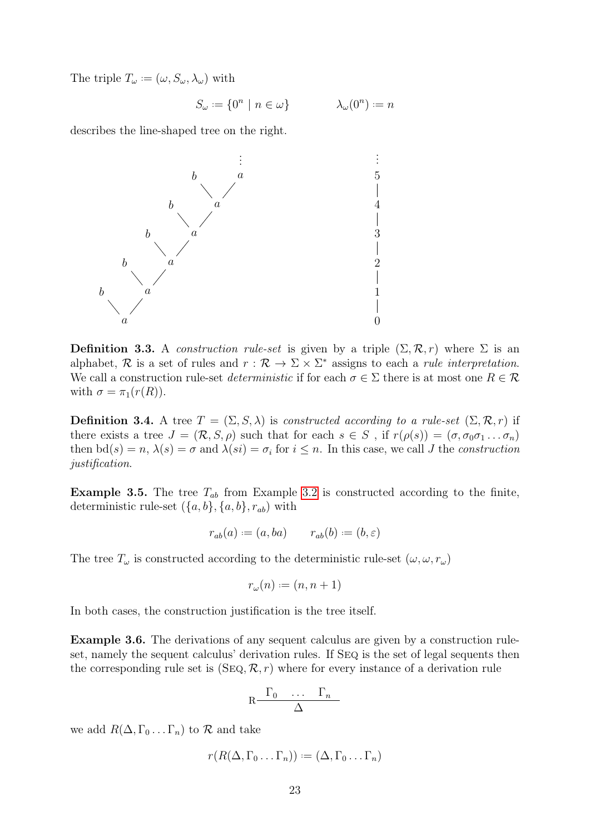The triple  $T_{\omega} := (\omega, S_{\omega}, \lambda_{\omega})$  with

$$
S_{\omega} := \{ 0^n \mid n \in \omega \} \qquad \lambda_{\omega}(0^n) := n
$$

describes the line-shaped tree on the right.



**Definition 3.3.** A construction rule-set is given by a triple  $(\Sigma, \mathcal{R}, r)$  where  $\Sigma$  is an alphabet, R is a set of rules and  $r : \mathcal{R} \to \Sigma \times \Sigma^*$  assigns to each a *rule interpretation*. We call a construction rule-set *deterministic* if for each  $\sigma \in \Sigma$  there is at most one  $R \in \mathcal{R}$ with  $\sigma = \pi_1(r(R))$ .

**Definition 3.4.** A tree  $T = (\Sigma, S, \lambda)$  is constructed according to a rule-set  $(\Sigma, \mathcal{R}, r)$  if there exists a tree  $J = (\mathcal{R}, S, \rho)$  such that for each  $s \in S$ , if  $r(\rho(s)) = (\sigma, \sigma_0 \sigma_1 \dots \sigma_n)$ then  $\mathrm{bd}(s) = n, \lambda(s) = \sigma$  and  $\lambda(si) = \sigma_i$  for  $i \leq n$ . In this case, we call J the *construction* justification.

**Example 3.5.** The tree  $T_{ab}$  from Example [3.2](#page-25-3) is constructed according to the finite, deterministic rule-set  $({a, b}, {a, b}, {r_{ab}})$  with

$$
r_{ab}(a) := (a, ba) \qquad r_{ab}(b) := (b, \varepsilon)
$$

The tree  $T_{\omega}$  is constructed according to the deterministic rule-set  $(\omega, \omega, r_{\omega})$ 

$$
r_{\omega}(n) := (n, n+1)
$$

<span id="page-26-0"></span>In both cases, the construction justification is the tree itself.

Example 3.6. The derivations of any sequent calculus are given by a construction ruleset, namely the sequent calculus' derivation rules. If Seq is the set of legal sequents then the corresponding rule set is  $(SEQ, \mathcal{R}, r)$  where for every instance of a derivation rule

$$
R \frac{\Gamma_0 \cdots \Gamma_n}{\Delta}
$$

we add  $R(\Delta, \Gamma_0 \dots \Gamma_n)$  to  $\mathcal R$  and take

$$
r(R(\Delta, \Gamma_0 \dots \Gamma_n)) := (\Delta, \Gamma_0 \dots \Gamma_n)
$$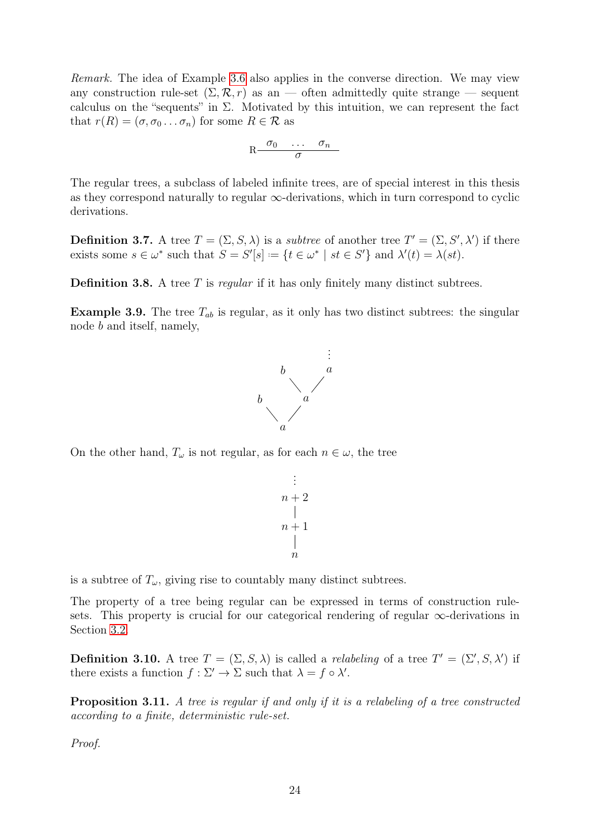Remark. The idea of Example [3.6](#page-26-0) also applies in the converse direction. We may view any construction rule-set  $(\Sigma, \mathcal{R}, r)$  as an — often admittedly quite strange — sequent calculus on the "sequents" in  $\Sigma$ . Motivated by this intuition, we can represent the fact that  $r(R) = (\sigma, \sigma_0 \dots \sigma_n)$  for some  $R \in \mathcal{R}$  as

$$
R \frac{\sigma_0 \cdots \sigma_n}{\sigma}
$$

The regular trees, a subclass of labeled infinite trees, are of special interest in this thesis as they correspond naturally to regular  $\infty$ -derivations, which in turn correspond to cyclic derivations.

**Definition 3.7.** A tree  $T = (\Sigma, S, \lambda)$  is a *subtree* of another tree  $T' = (\Sigma, S', \lambda')$  if there exists some  $s \in \omega^*$  such that  $S = S'[s] := \{t \in \omega^* \mid st \in S'\}$  and  $\lambda'(t) = \lambda(st)$ .

**Definition 3.8.** A tree  $T$  is regular if it has only finitely many distinct subtrees.

**Example 3.9.** The tree  $T_{ab}$  is regular, as it only has two distinct subtrees: the singular node b and itself, namely,



On the other hand,  $T_{\omega}$  is not regular, as for each  $n \in \omega$ , the tree

$$
\begin{array}{c}\n\vdots \\
n+2 \\
\mid \\
n+1 \\
\mid \\
n\end{array}
$$

.

is a subtree of  $T_{\omega}$ , giving rise to countably many distinct subtrees.

The property of a tree being regular can be expressed in terms of construction rulesets. This property is crucial for our categorical rendering of regular ∞-derivations in Section [3.2.](#page-28-0)

**Definition 3.10.** A tree  $T = (\Sigma, S, \lambda)$  is called a *relabeling* of a tree  $T' = (\Sigma', S, \lambda')$  if there exists a function  $f : \Sigma' \to \Sigma$  such that  $\lambda = f \circ \lambda'$ .

<span id="page-27-0"></span>Proposition 3.11. A tree is regular if and only if it is a relabeling of a tree constructed according to a finite, deterministic rule-set.

Proof.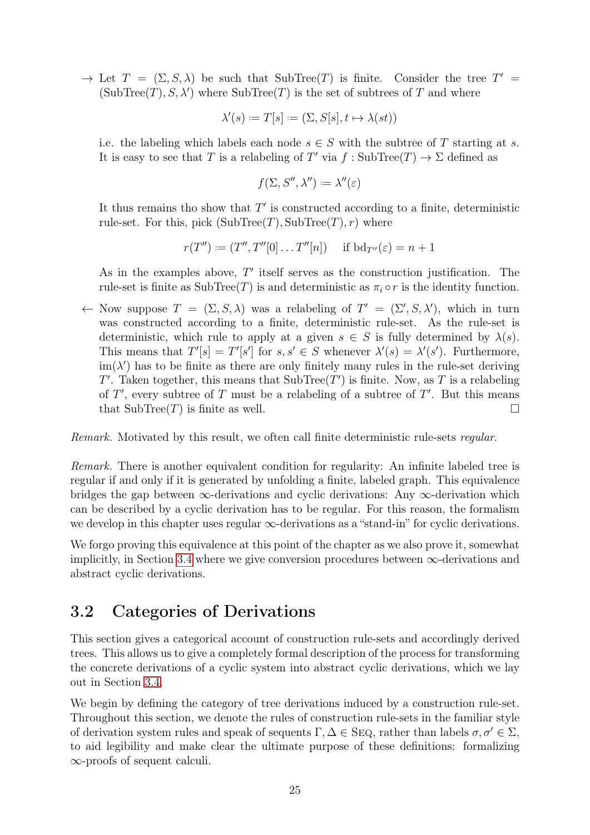$\rightarrow$  Let  $T = (\Sigma, S, \lambda)$  be such that SubTree(T) is finite. Consider the tree  $T' =$  $(SubTree(T), S, \lambda')$  where  $SubTree(T)$  is the set of subtrees of T and where

$$
\lambda'(s) := T[s] := (\Sigma, S[s], t \mapsto \lambda(st))
$$

i.e. the labeling which labels each node  $s \in S$  with the subtree of T starting at s. It is easy to see that T is a relabeling of T' via  $f : SubTree(T) \rightarrow \Sigma$  defined as

$$
f(\Sigma, S'', \lambda'') := \lambda''(\varepsilon)
$$

It thus remains tho show that  $T'$  is constructed according to a finite, deterministic rule-set. For this, pick  $(SubTree(T), SubTree(T), r)$  where

$$
r(T'') := (T'', T''[0] \dots T''[n])
$$
 if  $bd_{T''}(\varepsilon) = n + 1$ 

As in the examples above,  $T'$  itself serves as the construction justification. The rule-set is finite as SubTree(T) is and deterministic as  $\pi_i \circ r$  is the identity function.

← Now suppose  $T = (\Sigma, S, \lambda)$  was a relabeling of  $T' = (\Sigma', S, \lambda')$ , which in turn was constructed according to a finite, deterministic rule-set. As the rule-set is deterministic, which rule to apply at a given  $s \in S$  is fully determined by  $\lambda(s)$ . This means that  $T'[s] = T'[s']$  for  $s, s' \in S$  whenever  $\lambda'(s) = \lambda'(s')$ . Furthermore,  $\text{im}(\lambda')$  has to be finite as there are only finitely many rules in the rule-set deriving T'. Taken together, this means that  $\text{SubTree}(T')$  is finite. Now, as T is a relabeling of  $T'$ , every subtree of  $T$  must be a relabeling of a subtree of  $T'$ . But this means that  $\text{SubTree}(T)$  is finite as well.

Remark. Motivated by this result, we often call finite deterministic rule-sets regular.

Remark. There is another equivalent condition for regularity: An infinite labeled tree is regular if and only if it is generated by unfolding a finite, labeled graph. This equivalence bridges the gap between  $\infty$ -derivations and cyclic derivations: Any  $\infty$ -derivation which can be described by a cyclic derivation has to be regular. For this reason, the formalism we develop in this chapter uses regular  $\infty$ -derivations as a "stand-in" for cyclic derivations.

We forgo proving this equivalence at this point of the chapter as we also prove it, somewhat implicitly, in Section [3.4](#page-39-0) where we give conversion procedures between  $\infty$ -derivations and abstract cyclic derivations.

#### <span id="page-28-0"></span>3.2 Categories of Derivations

This section gives a categorical account of construction rule-sets and accordingly derived trees. This allows us to give a completely formal description of the process for transforming the concrete derivations of a cyclic system into abstract cyclic derivations, which we lay out in Section [3.4.](#page-39-0)

<span id="page-28-1"></span>We begin by defining the category of tree derivations induced by a construction rule-set. Throughout this section, we denote the rules of construction rule-sets in the familiar style of derivation system rules and speak of sequents  $\Gamma, \Delta \in \text{SEQ}$ , rather than labels  $\sigma, \sigma' \in \Sigma$ , to aid legibility and make clear the ultimate purpose of these definitions: formalizing ∞-proofs of sequent calculi.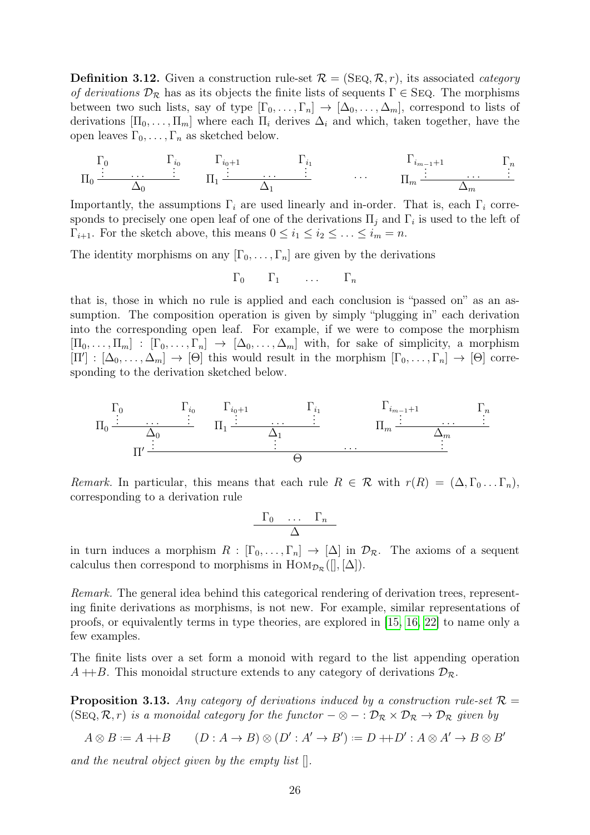**Definition 3.12.** Given a construction rule-set  $\mathcal{R} = (\text{SEQ}, \mathcal{R}, r)$ , its associated *category* of derivations  $\mathcal{D}_{\mathcal{R}}$  has as its objects the finite lists of sequents  $\Gamma \in \text{SEQ}$ . The morphisms between two such lists, say of type  $[\Gamma_0, \ldots, \Gamma_n] \to [\Delta_0, \ldots, \Delta_m]$ , correspond to lists of derivations  $[\Pi_0, \ldots, \Pi_m]$  where each  $\Pi_i$  derives  $\Delta_i$  and which, taken together, have the open leaves  $\Gamma_0, \ldots, \Gamma_n$  as sketched below.

$$
\Pi_0 \stackrel{\Gamma_0}{\vdots} \cdots \stackrel{\Gamma_{i_0}}{\Delta_0} \qquad \Pi_1 \stackrel{\Gamma_{i_0+1}}{\vdots} \cdots \stackrel{\Gamma_{i_1}}{\Delta_1} \qquad \cdots \qquad \Pi_m \stackrel{\Gamma_{i_{m-1}+1}}{\vdots} \qquad \cdots \qquad \Pi_m
$$

Importantly, the assumptions  $\Gamma_i$  are used linearly and in-order. That is, each  $\Gamma_i$  corresponds to precisely one open leaf of one of the derivations  $\Pi_j$  and  $\Gamma_i$  is used to the left of  $\Gamma_{i+1}$ . For the sketch above, this means  $0 \leq i_1 \leq i_2 \leq \ldots \leq i_m = n$ .

The identity morphisms on any  $[\Gamma_0, \ldots, \Gamma_n]$  are given by the derivations

$$
\Gamma_0 \qquad \Gamma_1 \qquad \ldots \qquad \Gamma_n
$$

that is, those in which no rule is applied and each conclusion is "passed on" as an assumption. The composition operation is given by simply "plugging in" each derivation into the corresponding open leaf. For example, if we were to compose the morphism  $[\Pi_0, \ldots, \Pi_m] : [\Gamma_0, \ldots, \Gamma_n] \to [\Delta_0, \ldots, \Delta_m]$  with, for sake of simplicity, a morphism  $[\Pi'] : [\Delta_0, \ldots, \Delta_m] \to [\Theta]$  this would result in the morphism  $[\Gamma_0, \ldots, \Gamma_n] \to [\Theta]$  corresponding to the derivation sketched below.



Remark. In particular, this means that each rule  $R \in \mathcal{R}$  with  $r(R) = (\Delta, \Gamma_0 \dots \Gamma_n)$ , corresponding to a derivation rule

$$
\begin{array}{cccc}\n\Gamma_0 & \dots & \Gamma_n \\
\Delta\n\end{array}
$$

in turn induces a morphism  $R : [\Gamma_0, \ldots, \Gamma_n] \to [\Delta]$  in  $\mathcal{D}_{\mathcal{R}}$ . The axioms of a sequent calculus then correspond to morphisms in  $\text{Hom}_{\mathcal{D}_{\mathcal{R}}}([\,], [\Delta]).$ 

Remark. The general idea behind this categorical rendering of derivation trees, representing finite derivations as morphisms, is not new. For example, similar representations of proofs, or equivalently terms in type theories, are explored in [\[15,](#page-78-10) [16,](#page-79-10) [22\]](#page-79-11) to name only a few examples.

The finite lists over a set form a monoid with regard to the list appending operation  $A + B$ . This monoidal structure extends to any category of derivations  $\mathcal{D}_{\mathcal{R}}$ .

**Proposition 3.13.** Any category of derivations induced by a construction rule-set  $\mathcal{R} =$ (SEQ,  $\mathcal{R}, r$ ) is a monoidal category for the functor  $-\otimes - : \mathcal{D}_\mathcal{R} \times \mathcal{D}_\mathcal{R} \to \mathcal{D}_\mathcal{R}$  given by

$$
A \otimes B := A + B \qquad (D : A \to B) \otimes (D' : A' \to B') := D + D' : A \otimes A' \to B \otimes B'
$$

and the neutral object given by the empty list  $\lceil \cdot \rceil$ .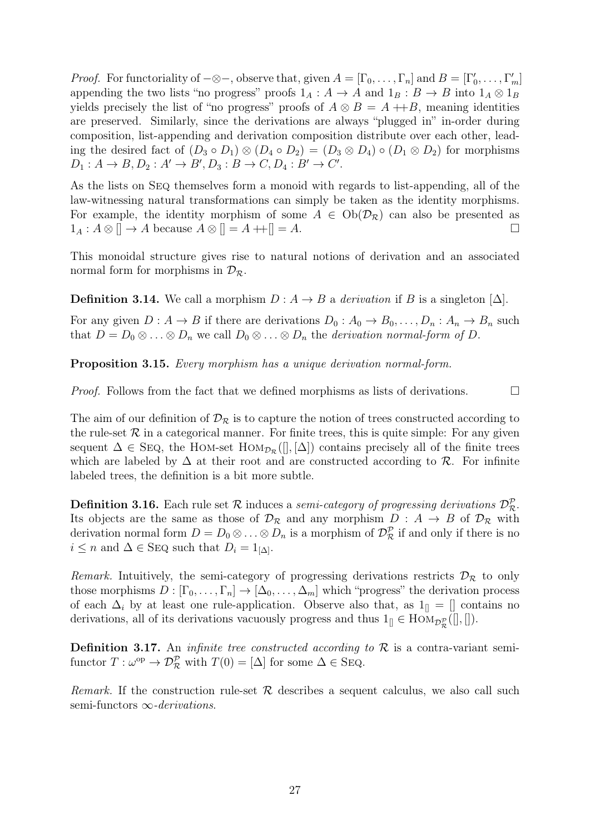*Proof.* For functoriality of  $-\otimes -$ , observe that, given  $A = [\Gamma_0, \ldots, \Gamma_n]$  and  $B = [\Gamma'_0, \ldots, \Gamma'_m]$ appending the two lists "no progress" proofs  $1_A : A \to A$  and  $1_B : B \to B$  into  $1_A \otimes 1_B$ yields precisely the list of "no progress" proofs of  $A \otimes B = A + B$ , meaning identities are preserved. Similarly, since the derivations are always "plugged in" in-order during composition, list-appending and derivation composition distribute over each other, leading the desired fact of  $(D_3 \circ D_1) \otimes (D_4 \circ D_2) = (D_3 \otimes D_4) \circ (D_1 \otimes D_2)$  for morphisms  $D_1: A \to B, D_2: A' \to B', D_3: B \to C, D_4: B' \to C'.$ 

As the lists on Seq themselves form a monoid with regards to list-appending, all of the law-witnessing natural transformations can simply be taken as the identity morphisms. For example, the identity morphism of some  $A \in Ob(\mathcal{D}_{\mathcal{R}})$  can also be presented as  $1_A: A \otimes [] \to A$  because  $A \otimes [] = A +[] = A$ .

This monoidal structure gives rise to natural notions of derivation and an associated normal form for morphisms in  $\mathcal{D}_{\mathcal{R}}$ .

**Definition 3.14.** We call a morphism  $D: A \rightarrow B$  a derivation if B is a singleton  $[\Delta]$ .

For any given  $D: A \to B$  if there are derivations  $D_0: A_0 \to B_0, \ldots, D_n: A_n \to B_n$  such that  $D = D_0 \otimes \ldots \otimes D_n$  we call  $D_0 \otimes \ldots \otimes D_n$  the *derivation normal-form of* D.

Proposition 3.15. Every morphism has a unique derivation normal-form.

*Proof.* Follows from the fact that we defined morphisms as lists of derivations.  $\Box$ 

The aim of our definition of  $\mathcal{D}_{\mathcal{R}}$  is to capture the notion of trees constructed according to the rule-set  $R$  in a categorical manner. For finite trees, this is quite simple: For any given sequent  $\Delta \in \text{SEQ}$ , the HOM-set  $\text{Hom}_{\mathcal{D}_R}([\vert , \vert \Delta \vert)$  contains precisely all of the finite trees which are labeled by  $\Delta$  at their root and are constructed according to R. For infinite labeled trees, the definition is a bit more subtle.

**Definition 3.16.** Each rule set R induces a semi-category of progressing derivations  $\mathcal{D}_{\mathcal{R}}^{\mathcal{P}}$ . Its objects are the same as those of  $\mathcal{D}_{\mathcal{R}}$  and any morphism  $D : A \rightarrow B$  of  $\mathcal{D}_{\mathcal{R}}$  with derivation normal form  $D = D_0 \otimes \ldots \otimes D_n$  is a morphism of  $\mathcal{D}_{\mathcal{R}}^{\mathcal{P}}$  if and only if there is no  $i \leq n$  and  $\Delta \in \text{SEQ}$  such that  $D_i = 1_{\Delta}$ .

Remark. Intuitively, the semi-category of progressing derivations restricts  $\mathcal{D}_{\mathcal{R}}$  to only those morphisms  $D : [\Gamma_0, \ldots, \Gamma_n] \to [\Delta_0, \ldots, \Delta_m]$  which "progress" the derivation process of each  $\Delta_i$  by at least one rule-application. Observe also that, as  $1_{\parallel} = []$  contains no derivations, all of its derivations vacuously progress and thus  $1_{[]} \in \text{Hom}_{\mathcal{D}_{\mathcal{R}}^{\mathcal{P}}}([\mathcal{I}, \mathcal{I}])$ .

**Definition 3.17.** An *infinite tree constructed according to*  $\mathcal{R}$  is a contra-variant semifunctor  $T: \omega^{\text{op}} \to \mathcal{D}_{\mathcal{R}}^{\mathcal{P}}$  with  $T(0) = [\Delta]$  for some  $\Delta \in \text{SEQ}$ .

Remark. If the construction rule-set  $\mathcal R$  describes a sequent calculus, we also call such semi-functors  $\infty$ -derivations.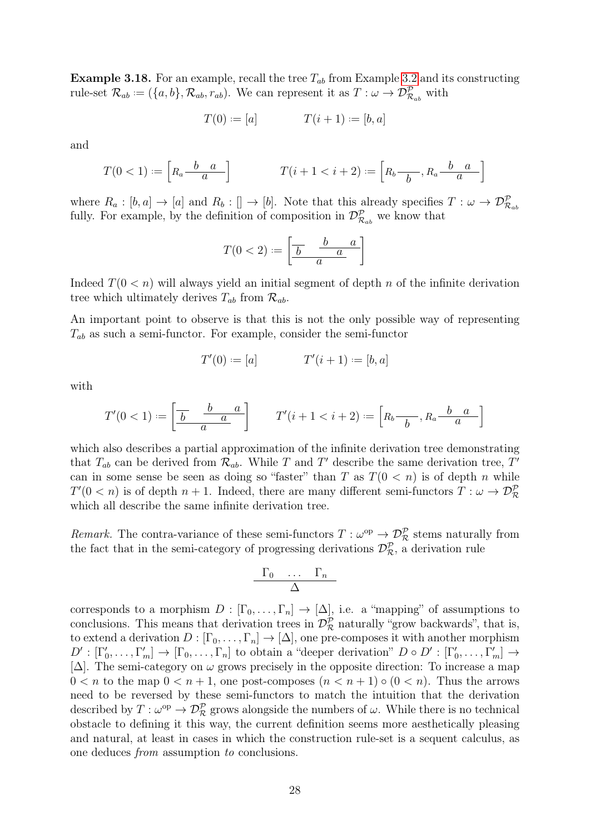**Example 3.18.** For an example, recall the tree  $T_{ab}$  from Example [3.2](#page-25-3) and its constructing rule-set  $\mathcal{R}_{ab} := (\{a, b\}, \mathcal{R}_{ab}, r_{ab})$ . We can represent it as  $T : \omega \to \mathcal{D}_{\mathcal{R}_{ab}}^{\mathcal{P}}$  with

$$
T(0) := [a] \qquad T(i+1) := [b, a]
$$

and

$$
T(0<1):=\left[R_a \frac{b-a}{a}\right] \qquad T(i+1 < i+2) := \left[R_b \frac{b-a}{b}, R_a \frac{b-a}{a}\right]
$$

where  $R_a : [b, a] \to [a]$  and  $R_b : [] \to [b]$ . Note that this already specifies  $T : \omega \to \mathcal{D}_{\mathcal{R}_{ab}}^{\mathcal{P}}$ fully. For example, by the definition of composition in  $\mathcal{D}_{\mathcal{R}_{ab}}^{\mathcal{P}}$  we know that

$$
T(0 < 2) := \left[\begin{array}{cc} \frac{b}{b} & \frac{a}{a} \\ \frac{a}{b} & \frac{a}{a} \end{array}\right]
$$

Indeed  $T(0 \lt n)$  will always yield an initial segment of depth n of the infinite derivation tree which ultimately derives  $T_{ab}$  from  $\mathcal{R}_{ab}$ .

An important point to observe is that this is not the only possible way of representing  $T_{ab}$  as such a semi-functor. For example, consider the semi-functor

$$
T'(0) := [a] \qquad T'(i+1) := [b, a]
$$

with

$$
T'(0<1):=\left[\frac{\overline{b} \quad \frac{b-a}{a}}{a}\right] \qquad T'(i+1) := \left[R_b - \frac{b-a}{b}, R_a - \frac{b-a}{a}\right]
$$

which also describes a partial approximation of the infinite derivation tree demonstrating that  $T_{ab}$  can be derived from  $\mathcal{R}_{ab}$ . While T and T' describe the same derivation tree, T' can in some sense be seen as doing so "faster" than T as  $T(0 \lt n)$  is of depth n while  $T'(0 < n)$  is of depth  $n + 1$ . Indeed, there are many different semi-functors  $T: \omega \to \mathcal{D}_{\mathcal{R}}^{\mathcal{P}}$ which all describe the same infinite derivation tree.

Remark. The contra-variance of these semi-functors  $T : \omega^{\rm op} \to \mathcal{D}_{\mathcal{R}}^{\mathcal{P}}$  stems naturally from the fact that in the semi-category of progressing derivations  $\mathcal{D}_{\mathcal{R}}^{\mathcal{P}}$ , a derivation rule

$$
\frac{\Gamma_0 \cdots \Gamma_n}{\Delta}
$$

corresponds to a morphism  $D : [\Gamma_0, \ldots, \Gamma_n] \to [\Delta]$ , i.e. a "mapping" of assumptions to conclusions. This means that derivation trees in  $\mathcal{D}_{\mathcal{R}}^{\mathcal{P}}$  naturally "grow backwards", that is, to extend a derivation  $D : [\Gamma_0, \ldots, \Gamma_n] \to [\Delta]$ , one pre-composes it with another morphism  $D': [\Gamma'_0, \ldots, \Gamma'_m] \to [\Gamma_0, \ldots, \Gamma_n]$  to obtain a "deeper derivation"  $D \circ D': [\Gamma'_0, \ldots, \Gamma'_m] \to$ [ $\Delta$ ]. The semi-category on  $\omega$  grows precisely in the opposite direction: To increase a map  $0 < n$  to the map  $0 < n + 1$ , one post-composes  $(n < n + 1) \circ (0 < n)$ . Thus the arrows need to be reversed by these semi-functors to match the intuition that the derivation described by  $T : \omega^{\text{op}} \to \mathcal{D}_{\mathcal{R}}^{\mathcal{P}}$  grows alongside the numbers of  $\omega$ . While there is no technical obstacle to defining it this way, the current definition seems more aesthetically pleasing and natural, at least in cases in which the construction rule-set is a sequent calculus, as one deduces from assumption to conclusions.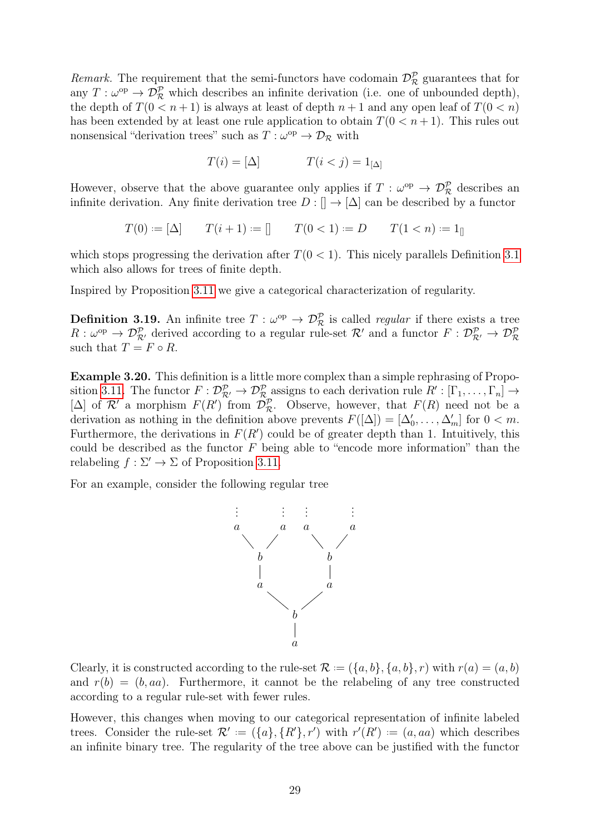Remark. The requirement that the semi-functors have codomain  $\mathcal{D}_{\mathcal{R}}^{\mathcal{P}}$  guarantees that for any  $T: \omega^{\text{op}} \to \mathcal{D}_{\mathcal{R}}^{\mathcal{P}}$  which describes an infinite derivation (i.e. one of unbounded depth), the depth of  $T(0 \leq n+1)$  is always at least of depth  $n+1$  and any open leaf of  $T(0 \leq n)$ has been extended by at least one rule application to obtain  $T(0 \lt n+1)$ . This rules out nonsensical "derivation trees" such as  $T : \omega^{\text{op}} \to \mathcal{D}_{\mathcal{R}}$  with

$$
T(i) = [\Delta] \qquad T(i < j) = 1_{[\Delta]}
$$

However, observe that the above guarantee only applies if  $T : \omega^{\rm op} \to \mathcal{D}_{\mathcal{R}}^{\mathcal{P}}$  describes an infinite derivation. Any finite derivation tree  $D : \mathbb{R} \to [\Delta]$  can be described by a functor

$$
T(0) := [\Delta] \qquad T(i+1) := [] \qquad T(0 < 1) := D \qquad T(1 < n) := 1_{[]}
$$

which stops progressing the derivation after  $T(0 < 1)$ . This nicely parallels Definition [3.1](#page-25-2) which also allows for trees of finite depth.

Inspired by Proposition [3.11](#page-27-0) we give a categorical characterization of regularity.

**Definition 3.19.** An infinite tree  $T : \omega^{\text{op}} \to \mathcal{D}_{\mathcal{R}}^{\mathcal{P}}$  is called *regular* if there exists a tree  $R:\omega^{\text{op}}\to\mathcal{D}_{\mathcal{R}'}^{\mathcal{P}}$  derived according to a regular rule-set  $\mathcal{R}'$  and a functor  $F:\mathcal{D}_{\mathcal{R}'}^{\mathcal{P}}\to\mathcal{D}_{\mathcal{R}}^{\mathcal{P}}$ such that  $T = F \circ R$ .

Example 3.20. This definition is a little more complex than a simple rephrasing of Propo-sition [3.11.](#page-27-0) The functor  $F: \mathcal{D}^{\mathcal{P}}_{\mathcal{R}'} \to \mathcal{D}^{\mathcal{P}}_{\mathcal{R}}$  assigns to each derivation rule  $R': [\Gamma_1, \ldots, \Gamma_n] \to$ [ $\Delta$ ] of  $\mathcal{R}'$  a morphism  $F(R')$  from  $\mathcal{D}_{\mathcal{R}}^{\mathcal{P}}$ . Observe, however, that  $F(R)$  need not be a derivation as nothing in the definition above prevents  $F([\Delta]) = [\Delta'_0, \ldots, \Delta'_m]$  for  $0 < m$ . Furthermore, the derivations in  $F(R')$  could be of greater depth than 1. Intuitively, this could be described as the functor  $F$  being able to "encode more information" than the relabeling  $f : \Sigma' \to \Sigma$  of Proposition [3.11.](#page-27-0)

For an example, consider the following regular tree



Clearly, it is constructed according to the rule-set  $\mathcal{R} := (\{a, b\}, \{a, b\}, r)$  with  $r(a) = (a, b)$ and  $r(b) = (b, aa)$ . Furthermore, it cannot be the relabeling of any tree constructed according to a regular rule-set with fewer rules.

However, this changes when moving to our categorical representation of infinite labeled trees. Consider the rule-set  $\mathcal{R}' := (\{a\}, \{R'\}, r')$  with  $r'(R') := (a, aa)$  which describes an infinite binary tree. The regularity of the tree above can be justified with the functor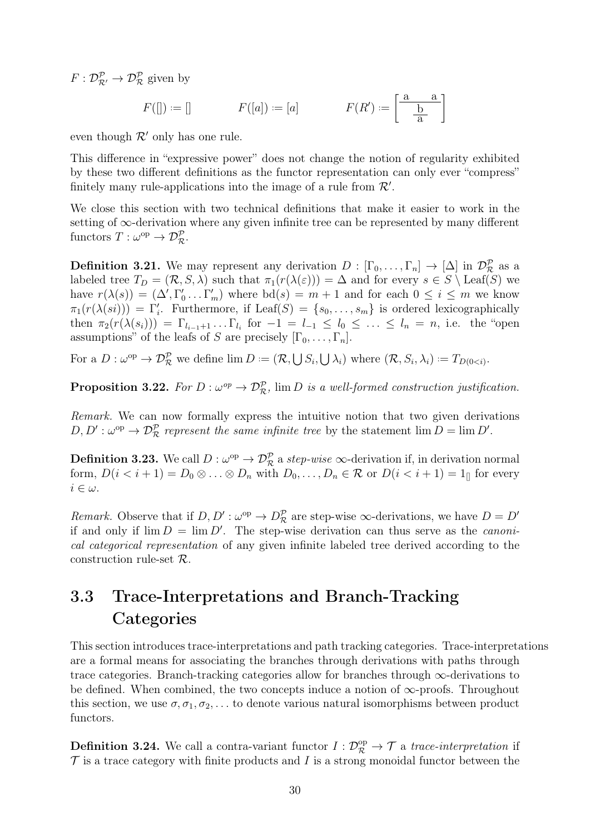$F: \mathcal{D}_{\mathcal{R}'}^{\mathcal{P}} \to \mathcal{D}_{\mathcal{R}}^{\mathcal{P}}$  given by

$$
F(\mathbf{r}) := \mathbf{r} \quad F(\mathbf{a}) := \mathbf{a} \quad F(\mathbf{a}') := \begin{bmatrix} \frac{\mathbf{a}}{\mathbf{b}} \\ \frac{\mathbf{b}}{\mathbf{a}} \end{bmatrix}
$$

even though  $\mathcal{R}'$  only has one rule.

This difference in "expressive power" does not change the notion of regularity exhibited by these two different definitions as the functor representation can only ever "compress" finitely many rule-applications into the image of a rule from  $\mathcal{R}'$ .

We close this section with two technical definitions that make it easier to work in the setting of  $\infty$ -derivation where any given infinite tree can be represented by many different functors  $T: \omega^{\text{op}} \to \mathcal{D}_{\mathcal{R}}^{\mathcal{P}}$ .

**Definition 3.21.** We may represent any derivation  $D: [\Gamma_0, \ldots, \Gamma_n] \to [\Delta]$  in  $\mathcal{D}_{\mathcal{R}}^{\mathcal{P}}$  as a labeled tree  $T_D = (\mathcal{R}, S, \lambda)$  such that  $\pi_1(r(\lambda(\varepsilon))) = \Delta$  and for every  $s \in S \setminus \text{Leaf}(S)$  we have  $r(\lambda(s)) = (\Delta', \Gamma'_0 \dots \Gamma'_m)$  where  $\mathrm{bd}(s) = m+1$  and for each  $0 \leq i \leq m$  we know  $\pi_1(r(\lambda(si))) = \Gamma'_i$ . Furthermore, if Leaf(S) = { $s_0, \ldots, s_m$ } is ordered lexicographically then  $\pi_2(r(\lambda(s_i))) = \Gamma_{l_{i-1}+1} \dots \Gamma_{l_i}$  for  $-1 = l_{-1} \le l_0 \le \dots \le l_n = n$ , i.e. the "open assumptions" of the leafs of S are precisely  $[\Gamma_0, \ldots, \Gamma_n]$ .

For a  $D: \omega^{\text{op}} \to \mathcal{D}_{\mathcal{R}}^{\mathcal{P}}$  we define  $\lim D := (\mathcal{R}, \bigcup S_i, \bigcup \lambda_i)$  where  $(\mathcal{R}, S_i, \lambda_i) := T_{D(0 \le i)}$ .

**Proposition 3.22.** For  $D: \omega^{op} \to \mathcal{D}_{\mathcal{R}}^{\mathcal{P}}$ ,  $\lim D$  is a well-formed construction justification.

Remark. We can now formally express the intuitive notion that two given derivations  $D, D': \omega^{\text{op}} \to \mathcal{D}_{\mathcal{R}}^{\mathcal{P}}$  represent the same infinite tree by the statement  $\lim D = \lim D'.$ 

**Definition 3.23.** We call  $D: \omega^{\text{op}} \to \mathcal{D}_{\mathcal{R}}^{\mathcal{P}}$  a step-wise  $\infty$ -derivation if, in derivation normal form,  $D(i < i+1) = D_0 \otimes \ldots \otimes D_n$  with  $D_0, \ldots, D_n \in \mathcal{R}$  or  $D(i < i+1) = 1$  for every  $i \in \omega$ .

Remark. Observe that if  $D, D': \omega^{\text{op}} \to D_{\mathcal{R}}^{\mathcal{P}}$  are step-wise  $\infty$ -derivations, we have  $D = D'$ if and only if  $\lim D = \lim D'$ . The step-wise derivation can thus serve as the *canoni*cal categorical representation of any given infinite labeled tree derived according to the construction rule-set  $\mathcal{R}$ .

### <span id="page-33-0"></span>3.3 Trace-Interpretations and Branch-Tracking **Categories**

This section introduces trace-interpretations and path tracking categories. Trace-interpretations are a formal means for associating the branches through derivations with paths through trace categories. Branch-tracking categories allow for branches through ∞-derivations to be defined. When combined, the two concepts induce a notion of  $\infty$ -proofs. Throughout this section, we use  $\sigma$ ,  $\sigma_1$ ,  $\sigma_2$ ,... to denote various natural isomorphisms between product functors.

<span id="page-33-1"></span>**Definition 3.24.** We call a contra-variant functor  $I: \mathcal{D}_{\mathcal{R}}^{\text{op}} \to \mathcal{T}$  a trace-interpretation if  $\mathcal T$  is a trace category with finite products and I is a strong monoidal functor between the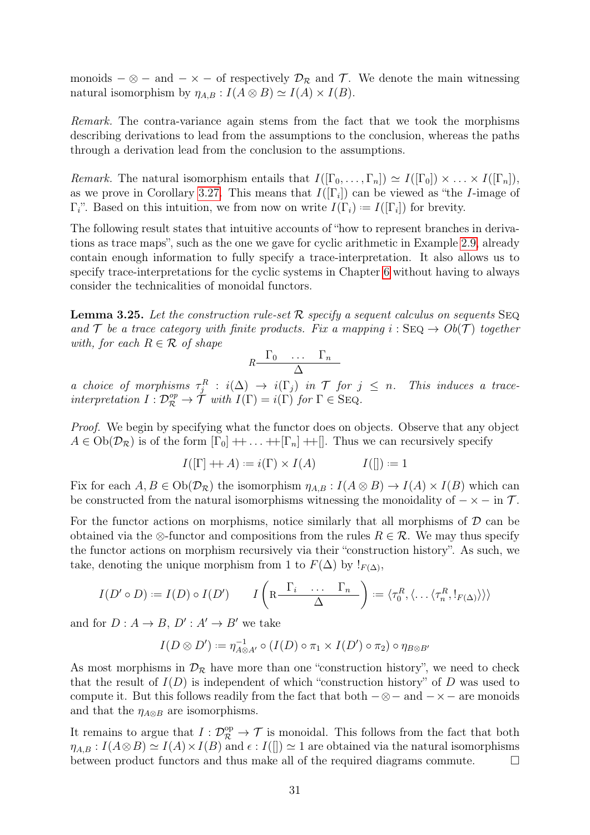monoids  $-\otimes$  – and  $-\times$  – of respectively  $\mathcal{D}_{\mathcal{R}}$  and  $\mathcal{T}$ . We denote the main witnessing natural isomorphism by  $\eta_{A,B} : I(A \otimes B) \simeq I(A) \times I(B)$ .

Remark. The contra-variance again stems from the fact that we took the morphisms describing derivations to lead from the assumptions to the conclusion, whereas the paths through a derivation lead from the conclusion to the assumptions.

*Remark.* The natural isomorphism entails that  $I([\Gamma_0, \ldots, \Gamma_n]) \simeq I([\Gamma_0]) \times \ldots \times I([\Gamma_n]),$ as we prove in Corollary [3.27.](#page-35-0) This means that  $I([\Gamma_i])$  can be viewed as "the *I*-image of  $\Gamma_i$ ". Based on this intuition, we from now on write  $I(\Gamma_i) := I([\Gamma_i])$  for brevity.

The following result states that intuitive accounts of "how to represent branches in derivations as trace maps", such as the one we gave for cyclic arithmetic in Example [2.9,](#page-17-0) already contain enough information to fully specify a trace-interpretation. It also allows us to specify trace-interpretations for the cyclic systems in Chapter [6](#page-62-0) without having to always consider the technicalities of monoidal functors.

<span id="page-34-0"></span>**Lemma 3.25.** Let the construction rule-set R specify a sequent calculus on sequents  $SEQ$ and T be a trace category with finite products. Fix a mapping  $i : \text{SEQ} \to Ob(\mathcal{T})$  together with, for each  $R \in \mathcal{R}$  of shape

$$
R \begin{matrix} \Gamma_0 & \cdots & \Gamma_n \\ \Delta & & \end{matrix}
$$

a choice of morphisms  $\tau_j^R$ :  $i(\Delta) \to i(\Gamma_j)$  in  $\mathcal T$  for  $j \leq n$ . This induces a traceinterpretation  $I: \mathcal{D}_{\mathcal{R}}^{op} \to \tilde{\mathcal{T}}$  with  $I(\Gamma) = i(\Gamma)$  for  $\Gamma \in \text{SEQ}$ .

Proof. We begin by specifying what the functor does on objects. Observe that any object  $A \in Ob(\mathcal{D}_{\mathcal{R}})$  is of the form  $[\Gamma_0] + \ldots + [\Gamma_n] + [\Gamma_n]$ . Thus we can recursively specify

$$
I([\Gamma] + A) := i(\Gamma) \times I(A) \qquad I([\r]) := 1
$$

Fix for each  $A, B \in Ob(\mathcal{D}_{\mathcal{R}})$  the isomorphism  $\eta_{A,B}: I(A \otimes B) \to I(A) \times I(B)$  which can be constructed from the natural isomorphisms witnessing the monoidality of  $-\times -$  in  $\mathcal{T}$ .

For the functor actions on morphisms, notice similarly that all morphisms of  $D$  can be obtained via the ⊗-functor and compositions from the rules  $R \in \mathcal{R}$ . We may thus specify the functor actions on morphism recursively via their "construction history". As such, we take, denoting the unique morphism from 1 to  $F(\Delta)$  by  $!_{F(\Delta)}$ ,

$$
I(D' \circ D) := I(D) \circ I(D') \qquad I\left(\mathbb{R}\frac{\Gamma_i \cdots \Gamma_n}{\Delta}\right) := \langle \tau_0^R, \langle \dots \langle \tau_n^R, \cdot, \cdot \rangle \rangle \rangle
$$

and for  $D: A \to B$ ,  $D': A' \to B'$  we take

$$
I(D \otimes D') := \eta_{A \otimes A'}^{-1} \circ (I(D) \circ \pi_1 \times I(D') \circ \pi_2) \circ \eta_{B \otimes B'}
$$

As most morphisms in  $\mathcal{D}_{\mathcal{R}}$  have more than one "construction history", we need to check that the result of  $I(D)$  is independent of which "construction history" of D was used to compute it. But this follows readily from the fact that both  $-\otimes$  - and  $-\times$  - are monoids and that the  $\eta_{A\otimes B}$  are isomorphisms.

It remains to argue that  $I: \mathcal{D}_{\mathcal{R}}^{\text{op}} \to \mathcal{T}$  is monoidal. This follows from the fact that both  $\eta_{A,B}: I(A\otimes B)\simeq I(A)\times I(B)$  and  $\epsilon: I($ [])  $\simeq$  1 are obtained via the natural isomorphisms between product functors and thus make all of the required diagrams commute.  $\Box$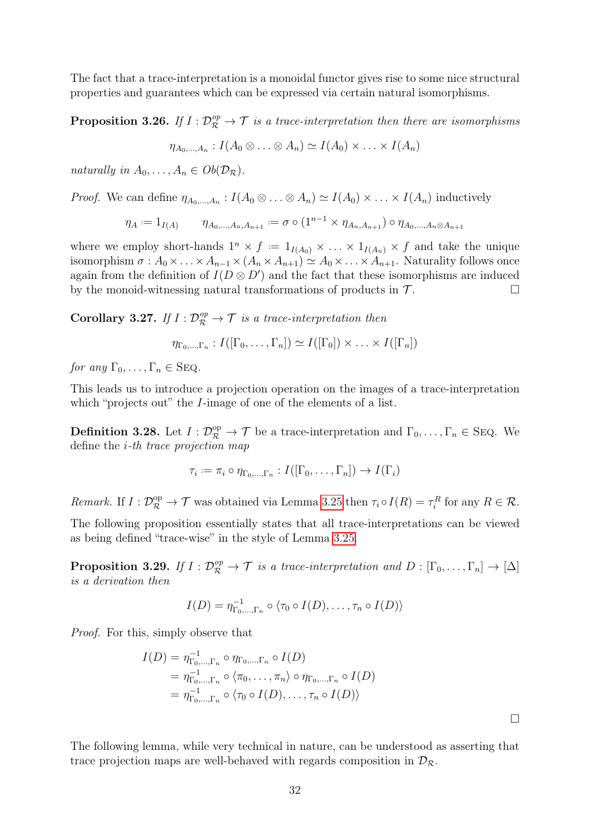The fact that a trace-interpretation is a monoidal functor gives rise to some nice structural properties and guarantees which can be expressed via certain natural isomorphisms.

**Proposition 3.26.** If  $I: \mathcal{D}_{\mathcal{R}}^{op} \to \mathcal{T}$  is a trace-interpretation then there are isomorphisms

$$
\eta_{A_0,\dots,A_n}: I(A_0\otimes \ldots \otimes A_n) \simeq I(A_0) \times \ldots \times I(A_n)
$$

naturally in  $A_0, \ldots, A_n \in Ob(\mathcal{D}_\mathcal{R}).$ 

*Proof.* We can define  $\eta_{A_0,...,A_n}: I(A_0 \otimes ... \otimes A_n) \simeq I(A_0) \times ... \times I(A_n)$  inductively

$$
\eta_A := 1_{I(A)} \qquad \eta_{A_0, ..., A_n, A_{n+1}} := \sigma \circ (1^{n-1} \times \eta_{A_n, A_{n+1}}) \circ \eta_{A_0, ..., A_n \otimes A_{n+1}}
$$

where we employ short-hands  $1^n \times f := 1_{I(A_0)} \times ... \times 1_{I(A_n)} \times f$  and take the unique isomorphism  $\sigma : A_0 \times \ldots \times A_{n-1} \times (A_n \times A_{n+1}) \simeq A_0 \times \ldots \times A_{n+1}$ . Naturality follows once again from the definition of  $I(D \otimes D')$  and the fact that these isomorphisms are induced by the monoid-witnessing natural transformations of products in  $\mathcal{T}$ .

<span id="page-35-0"></span>Corollary 3.27. If  $I: \mathcal{D}_{\mathcal{R}}^{op} \to \mathcal{T}$  is a trace-interpretation then

 $\eta_{\Gamma_0,\dots,\Gamma_n}: I([\Gamma_0,\dots,\Gamma_n]) \simeq I([\Gamma_0]) \times \ldots \times I([\Gamma_n])$ 

for any  $\Gamma_0, \ldots, \Gamma_n \in \text{SEQ}.$ 

This leads us to introduce a projection operation on the images of a trace-interpretation which "projects out" the *I*-image of one of the elements of a list.

**Definition 3.28.** Let  $I: \mathcal{D}_{\mathcal{R}}^{\text{op}} \to \mathcal{T}$  be a trace-interpretation and  $\Gamma_0, \ldots, \Gamma_n \in \text{SEQ}$ . We define the i-th trace projection map

$$
\tau_i := \pi_i \circ \eta_{\Gamma_0, \dots, \Gamma_n} : I([\Gamma_0, \dots, \Gamma_n]) \to I(\Gamma_i)
$$

Remark. If  $I: \mathcal{D}_{\mathcal{R}}^{\text{op}} \to \mathcal{T}$  was obtained via Lemma [3.25](#page-34-0) then  $\tau_i \circ I(R) = \tau_i^R$  for any  $R \in \mathcal{R}$ .

The following proposition essentially states that all trace-interpretations can be viewed as being defined "trace-wise" in the style of Lemma [3.25.](#page-34-0)

**Proposition 3.29.** If  $I: \mathcal{D}_{\mathcal{R}}^{op} \to \mathcal{T}$  is a trace-interpretation and  $D: [\Gamma_0, \ldots, \Gamma_n] \to [\Delta]$ is a derivation then

$$
I(D) = \eta_{\Gamma_0,\dots,\Gamma_n}^{-1} \circ \langle \tau_0 \circ I(D), \dots, \tau_n \circ I(D) \rangle
$$

Proof. For this, simply observe that

$$
I(D) = \eta_{\Gamma_0,\dots,\Gamma_n}^{-1} \circ \eta_{\Gamma_0,\dots,\Gamma_n} \circ I(D)
$$
  
=  $\eta_{\Gamma_0,\dots,\Gamma_n}^{-1} \circ \langle \pi_0,\dots,\pi_n \rangle \circ \eta_{\Gamma_0,\dots,\Gamma_n} \circ I(D)$   
=  $\eta_{\Gamma_0,\dots,\Gamma_n}^{-1} \circ \langle \tau_0 \circ I(D), \dots, \tau_n \circ I(D) \rangle$ 

The following lemma, while very technical in nature, can be understood as asserting that trace projection maps are well-behaved with regards composition in  $\mathcal{D}_{\mathcal{R}}$ .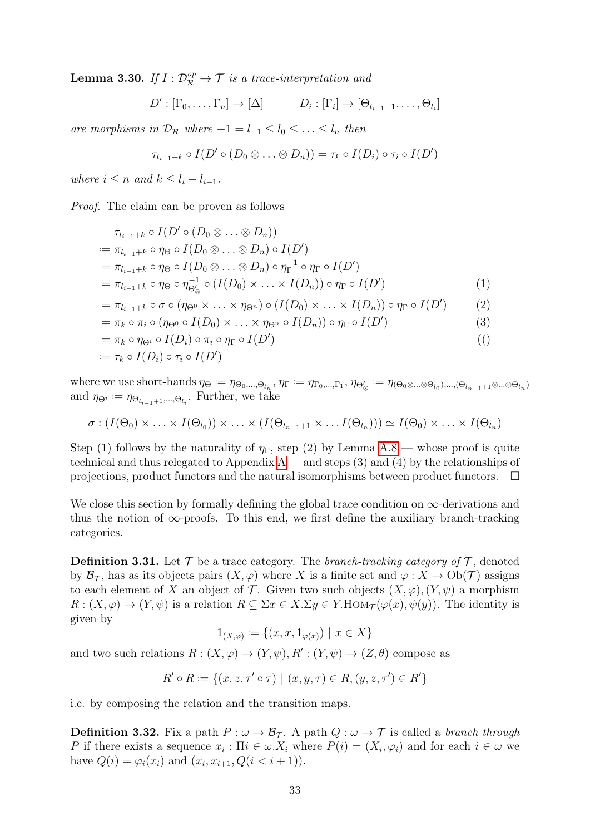**Lemma 3.30.** If  $I: \mathcal{D}_{\mathcal{R}}^{op} \to \mathcal{T}$  is a trace-interpretation and

$$
D': [\Gamma_0, \ldots, \Gamma_n] \to [\Delta] \qquad D_i : [\Gamma_i] \to [\Theta_{l_{i-1}+1}, \ldots, \Theta_{l_i}]
$$

are morphisms in  $\mathcal{D}_{\mathcal{R}}$  where  $-1 = l_{-1} \leq l_0 \leq \ldots \leq l_n$  then

$$
\tau_{l_{i-1}+k} \circ I(D' \circ (D_0 \otimes \ldots \otimes D_n)) = \tau_k \circ I(D_i) \circ \tau_i \circ I(D')
$$

where  $i \leq n$  and  $k \leq l_i - l_{i-1}$ .

Proof. The claim can be proven as follows

$$
\tau_{l_{i-1}+k} \circ I(D' \circ (D_0 \otimes \ldots \otimes D_n))
$$
\n
$$
:= \pi_{l_{i-1}+k} \circ \eta_{\Theta} \circ I(D_0 \otimes \ldots \otimes D_n) \circ I(D')
$$
\n
$$
= \pi_{l_{i-1}+k} \circ \eta_{\Theta} \circ I(D_0 \otimes \ldots \otimes D_n) \circ \eta_{\Gamma}^{-1} \circ \eta_{\Gamma} \circ I(D')
$$
\n
$$
= \pi_{l_{i-1}+k} \circ \eta_{\Theta} \circ \eta_{\Theta'_{\otimes}}^{-1} \circ (I(D_0) \times \ldots \times I(D_n)) \circ \eta_{\Gamma} \circ I(D')
$$
\n
$$
= \pi_{l_{i-1}+k} \circ \sigma \circ (\eta_{\Theta^0} \times \ldots \times \eta_{\Theta^n}) \circ (I(D_0) \times \ldots \times I(D_n)) \circ \eta_{\Gamma} \circ I(D')
$$
\n
$$
= \pi_k \circ \pi_i \circ (\eta_{\Theta^0} \circ I(D_0) \times \ldots \times \eta_{\Theta^n} \circ I(D_n)) \circ \eta_{\Gamma} \circ I(D')
$$
\n(3)

$$
= \pi_k \circ \eta_{\Theta^i} \circ I(D_i) \circ \pi_i \circ \eta_{\Gamma} \circ I(D')
$$
\n
$$
(\text{)}
$$

$$
:= \tau_k \circ I(D_i) \circ \tau_i \circ I(D')
$$

where we use short-hands  $\eta_{\Theta} := \eta_{\Theta_0,...,\Theta_{l_n}}, \eta_{\Gamma} := \eta_{\Gamma_0,...,\Gamma_1}, \eta_{\Theta_{\otimes}'} := \eta_{(\Theta_0 \otimes ... \otimes \Theta_{l_0}),...,(\Theta_{l_{n-1}+1} \otimes ... \otimes \Theta_{l_n})}$ and  $\eta_{\Theta^i} := \eta_{\Theta_{l_{i-1}+1},\dots,\Theta_{l_i}}$ . Further, we take

$$
\sigma: (I(\Theta_0) \times \ldots \times I(\Theta_{l_0})) \times \ldots \times (I(\Theta_{l_{n-1}+1} \times \ldots I(\Theta_{l_n}))) \simeq I(\Theta_0) \times \ldots \times I(\Theta_{l_n})
$$

Step (1) follows by the naturality of  $\eta_{\Gamma}$ , step (2) by Lemma [A.8](#page-84-0) — whose proof is quite technical and thus relegated to [A](#page-81-0)ppendix  $A$  — and steps (3) and (4) by the relationships of projections, product functors and the natural isomorphisms between product functors.  $\Box$ 

We close this section by formally defining the global trace condition on  $\infty$ -derivations and thus the notion of  $\infty$ -proofs. To this end, we first define the auxiliary branch-tracking categories.

**Definition 3.31.** Let  $\mathcal T$  be a trace category. The *branch-tracking category of*  $\mathcal T$ , denoted by  $\mathcal{B}_{\mathcal{T}}$ , has as its objects pairs  $(X,\varphi)$  where X is a finite set and  $\varphi: X \to Ob(\mathcal{T})$  assigns to each element of X an object of T. Given two such objects  $(X, \varphi), (Y, \psi)$  a morphism  $R: (X, \varphi) \to (Y, \psi)$  is a relation  $R \subseteq \Sigma x \in X \Sigma y \in Y$ . HOM $\tau(\varphi(x), \psi(y))$ . The identity is given by

$$
1_{(X,\varphi)} := \{(x, x, 1_{\varphi(x)}) \mid x \in X\}
$$

and two such relations  $R: (X, \varphi) \to (Y, \psi), R': (Y, \psi) \to (Z, \theta)$  compose as

$$
R' \circ R := \{(x, z, \tau' \circ \tau) \mid (x, y, \tau) \in R, (y, z, \tau') \in R'\}
$$

i.e. by composing the relation and the transition maps.

**Definition 3.32.** Fix a path  $P : \omega \to \mathcal{B}_{\mathcal{T}}$ . A path  $Q : \omega \to \mathcal{T}$  is called a branch through P if there exists a sequence  $x_i : \Pi i \in \omega X_i$  where  $P(i) = (X_i, \varphi_i)$  and for each  $i \in \omega$  we have  $Q(i) = \varphi_i(x_i)$  and  $(x_i, x_{i+1}, Q(i < i+1)).$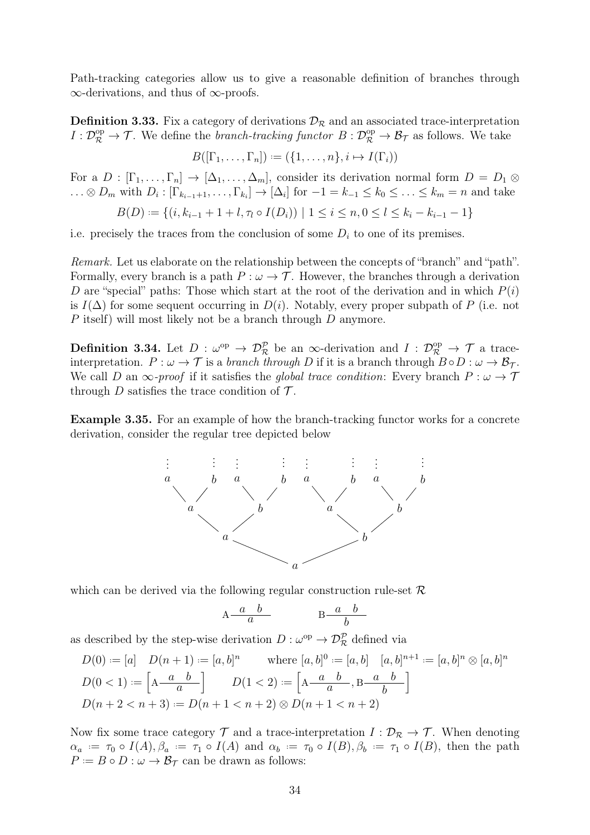Path-tracking categories allow us to give a reasonable definition of branches through ∞-derivations, and thus of ∞-proofs.

**Definition 3.33.** Fix a category of derivations  $\mathcal{D}_{\mathcal{R}}$  and an associated trace-interpretation  $I: \mathcal{D}^{\rm op}_\mathcal{R} \to \mathcal{T}$ . We define the *branch-tracking functor*  $B: \mathcal{D}^{\rm op}_\mathcal{R} \to \mathcal{B}_\mathcal{T}$  as follows. We take

$$
B([\Gamma_1,\ldots,\Gamma_n]):=(\{1,\ldots,n\},i\mapsto I(\Gamma_i))
$$

For a  $D : [\Gamma_1, \ldots, \Gamma_n] \to [\Delta_1, \ldots, \Delta_m]$ , consider its derivation normal form  $D = D_1 \otimes$  $\ldots \otimes D_m$  with  $D_i: [\Gamma_{k_{i-1}+1}, \ldots, \Gamma_{k_i}] \to [\Delta_i]$  for  $-1 = k_{-1} \le k_0 \le \ldots \le k_m = n$  and take

$$
B(D) := \{ (i, k_{i-1} + 1 + l, \tau_l \circ I(D_i)) \mid 1 \le i \le n, 0 \le l \le k_i - k_{i-1} - 1 \}
$$

i.e. precisely the traces from the conclusion of some  $D_i$  to one of its premises.

Remark. Let us elaborate on the relationship between the concepts of "branch" and "path". Formally, every branch is a path  $P : \omega \to \mathcal{T}$ . However, the branches through a derivation D are "special" paths: Those which start at the root of the derivation and in which  $P(i)$ is  $I(\Delta)$  for some sequent occurring in  $D(i)$ . Notably, every proper subpath of P (i.e. not P itself) will most likely not be a branch through D anymore.

<span id="page-37-0"></span>**Definition 3.34.** Let  $D: \omega^{\text{op}} \to \mathcal{D}_{\mathcal{R}}^{\mathcal{P}}$  be an  $\infty$ -derivation and  $I: \mathcal{D}_{\mathcal{R}}^{\text{op}} \to \mathcal{T}$  a traceinterpretation.  $P : \omega \to \mathcal{T}$  is a branch through D if it is a branch through  $B \circ D : \omega \to \mathcal{B}_{\mathcal{T}}$ . We call D an  $\infty$ -proof if it satisfies the global trace condition: Every branch  $P : \omega \to \mathcal{T}$ through D satisfies the trace condition of  $\mathcal{T}$ .

Example 3.35. For an example of how the branch-tracking functor works for a concrete derivation, consider the regular tree depicted below



which can be derived via the following regular construction rule-set  $\mathcal R$ 

$$
A \frac{a}{a} \frac{b}{b} \qquad \qquad B \frac{a}{b}
$$

as described by the step-wise derivation  $D : \omega^{\text{op}} \to \mathcal{D}_{\mathcal{R}}^{\mathcal{P}}$  defined via

$$
D(0) := [a] \quad D(n+1) := [a, b]^n \quad \text{where } [a, b]^0 := [a, b] \quad [a, b]^{n+1} := [a, b]^n \otimes [a, b]^n
$$

$$
D(0 < 1) := \left[ A \frac{a}{a} \right] \quad D(1 < 2) := \left[ A \frac{a}{a} \frac{b}{b} \right]
$$

$$
D(n+2 < n+3) := D(n+1 < n+2) \otimes D(n+1 < n+2)
$$

Now fix some trace category  $\mathcal T$  and a trace-interpretation  $I: \mathcal D_{\mathcal R} \to \mathcal T$ . When denoting  $\alpha_a := \tau_0 \circ I(A), \beta_a := \tau_1 \circ I(A)$  and  $\alpha_b := \tau_0 \circ I(B), \beta_b := \tau_1 \circ I(B)$ , then the path  $P := B \circ D : \omega \to \mathcal{B}_{\mathcal{T}}$  can be drawn as follows: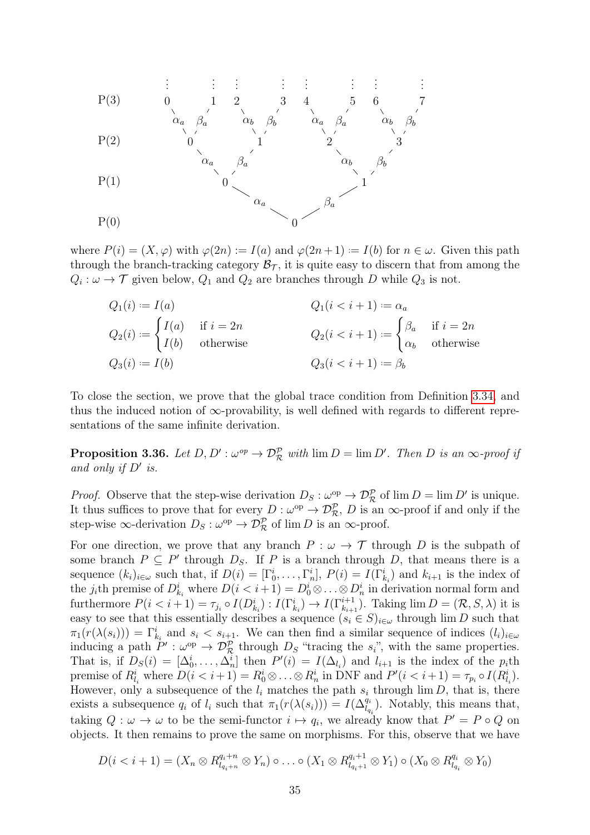

where  $P(i) = (X, \varphi)$  with  $\varphi(2n) := I(a)$  and  $\varphi(2n+1) := I(b)$  for  $n \in \omega$ . Given this path through the branch-tracking category  $\mathcal{B}_{\mathcal{T}}$ , it is quite easy to discern that from among the  $Q_i: \omega \to \mathcal{T}$  given below,  $Q_1$  and  $Q_2$  are branches through D while  $Q_3$  is not.

 $Q_1(i):$  $Q_1(i < i + 1) := \alpha_a$  $Q_2(i) :=$  $\int I(a)$  if  $i = 2n$  $I(b)$  otherwise  $Q_2(i < i+1) :=$  $\int_{a}$  if  $i = 2n$  $\alpha_b$  otherwise  $Q_3(i):$  $l = I(b)$   $Q_3(i < i + 1) := \beta_b$ 

To close the section, we prove that the global trace condition from Definition [3.34,](#page-37-0) and thus the induced notion of  $\infty$ -provability, is well defined with regards to different representations of the same infinite derivation.

**Proposition 3.36.** Let  $D, D': \omega^{op} \to \mathcal{D}_{\mathcal{R}}^{\mathcal{P}}$  with  $\lim D = \lim D'.$  Then D is an  $\infty$ -proof if and only if  $D'$  is.

*Proof.* Observe that the step-wise derivation  $D_S : \omega^{\rm op} \to \mathcal{D}_{\mathcal{R}}^{\mathcal{P}}$  of  $\lim D = \lim D'$  is unique. It thus suffices to prove that for every  $D:\omega^{\text{op}}\to\mathcal{D}_{\mathcal{R}}^{\mathcal{P}}, D$  is an  $\infty$ -proof if and only if the step-wise  $\infty$ -derivation  $D_S : \omega^{\rm op} \to \mathcal{D}_{\mathcal{R}}^{\mathcal{P}}$  of  $\lim D$  is an  $\infty$ -proof.

For one direction, we prove that any branch  $P : \omega \to \mathcal{T}$  through D is the subpath of some branch  $P \subseteq P'$  through  $D_S$ . If P is a branch through D, that means there is a sequence  $(k_i)_{i \in \omega}$  such that, if  $D(i) = [\Gamma_0^i, \ldots, \Gamma_n^i], P(i) = I(\Gamma_{k_i}^i)$  and  $k_{i+1}$  is the index of the *j*<sub>i</sub>th premise of  $D_{k_i}^i$  where  $D(i < i+1) = D_0^i \otimes \ldots \otimes D_n^i$  in derivation normal form and furthermore  $P(i \lt i+1) = \tau_{j_i} \circ I(D_{k_i}^i) : I(\Gamma_{k_i}^i) \to I(\Gamma_{k_{i+1}}^{i+1})$ . Taking  $\lim D = (\mathcal{R}, S, \lambda)$  it is easy to see that this essentially describes a sequence  $(s_i \in S)_{i \in \omega}$  through lim D such that  $\pi_1(r(\lambda(s_i))) = \Gamma_{k_i}^i$  and  $s_i < s_{i+1}$ . We can then find a similar sequence of indices  $(l_i)_{i \in \omega}$ inducing a path  $P' : \omega^{\text{op}} \to \mathcal{D}_{\mathcal{R}}^{\mathcal{P}}$  through  $D_S$  "tracing the  $s_i$ ", with the same properties. That is, if  $D_S(i) = [\Delta_0^i, \ldots, \Delta_n^i]$  then  $P'(i) = I(\Delta_{l_i})$  and  $l_{i+1}$  is the index of the  $p_i$ th premise of  $R_{l_i}^i$  where  $D(i \lt i+1) = R_0^i \otimes \ldots \otimes R_n^i$  in DNF and  $P'(i \lt i+1) = \tau_{p_i} \circ I(R_{l_i}^i)$ . However, only a subsequence of the  $l_i$  matches the path  $s_i$  through lim D, that is, there exists a subsequence  $q_i$  of  $l_i$  such that  $\pi_1(r(\lambda(s_i))) = I(\Delta_{l_{q_i}}^{q_i})$ . Notably, this means that, taking  $Q: \omega \to \omega$  to be the semi-functor  $i \mapsto q_i$ , we already know that  $P' = P \circ Q$  on objects. It then remains to prove the same on morphisms. For this, observe that we have

$$
D(i < i+1) = (X_n \otimes R_{l_{q_i+n}}^{q_i+n} \otimes Y_n) \circ \dots \circ (X_1 \otimes R_{l_{q_i+1}}^{q_i+1} \otimes Y_1) \circ (X_0 \otimes R_{l_{q_i}}^{q_i} \otimes Y_0)
$$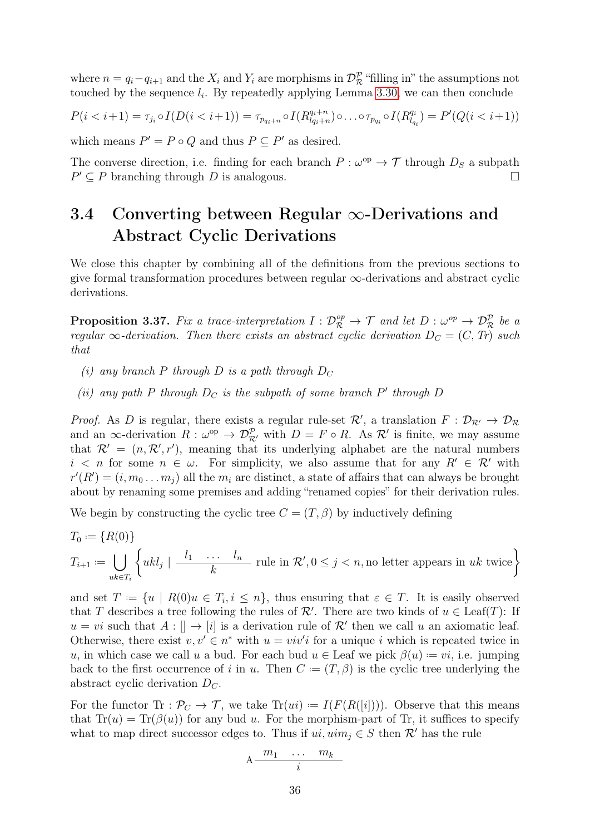where  $n = q_i - q_{i+1}$  and the  $X_i$  and  $Y_i$  are morphisms in  $\mathcal{D}_{\mathcal{R}}^{\mathcal{P}}$  "filling in" the assumptions not touched by the sequence  $l_i$ . By repeatedly applying Lemma [3.30,](#page-35-0) we can then conclude

$$
P(i < i+1) = \tau_{j_i} \circ I(D(i < i+1)) = \tau_{p_{q_i+n}} \circ I(R_{l_{q_i+n}}^{q_i+n}) \circ \dots \circ \tau_{p_{q_i}} \circ I(R_{l_{q_i}}^{q_i}) = P'(Q(i < i+1))
$$

which means  $P' = P \circ Q$  and thus  $P \subseteq P'$  as desired.

The converse direction, i.e. finding for each branch  $P : \omega^{\rm op} \to \mathcal{T}$  through  $D_S$  a subpath  $P' \subseteq P$  branching through D is analogous.

## 3.4 Converting between Regular ∞-Derivations and Abstract Cyclic Derivations

We close this chapter by combining all of the definitions from the previous sections to give formal transformation procedures between regular  $\infty$ -derivations and abstract cyclic derivations.

<span id="page-39-0"></span>**Proposition 3.37.** Fix a trace-interpretation  $I: \mathcal{D}_{\mathcal{R}}^{op} \to \mathcal{T}$  and let  $D: \omega^{op} \to \mathcal{D}_{\mathcal{R}}^{p}$  be a regular  $\infty$ -derivation. Then there exists an abstract cyclic derivation  $D_C = (C, Tr)$  such that

- (i) any branch P through D is a path through  $D_C$
- (ii) any path P through  $D_C$  is the subpath of some branch P' through D

*Proof.* As D is regular, there exists a regular rule-set  $\mathcal{R}'$ , a translation  $F: \mathcal{D}_{\mathcal{R}'} \to \mathcal{D}_{\mathcal{R}}$ and an  $\infty$ -derivation  $R: \omega^{\text{op}} \to \mathcal{D}_{\mathcal{R}'}^{\mathcal{P}}$  with  $D = F \circ R$ . As  $\mathcal{R}'$  is finite, we may assume that  $\mathcal{R}' = (n, \mathcal{R}', r')$ , meaning that its underlying alphabet are the natural numbers  $i \leq n$  for some  $n \in \omega$ . For simplicity, we also assume that for any  $R' \in \mathcal{R}'$  with  $r'(R') = (i, m_0 \dots m_j)$  all the  $m_i$  are distinct, a state of affairs that can always be brought about by renaming some premises and adding "renamed copies" for their derivation rules.

We begin by constructing the cyclic tree  $C = (T, \beta)$  by inductively defining

$$
T_0 := \{ R(0) \}
$$
  
\n
$$
T_{i+1} := \bigcup_{uk \in T_i} \left\{ ukl_j \mid \frac{l_1 \cdots l_n}{k} \text{ rule in } \mathcal{R}', 0 \le j < n, \text{no letter appears in } uk \text{ twice} \right\}
$$

and set  $T := \{u \mid R(0)u \in T_i, i \leq n\}$ , thus ensuring that  $\varepsilon \in T$ . It is easily observed that T describes a tree following the rules of  $\mathcal{R}'$ . There are two kinds of  $u \in \text{Leaf}(T)$ : If  $u = vi$  such that  $A : [] \to [i]$  is a derivation rule of  $\mathcal{R}'$  then we call u an axiomatic leaf. Otherwise, there exist  $v, v' \in n^*$  with  $u = viv'i$  for a unique i which is repeated twice in u, in which case we call u a bud. For each bud  $u \in$  Leaf we pick  $\beta(u) = vi$ , i.e. jumping back to the first occurrence of i in u. Then  $C = (T, \beta)$  is the cyclic tree underlying the abstract cyclic derivation  $D_{\mathcal{C}}$ .

For the functor  $\text{Tr}: \mathcal{P}_C \to \mathcal{T}$ , we take  $\text{Tr}(ui) := I(F(R([i])))$ . Observe that this means that  $Tr(u) = Tr(\beta(u))$  for any bud u. For the morphism-part of Tr, it suffices to specify what to map direct successor edges to. Thus if  $ui, uim_i \in S$  then  $\mathcal{R}'$  has the rule

$$
A \frac{m_1 \cdots m_k}{i}
$$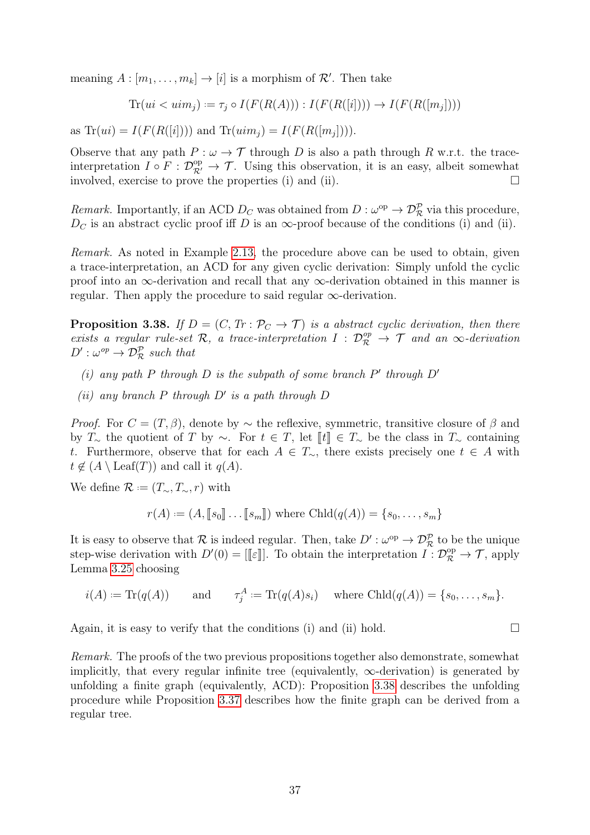meaning  $A : [m_1, \ldots, m_k] \to [i]$  is a morphism of  $\mathcal{R}'$ . Then take

$$
\text{Tr}(ui < uim_j) := \tau_j \circ I(F(R(A))) : I(F(R([i]))) \rightarrow I(F(R([m_j]))
$$

as  $\text{Tr}(ui) = I(F(R([i]))$  and  $\text{Tr}(uim_j) = I(F(R([m_j]))).$ 

Observe that any path  $P : \omega \to \mathcal{T}$  through D is also a path through R w.r.t. the traceinterpretation  $I \circ F : \mathcal{D}_{\mathcal{R}'}^{\mathrm{op}} \to \mathcal{T}$ . Using this observation, it is an easy, albeit somewhat involved, exercise to prove the properties (i) and (ii).  $\Box$ 

Remark. Importantly, if an ACD  $D_C$  was obtained from  $D: \omega^{\rm op} \to \mathcal{D}_{\mathcal{R}}^{\mathcal{P}}$  via this procedure,  $D<sub>C</sub>$  is an abstract cyclic proof iff D is an  $\infty$ -proof because of the conditions (i) and (ii).

Remark. As noted in Example [2.13,](#page-19-0) the procedure above can be used to obtain, given a trace-interpretation, an ACD for any given cyclic derivation: Simply unfold the cyclic proof into an  $\infty$ -derivation and recall that any  $\infty$ -derivation obtained in this manner is regular. Then apply the procedure to said regular  $\infty$ -derivation.

<span id="page-40-0"></span>**Proposition 3.38.** If  $D = (C, Tr : \mathcal{P}_C \to \mathcal{T})$  is a abstract cyclic derivation, then there exists a regular rule-set R, a trace-interpretation  $I : \mathcal{D}_{\mathcal{R}}^{op} \to \mathcal{T}$  and an  $\infty$ -derivation  $D': \omega^{op} \to \mathcal{D}_{\mathcal{R}}^{\mathcal{P}}$  such that

- (i) any path P through D is the subpath of some branch  $P'$  through  $D'$
- (ii) any branch  $P$  through  $D'$  is a path through  $D$

*Proof.* For  $C = (T, \beta)$ , denote by  $\sim$  the reflexive, symmetric, transitive closure of  $\beta$  and by  $T_{\sim}$  the quotient of T by  $\sim$ . For  $t \in T$ , let  $[[t]] \in T_{\sim}$  be the class in  $T_{\sim}$  containing t. Furthermore, observe that for each  $A \in T_{\sim}$ , there exists precisely one  $t \in A$  with  $t \notin (A \setminus \text{Leaf}(T))$  and call it  $q(A)$ .

We define  $\mathcal{R} := (T_{\sim}, T_{\sim}, r)$  with

$$
r(A) := (A, [s_0] \dots [s_m])
$$
 where  $Chld(q(A)) = \{s_0, \dots, s_m\}$ 

It is easy to observe that R is indeed regular. Then, take  $D': \omega^{\rm op} \to \mathcal{D}_{\mathcal{R}}^{\mathcal{P}}$  to be the unique step-wise derivation with  $D'(0) = [[\varepsilon]]$ . To obtain the interpretation  $I: \mathcal{D}_{\mathcal{R}}^{\text{op}} \to \mathcal{T}$ , apply<br>Lemma 3.25 choosing Lemma [3.25](#page-34-0) choosing

$$
i(A) := \text{Tr}(q(A))
$$
 and  $\tau_j^A := \text{Tr}(q(A)s_i)$  where  $\text{Chld}(q(A)) = \{s_0, \ldots, s_m\}.$ 

Again, it is easy to verify that the conditions (i) and (ii) hold.  $\square$ 

Remark. The proofs of the two previous propositions together also demonstrate, somewhat implicitly, that every regular infinite tree (equivalently,  $\infty$ -derivation) is generated by unfolding a finite graph (equivalently, ACD): Proposition [3.38](#page-40-0) describes the unfolding procedure while Proposition [3.37](#page-39-0) describes how the finite graph can be derived from a regular tree.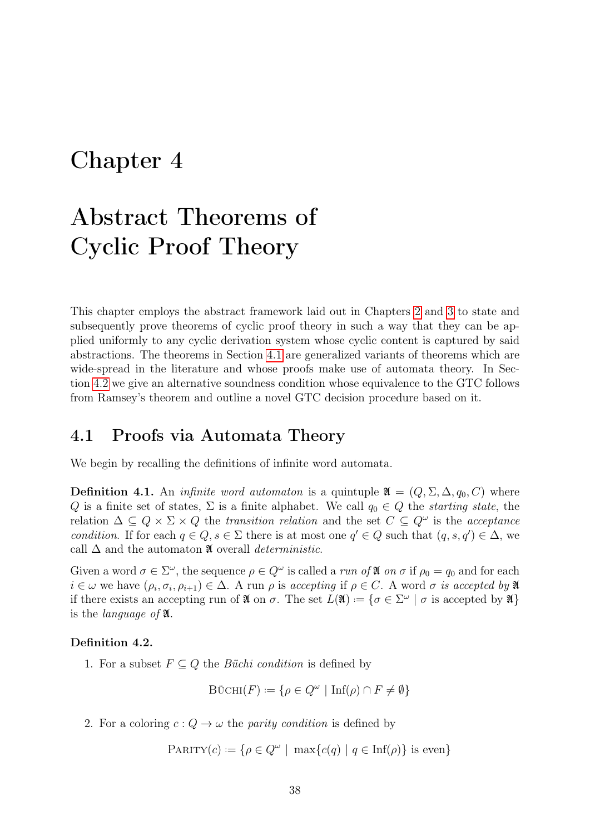## <span id="page-41-1"></span>Chapter 4

# Abstract Theorems of Cyclic Proof Theory

This chapter employs the abstract framework laid out in Chapters [2](#page-13-0) and [3](#page-25-0) to state and subsequently prove theorems of cyclic proof theory in such a way that they can be applied uniformly to any cyclic derivation system whose cyclic content is captured by said abstractions. The theorems in Section [4.1](#page-41-0) are generalized variants of theorems which are wide-spread in the literature and whose proofs make use of automata theory. In Section [4.2](#page-44-0) we give an alternative soundness condition whose equivalence to the GTC follows from Ramsey's theorem and outline a novel GTC decision procedure based on it.

### <span id="page-41-0"></span>4.1 Proofs via Automata Theory

We begin by recalling the definitions of infinite word automata.

**Definition 4.1.** An *infinite word automaton* is a quintuple  $\mathfrak{A} = (Q, \Sigma, \Delta, q_0, C)$  where Q is a finite set of states,  $\Sigma$  is a finite alphabet. We call  $q_0 \in Q$  the *starting state*, the relation  $\Delta \subseteq Q \times \Sigma \times Q$  the transition relation and the set  $C \subseteq Q^{\omega}$  is the acceptance condition. If for each  $q \in Q$ ,  $s \in \Sigma$  there is at most one  $q' \in Q$  such that  $(q, s, q') \in \Delta$ , we call  $\Delta$  and the automaton  $\mathfrak A$  overall *deterministic*.

Given a word  $\sigma \in \Sigma^{\omega}$ , the sequence  $\rho \in Q^{\omega}$  is called a *run of*  $\mathfrak{A}$  *on*  $\sigma$  if  $\rho_0 = q_0$  and for each  $i \in \omega$  we have  $(\rho_i, \sigma_i, \rho_{i+1}) \in \Delta$ . A run  $\rho$  is accepting if  $\rho \in C$ . A word  $\sigma$  is accepted by  $\mathfrak{A}$ if there exists an accepting run of  $\mathfrak{A}$  on  $\sigma$ . The set  $L(\mathfrak{A}) := \{ \sigma \in \Sigma^{\omega} \mid \sigma \text{ is accepted by } \mathfrak{A} \}$ is the language of A.

#### Definition 4.2.

1. For a subset  $F \subseteq Q$  the *Büchi condition* is defined by

$$
\text{B\"{o}CHI}(F) := \{ \rho \in Q^{\omega} \mid \text{Inf}(\rho) \cap F \neq \emptyset \}
$$

2. For a coloring  $c: Q \to \omega$  the *parity condition* is defined by

 $\text{PARTY}(c) := \{ \rho \in Q^{\omega} \mid \max \{ c(q) \mid q \in \text{Inf}(\rho) \} \text{ is even} \}$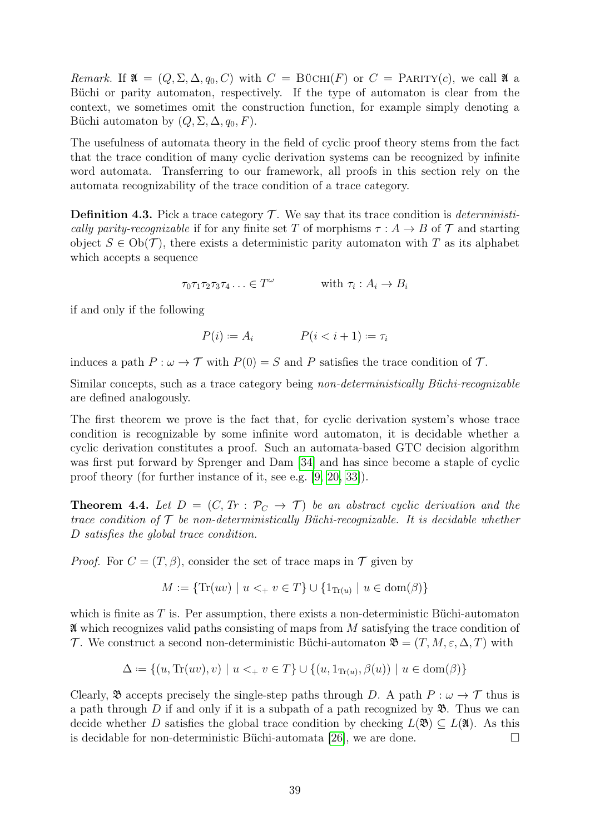Remark. If  $\mathfrak{A} = (Q, \Sigma, \Delta, q_0, C)$  with  $C = B\ddot{\text{U}}CHI(F)$  or  $C = PARTY(c)$ , we call  $\mathfrak{A}$  a Büchi or parity automaton, respectively. If the type of automaton is clear from the context, we sometimes omit the construction function, for example simply denoting a Büchi automaton by  $(Q, \Sigma, \Delta, q_0, F)$ .

The usefulness of automata theory in the field of cyclic proof theory stems from the fact that the trace condition of many cyclic derivation systems can be recognized by infinite word automata. Transferring to our framework, all proofs in this section rely on the automata recognizability of the trace condition of a trace category.

**Definition 4.3.** Pick a trace category  $\mathcal{T}$ . We say that its trace condition is *deterministi*cally parity-recognizable if for any finite set T of morphisms  $\tau : A \rightarrow B$  of T and starting object  $S \in Ob(\mathcal{T})$ , there exists a deterministic parity automaton with T as its alphabet which accepts a sequence

$$
\tau_0 \tau_1 \tau_2 \tau_3 \tau_4 \ldots \in T^{\omega} \qquad \text{with } \tau_i : A_i \to B_i
$$

if and only if the following

 $P(i) := A_i$   $P(i < i + 1) := \tau_i$ 

induces a path  $P : \omega \to \mathcal{T}$  with  $P(0) = S$  and P satisfies the trace condition of  $\mathcal{T}$ .

Similar concepts, such as a trace category being non-deterministically Büchi-recognizable are defined analogously.

The first theorem we prove is the fact that, for cyclic derivation system's whose trace condition is recognizable by some infinite word automaton, it is decidable whether a cyclic derivation constitutes a proof. Such an automata-based GTC decision algorithm was first put forward by Sprenger and Dam [\[34\]](#page-79-0) and has since become a staple of cyclic proof theory (for further instance of it, see e.g. [\[9,](#page-78-0) [20,](#page-79-1) [33\]](#page-79-2)).

<span id="page-42-0"></span>**Theorem 4.4.** Let  $D = (C, Tr : \mathcal{P}_C \to \mathcal{T})$  be an abstract cyclic derivation and the trace condition of  $\mathcal T$  be non-deterministically Büchi-recognizable. It is decidable whether D satisfies the global trace condition.

*Proof.* For  $C = (T, \beta)$ , consider the set of trace maps in  $\mathcal T$  given by

$$
M := \{ \text{Tr}(uv) \mid u <_{+} v \in T \} \cup \{ 1_{\text{Tr}(u)} \mid u \in \text{dom}(\beta) \}
$$

which is finite as  $T$  is. Per assumption, there exists a non-deterministic Büchi-automaton  $\mathfrak A$  which recognizes valid paths consisting of maps from M satisfying the trace condition of T. We construct a second non-deterministic Büchi-automaton  $\mathfrak{B} = (T, M, \varepsilon, \Delta, T)$  with

$$
\Delta := \{(u, \text{Tr}(uv), v) \mid u <_+ v \in T\} \cup \{(u, 1_{\text{Tr}(u)}, \beta(u)) \mid u \in \text{dom}(\beta)\}\
$$

Clearly,  $\mathfrak{B}$  accepts precisely the single-step paths through D. A path  $P : \omega \to \mathcal{T}$  thus is a path through D if and only if it is a subpath of a path recognized by  $\mathfrak{B}$ . Thus we can decide whether D satisfies the global trace condition by checking  $L(\mathfrak{B}) \subset L(\mathfrak{A})$ . As this is decidable for non-deterministic Büchi-automata [\[26\]](#page-79-3), we are done.  $\Box$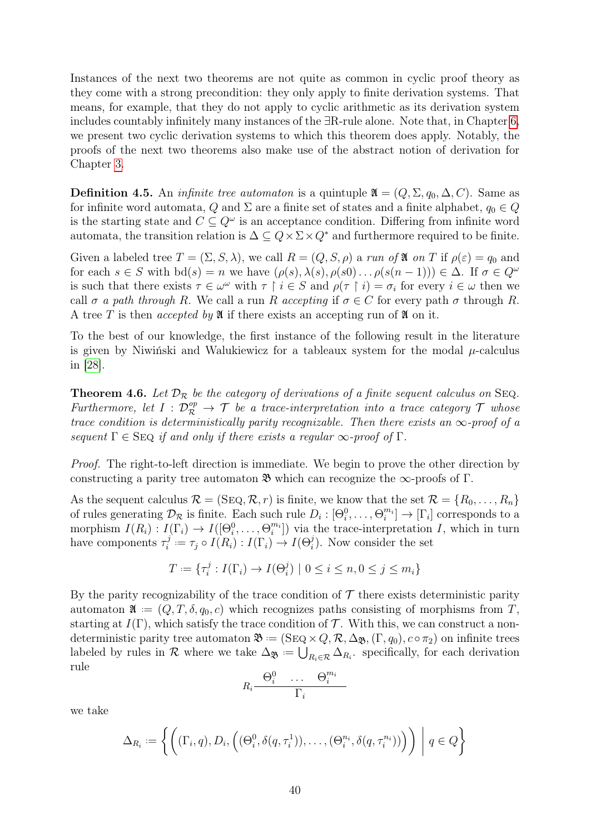Instances of the next two theorems are not quite as common in cyclic proof theory as they come with a strong precondition: they only apply to finite derivation systems. That means, for example, that they do not apply to cyclic arithmetic as its derivation system includes countably infinitely many instances of the ∃R-rule alone. Note that, in Chapter [6,](#page-62-0) we present two cyclic derivation systems to which this theorem does apply. Notably, the proofs of the next two theorems also make use of the abstract notion of derivation for Chapter [3.](#page-25-0)

**Definition 4.5.** An *infinite tree automaton* is a quintuple  $\mathfrak{A} = (Q, \Sigma, q_0, \Delta, C)$ . Same as for infinite word automata, Q and  $\Sigma$  are a finite set of states and a finite alphabet,  $q_0 \in Q$ is the starting state and  $C \subseteq Q^{\omega}$  is an acceptance condition. Differing from infinite word automata, the transition relation is  $\Delta \subseteq Q \times \Sigma \times Q^*$  and furthermore required to be finite.

Given a labeled tree  $T = (\Sigma, S, \lambda)$ , we call  $R = (Q, S, \rho)$  a run of  $\mathfrak A$  on T if  $\rho(\varepsilon) = q_0$  and for each  $s \in S$  with  $\mathrm{bd}(s) = n$  we have  $(\rho(s), \lambda(s), \rho(s)) \dots \rho(s(n-1)) \in \Delta$ . If  $\sigma \in Q^{\omega}$ is such that there exists  $\tau \in \omega^{\omega}$  with  $\tau \restriction i \in S$  and  $\rho(\tau \restriction i) = \sigma_i$  for every  $i \in \omega$  then we call  $\sigma$  a path through R. We call a run R accepting if  $\sigma \in C$  for every path  $\sigma$  through R. A tree T is then *accepted by*  $\mathfrak A$  if there exists an accepting run of  $\mathfrak A$  on it.

To the best of our knowledge, the first instance of the following result in the literature is given by Niwiński and Walukiewicz for a tableaux system for the modal  $\mu$ -calculus in [\[28\]](#page-79-4).

<span id="page-43-0"></span>**Theorem 4.6.** Let  $\mathcal{D}_{\mathcal{R}}$  be the category of derivations of a finite sequent calculus on SEQ. Furthermore, let  $I: \mathcal{D}_{\mathcal{R}}^{op} \to \mathcal{T}$  be a trace-interpretation into a trace category  $\mathcal{T}$  whose trace condition is deterministically parity recognizable. Then there exists an  $\infty$ -proof of a sequent  $\Gamma \in \text{Seq}$  if and only if there exists a regular  $\infty$ -proof of  $\Gamma$ .

Proof. The right-to-left direction is immediate. We begin to prove the other direction by constructing a parity tree automaton  $\mathfrak{B}$  which can recognize the  $\infty$ -proofs of Γ.

As the sequent calculus  $\mathcal{R} = (\text{Seq}, \mathcal{R}, r)$  is finite, we know that the set  $\mathcal{R} = \{R_0, \ldots, R_n\}$ of rules generating  $\mathcal{D}_{\mathcal{R}}$  is finite. Each such rule  $D_i : [\Theta_i^0, \ldots, \Theta_i^{m_i}] \to [\Gamma_i]$  corresponds to a morphism  $I(R_i) : I(\Gamma_i) \to I([\Theta_i^0, \ldots, \Theta_i^{m_i}])$  via the trace-interpretation I, which in turn have components  $\tau_i^j$  $i^j := \tau_j \circ I(R_i) : I(\Gamma_i) \to I(\Theta_i^j)$ . Now consider the set

$$
T:=\{\tau_i^j:I(\Gamma_i)\to I(\Theta_i^j)\,\,|\,\,0\leq i\leq n, 0\leq j\leq m_i\}
$$

By the parity recognizability of the trace condition of  $\mathcal T$  there exists deterministic parity automaton  $\mathfrak{A} := (Q, T, \delta, q_0, c)$  which recognizes paths consisting of morphisms from T, starting at  $I(\Gamma)$ , which satisfy the trace condition of  $\mathcal T$ . With this, we can construct a nondeterministic parity tree automaton  $\mathfrak{B} = (\text{SEQ} \times Q, \mathcal{R}, \Delta_{\mathfrak{B}},(\Gamma, q_0), c \circ \pi_2)$  on infinite trees labeled by rules in R where we take  $\Delta_{\mathfrak{B}} := \bigcup_{R_i \in \mathcal{R}} \Delta_{R_i}$ . specifically, for each derivation rule

$$
R_i \frac{\Theta_i^0 \quad \cdots \quad \Theta_i^{m_i}}{\Gamma_i}
$$

we take

$$
\Delta_{R_i} := \left\{ \left( (\Gamma_i, q), D_i, \left( (\Theta_i^0, \delta(q, \tau_i^1)), \dots, (\Theta_i^{n_i}, \delta(q, \tau_i^{n_i})) \right) \right) \middle| q \in Q \right\}
$$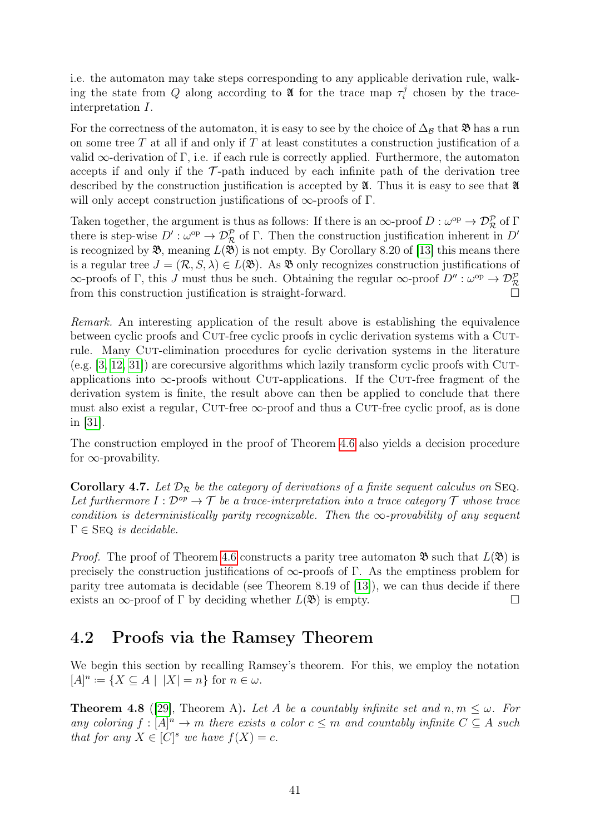i.e. the automaton may take steps corresponding to any applicable derivation rule, walking the state from Q along according to **1** for the trace map  $\tau_i^j$  $\tau_i^j$  chosen by the traceinterpretation I.

For the correctness of the automaton, it is easy to see by the choice of  $\Delta_B$  that  $\mathfrak{B}$  has a run on some tree  $T$  at all if and only if  $T$  at least constitutes a construction justification of a valid  $\infty$ -derivation of Γ, i.e. if each rule is correctly applied. Furthermore, the automaton accepts if and only if the  $\mathcal{T}$ -path induced by each infinite path of the derivation tree described by the construction justification is accepted by  $\mathfrak{A}$ . Thus it is easy to see that  $\mathfrak{A}$ will only accept construction justifications of  $\infty$ -proofs of Γ.

Taken together, the argument is thus as follows: If there is an  $\infty$ -proof  $D:\omega^{\rm op}\to \mathcal{D}_{\mathcal{R}}^{\mathcal{P}}$  of  $\Gamma$ there is step-wise  $D': \omega^{\text{op}} \to \mathcal{D}_{\mathcal{R}}^{\mathcal{P}}$  of  $\Gamma$ . Then the construction justification inherent in  $D'$ is recognized by  $\mathfrak{B}$ , meaning  $L(\mathfrak{B})$  is not empty. By Corollary 8.20 of [\[13\]](#page-78-1) this means there is a regular tree  $J = (\mathcal{R}, S, \lambda) \in L(\mathfrak{B})$ . As  $\mathfrak{B}$  only recognizes construction justifications of  $\infty$ -proofs of Γ, this J must thus be such. Obtaining the regular  $\infty$ -proof  $D'' : \omega^{\rm op} \to \mathcal{D}_{\mathcal{R}}^{\mathcal{P}}$ from this construction justification is straight-forward.

Remark. An interesting application of the result above is establishing the equivalence between cyclic proofs and Cut-free cyclic proofs in cyclic derivation systems with a Cutrule. Many CUT-elimination procedures for cyclic derivation systems in the literature  $(e.g. [3, 12, 31])$  $(e.g. [3, 12, 31])$  $(e.g. [3, 12, 31])$  $(e.g. [3, 12, 31])$  $(e.g. [3, 12, 31])$  are corecursive algorithms which lazily transform cyclic proofs with Cutapplications into  $\infty$ -proofs without CUT-applications. If the CUT-free fragment of the derivation system is finite, the result above can then be applied to conclude that there must also exist a regular, CUT-free  $\infty$ -proof and thus a CUT-free cyclic proof, as is done in [\[31\]](#page-79-5).

The construction employed in the proof of Theorem [4.6](#page-43-0) also yields a decision procedure for  $\infty$ -provability.

<span id="page-44-1"></span>**Corollary 4.7.** Let  $\mathcal{D}_{\mathcal{R}}$  be the category of derivations of a finite sequent calculus on SEQ. Let furthermore  $I: \mathcal{D}^{op} \to \mathcal{T}$  be a trace-interpretation into a trace category  $\mathcal{T}$  whose trace condition is deterministically parity recognizable. Then the  $\infty$ -provability of any sequent  $\Gamma \in$  SEQ is decidable.

*Proof.* The proof of Theorem [4.6](#page-43-0) constructs a parity tree automaton  $\mathfrak{B}$  such that  $L(\mathfrak{B})$  is precisely the construction justifications of  $\infty$ -proofs of Γ. As the emptiness problem for parity tree automata is decidable (see Theorem 8.19 of [\[13\]](#page-78-1)), we can thus decide if there exists an  $\infty$ -proof of  $\Gamma$  by deciding whether  $L(\mathfrak{B})$  is empty.

### <span id="page-44-0"></span>4.2 Proofs via the Ramsey Theorem

We begin this section by recalling Ramsey's theorem. For this, we employ the notation  $[A]^n := \{ X \subseteq A \mid |X| = n \}$  for  $n \in \omega$ .

**Theorem 4.8** ([\[29\]](#page-79-6), Theorem A). Let A be a countably infinite set and  $n, m \leq \omega$ . For any coloring  $f : [A]^n \to m$  there exists a color  $c \leq m$  and countably infinite  $C \subseteq A$  such that for any  $X \in [C]^s$  we have  $f(X) = c$ .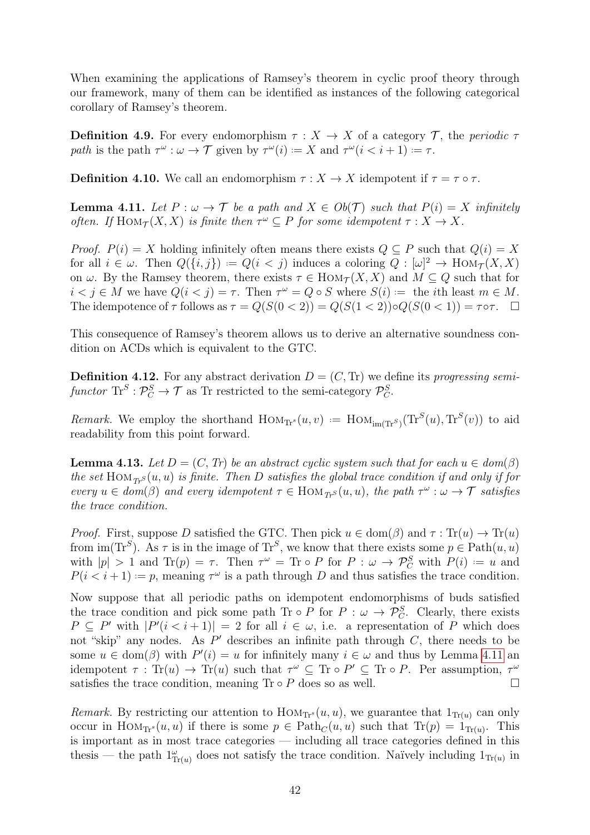When examining the applications of Ramsey's theorem in cyclic proof theory through our framework, many of them can be identified as instances of the following categorical corollary of Ramsey's theorem.

**Definition 4.9.** For every endomorphism  $\tau : X \to X$  of a category  $\mathcal{T}$ , the periodic  $\tau$ path is the path  $\tau^{\omega}: \omega \to \mathcal{T}$  given by  $\tau^{\omega}(i) := X$  and  $\tau^{\omega}(i < i + 1) := \tau$ .

<span id="page-45-0"></span>**Definition 4.10.** We call an endomorphism  $\tau : X \to X$  idempotent if  $\tau = \tau \circ \tau$ .

**Lemma 4.11.** Let  $P : \omega \to \mathcal{T}$  be a path and  $X \in Ob(\mathcal{T})$  such that  $P(i) = X$  infinitely often. If  $\text{Hom}_{\mathcal{T}}(X,X)$  is finite then  $\tau^{\omega} \subseteq P$  for some idempotent  $\tau : X \to X$ .

*Proof.*  $P(i) = X$  holding infinitely often means there exists  $Q \subseteq P$  such that  $Q(i) = X$ for all  $i \in \omega$ . Then  $Q(\{i, j\}) = Q(i < j)$  induces a coloring  $Q: [\omega]^2 \to \text{Hom}_{\mathcal{T}}(X, X)$ on  $\omega$ . By the Ramsey theorem, there exists  $\tau \in Hom_{\mathcal{T}}(X, X)$  and  $M \subseteq Q$  such that for  $i < j \in M$  we have  $Q(i < j) = \tau$ . Then  $\tau^{\omega} = Q \circ S$  where  $S(i) :=$  the *i*th least  $m \in M$ . The idempotence of  $\tau$  follows as  $\tau = Q(S(0 \lt 2)) = Q(S(1 \lt 2)) \circ Q(S(0 \lt 1)) = \tau \circ \tau$ .

This consequence of Ramsey's theorem allows us to derive an alternative soundness condition on ACDs which is equivalent to the GTC.

**Definition 4.12.** For any abstract derivation  $D = (C, Tr)$  we define its progressing semifunctor  $\text{Tr}^S: \mathcal{P}_C^S \to \mathcal{T}$  as Tr restricted to the semi-category  $\mathcal{P}_C^S$ .

Remark. We employ the shorthand  $\text{Hom}_{\text{Tr}^s}(u, v) := \text{Hom}_{\text{Im}(\text{Tr}^S)}(\text{Tr}^S(u), \text{Tr}^S(v))$  to aid readability from this point forward.

<span id="page-45-1"></span>**Lemma 4.13.** Let  $D = (C, Tr)$  be an abstract cyclic system such that for each  $u \in dom(\beta)$ the set  $\text{Hom}_{T_r}(u, u)$  is finite. Then D satisfies the global trace condition if and only if for every  $u \in dom(\beta)$  and every idempotent  $\tau \in Hom_{T_r}(u, u)$ , the path  $\tau^{\omega}: \omega \to \mathcal{T}$  satisfies the trace condition.

*Proof.* First, suppose D satisfied the GTC. Then pick  $u \in \text{dom}(\beta)$  and  $\tau : \text{Tr}(u) \to \text{Tr}(u)$ from  $\text{im}(\text{Tr}^S)$ . As  $\tau$  is in the image of  $\text{Tr}^S$ , we know that there exists some  $p \in \text{Path}(u, u)$ with  $|p| > 1$  and  $\text{Tr}(p) = \tau$ . Then  $\tau^{\omega} = \text{Tr} \circ P$  for  $P : \omega \to \mathcal{P}_C^S$  with  $P(i) := u$  and  $P(i \leq i+1) := p$ , meaning  $\tau^{\omega}$  is a path through D and thus satisfies the trace condition.

Now suppose that all periodic paths on idempotent endomorphisms of buds satisfied the trace condition and pick some path Tr  $\circ$  P for P :  $\omega \to \mathcal{P}_C^S$ . Clearly, there exists  $P \subseteq P'$  with  $|P'(i \lt i+1)| = 2$  for all  $i \in \omega$ , i.e. a representation of P which does not "skip" any nodes. As  $P'$  describes an infinite path through  $C$ , there needs to be some  $u \in \text{dom}(\beta)$  with  $P'(i) = u$  for infinitely many  $i \in \omega$  and thus by Lemma [4.11](#page-45-0) and idempotent  $\tau$ : Tr(u)  $\to$  Tr(u) such that  $\tau^{\omega} \subseteq$  Tr $\circ P' \subseteq$  Tr $\circ P$ . Per assumption,  $\tau^{\omega}$ satisfies the trace condition, meaning  $\text{Tr} \circ P$  does so as well.

*Remark.* By restricting our attention to  $\text{Hom}_{T^{s}}(u, u)$ , we guarantee that  $1_{\text{Tr}(u)}$  can only occur in  $\text{Hom}_{T_r}(u, u)$  if there is some  $p \in \text{Path}_C(u, u)$  such that  $\text{Tr}(p) = 1_{\text{Tr}(u)}$ . This is important as in most trace categories — including all trace categories defined in this thesis — the path  $1_{\text{Tr}(u)}^{\omega}$  does not satisfy the trace condition. Naïvely including  $1_{\text{Tr}(u)}$  in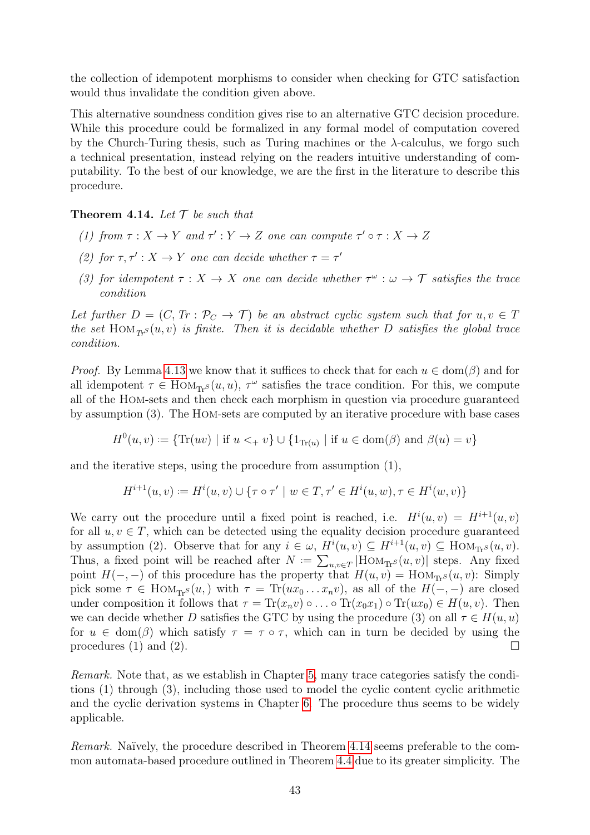the collection of idempotent morphisms to consider when checking for GTC satisfaction would thus invalidate the condition given above.

This alternative soundness condition gives rise to an alternative GTC decision procedure. While this procedure could be formalized in any formal model of computation covered by the Church-Turing thesis, such as Turing machines or the  $\lambda$ -calculus, we forgo such a technical presentation, instead relying on the readers intuitive understanding of computability. To the best of our knowledge, we are the first in the literature to describe this procedure.

<span id="page-46-0"></span>**Theorem 4.14.** Let  $\mathcal T$  be such that

- (1) from  $\tau : X \to Y$  and  $\tau' : Y \to Z$  one can compute  $\tau' \circ \tau : X \to Z$
- (2) for  $\tau, \tau' : X \to Y$  one can decide whether  $\tau = \tau'$
- (3) for idempotent  $\tau : X \to X$  one can decide whether  $\tau^{\omega} : \omega \to \mathcal{T}$  satisfies the trace condition

Let further  $D = (C, Tr : \mathcal{P}_C \to \mathcal{T})$  be an abstract cyclic system such that for  $u, v \in \mathcal{T}$ the set HOM $_{Tr}S(u, v)$  is finite. Then it is decidable whether D satisfies the global trace condition.

*Proof.* By Lemma [4.13](#page-45-1) we know that it suffices to check that for each  $u \in \text{dom}(\beta)$  and for all idempotent  $\tau \in Hom_{\text{Tr}S}(u, u)$ ,  $\tau^{\omega}$  satisfies the trace condition. For this, we compute all of the Hom-sets and then check each morphism in question via procedure guaranteed by assumption (3). The Hom-sets are computed by an iterative procedure with base cases

 $H^0(u, v) := \{ \text{Tr}(uv) \mid \text{if } u \leq_{+} v \} \cup \{ 1_{\text{Tr}(u)} \mid \text{if } u \in \text{dom}(\beta) \text{ and } \beta(u) = v \}$ 

and the iterative steps, using the procedure from assumption (1),

$$
H^{i+1}(u,v) := H^i(u,v) \cup \{ \tau \circ \tau' \mid w \in T, \tau' \in H^i(u,w), \tau \in H^i(w,v) \}
$$

We carry out the procedure until a fixed point is reached, i.e.  $H^{i}(u, v) = H^{i+1}(u, v)$ for all  $u, v \in T$ , which can be detected using the equality decision procedure guaranteed by assumption (2). Observe that for any  $i \in \omega$ ,  $H^i(u, v) \subseteq H^{i+1}(u, v) \subseteq \text{Hom}_{\text{Tr}S}(u, v)$ . Thus, a fixed point will be reached after  $N = \sum_{u,v \in T} | \text{Hom}_{\text{Tr}S}(u, v) |$  steps. Any fixed point  $H(-, -)$  of this procedure has the property that  $H(u, v) = \text{Hom}_{T_r} s(u, v)$ : Simply pick some  $\tau \in Hom_{\text{Tr}S}(u)$ , with  $\tau = \text{Tr}(ux_0 \dots x_n v)$ , as all of the  $H(-,-)$  are closed under composition it follows that  $\tau = \text{Tr}(x_n v) \circ \ldots \circ \text{Tr}(x_0 x_1) \circ \text{Tr}(u x_0) \in H(u, v)$ . Then we can decide whether D satisfies the GTC by using the procedure (3) on all  $\tau \in H(u, u)$ for  $u \in \text{dom}(\beta)$  which satisfy  $\tau = \tau \circ \tau$ , which can in turn be decided by using the procedures (1) and (2).

Remark. Note that, as we establish in Chapter [5,](#page-48-0) many trace categories satisfy the conditions (1) through (3), including those used to model the cyclic content cyclic arithmetic and the cyclic derivation systems in Chapter [6.](#page-62-0) The procedure thus seems to be widely applicable.

Remark. Naïvely, the procedure described in Theorem [4.14](#page-46-0) seems preferable to the common automata-based procedure outlined in Theorem [4.4](#page-42-0) due to its greater simplicity. The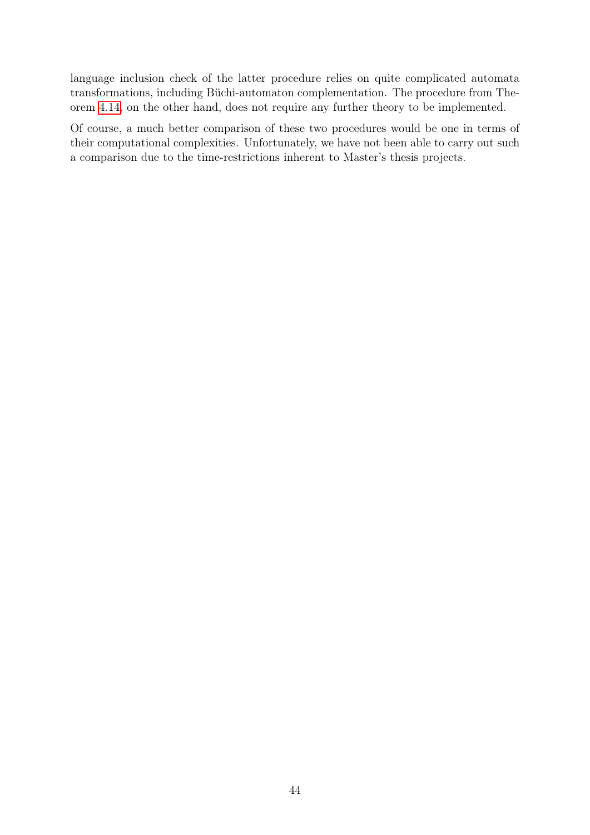language inclusion check of the latter procedure relies on quite complicated automata transformations, including Büchi-automaton complementation. The procedure from Theorem [4.14,](#page-46-0) on the other hand, does not require any further theory to be implemented.

Of course, a much better comparison of these two procedures would be one in terms of their computational complexities. Unfortunately, we have not been able to carry out such a comparison due to the time-restrictions inherent to Master's thesis projects.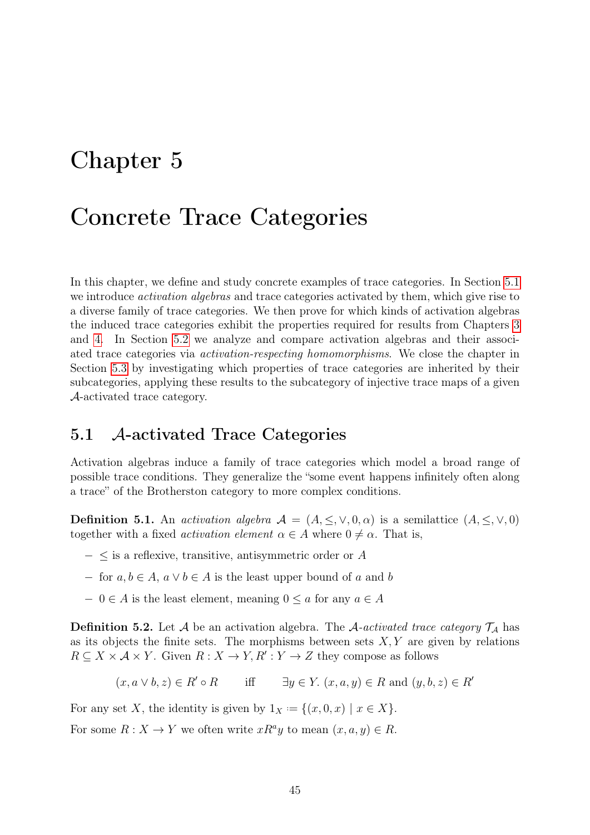## <span id="page-48-0"></span>Chapter 5

## Concrete Trace Categories

In this chapter, we define and study concrete examples of trace categories. In Section [5.1](#page-48-1) we introduce *activation algebras* and trace categories activated by them, which give rise to a diverse family of trace categories. We then prove for which kinds of activation algebras the induced trace categories exhibit the properties required for results from Chapters [3](#page-25-0) and [4.](#page-41-1) In Section [5.2](#page-54-0) we analyze and compare activation algebras and their associated trace categories via activation-respecting homomorphisms. We close the chapter in Section [5.3](#page-59-0) by investigating which properties of trace categories are inherited by their subcategories, applying these results to the subcategory of injective trace maps of a given A-activated trace category.

### <span id="page-48-1"></span>5.1 A-activated Trace Categories

Activation algebras induce a family of trace categories which model a broad range of possible trace conditions. They generalize the "some event happens infinitely often along a trace" of the Brotherston category to more complex conditions.

**Definition 5.1.** An activation algebra  $A = (A, \leq, \vee, 0, \alpha)$  is a semilattice  $(A, \leq, \vee, 0)$ together with a fixed *activation element*  $\alpha \in A$  where  $0 \neq \alpha$ . That is,

- $-$  ≤ is a reflexive, transitive, antisymmetric order or  $A$
- − for  $a, b \in A$ ,  $a \vee b \in A$  is the least upper bound of a and b
- $-0 \in A$  is the least element, meaning  $0 \le a$  for any  $a \in A$

**Definition 5.2.** Let A be an activation algebra. The A-activated trace category  $\mathcal{T}_A$  has as its objects the finite sets. The morphisms between sets  $X, Y$  are given by relations  $R \subseteq X \times A \times Y$ . Given  $R : X \to Y, R' : Y \to Z$  they compose as follows

$$
(x, a \lor b, z) \in R' \circ R
$$
 iff  $\exists y \in Y. (x, a, y) \in R \text{ and } (y, b, z) \in R'$ 

For any set X, the identity is given by  $1_X := \{(x, 0, x) \mid x \in X\}.$ 

<span id="page-48-2"></span>For some  $R: X \to Y$  we often write  $xR^ay$  to mean  $(x, a, y) \in R$ .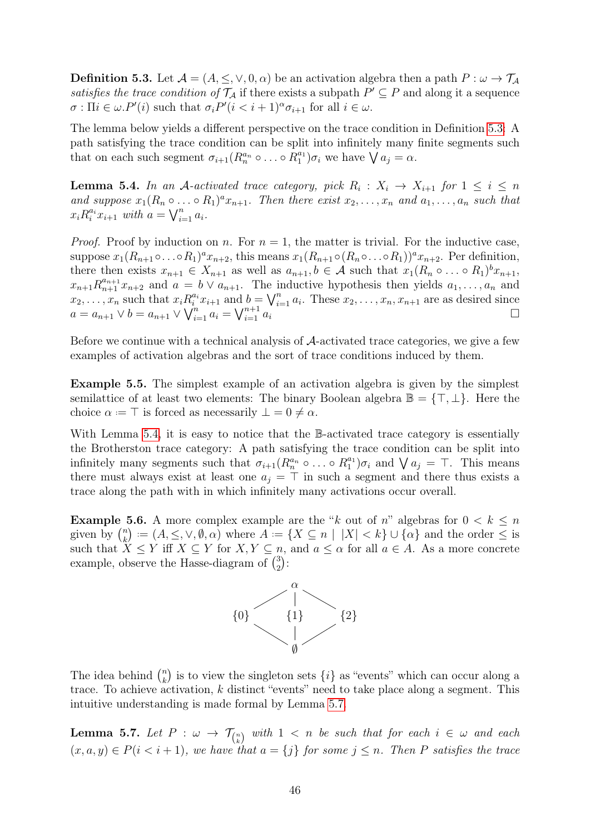**Definition 5.3.** Let  $\mathcal{A} = (A, \leq, \vee, 0, \alpha)$  be an activation algebra then a path  $P : \omega \to \mathcal{T}_{\mathcal{A}}$ satisfies the trace condition of  $\mathcal{T}_\mathcal{A}$  if there exists a subpath  $P' \subseteq P$  and along it a sequence  $\sigma: \Pi i \in \omega P'(i)$  such that  $\sigma_i P'(i \lt i+1)^\alpha \sigma_{i+1}$  for all  $i \in \omega$ .

The lemma below yields a different perspective on the trace condition in Definition [5.3:](#page-48-2) A path satisfying the trace condition can be split into infinitely many finite segments such that on each such segment  $\sigma_{i+1}(R_n^{a_n} \circ \dots \circ R_1^{a_1}) \sigma_i$  we have  $\bigvee a_j = \alpha$ .

<span id="page-49-0"></span>**Lemma 5.4.** In an A-activated trace category, pick  $R_i: X_i \to X_{i+1}$  for  $1 \leq i \leq n$ and suppose  $x_1(R_n \circ \ldots \circ R_1)^a x_{n+1}$ . Then there exist  $x_2, \ldots, x_n$  and  $a_1, \ldots, a_n$  such that  $x_i R_i^{a_i} x_{i+1}$  with  $a = \bigvee_{i=1}^n a_i$ .

*Proof.* Proof by induction on n. For  $n = 1$ , the matter is trivial. For the inductive case, suppose  $x_1(R_{n+1}\circ\ldots\circ R_1)^a x_{n+2}$ , this means  $x_1(R_{n+1}\circ(R_n\circ\ldots\circ R_1))^a x_{n+2}$ . Per definition, there then exists  $x_{n+1} \in X_{n+1}$  as well as  $a_{n+1}, b \in \mathcal{A}$  such that  $x_1(R_n \circ \ldots \circ R_1)^b x_{n+1}$ ,  $x_{n+1}R_{n+1}^{a_{n+1}}x_{n+2}$  and  $a = b \vee a_{n+1}$ . The inductive hypothesis then yields  $a_1, \ldots, a_n$  and  $x_2, \ldots, x_n$  such that  $x_i R_i^{a_i} x_{i+1}$  and  $b = \bigvee_{i=1}^n a_i$ . These  $x_2, \ldots, x_n, x_{n+1}$  are as desired since  $a = a_{n+1} \vee b = a_{n+1} \vee \bigvee_{i=1}^{n} a_i = \bigvee_{i=1}^{n+1} a_i$ 

Before we continue with a technical analysis of A-activated trace categories, we give a few examples of activation algebras and the sort of trace conditions induced by them.

Example 5.5. The simplest example of an activation algebra is given by the simplest semilattice of at least two elements: The binary Boolean algebra  $\mathbb{B} = \{\top, \bot\}$ . Here the choice  $\alpha = \top$  is forced as necessarily  $\bot = 0 \neq \alpha$ .

With Lemma [5.4,](#page-49-0) it is easy to notice that the B-activated trace category is essentially the Brotherston trace category: A path satisfying the trace condition can be split into infinitely many segments such that  $\sigma_{i+1}(R_n^{a_n} \circ \dots \circ R_1^{a_1}) \sigma_i$  and  $\bigvee a_j = \top$ . This means there must always exist at least one  $a_i = \top$  in such a segment and there thus exists a trace along the path with in which infinitely many activations occur overall.

**Example 5.6.** A more complex example are the "k out of n" algebras for  $0 < k \leq n$ given by  $\binom{n}{k}$  $k(k) := (A, \leq, \vee, \emptyset, \alpha)$  where  $A := \{X \subseteq n \mid |X| < k\} \cup \{\alpha\}$  and the order  $\leq$  is such that  $X \leq Y$  iff  $X \subseteq Y$  for  $X, Y \subseteq n$ , and  $a \leq \alpha$  for all  $a \in A$ . As a more concrete example, observe the Hasse-diagram of  $\binom{3}{2}$  $_{2}^{3})$  :



The idea behind  $\binom{n}{k}$  $\binom{n}{k}$  is to view the singleton sets  $\{i\}$  as "events" which can occur along a trace. To achieve activation, k distinct "events" need to take place along a segment. This intuitive understanding is made formal by Lemma [5.7.](#page-49-1)

<span id="page-49-1"></span>**Lemma 5.7.** Let  $P : \omega \to \mathcal{T}_{\binom{n}{k}}$  with  $1 < n$  be such that for each  $i \in \omega$  and each  $(x, a, y) \in P(i \leq i + 1)$ , we have that  $a = \{j\}$  for some  $j \leq n$ . Then P satisfies the trace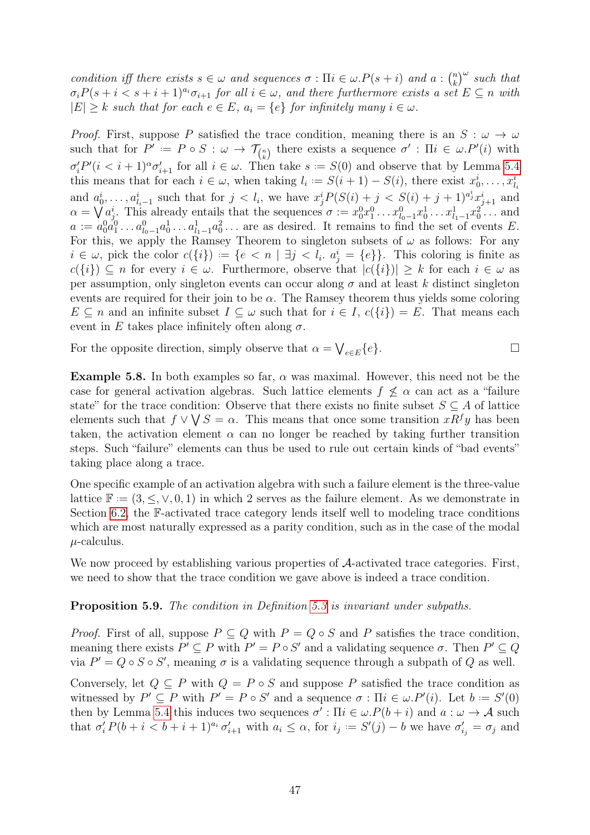condition iff there exists  $s \in \omega$  and sequences  $\sigma : \Pi i \in \omega P(s+i)$  and  $a : \binom{n}{k}$  $\binom{n}{k}^{\omega}$  such that  $\sigma_i P(s + i < s + i + 1)^{a_i} \sigma_{i+1}$  for all  $i \in \omega$ , and there furthermore exists a set  $E \subseteq n$  with  $|E| \geq k$  such that for each  $e \in E$ ,  $a_i = \{e\}$  for infinitely many  $i \in \omega$ .

*Proof.* First, suppose P satisfied the trace condition, meaning there is an  $S : \omega \to \omega$ such that for  $P' := P \circ S : \omega \to \mathcal{T}_{\binom{n}{k}}$  there exists a sequence  $\sigma' : \Pi i \in \omega.P'(i)$  with  $\sigma'_i P'(i \lt i+1)^\alpha \sigma'_{i+1}$  for all  $i \in \omega$ . Then take  $s := S(0)$  and observe that by Lemma [5.4](#page-49-0) this means that for each  $i \in \omega$ , when taking  $l_i := S(i + 1) - S(i)$ , there exist  $x_0^i, \ldots, x_{l_i}^i$ and  $a_0^i, \ldots, a_{l_i-1}^i$  such that for  $j < l_i$ , we have  $x_j^i P(S(i) + j < S(i) + j + 1)^{a_j^i} x_{j+1}^i$  and  $\alpha = \bigvee a_j^i$ . This already entails that the sequences  $\sigma := x_0^0 x_1^0 \dots x_{l_0-1}^0 x_0^1 \dots x_{l_1-1}^1 x_0^2 \dots$  and  $a := a_0^0 a_1^0 \dots a_{l_0-1}^0 a_0^1 \dots a_{l_1-1}^1 a_0^2 \dots$  are as desired. It remains to find the set of events E. For this, we apply the Ramsey Theorem to singleton subsets of  $\omega$  as follows: For any  $i \in \omega$ , pick the color  $c({i}) := {e < n | \exists j < l_i \ldotp a_j^i = {e}}$ . This coloring is finite as  $c({i}) \subseteq n$  for every  $i \in \omega$ . Furthermore, observe that  $|c({i})| \geq k$  for each  $i \in \omega$  as per assumption, only singleton events can occur along  $\sigma$  and at least k distinct singleton events are required for their join to be  $\alpha$ . The Ramsey theorem thus yields some coloring  $E \subseteq n$  and an infinite subset  $I \subseteq \omega$  such that for  $i \in I$ ,  $c({i}) = E$ . That means each event in E takes place infinitely often along  $\sigma$ .

For the opposite direction, simply observe that  $\alpha = \bigvee_{e \in E} \{e\}.$ 

Example 5.8. In both examples so far,  $\alpha$  was maximal. However, this need not be the case for general activation algebras. Such lattice elements  $f \nleq \alpha$  can act as a "failure state" for the trace condition: Observe that there exists no finite subset  $S \subseteq A$  of lattice elements such that  $f \vee \bigvee S = \alpha$ . This means that once some transition  $xR^f y$  has been taken, the activation element  $\alpha$  can no longer be reached by taking further transition steps. Such "failure" elements can thus be used to rule out certain kinds of "bad events" taking place along a trace.

One specific example of an activation algebra with such a failure element is the three-value lattice  $\mathbb{F} := (3, \leq, \vee, 0, 1)$  in which 2 serves as the failure element. As we demonstrate in Section [6.2,](#page-67-0) the F-activated trace category lends itself well to modeling trace conditions which are most naturally expressed as a parity condition, such as in the case of the modal  $\mu$ -calculus.

We now proceed by establishing various properties of  $\mathcal{A}$ -activated trace categories. First, we need to show that the trace condition we gave above is indeed a trace condition.

#### Proposition 5.9. The condition in Definition [5.3](#page-48-2) is invariant under subpaths.

*Proof.* First of all, suppose  $P \subseteq Q$  with  $P = Q \circ S$  and P satisfies the trace condition, meaning there exists  $P' \subseteq P$  with  $P' = P \circ S'$  and a validating sequence  $\sigma$ . Then  $P' \subseteq Q$ via  $P' = Q \circ S \circ S'$ , meaning  $\sigma$  is a validating sequence through a subpath of Q as well.

Conversely, let  $Q \subseteq P$  with  $Q = P \circ S$  and suppose P satisfied the trace condition as witnessed by  $P' \subseteq P$  with  $P' = P \circ S'$  and a sequence  $\sigma : \Pi i \in \omega P'(i)$ . Let  $b := S'(0)$ then by Lemma [5.4](#page-49-0) this induces two sequences  $\sigma'$ :  $\Pi i \in \omega P(b + i)$  and  $a : \omega \to A$  such that  $\sigma'_i P(b+i < b+i+1)^{a_i} \sigma'_{i+1}$  with  $a_i \leq \alpha$ , for  $i_j := S'(j) - b$  we have  $\sigma'_{i_j} = \sigma_j$  and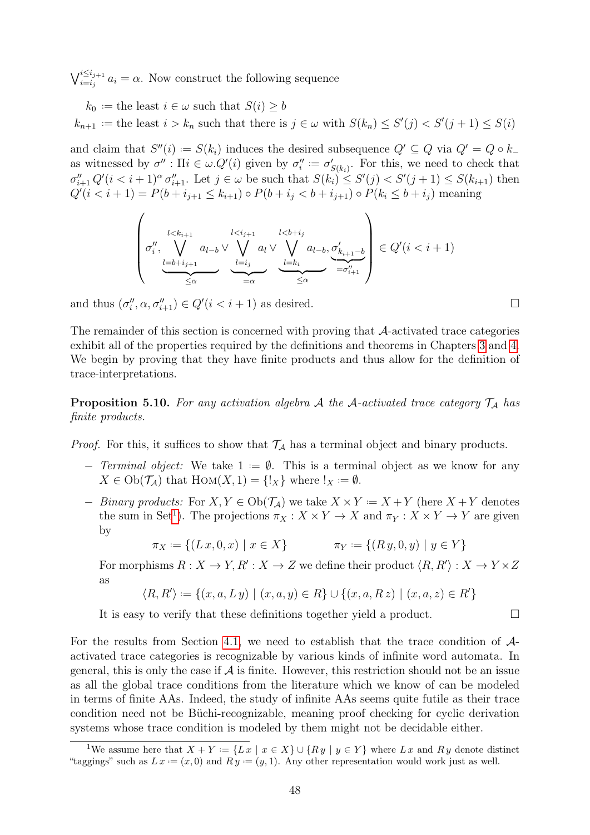$\bigvee_{i=i_j}^{i\leq i_{j+1}} a_i = \alpha$ . Now construct the following sequence

 $k_0 :=$  the least  $i \in \omega$  such that  $S(i) \geq b$  $k_{n+1}$  = the least  $i > k_n$  such that there is  $j \in \omega$  with  $S(k_n) \leq S'(j) < S'(j+1) \leq S(i)$ 

and claim that  $S''(i) := S(k_i)$  induces the desired subsequence  $Q' \subseteq Q$  via  $Q' = Q \circ k_+$ as witnessed by  $\sigma'' : \Pi i \in \omega. Q'(i)$  given by  $\sigma''_i := \sigma'_{S(k_i)}$ . For this, we need to check that  $\sigma''_{i+1} Q'(i \leq i+1)^\alpha \sigma''_{i+1}$ . Let  $j \in \omega$  be such that  $S(k_i) \leq S'(j) < S'(j+1) \leq S(k_{i+1})$  then  $Q'(i \leq i+1) = P(b + i_{j+1} \leq k_{i+1}) \circ P(b + i_j \leq b + i_{j+1}) \circ P(k_i \leq b + i_j)$  meaning

$$
\left(\sigma''_i, \bigvee_{\substack{l < k_{i+1} \\ \underbrace{l = b + i_{j+1}}}^{l < k_{i+1}} a_{l-b} \vee \bigvee_{\substack{l = i_j \\ \underbrace{l = i_j} \\ = \alpha}}^{l < i_{j+1}} a_l \vee \bigvee_{\substack{l = k_i \\ \underbrace{l = k_i} \\ \le \alpha}}^{l < b + i_j} \underbrace{\sigma'_{k_{i+1} - b}}_{= \sigma''_{i+1}}\right) \in Q'(i < i+1)
$$

and thus  $(\sigma_i'', \alpha, \sigma_{i+1}'') \in Q'(i \lt i+1)$  as desired.

The remainder of this section is concerned with proving that A-activated trace categories exhibit all of the properties required by the definitions and theorems in Chapters [3](#page-25-0) and [4.](#page-41-1) We begin by proving that they have finite products and thus allow for the definition of trace-interpretations.

<span id="page-51-2"></span>**Proposition 5.10.** For any activation algebra A the A-activated trace category  $\mathcal{T}_A$  has finite products.

*Proof.* For this, it suffices to show that  $\mathcal{T}_\mathcal{A}$  has a terminal object and binary products.

- − Terminal object: We take  $1 = ∅$ . This is a terminal object as we know for any  $X \in Ob(\mathcal{T}_\mathcal{A})$  that  $Hom(X, 1) = \{!_X\}$  where  $!_X := \emptyset$ .
- − Binary products: For  $X, Y \in Ob(\mathcal{T}_\mathcal{A})$  we take  $X \times Y = X + Y$  (here  $X + Y$  denotes the sum in Set<sup>[1](#page-51-0)</sup>). The projections  $\pi_X : X \times Y \to X$  and  $\pi_Y : X \times Y \to Y$  are given by

$$
\pi_X := \{ (L x, 0, x) \mid x \in X \} \qquad \pi_Y := \{ (R y, 0, y) \mid y \in Y \}
$$

For morphisms  $R: X \to Y, R': X \to Z$  we define their product  $\langle R, R' \rangle : X \to Y \times Z$ as

$$
\langle R, R' \rangle := \{ (x, a, L y) \mid (x, a, y) \in R \} \cup \{ (x, a, R z) \mid (x, a, z) \in R' \}
$$

It is easy to verify that these definitions together yield a product.

For the results from Section [4.1,](#page-41-0) we need to establish that the trace condition of Aactivated trace categories is recognizable by various kinds of infinite word automata. In general, this is only the case if  $A$  is finite. However, this restriction should not be an issue as all the global trace conditions from the literature which we know of can be modeled in terms of finite AAs. Indeed, the study of infinite AAs seems quite futile as their trace condition need not be Büchi-recognizable, meaning proof checking for cyclic derivation systems whose trace condition is modeled by them might not be decidable either.

<span id="page-51-1"></span><span id="page-51-0"></span><sup>&</sup>lt;sup>1</sup>We assume here that  $X + Y := \{L x \mid x \in X\} \cup \{R y \mid y \in Y\}$  where  $L x$  and  $R y$  denote distinct "taggings" such as  $L x := (x, 0)$  and  $R y := (y, 1)$ . Any other representation would work just as well.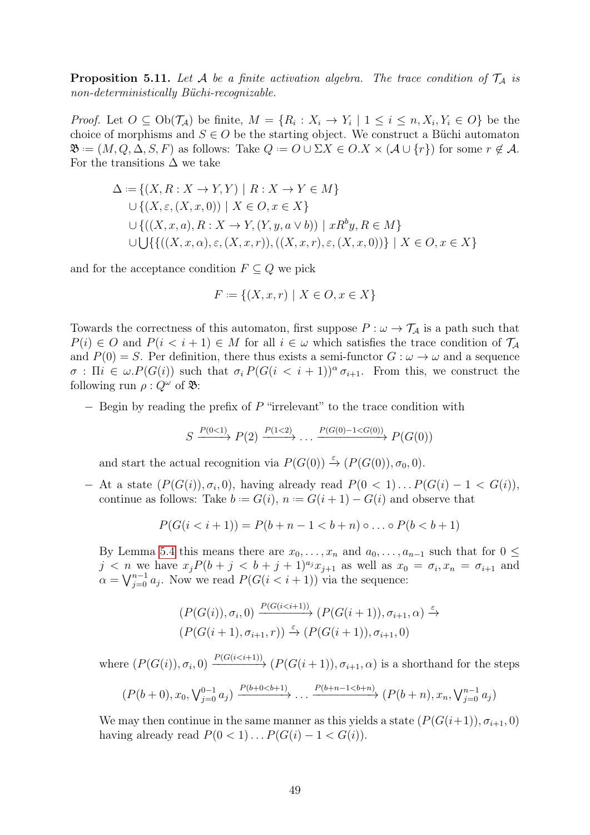**Proposition 5.11.** Let A be a finite activation algebra. The trace condition of  $\mathcal{T}_A$  is non-deterministically Büchi-recognizable.

*Proof.* Let  $O \subseteq Ob(\mathcal{T}_A)$  be finite,  $M = \{R_i : X_i \to Y_i \mid 1 \leq i \leq n, X_i, Y_i \in O\}$  be the choice of morphisms and  $S \in O$  be the starting object. We construct a Büchi automaton  $\mathfrak{B} := (M, Q, \Delta, S, F)$  as follows: Take  $Q := O \cup \Sigma X \in O.X \times (\mathcal{A} \cup \{r\})$  for some  $r \notin \mathcal{A}$ . For the transitions  $\Delta$  we take

$$
\Delta := \{ (X, R : X \to Y, Y) \mid R : X \to Y \in M \}
$$
  
\n
$$
\cup \{ (X, \varepsilon, (X, x, 0)) \mid X \in O, x \in X \}
$$
  
\n
$$
\cup \{ ((X, x, a), R : X \to Y, (Y, y, a \lor b)) \mid xR^b y, R \in M \}
$$
  
\n
$$
\cup \bigcup \{ \{ ((X, x, \alpha), \varepsilon, (X, x, r)), ((X, x, r), \varepsilon, (X, x, 0)) \} \mid X \in O, x \in X \}
$$

and for the acceptance condition  $F \subseteq Q$  we pick

$$
F := \{(X, x, r) \mid X \in O, x \in X\}
$$

Towards the correctness of this automaton, first suppose  $P : \omega \to \mathcal{T}_\mathcal{A}$  is a path such that  $P(i) \in O$  and  $P(i \leq i + 1) \in M$  for all  $i \in \omega$  which satisfies the trace condition of  $\mathcal{T}_{\mathcal{A}}$ and  $P(0) = S$ . Per definition, there thus exists a semi-functor  $G : \omega \to \omega$  and a sequence  $\sigma$ :  $\Pi i \in \omega.P(G(i))$  such that  $\sigma_i P(G(i \lt i+1))^{\alpha} \sigma_{i+1}$ . From this, we construct the following run  $\rho: Q^{\omega}$  of  $\mathfrak{B}$ :

 $-$  Begin by reading the prefix of P "irrelevant" to the trace condition with

$$
S \xrightarrow{P(0<1)} P(2) \xrightarrow{P(1<2)} \dots \xrightarrow{P(G(0)-1
$$

and start the actual recognition via  $P(G(0)) \stackrel{\varepsilon}{\rightarrow} (P(G(0)), \sigma_0, 0)$ .

 $-$  At a state  $(P(G(i)), \sigma_i, 0)$ , having already read  $P(0 < 1) \dots P(G(i) - 1 < G(i))$ , continue as follows: Take  $b := G(i), n := G(i + 1) - G(i)$  and observe that

$$
P(G(i < i + 1)) = P(b + n - 1 < b + n) \circ \dots \circ P(b < b + 1)
$$

By Lemma [5.4](#page-49-0) this means there are  $x_0, \ldots, x_n$  and  $a_0, \ldots, a_{n-1}$  such that for  $0 \leq$  $j < n$  we have  $x_j P(b + j < b + j + 1)^{a_j} x_{j+1}$  as well as  $x_0 = \sigma_i, x_n = \sigma_{i+1}$  and  $\alpha = \bigvee_{j=0}^{n-1} a_j$ . Now we read  $P(G(i \leq i+1))$  via the sequence:

$$
(P(G(i)), \sigma_i, 0) \xrightarrow{P(G(i < i+1))} (P(G(i+1)), \sigma_{i+1}, \alpha) \xrightarrow{\varepsilon} (P(G(i+1)), \sigma_{i+1}, 0)
$$
\n
$$
(P(G(i+1), \sigma_{i+1}, r)) \xrightarrow{\varepsilon} (P(G(i+1)), \sigma_{i+1}, 0)
$$

where  $(P(G(i)), \sigma_i, 0) \xrightarrow{P(G(i \leq i+1))} (P(G(i+1)), \sigma_{i+1}, \alpha)$  is a shorthand for the steps

$$
(P(b+0), x_0, \sqrt{b-1}_{j=0} a_j) \xrightarrow{P(b+0
$$

We may then continue in the same manner as this yields a state  $(P(G(i+1)), \sigma_{i+1}, 0)$ having already read  $P(0 < 1) \dots P(G(i) - 1 < G(i)).$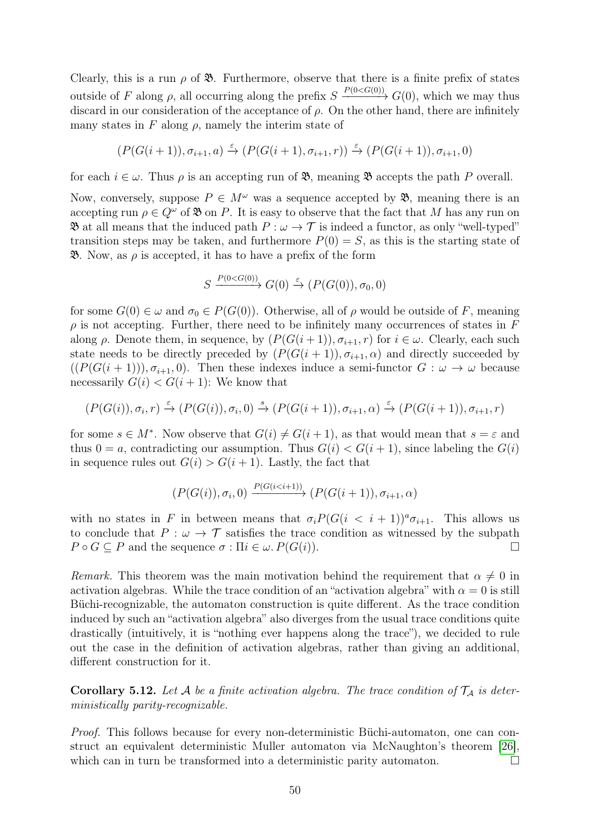Clearly, this is a run  $\rho$  of  $\mathfrak{B}$ . Furthermore, observe that there is a finite prefix of states outside of F along  $\rho$ , all occurring along the prefix  $S \xrightarrow{P(0 \leq G(0))} G(0)$ , which we may thus discard in our consideration of the acceptance of  $\rho$ . On the other hand, there are infinitely many states in F along  $\rho$ , namely the interim state of

$$
(P(G(i+1)), \sigma_{i+1}, a) \xrightarrow{\varepsilon} (P(G(i+1), \sigma_{i+1}, r)) \xrightarrow{\varepsilon} (P(G(i+1)), \sigma_{i+1}, 0)
$$

for each  $i \in \omega$ . Thus  $\rho$  is an accepting run of  $\mathfrak{B}$ , meaning  $\mathfrak{B}$  accepts the path P overall.

Now, conversely, suppose  $P \in M^{\omega}$  was a sequence accepted by  $\mathfrak{B}$ , meaning there is an accepting run  $\rho \in Q^{\omega}$  of  $\mathfrak{B}$  on P. It is easy to observe that the fact that M has any run on  $\mathfrak{B}$  at all means that the induced path  $P : \omega \to \mathcal{T}$  is indeed a functor, as only "well-typed" transition steps may be taken, and furthermore  $P(0) = S$ , as this is the starting state of  $\mathfrak{B}$ . Now, as  $\rho$  is accepted, it has to have a prefix of the form

$$
S \xrightarrow{P(0 < G(0))} G(0) \xrightarrow{\varepsilon} (P(G(0)), \sigma_0, 0)
$$

for some  $G(0) \in \omega$  and  $\sigma_0 \in P(G(0))$ . Otherwise, all of  $\rho$  would be outside of F, meaning  $\rho$  is not accepting. Further, there need to be infinitely many occurrences of states in F along  $\rho$ . Denote them, in sequence, by  $(P(G(i+1)), \sigma_{i+1}, r)$  for  $i \in \omega$ . Clearly, each such state needs to be directly preceded by  $(P(G(i + 1)), \sigma_{i+1}, \alpha)$  and directly succeeded by  $((P(G(i+1))), \sigma_{i+1}, 0)$ . Then these indexes induce a semi-functor  $G : \omega \to \omega$  because necessarily  $G(i) < G(i+1)$ : We know that

$$
(P(G(i)), \sigma_i, r) \xrightarrow{\varepsilon} (P(G(i)), \sigma_i, 0) \xrightarrow{s} (P(G(i+1)), \sigma_{i+1}, \alpha) \xrightarrow{\varepsilon} (P(G(i+1)), \sigma_{i+1}, r)
$$

for some  $s \in M^*$ . Now observe that  $G(i) \neq G(i+1)$ , as that would mean that  $s = \varepsilon$  and thus  $0 = a$ , contradicting our assumption. Thus  $G(i) < G(i+1)$ , since labeling the  $G(i)$ in sequence rules out  $G(i) > G(i+1)$ . Lastly, the fact that

$$
(P(G(i)), \sigma_i, 0) \xrightarrow{P(G(i \le i+1))} (P(G(i+1)), \sigma_{i+1}, \alpha)
$$

with no states in F in between means that  $\sigma_i P(G(i \lt i+1))^a \sigma_{i+1}$ . This allows us to conclude that  $P : \omega \to \mathcal{T}$  satisfies the trace condition as witnessed by the subpath  $P \circ G \subseteq P$  and the sequence  $\sigma : \Pi i \in \omega$ .  $P(G(i))$ .

Remark. This theorem was the main motivation behind the requirement that  $\alpha \neq 0$  in activation algebras. While the trace condition of an "activation algebra" with  $\alpha = 0$  is still Büchi-recognizable, the automaton construction is quite different. As the trace condition induced by such an "activation algebra" also diverges from the usual trace conditions quite drastically (intuitively, it is "nothing ever happens along the trace"), we decided to rule out the case in the definition of activation algebras, rather than giving an additional, different construction for it.

**Corollary 5.12.** Let A be a finite activation algebra. The trace condition of  $\mathcal{T}_A$  is deterministically parity-recognizable.

Proof. This follows because for every non-deterministic Büchi-automaton, one can construct an equivalent deterministic Muller automaton via McNaughton's theorem [\[26\]](#page-79-3), which can in turn be transformed into a deterministic parity automaton.  $\Box$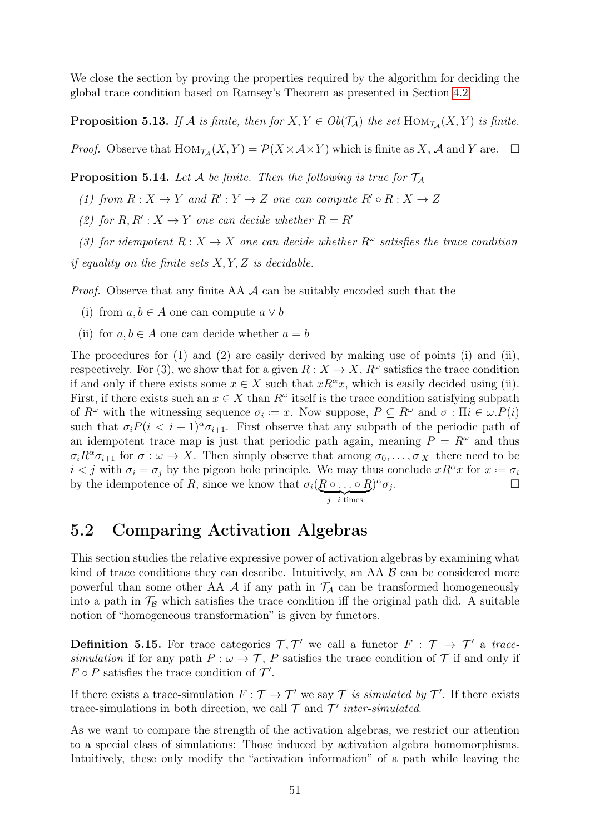We close the section by proving the properties required by the algorithm for deciding the global trace condition based on Ramsey's Theorem as presented in Section [4.2.](#page-44-0)

**Proposition 5.13.** If A is finite, then for  $X, Y \in Ob(\mathcal{T}_\mathcal{A})$  the set  $\text{Hom}_{\mathcal{T}_\mathcal{A}}(X, Y)$  is finite.

*Proof.* Observe that  $\text{Hom}_{\mathcal{T}_{\mathcal{A}}}(X, Y) = \mathcal{P}(X \times \mathcal{A} \times Y)$  which is finite as X, A and Y are.  $\Box$ 

**Proposition 5.14.** Let A be finite. Then the following is true for  $\mathcal{T}_A$ 

(1) from  $R: X \to Y$  and  $R': Y \to Z$  one can compute  $R' \circ R: X \to Z$ 

(2) for  $R, R' : X \to Y$  one can decide whether  $R = R'$ 

(3) for idempotent  $R: X \to X$  one can decide whether  $R^{\omega}$  satisfies the trace condition

if equality on the finite sets  $X, Y, Z$  is decidable.

*Proof.* Observe that any finite AA  $\mathcal A$  can be suitably encoded such that the

- (i) from  $a, b \in A$  one can compute  $a \vee b$
- (ii) for  $a, b \in A$  one can decide whether  $a = b$

The procedures for  $(1)$  and  $(2)$  are easily derived by making use of points  $(i)$  and  $(ii)$ , respectively. For (3), we show that for a given  $R: X \to X$ ,  $R^{\omega}$  satisfies the trace condition if and only if there exists some  $x \in X$  such that  $xR^{\alpha}x$ , which is easily decided using (ii). First, if there exists such an  $x \in X$  than  $R^{\omega}$  itself is the trace condition satisfying subpath of  $R^{\omega}$  with the witnessing sequence  $\sigma_i := x$ . Now suppose,  $P \subseteq R^{\omega}$  and  $\sigma : \Pi i \in \omega.P(i)$ such that  $\sigma_i P(i \lt i+1)^\alpha \sigma_{i+1}$ . First observe that any subpath of the periodic path of an idempotent trace map is just that periodic path again, meaning  $P = R^{\omega}$  and thus  $\sigma_i R^{\alpha} \sigma_{i+1}$  for  $\sigma : \omega \to X$ . Then simply observe that among  $\sigma_0, \ldots, \sigma_{|X|}$  there need to be  $i < j$  with  $\sigma_i = \sigma_j$  by the pigeon hole principle. We may thus conclude  $x R^{\alpha} x$  for  $x := \sigma_i$ by the idempotence of R, since we know that  $\sigma_i(R)$ |  $\circ$  . . .  $\sum_{i \text{ } t \text{ } i}$  $\circ R$  $j-i$  times  $)^{\alpha} \sigma_j$ .

### <span id="page-54-0"></span>5.2 Comparing Activation Algebras

This section studies the relative expressive power of activation algebras by examining what kind of trace conditions they can describe. Intuitively, an AA  $\beta$  can be considered more powerful than some other AA A if any path in  $\mathcal{T}_A$  can be transformed homogeneously into a path in  $\mathcal{T}_B$  which satisfies the trace condition iff the original path did. A suitable notion of "homogeneous transformation" is given by functors.

**Definition 5.15.** For trace categories  $\mathcal{T}, \mathcal{T}'$  we call a functor  $F : \mathcal{T} \to \mathcal{T}'$  a tracesimulation if for any path  $P : \omega \to \mathcal{T}$ , P satisfies the trace condition of  $\mathcal{T}$  if and only if  $F \circ P$  satisfies the trace condition of  $\mathcal{T}'$ .

If there exists a trace-simulation  $F : \mathcal{T} \to \mathcal{T}'$  we say  $\mathcal{T}$  is simulated by  $\mathcal{T}'$ . If there exists trace-simulations in both direction, we call  $\mathcal T$  and  $\mathcal T'$  inter-simulated.

As we want to compare the strength of the activation algebras, we restrict our attention to a special class of simulations: Those induced by activation algebra homomorphisms. Intuitively, these only modify the "activation information" of a path while leaving the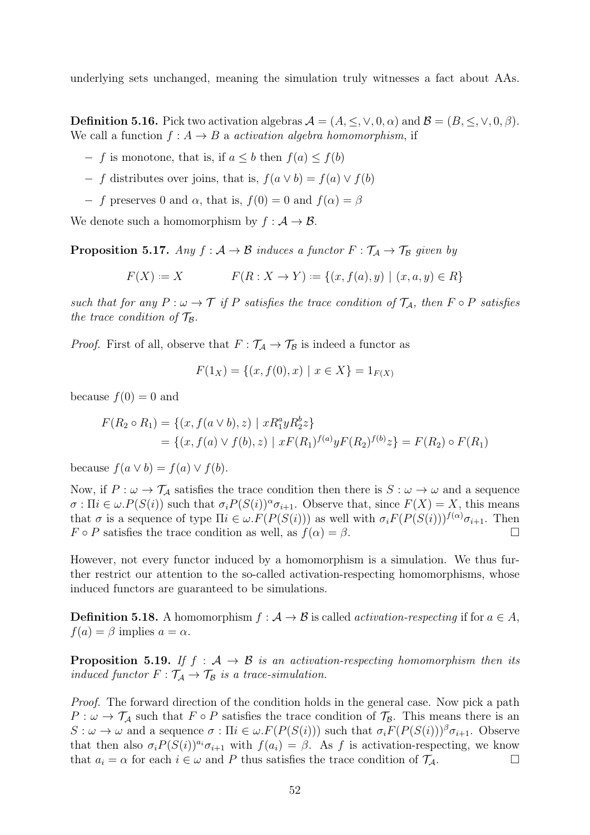underlying sets unchanged, meaning the simulation truly witnesses a fact about AAs.

**Definition 5.16.** Pick two activation algebras  $\mathcal{A} = (A, \leq, \vee, 0, \alpha)$  and  $\mathcal{B} = (B, \leq, \vee, 0, \beta)$ . We call a function  $f: A \rightarrow B$  a activation algebra homomorphism, if

- $f$  is monotone, that is, if  $a \leq b$  then  $f(a) \leq f(b)$
- $f$  distributes over joins, that is,  $f(a \vee b) = f(a) \vee f(b)$
- $f$  preserves 0 and  $\alpha$ , that is,  $f(0) = 0$  and  $f(\alpha) = \beta$

We denote such a homomorphism by  $f : A \to B$ .

**Proposition 5.17.** Any  $f : A \rightarrow B$  induces a functor  $F : \mathcal{T}_A \rightarrow \mathcal{T}_B$  given by

$$
F(X) := X \qquad F(R: X \to Y) := \{(x, f(a), y) \mid (x, a, y) \in R\}
$$

such that for any  $P : \omega \to \mathcal{T}$  if P satisfies the trace condition of  $\mathcal{T}_A$ , then  $F \circ P$  satisfies the trace condition of  $\mathcal{T}_{\mathcal{B}}$ .

*Proof.* First of all, observe that  $F : \mathcal{T}_A \to \mathcal{T}_B$  is indeed a functor as

$$
F(1_X) = \{(x, f(0), x) \mid x \in X\} = 1_{F(X)}
$$

because  $f(0) = 0$  and

$$
F(R_2 \circ R_1) = \{(x, f(a \lor b), z) \mid xR_1^a yR_2^b z\}
$$
  
=  $\{(x, f(a) \lor f(b), z) \mid xF(R_1)^{f(a)} yF(R_2)^{f(b)} z\} = F(R_2) \circ F(R_1)$ 

because  $f(a \vee b) = f(a) \vee f(b)$ .

Now, if  $P : \omega \to \mathcal{T}_\mathcal{A}$  satisfies the trace condition then there is  $S : \omega \to \omega$  and a sequence  $\sigma : \Pi i \in \omega P(S(i))$  such that  $\sigma_i P(S(i))^{\alpha} \sigma_{i+1}$ . Observe that, since  $F(X) = X$ , this means that  $\sigma$  is a sequence of type  $\Pi i \in \omega$ .  $F(P(S(i)))$  as well with  $\sigma_i F(P(S(i)))^{f(\alpha)} \sigma_{i+1}$ . Then  $F \circ P$  satisfies the trace condition as well, as  $f(\alpha) = \beta$ .

However, not every functor induced by a homomorphism is a simulation. We thus further restrict our attention to the so-called activation-respecting homomorphisms, whose induced functors are guaranteed to be simulations.

**Definition 5.18.** A homomorphism  $f : A \rightarrow B$  is called *activation-respecting* if for  $a \in A$ ,  $f(a) = \beta$  implies  $a = \alpha$ .

**Proposition 5.19.** If  $f : A \rightarrow B$  is an activation-respecting homomorphism then its induced functor  $F : \mathcal{T}_A \to \mathcal{T}_B$  is a trace-simulation.

Proof. The forward direction of the condition holds in the general case. Now pick a path  $P: \omega \to \mathcal{T}_\mathcal{A}$  such that  $F \circ P$  satisfies the trace condition of  $\mathcal{T}_\mathcal{B}$ . This means there is an  $S: \omega \to \omega$  and a sequence  $\sigma: \Pi i \in \omega.F(P(S(i)))$  such that  $\sigma_i F(P(S(i)))^{\beta} \sigma_{i+1}$ . Observe that then also  $\sigma_i P(S(i))^{a_i} \sigma_{i+1}$  with  $f(a_i) = \beta$ . As f is activation-respecting, we know that  $a_i = \alpha$  for each  $i \in \omega$  and P thus satisfies the trace condition of  $\mathcal{T}_A$ .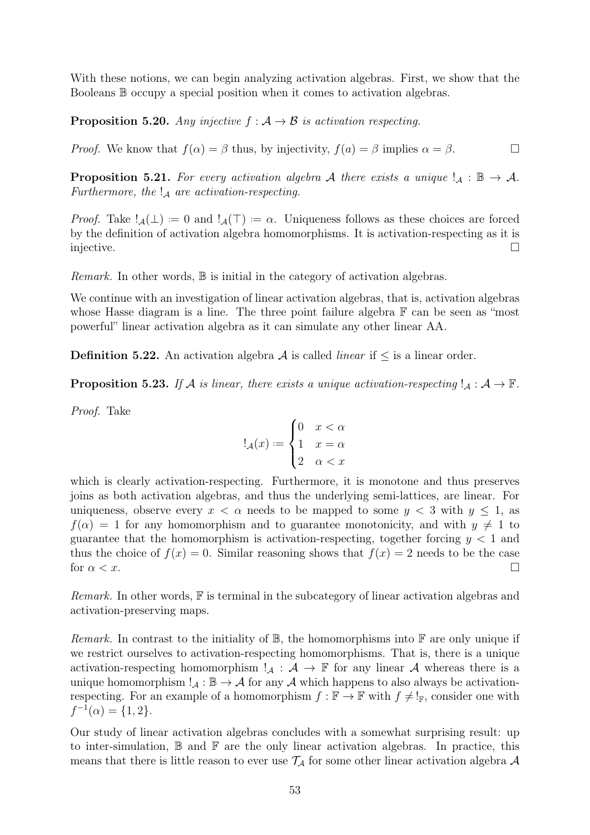With these notions, we can begin analyzing activation algebras. First, we show that the Booleans B occupy a special position when it comes to activation algebras.

**Proposition 5.20.** Any injective  $f : A \rightarrow B$  is activation respecting.

*Proof.* We know that  $f(\alpha) = \beta$  thus, by injectivity,  $f(a) = \beta$  implies  $\alpha = \beta$ .

**Proposition 5.21.** For every activation algebra A there exists a unique  $!_A : \mathbb{B} \to \mathcal{A}$ . Furthermore, the  $\mathcal{A}$  are activation-respecting.

*Proof.* Take  $!_{\mathcal{A}}(\perp) := 0$  and  $!_{\mathcal{A}}(\top) := \alpha$ . Uniqueness follows as these choices are forced by the definition of activation algebra homomorphisms. It is activation-respecting as it is injective.

*Remark.* In other words,  $\mathbb B$  is initial in the category of activation algebras.

We continue with an investigation of linear activation algebras, that is, activation algebras whose Hasse diagram is a line. The three point failure algebra  $\mathbb F$  can be seen as "most" powerful" linear activation algebra as it can simulate any other linear AA.

<span id="page-56-0"></span>**Definition 5.22.** An activation algebra  $A$  is called *linear* if  $\leq$  is a linear order.

**Proposition 5.23.** If A is linear, there exists a unique activation-respecting  $!_A : A \to \mathbb{F}$ .

Proof. Take

$$
!_{\mathcal{A}}(x) := \begin{cases} 0 & x < \alpha \\ 1 & x = \alpha \\ 2 & \alpha < x \end{cases}
$$

which is clearly activation-respecting. Furthermore, it is monotone and thus preserves joins as both activation algebras, and thus the underlying semi-lattices, are linear. For uniqueness, observe every  $x < \alpha$  needs to be mapped to some  $y < 3$  with  $y \le 1$ , as  $f(\alpha) = 1$  for any homomorphism and to guarantee monotonicity, and with  $y \neq 1$  to guarantee that the homomorphism is activation-respecting, together forcing  $y < 1$  and thus the choice of  $f(x) = 0$ . Similar reasoning shows that  $f(x) = 2$  needs to be the case for  $\alpha < x$ .

Remark. In other words,  $\mathbb F$  is terminal in the subcategory of linear activation algebras and activation-preserving maps.

*Remark.* In contrast to the initiality of  $\mathbb{B}$ , the homomorphisms into  $\mathbb{F}$  are only unique if we restrict ourselves to activation-respecting homomorphisms. That is, there is a unique activation-respecting homomorphism  $!_A : A \to \mathbb{F}$  for any linear A whereas there is a unique homomorphism  $!_A : \mathbb{B} \to A$  for any A which happens to also always be activationrespecting. For an example of a homomorphism  $f : \mathbb{F} \to \mathbb{F}$  with  $f \neq \mathbb{I}_{\mathbb{F}}$ , consider one with  $f^{-1}(\alpha) = \{1, 2\}.$ 

Our study of linear activation algebras concludes with a somewhat surprising result: up to inter-simulation,  $\mathbb B$  and  $\mathbb F$  are the only linear activation algebras. In practice, this means that there is little reason to ever use  $\mathcal{T}_\mathcal{A}$  for some other linear activation algebra  $\mathcal A$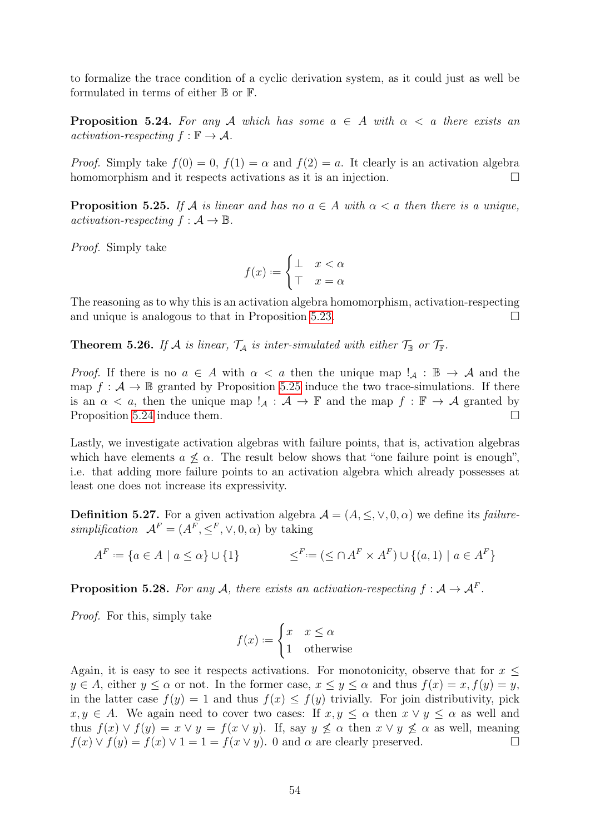to formalize the trace condition of a cyclic derivation system, as it could just as well be formulated in terms of either  $\mathbb B$  or  $\mathbb F$ .

<span id="page-57-1"></span>**Proposition 5.24.** For any A which has some  $a \in A$  with  $\alpha < a$  there exists an activation-respecting  $f : \mathbb{F} \to \mathcal{A}$ .

*Proof.* Simply take  $f(0) = 0$ ,  $f(1) = \alpha$  and  $f(2) = a$ . It clearly is an activation algebra homomorphism and it respects activations as it is an injection.

<span id="page-57-0"></span>**Proposition 5.25.** If A is linear and has no  $a \in A$  with  $\alpha < a$  then there is a unique, activation-respecting  $f : \mathcal{A} \to \mathbb{B}$ .

Proof. Simply take

$$
f(x) := \begin{cases} \bot & x < \alpha \\ \top & x = \alpha \end{cases}
$$

The reasoning as to why this is an activation algebra homomorphism, activation-respecting and unique is analogous to that in Proposition [5.23.](#page-56-0)  $\Box$ 

**Theorem 5.26.** If A is linear,  $\mathcal{T}_A$  is inter-simulated with either  $\mathcal{T}_{\mathbb{B}}$  or  $\mathcal{T}_{\mathbb{F}}$ .

*Proof.* If there is no  $a \in A$  with  $\alpha < a$  then the unique map  $!_A : \mathbb{B} \to A$  and the map  $f : \mathcal{A} \to \mathbb{B}$  granted by Proposition [5.25](#page-57-0) induce the two trace-simulations. If there is an  $\alpha < a$ , then the unique map  $!_{\mathcal{A}} : \mathcal{A} \to \mathbb{F}$  and the map  $f : \mathbb{F} \to \mathcal{A}$  granted by Proposition [5.24](#page-57-1) induce them.

Lastly, we investigate activation algebras with failure points, that is, activation algebras which have elements  $a \not\leq \alpha$ . The result below shows that "one failure point is enough", i.e. that adding more failure points to an activation algebra which already possesses at least one does not increase its expressivity.

**Definition 5.27.** For a given activation algebra  $\mathcal{A} = (A, \leq, \vee, 0, \alpha)$  we define its *failure*simplification  $A^F = (A^F, \leq^F, \vee, 0, \alpha)$  by taking

$$
A^F := \{ a \in A \mid a \le \alpha \} \cup \{ 1 \} \qquad \le^F := (\le \cap A^F \times A^F) \cup \{ (a, 1) \mid a \in A^F \}
$$

**Proposition 5.28.** For any A, there exists an activation-respecting  $f : A \rightarrow A^F$ .

Proof. For this, simply take

$$
f(x) := \begin{cases} x & x \le \alpha \\ 1 & \text{otherwise} \end{cases}
$$

Again, it is easy to see it respects activations. For monotonicity, observe that for  $x \leq$  $y \in A$ , either  $y \leq \alpha$  or not. In the former case,  $x \leq y \leq \alpha$  and thus  $f(x) = x, f(y) = y$ , in the latter case  $f(y) = 1$  and thus  $f(x) \leq f(y)$  trivially. For join distributivity, pick  $x, y \in A$ . We again need to cover two cases: If  $x, y \leq \alpha$  then  $x \vee y \leq \alpha$  as well and thus  $f(x) \vee f(y) = x \vee y = f(x \vee y)$ . If, say  $y \not\leq \alpha$  then  $x \vee y \not\leq \alpha$  as well, meaning  $f(x) \vee f(y) = f(x) \vee 1 = 1 = f(x \vee y)$ . 0 and  $\alpha$  are clearly preserved.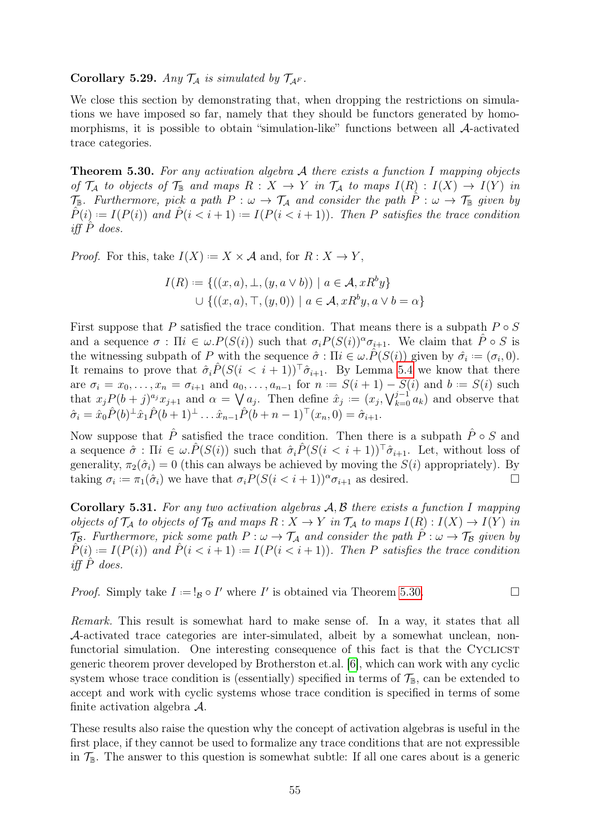#### Corollary 5.29. Any  $\mathcal{T}_A$  is simulated by  $\mathcal{T}_{A^F}$ .

We close this section by demonstrating that, when dropping the restrictions on simulations we have imposed so far, namely that they should be functors generated by homomorphisms, it is possible to obtain "simulation-like" functions between all A-activated trace categories.

<span id="page-58-0"></span>**Theorem 5.30.** For any activation algebra  $A$  there exists a function I mapping objects of  $\mathcal{T}_\mathcal{A}$  to objects of  $\mathcal{T}_\mathcal{B}$  and maps  $R : X \to Y$  in  $\mathcal{T}_\mathcal{A}$  to maps  $I(R) : I(X) \to I(Y)$  in  $\mathcal{T}_{\mathbb{B}}$ . Furthermore, pick a path  $P : \omega \to \mathcal{T}_A$  and consider the path  $\hat{P} : \omega \to \mathcal{T}_{\mathbb{B}}$  given by  $\hat{P}(i) := I(P(i))$  and  $\hat{P}(i \leq i + 1) := I(P(i \leq i + 1))$ . Then P satisfies the trace condition iff  $\hat{P}$  does.

*Proof.* For this, take  $I(X) := X \times \mathcal{A}$  and, for  $R : X \to Y$ ,

$$
I(R) := \{ ((x, a), \bot, (y, a \lor b)) \mid a \in A, xR^b y \}
$$
  

$$
\cup \{ ((x, a), \top, (y, 0)) \mid a \in A, xR^b y, a \lor b = \alpha \}
$$

First suppose that P satisfied the trace condition. That means there is a subpath  $P \circ S$ and a sequence  $\sigma : \Pi i \in \omega P(S(i))$  such that  $\sigma_i P(S(i))^{\alpha} \sigma_{i+1}$ . We claim that  $\hat{P} \circ S$  is the witnessing subpath of P with the sequence  $\hat{\sigma}$ :  $\Pi i \in \omega \cdot \hat{P}(S(i))$  given by  $\hat{\sigma}_i := (\sigma_i, 0)$ . It remains to prove that  $\hat{\sigma}_i \hat{P}(S(i < i+1))^{\top} \hat{\sigma}_{i+1}$ . By Lemma [5.4](#page-49-0) we know that there are  $\sigma_i = x_0, \ldots, x_n = \sigma_{i+1}$  and  $a_0, \ldots, a_{n-1}$  for  $n := S(i+1) - S(i)$  and  $b := S(i)$  such that  $x_j P(b+j)^{a_j} x_{j+1}$  and  $\alpha = \bigvee a_j$ . Then define  $\hat{x}_j := (x_j, \bigvee_{k=0}^{j-1} a_k)$  and observe that  $\hat{\sigma}_i = \hat{x}_0 \hat{P}(b) \pm \hat{x}_1 \hat{P}(b+1) \pm \ldots \hat{x}_{n-1} \hat{P}(b+n-1) \pm (x_n, 0) = \hat{\sigma}_{i+1}.$ 

Now suppose that  $\hat{P}$  satisfied the trace condition. Then there is a subpath  $\hat{P} \circ S$  and a sequence  $\hat{\sigma}$ :  $\Pi i \in \omega.\hat{P}(S(i))$  such that  $\hat{\sigma}_i\hat{P}(S(i < i + 1))^{\top}\hat{\sigma}_{i+1}$ . Let, without loss of generality,  $\pi_2(\hat{\sigma}_i) = 0$  (this can always be achieved by moving the  $S(i)$  appropriately). By taking  $\sigma_i := \pi_1(\hat{\sigma}_i)$  we have that  $\sigma_i P(S(i \lt i + 1))^{\alpha} \sigma_{i+1}$  as desired.

Corollary 5.31. For any two activation algebras  $A, B$  there exists a function I mapping objects of  $\mathcal{T}_\mathcal{A}$  to objects of  $\mathcal{T}_\mathcal{B}$  and maps  $R : X \to Y$  in  $\mathcal{T}_\mathcal{A}$  to maps  $I(R) : I(X) \to I(Y)$  in  $\mathcal{T}_{\mathcal{B}}$ . Furthermore, pick some path  $P : \omega \to \mathcal{T}_{\mathcal{A}}$  and consider the path  $\hat{P} : \omega \to \mathcal{T}_{\mathcal{B}}$  given by  $\hat{P}(i) := I(P(i))$  and  $\hat{P}(i \leq i+1) := I(P(i \leq i+1))$ . Then P satisfies the trace condition iff  $P$  does.

*Proof.* Simply take  $I := I_{\mathcal{B}} \circ I'$  where  $I'$  is obtained via Theorem [5.30.](#page-58-0)

Remark. This result is somewhat hard to make sense of. In a way, it states that all A-activated trace categories are inter-simulated, albeit by a somewhat unclean, nonfunctorial simulation. One interesting consequence of this fact is that the CYCLICST generic theorem prover developed by Brotherston et.al. [\[6\]](#page-78-4), which can work with any cyclic system whose trace condition is (essentially) specified in terms of  $\mathcal{T}_{\mathbb{B}}$ , can be extended to accept and work with cyclic systems whose trace condition is specified in terms of some finite activation algebra A.

These results also raise the question why the concept of activation algebras is useful in the first place, if they cannot be used to formalize any trace conditions that are not expressible in  $\mathcal{T}_{\mathbb{B}}$ . The answer to this question is somewhat subtle: If all one cares about is a generic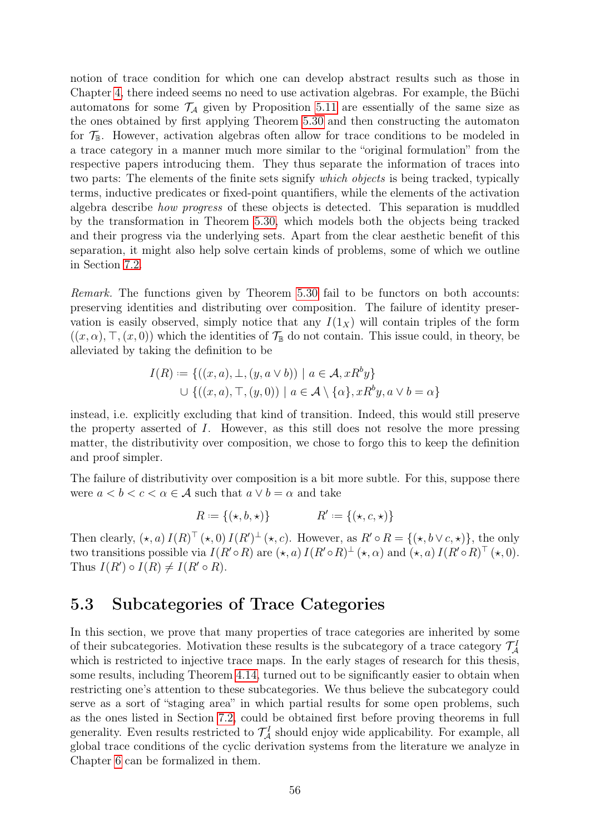notion of trace condition for which one can develop abstract results such as those in Chapter [4,](#page-41-1) there indeed seems no need to use activation algebras. For example, the Büchi automatons for some  $\mathcal{T}_A$  given by Proposition [5.11](#page-51-1) are essentially of the same size as the ones obtained by first applying Theorem [5.30](#page-58-0) and then constructing the automaton for  $\mathcal{T}_{\mathbb{B}}$ . However, activation algebras often allow for trace conditions to be modeled in a trace category in a manner much more similar to the "original formulation" from the respective papers introducing them. They thus separate the information of traces into two parts: The elements of the finite sets signify *which objects* is being tracked, typically terms, inductive predicates or fixed-point quantifiers, while the elements of the activation algebra describe how progress of these objects is detected. This separation is muddled by the transformation in Theorem [5.30,](#page-58-0) which models both the objects being tracked and their progress via the underlying sets. Apart from the clear aesthetic benefit of this separation, it might also help solve certain kinds of problems, some of which we outline in Section [7.2.](#page-75-0)

Remark. The functions given by Theorem [5.30](#page-58-0) fail to be functors on both accounts: preserving identities and distributing over composition. The failure of identity preservation is easily observed, simply notice that any  $I(1_X)$  will contain triples of the form  $((x, \alpha), \top, (x, 0))$  which the identities of  $\mathcal{T}_{\mathbb{B}}$  do not contain. This issue could, in theory, be alleviated by taking the definition to be

$$
I(R) := \{ ((x, a), \bot, (y, a \lor b)) \mid a \in \mathcal{A}, xR^b y \}
$$
  

$$
\cup \{ ((x, a), \top, (y, 0)) \mid a \in \mathcal{A} \setminus \{\alpha\}, xR^b y, a \lor b = \alpha \}
$$

instead, i.e. explicitly excluding that kind of transition. Indeed, this would still preserve the property asserted of I. However, as this still does not resolve the more pressing matter, the distributivity over composition, we chose to forgo this to keep the definition and proof simpler.

The failure of distributivity over composition is a bit more subtle. For this, suppose there were  $a < b < c < \alpha \in \mathcal{A}$  such that  $a \vee b = \alpha$  and take

$$
R := \{ (\star, b, \star) \} \qquad R' := \{ (\star, c, \star) \}
$$

Then clearly,  $(\star, a) I(R)^\top (\star, 0) I(R')^\top (\star, c)$ . However, as  $R' \circ R = \{(\star, b \vee c, \star)\}\$ , the only two transitions possible via  $I(R' \circ R)$  are  $(\star, a) I(R' \circ R)^{\perp} (\star, \alpha)$  and  $(\star, a) I(R' \circ R)^{\top} (\star, 0)$ . Thus  $I(R') \circ I(R) \neq I(R' \circ R)$ .

### <span id="page-59-0"></span>5.3 Subcategories of Trace Categories

In this section, we prove that many properties of trace categories are inherited by some of their subcategories. Motivation these results is the subcategory of a trace category  $\mathcal{T}^1_{\mathcal{A}}$ which is restricted to injective trace maps. In the early stages of research for this thesis, some results, including Theorem [4.14,](#page-46-0) turned out to be significantly easier to obtain when restricting one's attention to these subcategories. We thus believe the subcategory could serve as a sort of "staging area" in which partial results for some open problems, such as the ones listed in Section [7.2,](#page-75-0) could be obtained first before proving theorems in full generality. Even results restricted to  $\mathcal{T}_{\mathcal{A}}^{I}$  should enjoy wide applicability. For example, all global trace conditions of the cyclic derivation systems from the literature we analyze in Chapter [6](#page-62-0) can be formalized in them.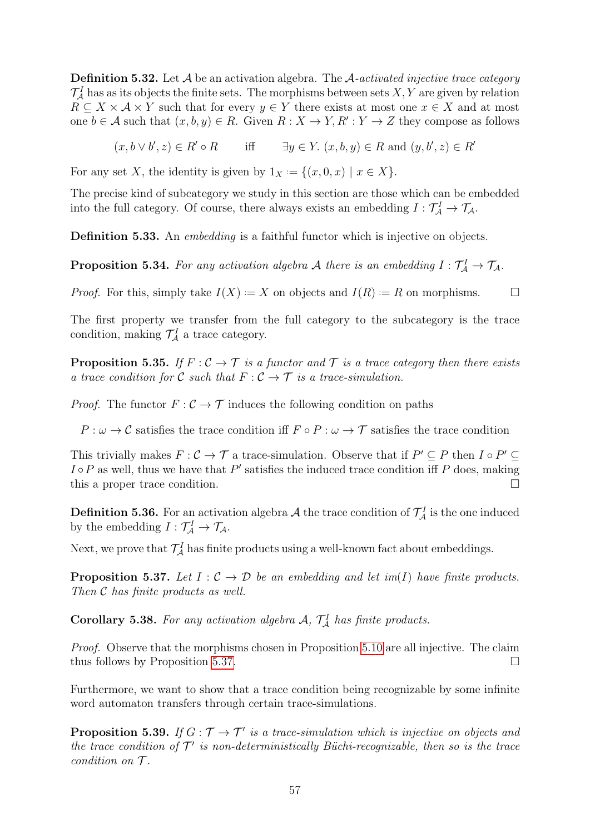**Definition 5.32.** Let  $\mathcal A$  be an activation algebra. The  $\mathcal A$ -activated injective trace category  $\mathcal{T}_{\mathcal{A}}^I$  has as its objects the finite sets. The morphisms between sets  $X, Y$  are given by relation  $R \subseteq X \times A \times Y$  such that for every  $y \in Y$  there exists at most one  $x \in X$  and at most one  $b \in \mathcal{A}$  such that  $(x, b, y) \in R$ . Given  $R : X \to Y, R' : Y \to Z$  they compose as follows

 $(x, b \vee b', z) \in R' \circ R$  iff  $\exists y \in Y$ .  $(x, b, y) \in R$  and  $(y, b', z) \in R'$ 

For any set X, the identity is given by  $1_X := \{(x, 0, x) \mid x \in X\}.$ 

The precise kind of subcategory we study in this section are those which can be embedded into the full category. Of course, there always exists an embedding  $I: \mathcal{T}_\mathcal{A}^I \to \mathcal{T}_\mathcal{A}$ .

Definition 5.33. An *embedding* is a faithful functor which is injective on objects.

**Proposition 5.34.** For any activation algebra A there is an embedding  $I: \mathcal{T}_\mathcal{A}^I \to \mathcal{T}_\mathcal{A}$ .

*Proof.* For this, simply take  $I(X) = X$  on objects and  $I(R) = R$  on morphisms.  $\Box$ 

The first property we transfer from the full category to the subcategory is the trace condition, making  $\mathcal{T}_{\mathcal{A}}^{I}$  a trace category.

**Proposition 5.35.** If  $F : C \to T$  is a functor and  $T$  is a trace category then there exists a trace condition for C such that  $F: \mathcal{C} \to \mathcal{T}$  is a trace-simulation.

*Proof.* The functor  $F: \mathcal{C} \to \mathcal{T}$  induces the following condition on paths

 $P : \omega \to \mathcal{C}$  satisfies the trace condition iff  $F \circ P : \omega \to \mathcal{T}$  satisfies the trace condition

This trivially makes  $F: \mathcal{C} \to \mathcal{T}$  a trace-simulation. Observe that if  $P' \subseteq P$  then  $I \circ P' \subseteq$  $I \circ P$  as well, thus we have that P' satisfies the induced trace condition iff P does, making this a proper trace condition.

**Definition 5.36.** For an activation algebra A the trace condition of  $\mathcal{T}_\mathcal{A}^I$  is the one induced by the embedding  $I: \mathcal{T}_{\mathcal{A}}^I \to \mathcal{T}_{\mathcal{A}}$ .

<span id="page-60-0"></span>Next, we prove that  $\mathcal{T}_\mathcal{A}^I$  has finite products using a well-known fact about embeddings.

**Proposition 5.37.** Let  $I: \mathcal{C} \to \mathcal{D}$  be an embedding and let im(I) have finite products. Then C has finite products as well.

Corollary 5.38. For any activation algebra  $A$ ,  $\mathcal{T}_A^I$  has finite products.

Proof. Observe that the morphisms chosen in Proposition [5.10](#page-51-2) are all injective. The claim thus follows by Proposition [5.37.](#page-60-0)

Furthermore, we want to show that a trace condition being recognizable by some infinite word automaton transfers through certain trace-simulations.

**Proposition 5.39.** If  $G: \mathcal{T} \to \mathcal{T}'$  is a trace-simulation which is injective on objects and the trace condition of  $\mathcal{T}'$  is non-deterministically Büchi-recognizable, then so is the trace condition on  $\mathcal T$ .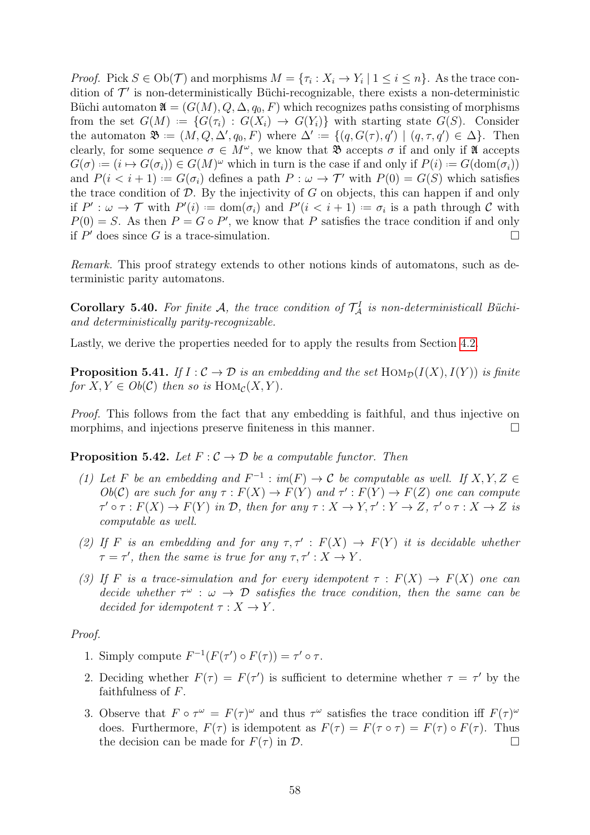*Proof.* Pick  $S \in Ob(\mathcal{T})$  and morphisms  $M = \{\tau_i : X_i \to Y_i \mid 1 \leq i \leq n\}$ . As the trace condition of  $\mathcal{T}'$  is non-deterministically Büchi-recognizable, there exists a non-deterministic Büchi automaton  $\mathfrak{A} = (G(M), Q, \Delta, q_0, F)$  which recognizes paths consisting of morphisms from the set  $G(M) := \{ G(\tau_i) : G(X_i) \to G(Y_i) \}$  with starting state  $G(S)$ . Consider the automaton  $\mathfrak{B} := (M, Q, \Delta', q_0, F)$  where  $\Delta' := \{(q, G(\tau), q') \mid (q, \tau, q') \in \Delta\}$ . Then clearly, for some sequence  $\sigma \in M^{\omega}$ , we know that  $\mathfrak{B}$  accepts  $\sigma$  if and only if  $\mathfrak{A}$  accepts  $G(\sigma) := (i \mapsto G(\sigma_i)) \in G(M)^\omega$  which in turn is the case if and only if  $P(i) := G(\text{dom}(\sigma_i))$ and  $P(i \lt i + 1) := G(\sigma_i)$  defines a path  $P : \omega \to \mathcal{T}'$  with  $P(0) = G(S)$  which satisfies the trace condition of  $D$ . By the injectivity of  $G$  on objects, this can happen if and only if  $P' : \omega \to \mathcal{T}$  with  $P'(i) := \text{dom}(\sigma_i)$  and  $P'(i < i + 1) := \sigma_i$  is a path through C with  $P(0) = S$ . As then  $P = G \circ P'$ , we know that P satisfies the trace condition if and only if  $P'$  does since G is a trace-simulation.

Remark. This proof strategy extends to other notions kinds of automatons, such as deterministic parity automatons.

**Corollary 5.40.** For finite A, the trace condition of  $\mathcal{T}_A^I$  is non-deterministicall Büchiand deterministically parity-recognizable.

Lastly, we derive the properties needed for to apply the results from Section [4.2.](#page-44-0)

**Proposition 5.41.** If  $I: \mathcal{C} \to \mathcal{D}$  is an embedding and the set  $\text{Hom}_{\mathcal{D}}(I(X), I(Y))$  is finite for  $X, Y \in Ob(\mathcal{C})$  then so is  $\text{Hom}_{\mathcal{C}}(X, Y)$ .

Proof. This follows from the fact that any embedding is faithful, and thus injective on morphims, and injections preserve finiteness in this manner.  $\Box$ 

**Proposition 5.42.** Let  $F: \mathcal{C} \to \mathcal{D}$  be a computable functor. Then

- (1) Let F be an embedding and  $F^{-1}: im(F) \to \mathcal{C}$  be computable as well. If  $X, Y, Z \in$  $Ob(\mathcal{C})$  are such for any  $\tau : F(X) \to F(Y)$  and  $\tau' : F(Y) \to F(Z)$  one can compute  $\tau' \circ \tau : F(X) \to F(Y)$  in  $\mathcal{D}$ , then for any  $\tau : X \to Y, \tau' : Y \to Z, \tau' \circ \tau : X \to Z$  is computable as well.
- (2) If F is an embedding and for any  $\tau$ ,  $\tau'$ :  $F(X) \to F(Y)$  it is decidable whether  $\tau = \tau'$ , then the same is true for any  $\tau, \tau' : X \to Y$ .
- (3) If F is a trace-simulation and for every idempotent  $\tau : F(X) \to F(X)$  one can decide whether  $\tau^{\omega}$  :  $\omega \to \mathcal{D}$  satisfies the trace condition, then the same can be decided for idempotent  $\tau : X \to Y$ .

Proof.

- 1. Simply compute  $F^{-1}(F(\tau') \circ F(\tau)) = \tau' \circ \tau$ .
- 2. Deciding whether  $F(\tau) = F(\tau')$  is sufficient to determine whether  $\tau = \tau'$  by the faithfulness of  $F$ .
- 3. Observe that  $F \circ \tau^{\omega} = F(\tau)^{\omega}$  and thus  $\tau^{\omega}$  satisfies the trace condition iff  $F(\tau)^{\omega}$ does. Furthermore,  $F(\tau)$  is idempotent as  $F(\tau) = F(\tau \circ \tau) = F(\tau) \circ F(\tau)$ . Thus the decision can be made for  $F(\tau)$  in  $\mathcal{D}$ .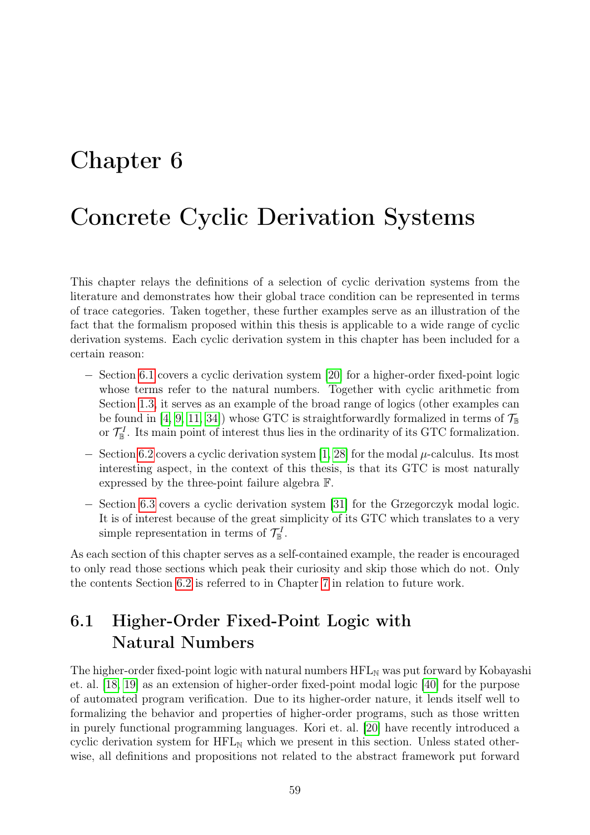## <span id="page-62-0"></span>Chapter 6

## Concrete Cyclic Derivation Systems

This chapter relays the definitions of a selection of cyclic derivation systems from the literature and demonstrates how their global trace condition can be represented in terms of trace categories. Taken together, these further examples serve as an illustration of the fact that the formalism proposed within this thesis is applicable to a wide range of cyclic derivation systems. Each cyclic derivation system in this chapter has been included for a certain reason:

- − Section [6.1](#page-62-1) covers a cyclic derivation system [\[20\]](#page-79-1) for a higher-order fixed-point logic whose terms refer to the natural numbers. Together with cyclic arithmetic from Section [1.3,](#page-7-0) it serves as an example of the broad range of logics (other examples can be found in [\[4,](#page-78-5) [9,](#page-78-0) [11,](#page-78-6) [34\]](#page-79-0)) whose GTC is straightforwardly formalized in terms of  $\mathcal{T}_{\mathbb{B}}$ or  $\mathcal{T}_{\mathbb{B}}^I$ . Its main point of interest thus lies in the ordinarity of its GTC formalization.
- $-$  Section [6.2](#page-67-0) covers a cyclic derivation system [\[1,](#page-78-7) [28\]](#page-79-4) for the modal  $\mu$ -calculus. Its most interesting aspect, in the context of this thesis, is that its GTC is most naturally expressed by the three-point failure algebra F.
- − Section [6.3](#page-70-0) covers a cyclic derivation system [\[31\]](#page-79-5) for the Grzegorczyk modal logic. It is of interest because of the great simplicity of its GTC which translates to a very simple representation in terms of  $\mathcal{T}_{\mathbb{B}}^I$ .

As each section of this chapter serves as a self-contained example, the reader is encouraged to only read those sections which peak their curiosity and skip those which do not. Only the contents Section [6.2](#page-67-0) is referred to in Chapter [7](#page-74-0) in relation to future work.

## <span id="page-62-1"></span>6.1 Higher-Order Fixed-Point Logic with Natural Numbers

The higher-order fixed-point logic with natural numbers  $HFL_N$  was put forward by Kobayashi et. al. [\[18,](#page-79-7) [19\]](#page-79-8) as an extension of higher-order fixed-point modal logic [\[40\]](#page-80-0) for the purpose of automated program verification. Due to its higher-order nature, it lends itself well to formalizing the behavior and properties of higher-order programs, such as those written in purely functional programming languages. Kori et. al. [\[20\]](#page-79-1) have recently introduced a cyclic derivation system for  $HFL_N$  which we present in this section. Unless stated otherwise, all definitions and propositions not related to the abstract framework put forward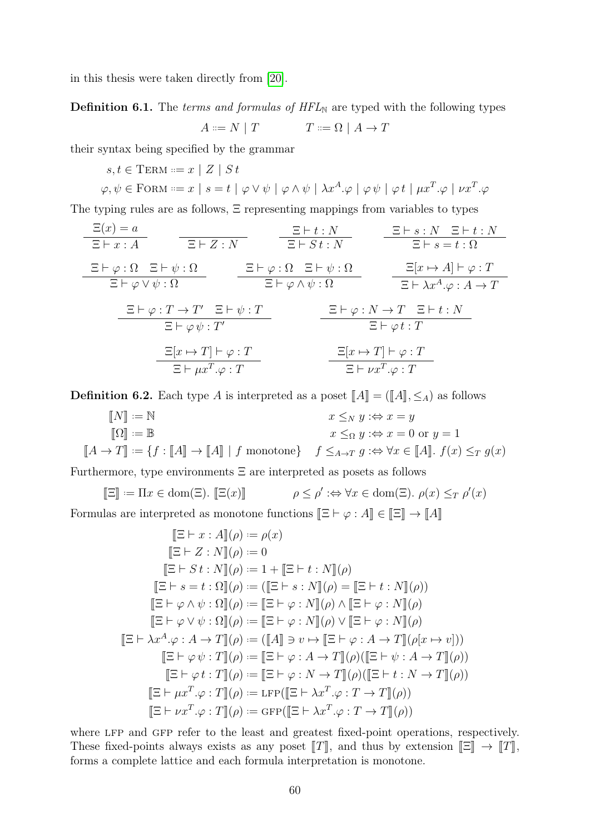in this thesis were taken directly from [\[20\]](#page-79-1).

**Definition 6.1.** The *terms and formulas of*  $HFL_N$  are typed with the following types

$$
A ::= N | T \qquad T ::= \Omega | A \to T
$$

their syntax being specified by the grammar

$$
s, t \in \text{Term} ::= x \mid Z \mid St
$$
  

$$
\varphi, \psi \in \text{FORM} ::= x \mid s = t \mid \varphi \lor \psi \mid \varphi \land \psi \mid \lambda x^{A}.\varphi \mid \varphi \psi \mid \varphi t \mid \mu x^{T}.\varphi \mid \nu x^{T}.\varphi
$$

The typing rules are as follows, Ξ representing mappings from variables to types

| $\Xi(x) = a$                            | $\Xi \vdash x : A$                       | $\Xi \vdash Z : N$                     | $\Xi \vdash s : N$                    | $\Xi \vdash s : N$ |
|-----------------------------------------|------------------------------------------|----------------------------------------|---------------------------------------|--------------------|
| $\Xi \vdash \varphi : \Omega$           | $\Xi \vdash \varphi : \Omega$            | $\Xi \vdash \varphi : \Omega$          | $\Xi \vdash \varphi : \Omega$         |                    |
| $\Xi \vdash \varphi : \Omega$           | $\Xi \vdash \varphi : \Omega$            | $\Xi \vdash \psi : \Omega$             | $\Xi[x \mapsto A] \vdash \varphi : T$ |                    |
| $\Xi \vdash \varphi : T \rightarrow T'$ | $\Xi \vdash \varphi \land \psi : \Omega$ | $\Xi \vdash \varphi : X \rightarrow T$ |                                       |                    |
| $\Xi \vdash \varphi : T \rightarrow T'$ | $\Xi \vdash \varphi : N \rightarrow T$   | $\Xi \vdash t : N$                     |                                       |                    |
| $\Xi \vdash \varphi \psi : T'$          | $\Xi \vdash \varphi : N \rightarrow T$   | $\Xi \vdash t : N$                     |                                       |                    |
| $\Xi[x \mapsto T] \vdash \varphi : T$   | $\Xi[x \mapsto T] \vdash \varphi : T$    |                                        |                                       |                    |
| $\Xi[x \mapsto T] \vdash \varphi : T$   | $\Xi[x \mapsto T] \vdash \varphi : T$    |                                        |                                       |                    |
| $\Xi \vdash \mu x^T . \varphi : T$      | $\Xi[x \mapsto T] \vdash \varphi : T$    |                                        |                                       |                    |

**Definition 6.2.** Each type A is interpreted as a poset  $\llbracket A \rrbracket = (\llbracket A \rrbracket, \leq_A)$  as follows

$$
\begin{aligned}\n\llbracket N \rrbracket &:= \mathbb{N} & x \leq_N y : \Leftrightarrow x = y \\
\llbracket \Omega \rrbracket &:= \mathbb{B} & x \leq_\Omega y : \Leftrightarrow x = 0 \text{ or } y = 1 \\
\llbracket A \to T \rrbracket &:= \{ f : \llbracket A \rrbracket \to \llbracket A \rrbracket \mid f \text{ monotone} \} & f \leq_{A \to T} g : \Leftrightarrow \forall x \in \llbracket A \rrbracket. f(x) \leq_T g(x)\n\end{aligned}
$$

Furthermore, type environments  $\Xi$  are interpreted as posets as follows

$$
\[\Xi\] := \Pi x \in \text{dom}(\Xi). \[\![\Xi(x)]\]\qquad \rho \le \rho' : \Leftrightarrow \forall x \in \text{dom}(\Xi). \ \rho(x) \le_T \rho'(x)
$$

Formulas are interpreted as monotone functions  $[\![\Xi \vdash \varphi : A]\!] \in [\![\Xi]\!] \to [\![A]\!]$ 

$$
[\mathbb{E} \vdash x : A](\rho) := \rho(x)
$$
  
\n
$$
[\mathbb{E} \vdash Z : N](\rho) := 0
$$
  
\n
$$
[\mathbb{E} \vdash S t : N](\rho) := 1 + [\mathbb{E} \vdash t : N](\rho)
$$
  
\n
$$
[\mathbb{E} \vdash s = t : \Omega](\rho) := ([\mathbb{E} \vdash s : N](\rho) = [\mathbb{E} \vdash t : N](\rho))
$$
  
\n
$$
[\mathbb{E} \vdash \varphi \land \psi : \Omega](\rho) := [\mathbb{E} \vdash \varphi : N](\rho) \land [\mathbb{E} \vdash \varphi : N](\rho)
$$
  
\n
$$
[\mathbb{E} \vdash \varphi \lor \psi : \Omega](\rho) := [\mathbb{E} \vdash \varphi : N](\rho) \lor [\mathbb{E} \vdash \varphi : N](\rho)
$$
  
\n
$$
[\mathbb{E} \vdash \lambda x^A \cdot \varphi : A \to T](\rho) := ([A] \ni \nu \mapsto [\mathbb{E} \vdash \varphi : A \to T](\rho(x \mapsto \nu)))
$$
  
\n
$$
[\mathbb{E} \vdash \varphi \psi : T](\rho) := [\mathbb{E} \vdash \varphi : A \to T](\rho)(([\mathbb{E} \vdash \psi : A \to T](\rho))
$$
  
\n
$$
[[\mathbb{E} \vdash \varphi t : T](\rho) := [\mathbb{E} \vdash \varphi : N \to T](\rho)(([\mathbb{E} \vdash t : N \to T](\rho))
$$
  
\n
$$
[[\mathbb{E} \vdash \mu x^T \cdot \varphi : T](\rho) := \text{LFP}([\mathbb{E} \vdash \lambda x^T \cdot \varphi : T \to T](\rho))
$$
  
\n
$$
[[\mathbb{E} \vdash \nu x^T \cdot \varphi : T](\rho) := \text{GFP}([\mathbb{E} \vdash \lambda x^T \cdot \varphi : T \to T](\rho))
$$

where LFP and GFP refer to the least and greatest fixed-point operations, respectively. These fixed-points always exists as any poset  $T$ , and thus by extension  $\mathbb{E} \rightarrow T$ , forms a complete lattice and each formula interpretation is monotone.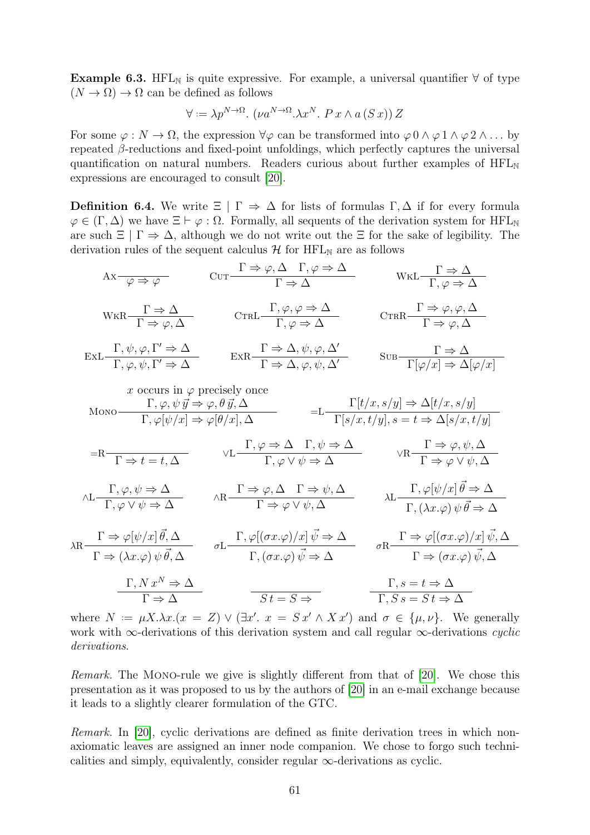Example 6.3. HFL<sub>N</sub> is quite expressive. For example, a universal quantifier  $\forall$  of type  $(N \to \Omega) \to \Omega$  can be defined as follows

$$
\forall := \lambda p^{N \to \Omega}. (\nu a^{N \to \Omega}. \lambda x^N. P x \wedge a(Sx)) Z
$$

For some  $\varphi : N \to \Omega$ , the expression  $\forall \varphi$  can be transformed into  $\varphi \circ \Lambda \varphi \circ 1 \wedge \varphi \circ 2 \wedge \ldots$  by repeated β-reductions and fixed-point unfoldings, which perfectly captures the universal quantification on natural numbers. Readers curious about further examples of  $HFL_{\mathbb{N}}$ expressions are encouraged to consult [\[20\]](#page-79-1).

<span id="page-64-0"></span>**Definition 6.4.** We write  $\Xi | \Gamma \Rightarrow \Delta$  for lists of formulas  $\Gamma, \Delta$  if for every formula  $\varphi \in (\Gamma, \Delta)$  we have  $\Xi \vdash \varphi : \Omega$ . Formally, all sequents of the derivation system for HFL<sub>N</sub> are such  $\Xi | \Gamma \Rightarrow \Delta$ , although we do not write out the  $\Xi$  for the sake of legibility. The derivation rules of the sequent calculus  $H$  for  $HFL_N$  are as follows

$$
Ax \rightarrow \varphi \qquad \text{CUT} \qquad \Gamma \Rightarrow \varphi, \Delta \qquad \Gamma, \varphi \Rightarrow \Delta \qquad \text{WKL} \qquad \Gamma \Rightarrow \Delta
$$
\n
$$
W \times R - \Gamma \Rightarrow \Delta \qquad \text{CrRL} \qquad \Gamma, \varphi, \varphi \Rightarrow \Delta \qquad \text{CrRR} \qquad \Gamma \Rightarrow \varphi, \Delta
$$
\n
$$
E \times L \qquad \frac{\Gamma, \psi, \varphi, \Gamma' \Rightarrow \Delta}{\Gamma, \varphi, \psi, \Gamma' \Rightarrow \Delta} \qquad \text{ExR} \qquad \frac{\Gamma \Rightarrow \Delta, \psi, \varphi, \Delta'}{\Gamma \Rightarrow \Delta, \varphi, \psi, \Delta'} \qquad \text{SUB} \qquad \frac{\Gamma \Rightarrow \Delta}{\Gamma[\varphi/x] \Rightarrow \Delta[\varphi/x]}
$$
\n
$$
x \text{ occurs in } \varphi \text{ precisely once}
$$
\n
$$
M \text{on} \text{no} \qquad \frac{\Gamma, \varphi, \psi \overrightarrow{y} \Rightarrow \varphi, \theta \overrightarrow{y}, \Delta}{\Gamma, \varphi[\psi/x] \Rightarrow \varphi[\theta/x], \Delta} \qquad \text{SUE} \qquad \frac{\Gamma[t/x, s/y] \Rightarrow \Delta[t/x, s/y]}{\Gamma[\varphi/x] \Rightarrow \Delta[\varphi/x]}
$$
\n
$$
=L - \frac{\Gamma[t/x, s/y] \Rightarrow \Delta[t/x, s/y]}{\Gamma[s/x, t/y], s = t \Rightarrow \Delta[s/x, t/y]}
$$
\n
$$
=R - \frac{\Gamma}{\Gamma \Rightarrow t = t, \Delta} \qquad \forall L \qquad \frac{\Gamma, \varphi \Rightarrow \Delta}{\Gamma, \varphi \vee \psi \Rightarrow \Delta} \qquad \forall R \qquad \frac{\Gamma \Rightarrow \varphi, \psi, \Delta}{\Gamma \Rightarrow \varphi \vee \psi, \Delta}
$$
\n
$$
\text{ALE} \qquad \frac{\Gamma, \varphi, \psi \Rightarrow \Delta}{\Gamma, \varphi \vee \psi \Rightarrow \Delta} \qquad \text{ARE} \qquad \frac{\Gamma \Rightarrow \varphi, \Delta}{\Gamma \Rightarrow \varphi \vee \psi, \Delta} \qquad \text{ALE} \qquad \frac{\Gamma, \varphi[\psi/x] \overrightarrow{\theta} \Rightarrow \Delta}{\Gamma, (\lambda x. \varphi) \psi \overrightarrow{\theta} \Rightarrow \Delta}
$$

$$
\lambda R \frac{\Gamma \Rightarrow \varphi[\psi/x] \vec{\theta}, \Delta}{\Gamma \Rightarrow (\lambda x. \varphi) \psi \vec{\theta}, \Delta} \qquad \sigma L \frac{\Gamma, \varphi[(\sigma x. \varphi)/x] \vec{\psi} \Rightarrow \Delta}{\Gamma, (\sigma x. \varphi) \vec{\psi} \Rightarrow \Delta} \qquad \sigma R \frac{\Gamma \Rightarrow \varphi[(\sigma x. \varphi)/x] \vec{\psi}, \Delta}{\Gamma \Rightarrow (\sigma x. \varphi) \vec{\psi}, \Delta}
$$
\n
$$
\frac{\Gamma, N x^N \Rightarrow \Delta}{\Gamma \Rightarrow \Delta} \qquad \frac{\Gamma, s = t \Rightarrow \Delta}{\Gamma, S s = S t \Rightarrow \Delta}
$$

where  $N := \mu X . \lambda x . (x = Z) \vee (\exists x'. x = S x' \wedge X x')$  and  $\sigma \in {\mu, \nu}$ . We generally work with ∞-derivations of this derivation system and call regular  $\infty$ -derivations *cyclic* derivations.

Remark. The Mono-rule we give is slightly different from that of [\[20\]](#page-79-1). We chose this presentation as it was proposed to us by the authors of [\[20\]](#page-79-1) in an e-mail exchange because it leads to a slightly clearer formulation of the GTC.

Remark. In [\[20\]](#page-79-1), cyclic derivations are defined as finite derivation trees in which nonaxiomatic leaves are assigned an inner node companion. We chose to forgo such technicalities and simply, equivalently, consider regular  $\infty$ -derivations as cyclic.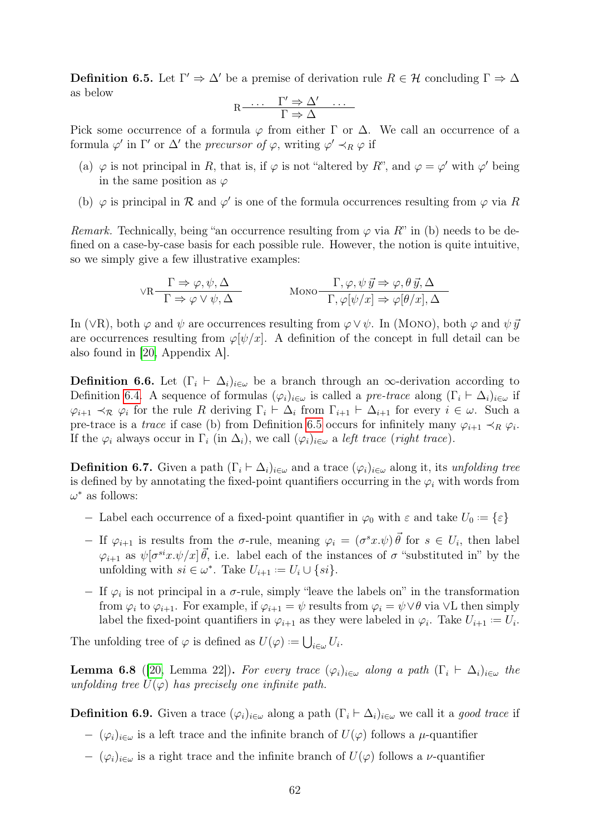<span id="page-65-0"></span>**Definition 6.5.** Let  $\Gamma' \Rightarrow \Delta'$  be a premise of derivation rule  $R \in \mathcal{H}$  concluding  $\Gamma \Rightarrow \Delta$ as below

$$
R \xrightarrow{\cdots} \qquad \Gamma' \Rightarrow \Delta' \quad \cdots
$$

$$
\Gamma \Rightarrow \Delta
$$

Pick some occurrence of a formula  $\varphi$  from either Γ or Δ. We call an occurrence of a formula  $\varphi'$  in  $\Gamma'$  or  $\Delta'$  the *precursor of*  $\varphi$ , writing  $\varphi' \prec_R \varphi$  if

- (a)  $\varphi$  is not principal in R, that is, if  $\varphi$  is not "altered by R", and  $\varphi = \varphi'$  with  $\varphi'$  being in the same position as  $\varphi$
- (b)  $\varphi$  is principal in  $\mathcal R$  and  $\varphi'$  is one of the formula occurrences resulting from  $\varphi$  via R

*Remark.* Technically, being "an occurrence resulting from  $\varphi$  via R" in (b) needs to be defined on a case-by-case basis for each possible rule. However, the notion is quite intuitive, so we simply give a few illustrative examples:

$$
\forall R \frac{\Gamma \Rightarrow \varphi, \psi, \Delta}{\Gamma \Rightarrow \varphi \lor \psi, \Delta} \qquad \text{MONo} \frac{\Gamma, \varphi, \psi \, \vec{y} \Rightarrow \varphi, \theta \, \vec{y}, \Delta}{\Gamma, \varphi[\psi/x] \Rightarrow \varphi[\theta/x], \Delta}
$$

In (∨R), both  $\varphi$  and  $\psi$  are occurrences resulting from  $\varphi \vee \psi$ . In (MONO), both  $\varphi$  and  $\psi \vec{y}$ are occurrences resulting from  $\varphi[\psi/x]$ . A definition of the concept in full detail can be also found in [\[20,](#page-79-1) Appendix A].

**Definition 6.6.** Let  $(\Gamma_i \vdash \Delta_i)_{i\in\omega}$  be a branch through an  $\infty$ -derivation according to Definition [6.4.](#page-64-0) A sequence of formulas  $(\varphi_i)_{i\in\omega}$  is called a pre-trace along  $(\Gamma_i \vdash \Delta_i)_{i\in\omega}$  if  $\varphi_{i+1} \prec_{\mathcal{R}} \varphi_i$  for the rule R deriving  $\Gamma_i \vdash \Delta_i$  from  $\Gamma_{i+1} \vdash \Delta_{i+1}$  for every  $i \in \omega$ . Such a pre-trace is a *trace* if case (b) from Definition [6.5](#page-65-0) occurs for infinitely many  $\varphi_{i+1} \prec_R \varphi_i$ . If the  $\varphi_i$  always occur in  $\Gamma_i$  (in  $\Delta_i$ ), we call  $(\varphi_i)_{i\in\omega}$  a left trace (right trace).

**Definition 6.7.** Given a path  $(\Gamma_i \vdash \Delta_i)_{i \in \omega}$  and a trace  $(\varphi_i)_{i \in \omega}$  along it, its unfolding tree is defined by by annotating the fixed-point quantifiers occurring in the  $\varphi_i$  with words from  $\omega^*$  as follows:

- − Label each occurrence of a fixed-point quantifier in  $\varphi_0$  with  $\varepsilon$  and take  $U_0 := \{\varepsilon\}$
- $-$  If  $\varphi_{i+1}$  is results from the σ-rule, meaning  $\varphi_i = (\sigma^s x.\psi) \vec{\theta}$  for  $s \in U_i$ , then label  $\varphi_{i+1}$  as  $\psi[\sigma^{si}x.\psi/x]\vec{\theta}$ , i.e. label each of the instances of  $\sigma$  "substituted in" by the unfolding with  $si \in \omega^*$ . Take  $U_{i+1} := U_i \cup \{si\}$ .
- $-$  If  $\varphi_i$  is not principal in a σ-rule, simply "leave the labels on" in the transformation from  $\varphi_i$  to  $\varphi_{i+1}$ . For example, if  $\varphi_{i+1} = \psi$  results from  $\varphi_i = \psi \vee \theta$  via  $\vee L$  then simply label the fixed-point quantifiers in  $\varphi_{i+1}$  as they were labeled in  $\varphi_i$ . Take  $U_{i+1} := U_i$ .

The unfolding tree of  $\varphi$  is defined as  $U(\varphi) := \bigcup_{i \in \omega} U_i$ .

**Lemma 6.8** ([\[20,](#page-79-1) Lemma 22]). For every trace  $(\varphi_i)_{i \in \omega}$  along a path  $(\Gamma_i \vdash \Delta_i)_{i \in \omega}$  the unfolding tree  $U(\varphi)$  has precisely one infinite path.

<span id="page-65-1"></span>**Definition 6.9.** Given a trace  $(\varphi_i)_{i \in \omega}$  along a path  $(\Gamma_i \vdash \Delta_i)_{i \in \omega}$  we call it a good trace if

- $-(\varphi_i)_{i\in\omega}$  is a left trace and the infinite branch of  $U(\varphi)$  follows a  $\mu$ -quantifier
- $-(\varphi_i)_{i\in\omega}$  is a right trace and the infinite branch of  $U(\varphi)$  follows a v-quantifier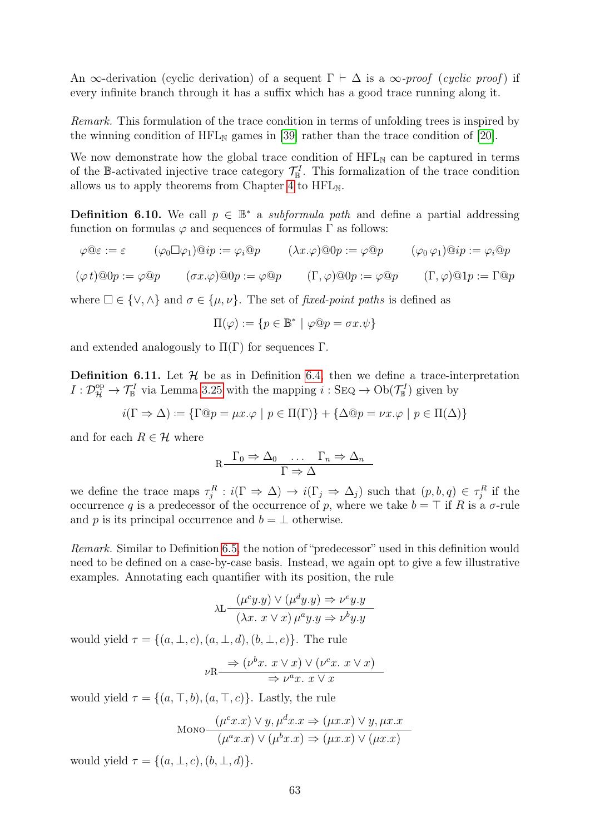An  $\infty$ -derivation (cyclic derivation) of a sequent  $\Gamma \vdash \Delta$  is a  $\infty$ -proof (cyclic proof) if every infinite branch through it has a suffix which has a good trace running along it.

Remark. This formulation of the trace condition in terms of unfolding trees is inspired by the winning condition of  $HFL_{N}$  games in [\[39\]](#page-80-1) rather than the trace condition of [\[20\]](#page-79-1).

We now demonstrate how the global trace condition of  $HFL_{N}$  can be captured in terms of the B-activated injective trace category  $\mathcal{T}_{\mathbb{B}}^I$ . This formalization of the trace condition allows us to apply theorems from Chapter [4](#page-41-1) to  $HFL_N$ .

**Definition 6.10.** We call  $p \in \mathbb{B}^*$  a *subformula path* and define a partial addressing function on formulas  $\varphi$  and sequences of formulas  $\Gamma$  as follows:

$$
\varphi \mathbb{Q} \varepsilon := \varepsilon \qquad (\varphi_0 \Box \varphi_1) \mathbb{Q} i p := \varphi_i \mathbb{Q} p \qquad (\lambda x. \varphi) \mathbb{Q} 0 p := \varphi \mathbb{Q} p \qquad (\varphi_0 \varphi_1) \mathbb{Q} i p := \varphi_i \mathbb{Q} p
$$
  

$$
(\varphi \ t) \mathbb{Q} 0 p := \varphi \mathbb{Q} p \qquad (\sigma x. \varphi) \mathbb{Q} 0 p := \varphi \mathbb{Q} p \qquad (\Gamma, \varphi) \mathbb{Q} 0 p := \varphi \mathbb{Q} p \qquad (\Gamma, \varphi) \mathbb{Q} 1 p := \Gamma \mathbb{Q} p
$$

where  $\square \in \{ \vee, \wedge \}$  and  $\sigma \in \{\mu, \nu\}$ . The set of fixed-point paths is defined as

$$
\Pi(\varphi) := \{ p \in \mathbb{B}^* \mid \varphi @ p = \sigma x. \psi \}
$$

<span id="page-66-0"></span>and extended analogously to  $\Pi(\Gamma)$  for sequences  $\Gamma$ .

**Definition 6.11.** Let  $\mathcal{H}$  be as in Definition [6.4,](#page-64-0) then we define a trace-interpretation  $I: \mathcal{D}_{\mathcal{H}}^{\mathrm{op}} \to \mathcal{T}_{\mathbb{B}}^I$  via Lemma [3.25](#page-34-0) with the mapping  $i: \mathrm{Seq} \to \mathrm{Ob}(\mathcal{T}_{\mathbb{B}}^I)$  given by

 $i(\Gamma \Rightarrow \Delta) := {\Gamma \circledcirc p = \mu x. \varphi \mid p \in \Pi(\Gamma)} + {\Delta \circledcirc p = \nu x. \varphi \mid p \in \Pi(\Delta)}$ 

and for each  $R \in \mathcal{H}$  where

$$
R \xrightarrow{\Gamma_0 \Rightarrow \Delta_0 \dots \Gamma_n \Rightarrow \Delta_n}
$$

$$
\Gamma \Rightarrow \Delta
$$

we define the trace maps  $\tau_j^R : i(\Gamma \Rightarrow \Delta) \to i(\Gamma_j \Rightarrow \Delta_j)$  such that  $(p, b, q) \in \tau_j^R$  if the occurrence q is a predecessor of the occurrence of p, where we take  $b = \top$  if R is a  $\sigma$ -rule and p is its principal occurrence and  $b = \perp$  otherwise.

Remark. Similar to Definition [6.5,](#page-65-0) the notion of "predecessor" used in this definition would need to be defined on a case-by-case basis. Instead, we again opt to give a few illustrative examples. Annotating each quantifier with its position, the rule

$$
\lambda \mathcal{L} \frac{(\mu^c y.y) \lor (\mu^d y.y) \Rightarrow \nu^e y.y}{(\lambda x. \ x \lor x) \mu^a y.y \Rightarrow \nu^b y.y}
$$

would yield  $\tau = \{(a, \perp, c), (a, \perp, d), (b, \perp, e)\}.$  The rule

$$
\nu \mathcal{R} \longrightarrow (\nu^b x. \ x \lor x) \lor (\nu^c x. \ x \lor x)
$$
  

$$
\Rightarrow \nu^a x. \ x \lor x
$$

would yield  $\tau = \{(a, \top, b), (a, \top, c)\}\.$  Lastly, the rule

$$
\text{MONo}\frac{(\mu^c x.x) \lor y, \mu^d x.x \Rightarrow (\mu x.x) \lor y, \mu x.x}{(\mu^a x.x) \lor (\mu^b x.x) \Rightarrow (\mu x.x) \lor (\mu x.x)}
$$

would yield  $\tau = \{(a, \perp, c), (b, \perp, d)\}.$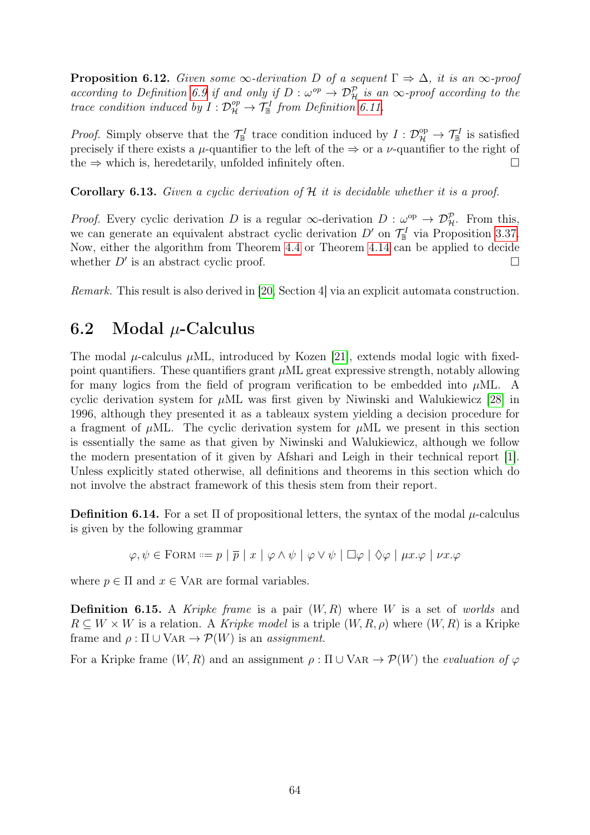**Proposition 6.12.** Given some  $\infty$ -derivation D of a sequent  $\Gamma \Rightarrow \Delta$ , it is an  $\infty$ -proof according to Definition [6.9](#page-65-1) if and only if  $D: \omega^{op} \to \mathcal{D}_{\mathcal{H}}^{\mathcal{P}}$  is an  $\infty$ -proof according to the trace condition induced by  $I: \mathcal{D}_{\mathcal{H}}^{op} \to \mathcal{T}_{\mathbb{B}}^{I}$  from Definition [6.11.](#page-66-0)

*Proof.* Simply observe that the  $\mathcal{T}_{\mathbb{B}}^I$  trace condition induced by  $I: \mathcal{D}_{\mathcal{H}}^{\text{op}} \to \mathcal{T}_{\mathbb{B}}^I$  is satisfied precisely if there exists a  $\mu$ -quantifier to the left of the  $\Rightarrow$  or a  $\nu$ -quantifier to the right of the  $\Rightarrow$  which is, heredetarily, unfolded infinitely often.

Corollary 6.13. Given a cyclic derivation of H it is decidable whether it is a proof.

*Proof.* Every cyclic derivation D is a regular  $\infty$ -derivation D :  $\omega^{\rm op} \to \mathcal{D}_{\mathcal{H}}^{\mathcal{P}}$ . From this, we can generate an equivalent abstract cyclic derivation  $D'$  on  $\mathcal{T}_{\mathbb{B}}^I$  via Proposition [3.37.](#page-39-0) Now, either the algorithm from Theorem [4.4](#page-42-0) or Theorem [4.14](#page-46-0) can be applied to decide whether  $D'$  is an abstract cyclic proof.

Remark. This result is also derived in [\[20,](#page-79-1) Section 4] via an explicit automata construction.

## <span id="page-67-0"></span>6.2 Modal  $\mu$ -Calculus

The modal  $\mu$ -calculus  $\mu$ ML, introduced by Kozen [\[21\]](#page-79-9), extends modal logic with fixedpoint quantifiers. These quantifiers grant  $\mu$ ML great expressive strength, notably allowing for many logics from the field of program verification to be embedded into  $\mu$ ML. A cyclic derivation system for  $\mu$ ML was first given by Niwinski and Walukiewicz [\[28\]](#page-79-4) in 1996, although they presented it as a tableaux system yielding a decision procedure for a fragment of  $\mu$ ML. The cyclic derivation system for  $\mu$ ML we present in this section is essentially the same as that given by Niwinski and Walukiewicz, although we follow the modern presentation of it given by Afshari and Leigh in their technical report [\[1\]](#page-78-7). Unless explicitly stated otherwise, all definitions and theorems in this section which do not involve the abstract framework of this thesis stem from their report.

**Definition 6.14.** For a set  $\Pi$  of propositional letters, the syntax of the modal  $\mu$ -calculus is given by the following grammar

$$
\varphi, \psi \in \text{FORM} ::= p \mid \overline{p} \mid x \mid \varphi \land \psi \mid \varphi \lor \psi \mid \Box \varphi \mid \Diamond \varphi \mid \mu x. \varphi \mid \nu x. \varphi
$$

where  $p \in \Pi$  and  $x \in \text{VAR}$  are formal variables.

**Definition 6.15.** A *Kripke frame* is a pair  $(W, R)$  where W is a set of *worlds* and  $R \subseteq W \times W$  is a relation. A Kripke model is a triple  $(W, R, \rho)$  where  $(W, R)$  is a Kripke frame and  $\rho : \Pi \cup \text{VAR} \rightarrow \mathcal{P}(W)$  is an *assignment*.

For a Kripke frame  $(W, R)$  and an assignment  $\rho : \Pi \cup \text{VAR} \rightarrow \mathcal{P}(W)$  the *evaluation of*  $\varphi$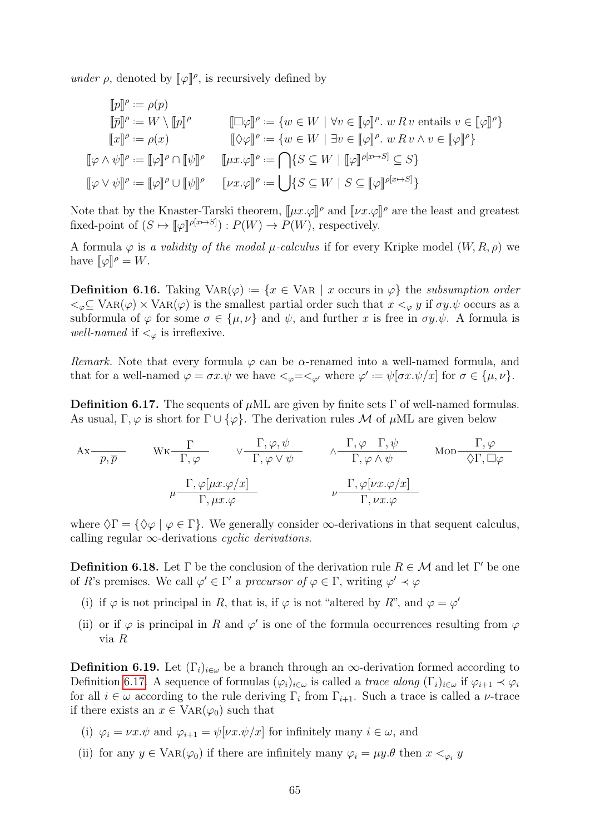under  $\rho$ , denoted by  $[\![\varphi]\!]^\rho$ , is recursively defined by

$$
\begin{aligned}\n\llbracket p \rrbracket^{\rho} &:= \rho(p) \\
\llbracket \overline{p} \rrbracket^{\rho} &:= W \setminus \llbracket p \rrbracket^{\rho} \\
\llbracket x \rrbracket^{\rho} &:= \rho(x) \\
\llbracket \varphi \wedge \psi \rrbracket^{\rho} &:= \llbracket \varphi \rrbracket^{\rho} \\
\llbracket \varphi \wedge \psi \rrbracket^{\rho} &:= \llbracket \varphi \rrbracket^{\rho} \\
\llbracket \psi \wedge \psi \rrbracket^{\rho} &:= \llbracket \varphi \rrbracket^{\rho} \\
\llbracket \psi \wedge \psi \rrbracket^{\rho} &:= \llbracket \varphi \rrbracket^{\rho} \\
\llbracket \psi \wedge \psi \rrbracket^{\rho} &:= \llbracket \varphi \rrbracket^{\rho} \\
\llbracket \psi \wedge \psi \rrbracket^{\rho} &:= \llbracket \varphi \rrbracket^{\rho} \\
\llbracket \psi \wedge \psi \rrbracket^{\rho} &:= \llbracket \varphi \rrbracket^{\rho} \\
\llbracket \psi \wedge \psi \rrbracket^{\rho} &:= \llbracket \varphi \rrbracket^{\rho} \\
\llbracket \psi \wedge \psi \rrbracket^{\rho} &:= \llbracket \varphi \rrbracket^{\rho} \\
\llbracket \psi \wedge \psi \rrbracket^{\rho} && \llbracket \psi \wedge \psi \rrbracket^{\rho} \\
\llbracket \psi \wedge \psi \rrbracket^{\rho} && \llbracket \psi \vee \psi \rrbracket^{\rho} && \llbracket \psi \rrbracket^{\rho} \\
\llbracket \psi \wedge \psi \rrbracket^{\rho} && \llbracket \psi \rrbracket^{\rho} \\
\llbracket \psi \wedge \psi \rrbracket^{\rho} && \llbracket \psi \rrbracket^{\rho} \\
\llbracket \psi \wedge \psi \rrbracket^{\rho} && \llbracket \psi \rrbracket^{\rho} \\
\llbracket \psi \wedge \psi \rrbracket^{\rho} && \llbracket \psi \rrbracket^{\rho} \\
\llbracket \psi \wedge \psi \rrbracket^{\rho} && \llbracket \psi \rrbracket^{\rho} \\
\llbracket \psi \
$$

Note that by the Knaster-Tarski theorem,  $[\![\mu x.\varphi]\!]^\rho$  and  $[\![\nu x.\varphi]\!]^\rho$  are the least and greatest<br>fixed point of  $(S \cup \{[\![\sigma]\!]^\rho[\bm{x} \mapsto S]) \cdot P(W) \rightarrow P(W)$  respectively. fixed-point of  $(S \mapsto [\![\varphi]\!]^{\rho[x \mapsto S]}) : P(W) \to P(W)$ , respectively.

A formula  $\varphi$  is a validity of the modal  $\mu$ -calculus if for every Kripke model  $(W, R, \rho)$  we have  $[\![\varphi]\!]^\rho = W$ .

**Definition 6.16.** Taking  $VAR(\varphi) := \{x \in VAR \mid x \text{ occurs in } \varphi\}$  the subsumption order  $\langle \xi \rangle \subseteq \text{VAR}(\varphi) \times \text{VAR}(\varphi)$  is the smallest partial order such that  $x \leq_{\varphi} y$  if  $\sigma y.\psi$  occurs as a subformula of  $\varphi$  for some  $\sigma \in {\{\mu, \nu\}}$  and  $\psi$ , and further x is free in  $\sigma y.\psi$ . A formula is well-named if  $\lt_{\varphi}$  is irreflexive.

Remark. Note that every formula  $\varphi$  can be  $\alpha$ -renamed into a well-named formula, and that for a well-named  $\varphi = \sigma x.\psi$  we have  $\langle \varphi = \langle \varphi \rangle$  where  $\varphi' := \psi[\sigma x.\psi/x]$  for  $\sigma \in {\{\mu, \nu\}}$ .

<span id="page-68-0"></span>**Definition 6.17.** The sequents of  $\mu$ ML are given by finite sets  $\Gamma$  of well-named formulas. As usual, Γ,  $\varphi$  is short for  $\Gamma \cup {\varphi}$ . The derivation rules M of  $\mu$ ML are given below

Ax p, p Wk Γ Γ, ϕ ∨ Γ, ϕ, ψ Γ, ϕ ∨ ψ ∧ Γ, ϕ Γ, ψ Γ, ϕ ∧ ψ Mod Γ, ϕ ♦Γ, ϕ µ Γ, ϕ[µx.ϕ/x] Γ, µx.ϕ ν Γ, ϕ[νx.ϕ/x] Γ, νx.ϕ

where  $\Diamond \Gamma = \{ \Diamond \varphi \mid \varphi \in \Gamma \}.$  We generally consider  $\infty$ -derivations in that sequent calculus, calling regular  $\infty$ -derivations *cyclic derivations*.

**Definition 6.18.** Let  $\Gamma$  be the conclusion of the derivation rule  $R \in \mathcal{M}$  and let  $\Gamma'$  be one of R's premises. We call  $\varphi' \in \Gamma'$  a precursor of  $\varphi \in \Gamma$ , writing  $\varphi' \prec \varphi$ 

- (i) if  $\varphi$  is not principal in R, that is, if  $\varphi$  is not "altered by R", and  $\varphi = \varphi'$
- (ii) or if  $\varphi$  is principal in R and  $\varphi'$  is one of the formula occurrences resulting from  $\varphi$ via R

<span id="page-68-1"></span>**Definition 6.19.** Let  $(\Gamma_i)_{i\in\omega}$  be a branch through an  $\infty$ -derivation formed according to Definition [6.17.](#page-68-0) A sequence of formulas  $(\varphi_i)_{i\in\omega}$  is called a trace along  $(\Gamma_i)_{i\in\omega}$  if  $\varphi_{i+1} \prec \varphi_i$ for all  $i \in \omega$  according to the rule deriving  $\Gamma_i$  from  $\Gamma_{i+1}$ . Such a trace is called a *ν*-trace if there exists an  $x \in \text{VAR}(\varphi_0)$  such that

- (i)  $\varphi_i = \nu x.\psi$  and  $\varphi_{i+1} = \psi[\nu x.\psi/x]$  for infinitely many  $i \in \omega$ , and
- (ii) for any  $y \in \text{VAR}(\varphi_0)$  if there are infinitely many  $\varphi_i = \mu y.\theta$  then  $x <_{\varphi_i} y$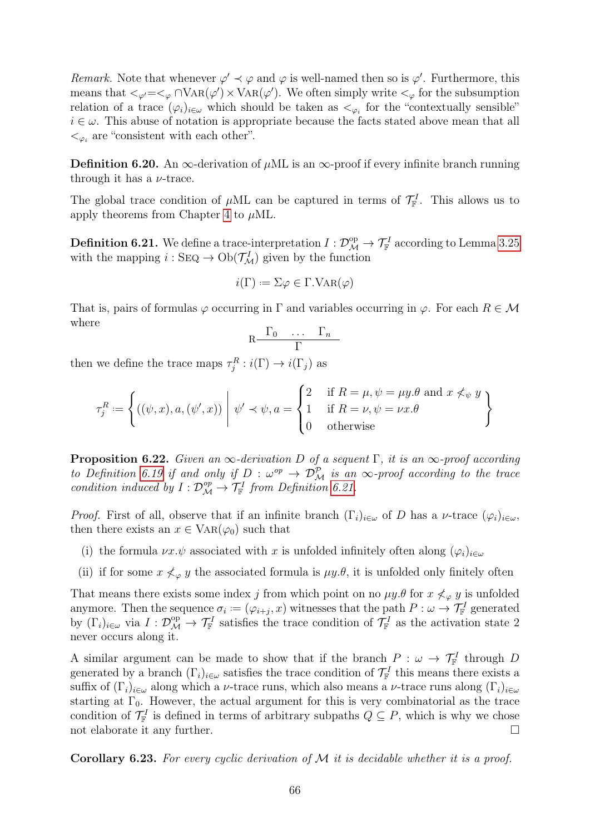Remark. Note that whenever  $\varphi' \prec \varphi$  and  $\varphi$  is well-named then so is  $\varphi'$ . Furthermore, this means that  $\langle \varphi' = \langle \varphi \cap \text{VAR}(\varphi') \times \text{VAR}(\varphi') \rangle$ . We often simply write  $\langle \varphi \rangle$  for the subsumption relation of a trace  $(\varphi_i)_{i\in\omega}$  which should be taken as  $\langle \varphi_i \rangle$  for the "contextually sensible"  $i \in \omega$ . This abuse of notation is appropriate because the facts stated above mean that all  $\lt_{\varphi_i}$  are "consistent with each other".

**Definition 6.20.** An  $\infty$ -derivation of  $\mu$ ML is an  $\infty$ -proof if every infinite branch running through it has a  $\nu$ -trace.

The global trace condition of  $\mu$ ML can be captured in terms of  $\mathcal{T}_{\mathbb{F}}^I$ . This allows us to apply theorems from Chapter [4](#page-41-1) to  $\mu$ ML.

<span id="page-69-0"></span>**Definition 6.21.** We define a trace-interpretation  $I: \mathcal{D}_{\mathcal{M}}^{\rm op} \to \mathcal{T}_{\mathbb{F}}^I$  according to Lemma [3.25](#page-34-0) with the mapping  $i : \text{SEQ} \to \text{Ob}(\mathcal{T}_{\mathcal{M}}^I)$  given by the function

$$
i(\Gamma) := \Sigma \varphi \in \Gamma.\text{VAR}(\varphi)
$$

That is, pairs of formulas  $\varphi$  occurring in  $\Gamma$  and variables occurring in  $\varphi$ . For each  $R \in \mathcal{M}$ where

$$
R \frac{\Gamma_0 \cdots \Gamma_n}{\Gamma}
$$

then we define the trace maps  $\tau_j^R : i(\Gamma) \to i(\Gamma_j)$  as

$$
\tau_j^R := \left\{ ((\psi, x), a, (\psi', x)) \middle| \psi' \prec \psi, a = \begin{cases} 2 & \text{if } R = \mu, \psi = \mu y . \theta \text{ and } x \not\prec_{\psi} y \\ 1 & \text{if } R = \nu, \psi = \nu x . \theta \\ 0 & \text{otherwise} \end{cases} \right\}
$$

**Proposition 6.22.** Given an  $\infty$ -derivation D of a sequent Γ, it is an  $\infty$ -proof according to Definition [6.19](#page-68-1) if and only if  $D: \omega^{op} \to \mathcal{D}_{\mathcal{M}}^{\mathcal{P}}$  is an  $\infty$ -proof according to the trace condition induced by  $I: \mathcal{D}_{\mathcal{M}}^{op} \to \mathcal{T}_{\mathbb{F}}^I$  from Definition [6.21.](#page-69-0)

*Proof.* First of all, observe that if an infinite branch  $(\Gamma_i)_{i\in\omega}$  of D has a v-trace  $(\varphi_i)_{i\in\omega}$ , then there exists an  $x \in \text{VAR}(\varphi_0)$  such that

- (i) the formula  $\nu x.\psi$  associated with x is unfolded infinitely often along  $(\varphi_i)_{i\in\omega}$
- (ii) if for some  $x \nless_{\varphi} y$  the associated formula is  $\mu y.\theta$ , it is unfolded only finitely often

That means there exists some index j from which point on no  $\mu y.\theta$  for  $x \nless_{\varphi} y$  is unfolded anymore. Then the sequence  $\sigma_i = (\varphi_{i+j}, x)$  witnesses that the path  $P : \omega \to \mathcal{T}_{\mathbb{F}}^I$  generated by  $(\Gamma_i)_{i\in\omega}$  via  $I: \mathcal{D}_{\mathcal{M}}^{\text{op}} \to \mathcal{T}_{\mathbb{F}}^I$  satisfies the trace condition of  $\mathcal{T}_{\mathbb{F}}^I$  as the activation state 2 never occurs along it.

A similar argument can be made to show that if the branch  $P : \omega \to \mathcal{T}_{\mathbb{F}}^I$  through D generated by a branch  $(\Gamma_i)_{i\in\omega}$  satisfies the trace condition of  $\mathcal{T}_{\mathbb{F}}^I$  this means there exists a suffix of  $(\Gamma_i)_{i\in\omega}$  along which a *ν*-trace runs, which also means a *ν*-trace runs along  $(\Gamma_i)_{i\in\omega}$ starting at  $\Gamma_0$ . However, the actual argument for this is very combinatorial as the trace condition of  $\mathcal{T}_{\mathbb{F}}^I$  is defined in terms of arbitrary subpaths  $Q \subseteq P$ , which is why we chose not elaborate it any further.

**Corollary 6.23.** For every cyclic derivation of  $M$  it is decidable whether it is a proof.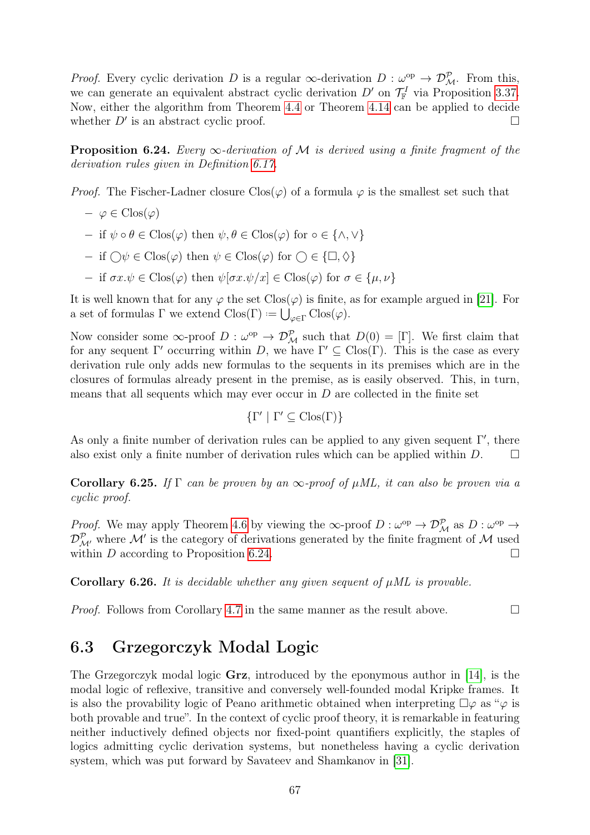*Proof.* Every cyclic derivation D is a regular  $\infty$ -derivation D :  $\omega^{\rm op} \to \mathcal{D}_{\mathcal{M}}^{\mathcal{P}}$ . From this, we can generate an equivalent abstract cyclic derivation  $D'$  on  $\mathcal{T}_{\mathbb{F}}^I$  via Proposition [3.37.](#page-39-0) Now, either the algorithm from Theorem [4.4](#page-42-0) or Theorem [4.14](#page-46-0) can be applied to decide whether  $D'$  is an abstract cyclic proof.

<span id="page-70-1"></span>**Proposition 6.24.** Every  $\infty$ -derivation of M is derived using a finite fragment of the derivation rules given in Definition [6.17.](#page-68-0)

*Proof.* The Fischer-Ladner closure  $C\text{los}(\varphi)$  of a formula  $\varphi$  is the smallest set such that

- $-\varphi \in \mathrm{Clos}(\varphi)$
- $-$  if  $\psi \circ \theta \in \text{Clos}(\varphi)$  then  $\psi, \theta \in \text{Clos}(\varphi)$  for  $\circ \in \{\wedge, \vee\}$
- $-$  if  $\bigcirc \psi \in \text{Clos}(\varphi)$  then  $\psi \in \text{Clos}(\varphi)$  for  $\bigcirc \in {\square, \Diamond}$
- $-$  if  $\sigma x.\psi \in \text{Clos}(\varphi)$  then  $\psi[\sigma x.\psi/x] \in \text{Clos}(\varphi)$  for  $\sigma \in {\mu, \nu}$

It is well known that for any  $\varphi$  the set  $Clos(\varphi)$  is finite, as for example argued in [\[21\]](#page-79-9). For a set of formulas  $\Gamma$  we extend  $Clos(\Gamma) := \bigcup_{\varphi \in \Gamma} Clos(\varphi)$ .

Now consider some  $\infty$ -proof  $D: \omega^{\text{op}} \to \mathcal{D}_{\mathcal{M}}^{\mathcal{P}}$  such that  $D(0) = [\Gamma]$ . We first claim that for any sequent  $\Gamma'$  occurring within D, we have  $\Gamma' \subseteq \text{Clos}(\Gamma)$ . This is the case as every derivation rule only adds new formulas to the sequents in its premises which are in the closures of formulas already present in the premise, as is easily observed. This, in turn, means that all sequents which may ever occur in  $D$  are collected in the finite set

$$
\{\Gamma' \mid \Gamma' \subseteq \text{Clos}(\Gamma)\}\
$$

As only a finite number of derivation rules can be applied to any given sequent  $\Gamma'$ , there also exist only a finite number of derivation rules which can be applied within  $D$ .  $\Box$ 

**Corollary 6.25.** If  $\Gamma$  can be proven by an  $\infty$ -proof of  $\mu$ ML, it can also be proven via a cyclic proof.

*Proof.* We may apply Theorem [4.6](#page-43-0) by viewing the  $\infty$ -proof  $D : \omega^{\rm op} \to \mathcal{D}_{\mathcal{M}}^{\mathcal{P}}$  as  $D : \omega^{\rm op} \to \mathcal{D}_{\mathcal{M}}^{\mathcal{P}}$  $\mathcal{D}_{\mathcal{M}'}^{\mathcal{P}}$  where  $\mathcal{M}'$  is the category of derivations generated by the finite fragment of  $\mathcal{M}$  used within D according to Proposition [6.24.](#page-70-1)

Corollary 6.26. It is decidable whether any given sequent of  $\mu$ ML is provable.

*Proof.* Follows from Corollary [4.7](#page-44-1) in the same manner as the result above.  $\Box$ 

## <span id="page-70-0"></span>6.3 Grzegorczyk Modal Logic

The Grzegorczyk modal logic **Grz**, introduced by the eponymous author in [\[14\]](#page-78-8), is the modal logic of reflexive, transitive and conversely well-founded modal Kripke frames. It is also the provability logic of Peano arithmetic obtained when interpreting  $\square \varphi$  as " $\varphi$  is both provable and true". In the context of cyclic proof theory, it is remarkable in featuring neither inductively defined objects nor fixed-point quantifiers explicitly, the staples of logics admitting cyclic derivation systems, but nonetheless having a cyclic derivation system, which was put forward by Savateev and Shamkanov in [\[31\]](#page-79-5).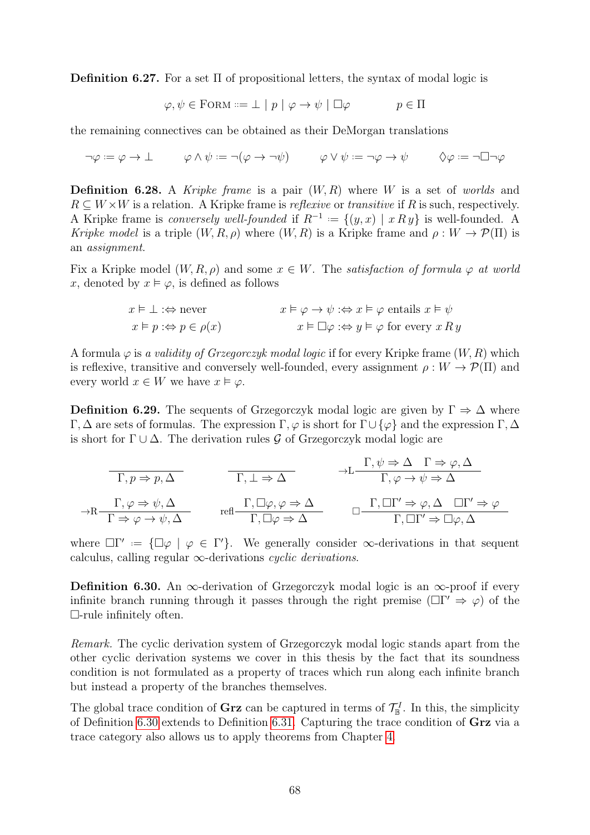**Definition 6.27.** For a set  $\Pi$  of propositional letters, the syntax of modal logic is

$$
\varphi, \psi \in \text{FORM} ::= \bot \mid p \mid \varphi \rightarrow \psi \mid \Box \varphi \qquad p \in \Pi
$$

the remaining connectives can be obtained as their DeMorgan translations

$$
\neg \varphi := \varphi \to \bot \qquad \varphi \wedge \psi := \neg(\varphi \to \neg \psi) \qquad \varphi \vee \psi := \neg \varphi \to \psi \qquad \Diamond \varphi := \neg \Box \neg \varphi
$$

**Definition 6.28.** A Kripke frame is a pair  $(W, R)$  where W is a set of worlds and  $R \subseteq W \times W$  is a relation. A Kripke frame is *reflexive* or *transitive* if R is such, respectively. A Kripke frame is *conversely well-founded* if  $R^{-1} := \{(y, x) | x R y\}$  is well-founded. A Kripke model is a triple  $(W, R, \rho)$  where  $(W, R)$  is a Kripke frame and  $\rho: W \to \mathcal{P}(\Pi)$  is an assignment.

Fix a Kripke model  $(W, R, \rho)$  and some  $x \in W$ . The *satisfaction of formula*  $\varphi$  at world x, denoted by  $x \models \varphi$ , is defined as follows

$$
x \vDash \bot : \Leftrightarrow \text{never} \qquad x \vDash \varphi \to \psi : \Leftrightarrow x \vDash \varphi \text{ entails } x \vDash \psi
$$
  

$$
x \vDash p : \Leftrightarrow p \in \rho(x) \qquad x \vDash \Box \varphi : \Leftrightarrow y \vDash \varphi \text{ for every } x \, R \, y
$$

A formula  $\varphi$  is a validity of Grzegorczyk modal logic if for every Kripke frame  $(W, R)$  which is reflexive, transitive and conversely well-founded, every assignment  $\rho: W \to \mathcal{P}(\Pi)$  and every world  $x \in W$  we have  $x \models \varphi$ .

**Definition 6.29.** The sequents of Grzegorczyk modal logic are given by  $\Gamma \Rightarrow \Delta$  where Γ, Δ are sets of formulas. The expression Γ,  $\varphi$  is short for Γ∪ { $\varphi$ } and the expression Γ, Δ is short for  $\Gamma \cup \Delta$ . The derivation rules G of Grzegorczyk modal logic are

$$
\Gamma, p \Rightarrow p, \Delta
$$
\n
$$
\Gamma, \psi \Rightarrow \Delta \Gamma \Rightarrow \varphi, \Delta
$$
\n
$$
\Gamma, \psi \Rightarrow \Delta \Gamma \Rightarrow \varphi, \Delta
$$
\n
$$
\Gamma, \varphi \Rightarrow \psi, \Delta
$$
\n
$$
\Gamma \Rightarrow \varphi \Rightarrow \psi, \Delta
$$
\n
$$
\Gamma, \Box \varphi, \varphi \Rightarrow \Delta
$$
\n
$$
\Gamma, \Box \Gamma' \Rightarrow \varphi, \Delta
$$
\n
$$
\Gamma, \Box \varphi \Rightarrow \Delta
$$
\n
$$
\Gamma, \Box \Gamma' \Rightarrow \varphi, \Delta
$$
\n
$$
\Gamma, \Box \Gamma' \Rightarrow \varphi, \Delta
$$
\n
$$
\Gamma, \Box \Gamma' \Rightarrow \varphi, \Delta
$$

where  $\Box \Gamma' := {\Box \varphi \mid \varphi \in \Gamma' }$ . We generally consider  $\infty$ -derivations in that sequent calculus, calling regular  $\infty$ -derivations *cyclic derivations*.

<span id="page-71-0"></span>**Definition 6.30.** An  $\infty$ -derivation of Grzegorczyk modal logic is an  $\infty$ -proof if every infinite branch running through it passes through the right premise ( $\Box \Gamma' \Rightarrow \varphi$ ) of the  $\Box$ -rule infinitely often.

Remark. The cyclic derivation system of Grzegorczyk modal logic stands apart from the other cyclic derivation systems we cover in this thesis by the fact that its soundness condition is not formulated as a property of traces which run along each infinite branch but instead a property of the branches themselves.

<span id="page-71-1"></span>The global trace condition of **Grz** can be captured in terms of  $\mathcal{T}_{\mathbb{B}}^I$ . In this, the simplicity of Definition [6.30](#page-71-0) extends to Definition [6.31.](#page-71-1) Capturing the trace condition of Grz via a trace category also allows us to apply theorems from Chapter [4.](#page-41-1)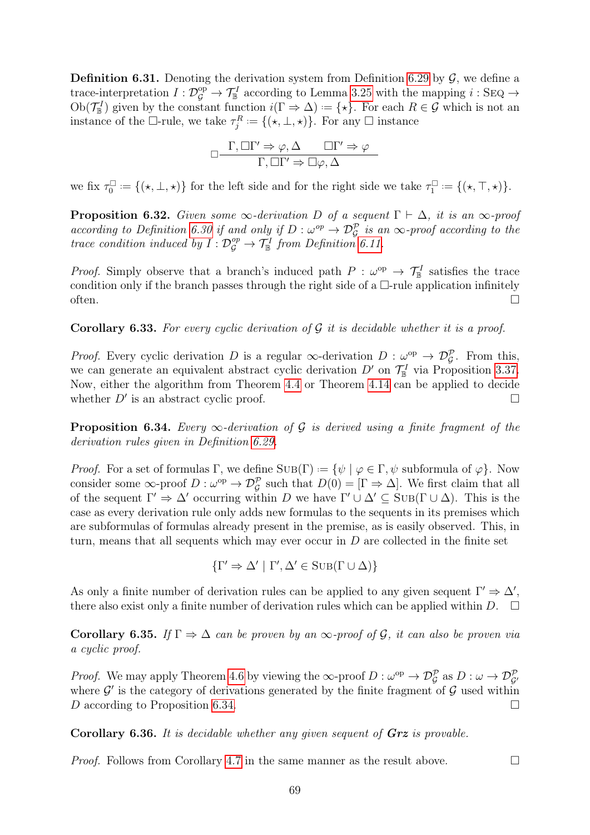**Definition 6.31.** Denoting the derivation system from Definition [6.29](#page-71-0) by  $\mathcal{G}$ , we define a trace-interpretation  $I: \mathcal{D}_{\mathcal{G}}^{\text{op}} \to \mathcal{T}_{\mathbb{B}}^I$  according to Lemma [3.25](#page-34-0) with the mapping  $i:$  SEQ  $\to$  $Ob(\mathcal{T}_{\mathbb{B}}^I)$  given by the constant function  $i(\Gamma \Rightarrow \Delta) := {\{\star\}}$ . For each  $R \in \mathcal{G}$  which is not an instance of the  $\Box$ -rule, we take  $\tau_j^R := \{(\star, \bot, \star)\}.$  For any  $\Box$  instance

$$
\Box \frac{\Gamma, \Box \Gamma' \Rightarrow \varphi, \Delta \qquad \Box \Gamma' \Rightarrow \varphi}{\Gamma, \Box \Gamma' \Rightarrow \Box \varphi, \Delta}
$$

we fix  $\tau_0^{\Box}$  $\mathcal{L}^{\square}_{0} := \{(\star, \bot, \star)\}\$ for the left side and for the right side we take  $\tau^{\square}_{1}$  $I_1^{\square} := \{(\star, \top, \star)\}.$ 

**Proposition 6.32.** Given some  $\infty$ -derivation D of a sequent  $\Gamma \vdash \Delta$ , it is an  $\infty$ -proof according to Definition [6.30](#page-71-1) if and only if  $D: \omega^{op} \to \mathcal{D}_{\mathcal{G}}^{\mathcal{P}}$  is an  $\infty$ -proof according to the trace condition induced by  $I: \mathcal{D}_{\mathcal{G}}^{op} \to \mathcal{T}_{\mathbb{B}}^I$  from Definition [6.11.](#page-66-0)

*Proof.* Simply observe that a branch's induced path  $P : \omega^{\rm op} \to \mathcal{T}_{\mathbb{B}}^I$  satisfies the trace condition only if the branch passes through the right side of a  $\Box$ -rule application infinitely often.  $\Box$ 

**Corollary 6.33.** For every cyclic derivation of  $\mathcal G$  it is decidable whether it is a proof.

*Proof.* Every cyclic derivation D is a regular  $\infty$ -derivation D :  $\omega^{\rm op} \to \mathcal{D}_{\mathcal{G}}^{\mathcal{P}}$ . From this, we can generate an equivalent abstract cyclic derivation  $D'$  on  $\mathcal{T}_{\mathbb{B}}^I$  via Proposition [3.37.](#page-39-0) Now, either the algorithm from Theorem [4.4](#page-42-0) or Theorem [4.14](#page-46-0) can be applied to decide whether  $D'$  is an abstract cyclic proof.

<span id="page-72-0"></span>**Proposition 6.34.** Every  $\infty$ -derivation of G is derived using a finite fragment of the derivation rules given in Definition [6.29.](#page-71-0)

*Proof.* For a set of formulas  $\Gamma$ , we define  $\text{SUB}(\Gamma) := \{ \psi \mid \varphi \in \Gamma, \psi \text{ subformula of } \varphi \}.$  Now consider some  $\infty$ -proof  $D : \omega^{\text{op}} \to \mathcal{D}_{\mathcal{G}}^{\mathcal{P}}$  such that  $D(0) = [\Gamma \Rightarrow \Delta]$ . We first claim that all of the sequent  $\Gamma' \Rightarrow \Delta'$  occurring within D we have  $\Gamma' \cup \Delta' \subseteq \text{SUB}(\Gamma \cup \Delta)$ . This is the case as every derivation rule only adds new formulas to the sequents in its premises which are subformulas of formulas already present in the premise, as is easily observed. This, in turn, means that all sequents which may ever occur in  $D$  are collected in the finite set

 $\{\Gamma' \Rightarrow \Delta' \mid \Gamma', \Delta' \in \text{SUB}(\Gamma \cup \Delta)\}\$ 

As only a finite number of derivation rules can be applied to any given sequent  $\Gamma' \Rightarrow \Delta'$ , there also exist only a finite number of derivation rules which can be applied within  $D$ .  $\Box$ 

Corollary 6.35. If  $\Gamma \Rightarrow \Delta$  can be proven by an  $\infty$ -proof of G, it can also be proven via a cyclic proof.

*Proof.* We may apply Theorem [4.6](#page-43-0) by viewing the  $\infty$ -proof  $D : \omega^{\rm op} \to \mathcal{D}_{\mathcal{G}}^{\mathcal{P}}$  as  $D : \omega \to \mathcal{D}_{\mathcal{G}}^{\mathcal{P}}$ where  $\mathcal{G}'$  is the category of derivations generated by the finite fragment of  $\mathcal{G}$  used within D according to Proposition [6.34.](#page-72-0)

Corollary 6.36. It is decidable whether any given sequent of Grz is provable.

*Proof.* Follows from Corollary [4.7](#page-44-0) in the same manner as the result above.  $\Box$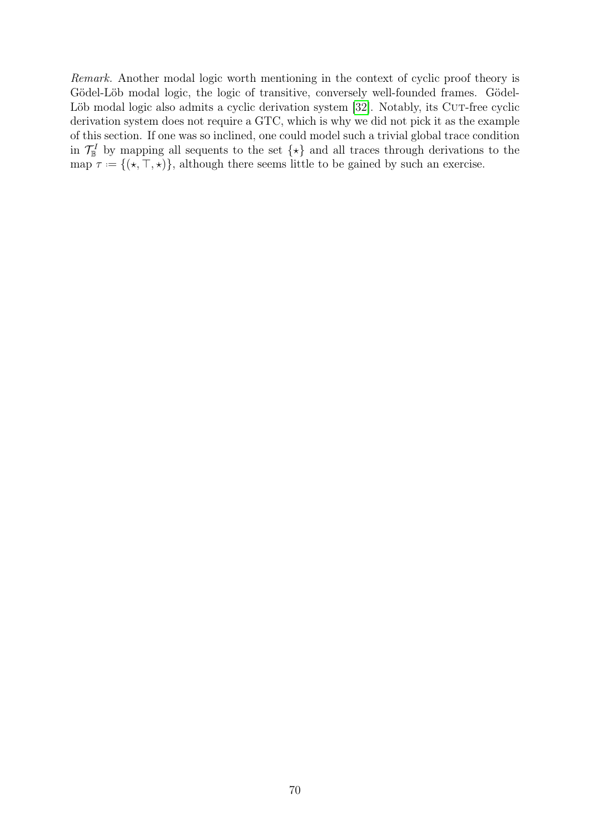Remark. Another modal logic worth mentioning in the context of cyclic proof theory is Gödel-Löb modal logic, the logic of transitive, conversely well-founded frames. Gödel-Löb modal logic also admits a cyclic derivation system [\[32\]](#page-79-0). Notably, its CUT-free cyclic derivation system does not require a GTC, which is why we did not pick it as the example of this section. If one was so inclined, one could model such a trivial global trace condition in  $\mathcal{T}_{\mathbb{B}}^I$  by mapping all sequents to the set  $\{\star\}$  and all traces through derivations to the map  $\tau = \{(*, \top, *)\}$ , although there seems little to be gained by such an exercise.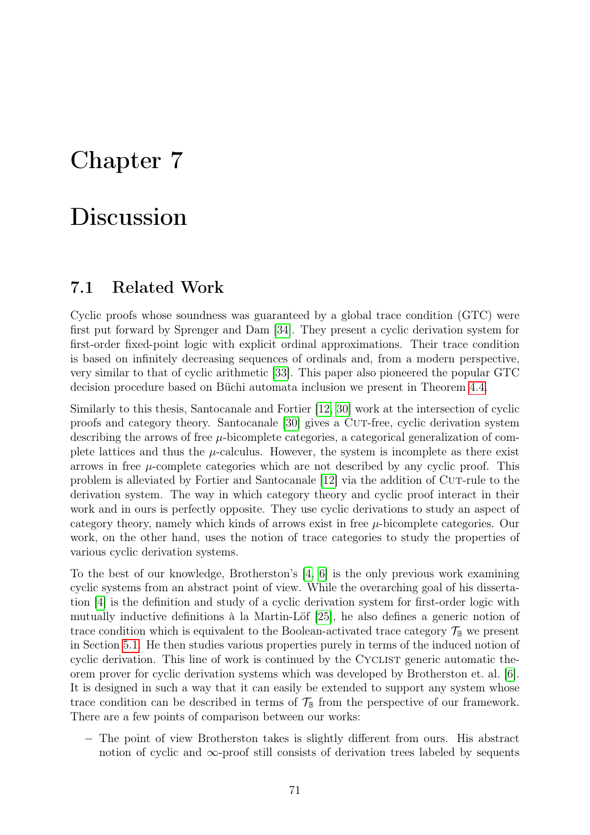### Chapter 7

# Discussion

#### 7.1 Related Work

Cyclic proofs whose soundness was guaranteed by a global trace condition (GTC) were first put forward by Sprenger and Dam [\[34\]](#page-79-1). They present a cyclic derivation system for first-order fixed-point logic with explicit ordinal approximations. Their trace condition is based on infinitely decreasing sequences of ordinals and, from a modern perspective, very similar to that of cyclic arithmetic [\[33\]](#page-79-2). This paper also pioneered the popular GTC decision procedure based on Büchi automata inclusion we present in Theorem [4.4.](#page-42-0)

Similarly to this thesis, Santocanale and Fortier [\[12,](#page-78-0) [30\]](#page-79-3) work at the intersection of cyclic proofs and category theory. Santocanale [\[30\]](#page-79-3) gives a CUT-free, cyclic derivation system describing the arrows of free  $\mu$ -bicomplete categories, a categorical generalization of complete lattices and thus the  $\mu$ -calculus. However, the system is incomplete as there exist arrows in free  $\mu$ -complete categories which are not described by any cyclic proof. This problem is alleviated by Fortier and Santocanale [\[12\]](#page-78-0) via the addition of Cut-rule to the derivation system. The way in which category theory and cyclic proof interact in their work and in ours is perfectly opposite. They use cyclic derivations to study an aspect of category theory, namely which kinds of arrows exist in free  $\mu$ -bicomplete categories. Our work, on the other hand, uses the notion of trace categories to study the properties of various cyclic derivation systems.

To the best of our knowledge, Brotherston's [\[4,](#page-78-1) [6\]](#page-78-2) is the only previous work examining cyclic systems from an abstract point of view. While the overarching goal of his dissertation [\[4\]](#page-78-1) is the definition and study of a cyclic derivation system for first-order logic with mutually inductive definitions à la Martin-Löf [\[25\]](#page-79-4), he also defines a generic notion of trace condition which is equivalent to the Boolean-activated trace category  $\mathcal{T}_{\mathbb{B}}$  we present in Section [5.1.](#page-48-0) He then studies various properties purely in terms of the induced notion of cyclic derivation. This line of work is continued by the CYCLIST generic automatic theorem prover for cyclic derivation systems which was developed by Brotherston et. al. [\[6\]](#page-78-2). It is designed in such a way that it can easily be extended to support any system whose trace condition can be described in terms of  $\mathcal{T}_{\mathbb{B}}$  from the perspective of our framework. There are a few points of comparison between our works:

− The point of view Brotherston takes is slightly different from ours. His abstract notion of cyclic and ∞-proof still consists of derivation trees labeled by sequents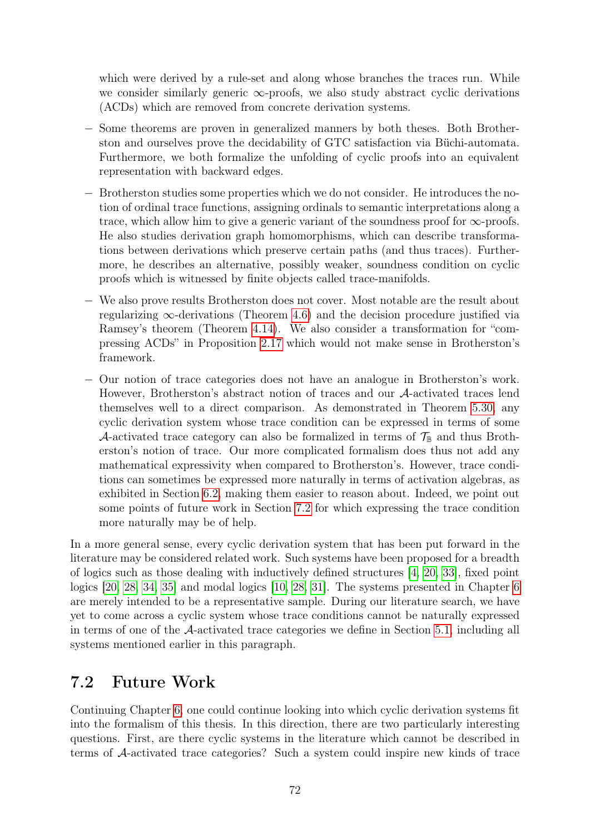which were derived by a rule-set and along whose branches the traces run. While we consider similarly generic  $\infty$ -proofs, we also study abstract cyclic derivations (ACDs) which are removed from concrete derivation systems.

- − Some theorems are proven in generalized manners by both theses. Both Brotherston and ourselves prove the decidability of GTC satisfaction via Büchi-automata. Furthermore, we both formalize the unfolding of cyclic proofs into an equivalent representation with backward edges.
- − Brotherston studies some properties which we do not consider. He introduces the notion of ordinal trace functions, assigning ordinals to semantic interpretations along a trace, which allow him to give a generic variant of the soundness proof for  $\infty$ -proofs. He also studies derivation graph homomorphisms, which can describe transformations between derivations which preserve certain paths (and thus traces). Furthermore, he describes an alternative, possibly weaker, soundness condition on cyclic proofs which is witnessed by finite objects called trace-manifolds.
- − We also prove results Brotherston does not cover. Most notable are the result about regularizing  $\infty$ -derivations (Theorem [4.6\)](#page-43-0) and the decision procedure justified via Ramsey's theorem (Theorem [4.14\)](#page-46-0). We also consider a transformation for "compressing ACDs" in Proposition [2.17](#page-21-0) which would not make sense in Brotherston's framework.
- − Our notion of trace categories does not have an analogue in Brotherston's work. However, Brotherston's abstract notion of traces and our A-activated traces lend themselves well to a direct comparison. As demonstrated in Theorem [5.30,](#page-58-0) any cyclic derivation system whose trace condition can be expressed in terms of some A-activated trace category can also be formalized in terms of  $\mathcal{T}_{\mathbb{B}}$  and thus Brotherston's notion of trace. Our more complicated formalism does thus not add any mathematical expressivity when compared to Brotherston's. However, trace conditions can sometimes be expressed more naturally in terms of activation algebras, as exhibited in Section [6.2,](#page-67-0) making them easier to reason about. Indeed, we point out some points of future work in Section [7.2](#page-75-0) for which expressing the trace condition more naturally may be of help.

In a more general sense, every cyclic derivation system that has been put forward in the literature may be considered related work. Such systems have been proposed for a breadth of logics such as those dealing with inductively defined structures [\[4,](#page-78-1) [20,](#page-79-5) [33\]](#page-79-2), fixed point logics [\[20,](#page-79-5) [28,](#page-79-6) [34,](#page-79-1) [35\]](#page-79-7) and modal logics [\[10,](#page-78-3) [28,](#page-79-6) [31\]](#page-79-8). The systems presented in Chapter [6](#page-62-0) are merely intended to be a representative sample. During our literature search, we have yet to come across a cyclic system whose trace conditions cannot be naturally expressed in terms of one of the  $\mathcal{A}$ -activated trace categories we define in Section [5.1,](#page-48-0) including all systems mentioned earlier in this paragraph.

### <span id="page-75-0"></span>7.2 Future Work

Continuing Chapter [6,](#page-62-0) one could continue looking into which cyclic derivation systems fit into the formalism of this thesis. In this direction, there are two particularly interesting questions. First, are there cyclic systems in the literature which cannot be described in terms of A-activated trace categories? Such a system could inspire new kinds of trace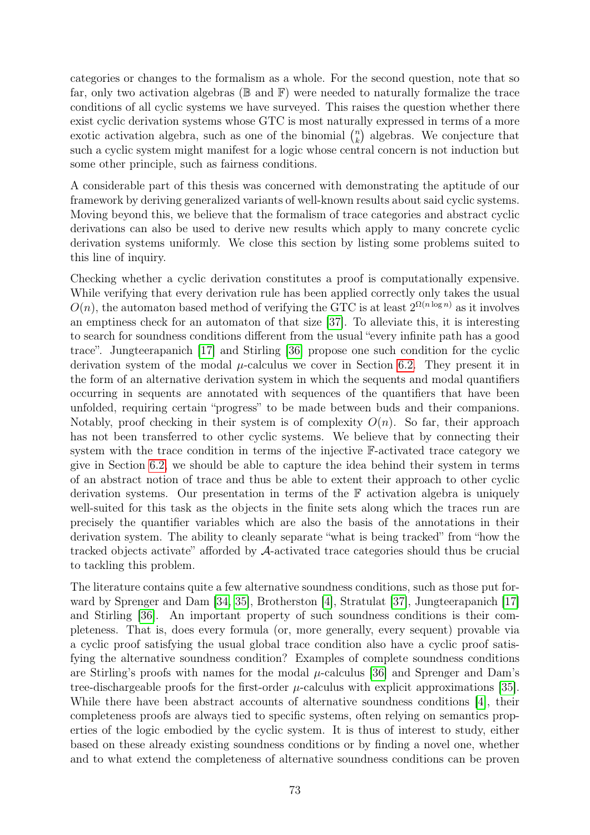categories or changes to the formalism as a whole. For the second question, note that so far, only two activation algebras ( $\mathbb B$  and  $\mathbb F$ ) were needed to naturally formalize the trace conditions of all cyclic systems we have surveyed. This raises the question whether there exist cyclic derivation systems whose GTC is most naturally expressed in terms of a more exotic activation algebra, such as one of the binomial  $\binom{n}{k}$  $\binom{n}{k}$  algebras. We conjecture that such a cyclic system might manifest for a logic whose central concern is not induction but some other principle, such as fairness conditions.

A considerable part of this thesis was concerned with demonstrating the aptitude of our framework by deriving generalized variants of well-known results about said cyclic systems. Moving beyond this, we believe that the formalism of trace categories and abstract cyclic derivations can also be used to derive new results which apply to many concrete cyclic derivation systems uniformly. We close this section by listing some problems suited to this line of inquiry.

Checking whether a cyclic derivation constitutes a proof is computationally expensive. While verifying that every derivation rule has been applied correctly only takes the usual  $O(n)$ , the automaton based method of verifying the GTC is at least  $2^{\Omega(n \log n)}$  as it involves an emptiness check for an automaton of that size [\[37\]](#page-80-0). To alleviate this, it is interesting to search for soundness conditions different from the usual "every infinite path has a good trace". Jungteerapanich [\[17\]](#page-79-9) and Stirling [\[36\]](#page-80-1) propose one such condition for the cyclic derivation system of the modal  $\mu$ -calculus we cover in Section [6.2.](#page-67-0) They present it in the form of an alternative derivation system in which the sequents and modal quantifiers occurring in sequents are annotated with sequences of the quantifiers that have been unfolded, requiring certain "progress" to be made between buds and their companions. Notably, proof checking in their system is of complexity  $O(n)$ . So far, their approach has not been transferred to other cyclic systems. We believe that by connecting their system with the trace condition in terms of the injective F-activated trace category we give in Section [6.2,](#page-67-0) we should be able to capture the idea behind their system in terms of an abstract notion of trace and thus be able to extent their approach to other cyclic derivation systems. Our presentation in terms of the F activation algebra is uniquely well-suited for this task as the objects in the finite sets along which the traces run are precisely the quantifier variables which are also the basis of the annotations in their derivation system. The ability to cleanly separate "what is being tracked" from "how the tracked objects activate" afforded by A-activated trace categories should thus be crucial to tackling this problem.

The literature contains quite a few alternative soundness conditions, such as those put forward by Sprenger and Dam [\[34,](#page-79-1) [35\]](#page-79-7), Brotherston [\[4\]](#page-78-1), Stratulat [\[37\]](#page-80-0), Jungteerapanich [\[17\]](#page-79-9) and Stirling [\[36\]](#page-80-1). An important property of such soundness conditions is their completeness. That is, does every formula (or, more generally, every sequent) provable via a cyclic proof satisfying the usual global trace condition also have a cyclic proof satisfying the alternative soundness condition? Examples of complete soundness conditions are Stirling's proofs with names for the modal  $\mu$ -calculus [\[36\]](#page-80-1) and Sprenger and Dam's tree-dischargeable proofs for the first-order  $\mu$ -calculus with explicit approximations [\[35\]](#page-79-7). While there have been abstract accounts of alternative soundness conditions [\[4\]](#page-78-1), their completeness proofs are always tied to specific systems, often relying on semantics properties of the logic embodied by the cyclic system. It is thus of interest to study, either based on these already existing soundness conditions or by finding a novel one, whether and to what extend the completeness of alternative soundness conditions can be proven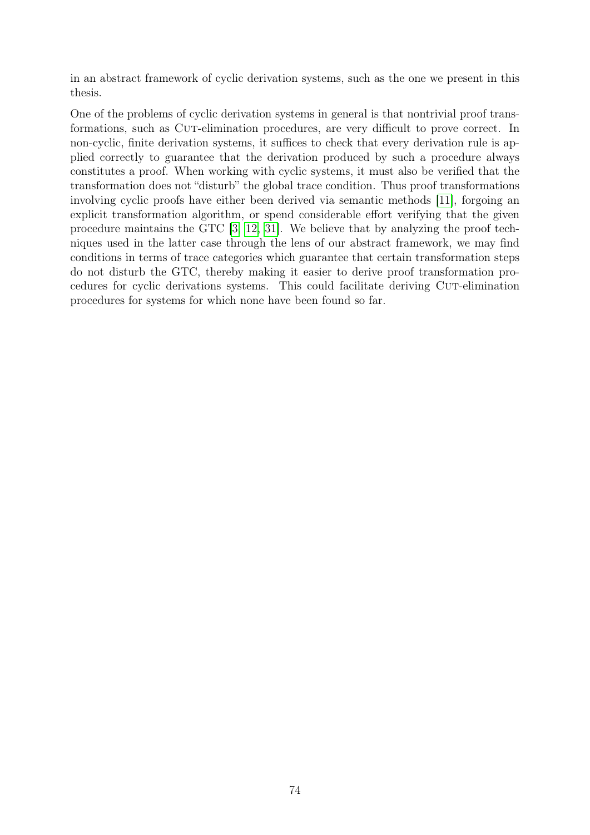in an abstract framework of cyclic derivation systems, such as the one we present in this thesis.

One of the problems of cyclic derivation systems in general is that nontrivial proof transformations, such as CUT-elimination procedures, are very difficult to prove correct. In non-cyclic, finite derivation systems, it suffices to check that every derivation rule is applied correctly to guarantee that the derivation produced by such a procedure always constitutes a proof. When working with cyclic systems, it must also be verified that the transformation does not "disturb" the global trace condition. Thus proof transformations involving cyclic proofs have either been derived via semantic methods [\[11\]](#page-78-4), forgoing an explicit transformation algorithm, or spend considerable effort verifying that the given procedure maintains the GTC [\[3,](#page-78-5) [12,](#page-78-0) [31\]](#page-79-8). We believe that by analyzing the proof techniques used in the latter case through the lens of our abstract framework, we may find conditions in terms of trace categories which guarantee that certain transformation steps do not disturb the GTC, thereby making it easier to derive proof transformation procedures for cyclic derivations systems. This could facilitate deriving Cut-elimination procedures for systems for which none have been found so far.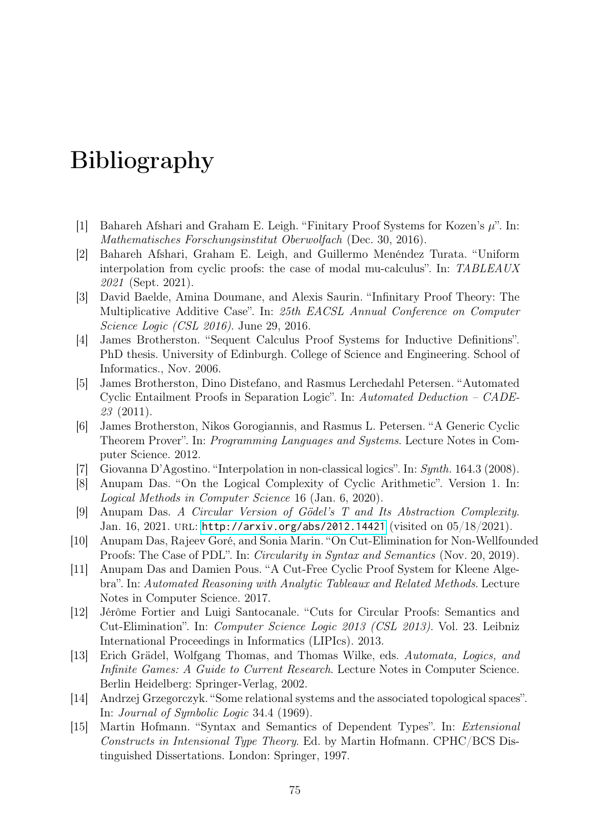## Bibliography

- [1] Bahareh Afshari and Graham E. Leigh. "Finitary Proof Systems for Kozen's  $\mu$ ". In: Mathematisches Forschungsinstitut Oberwolfach (Dec. 30, 2016).
- [2] Bahareh Afshari, Graham E. Leigh, and Guillermo Menéndez Turata. "Uniform interpolation from cyclic proofs: the case of modal mu-calculus". In: TABLEAUX 2021 (Sept. 2021).
- <span id="page-78-5"></span>[3] David Baelde, Amina Doumane, and Alexis Saurin. "Infinitary Proof Theory: The Multiplicative Additive Case". In: 25th EACSL Annual Conference on Computer Science Logic (CSL 2016). June 29, 2016.
- <span id="page-78-1"></span>[4] James Brotherston. "Sequent Calculus Proof Systems for Inductive Definitions". PhD thesis. University of Edinburgh. College of Science and Engineering. School of Informatics., Nov. 2006.
- [5] James Brotherston, Dino Distefano, and Rasmus Lerchedahl Petersen. "Automated Cyclic Entailment Proofs in Separation Logic". In: Automated Deduction – CADE-23 (2011).
- <span id="page-78-2"></span>[6] James Brotherston, Nikos Gorogiannis, and Rasmus L. Petersen. "A Generic Cyclic Theorem Prover". In: Programming Languages and Systems. Lecture Notes in Computer Science. 2012.
- [7] Giovanna D'Agostino. "Interpolation in non-classical logics". In: Synth. 164.3 (2008).
- [8] Anupam Das. "On the Logical Complexity of Cyclic Arithmetic". Version 1. In: Logical Methods in Computer Science 16 (Jan. 6, 2020).
- [9] Anupam Das. A Circular Version of Gödel's T and Its Abstraction Complexity. Jan. 16, 2021. url: <http://arxiv.org/abs/2012.14421> (visited on 05/18/2021).
- <span id="page-78-3"></span>[10] Anupam Das, Rajeev Goré, and Sonia Marin. "On Cut-Elimination for Non-Wellfounded Proofs: The Case of PDL". In: Circularity in Syntax and Semantics (Nov. 20, 2019).
- <span id="page-78-4"></span>[11] Anupam Das and Damien Pous. "A Cut-Free Cyclic Proof System for Kleene Algebra". In: Automated Reasoning with Analytic Tableaux and Related Methods. Lecture Notes in Computer Science. 2017.
- <span id="page-78-0"></span>[12] Jérôme Fortier and Luigi Santocanale. "Cuts for Circular Proofs: Semantics and Cut-Elimination". In: Computer Science Logic 2013 (CSL 2013). Vol. 23. Leibniz International Proceedings in Informatics (LIPIcs). 2013.
- [13] Erich Grädel, Wolfgang Thomas, and Thomas Wilke, eds. Automata, Logics, and Infinite Games: A Guide to Current Research. Lecture Notes in Computer Science. Berlin Heidelberg: Springer-Verlag, 2002.
- [14] Andrzej Grzegorczyk. "Some relational systems and the associated topological spaces". In: Journal of Symbolic Logic 34.4 (1969).
- [15] Martin Hofmann. "Syntax and Semantics of Dependent Types". In: Extensional Constructs in Intensional Type Theory. Ed. by Martin Hofmann. CPHC/BCS Distinguished Dissertations. London: Springer, 1997.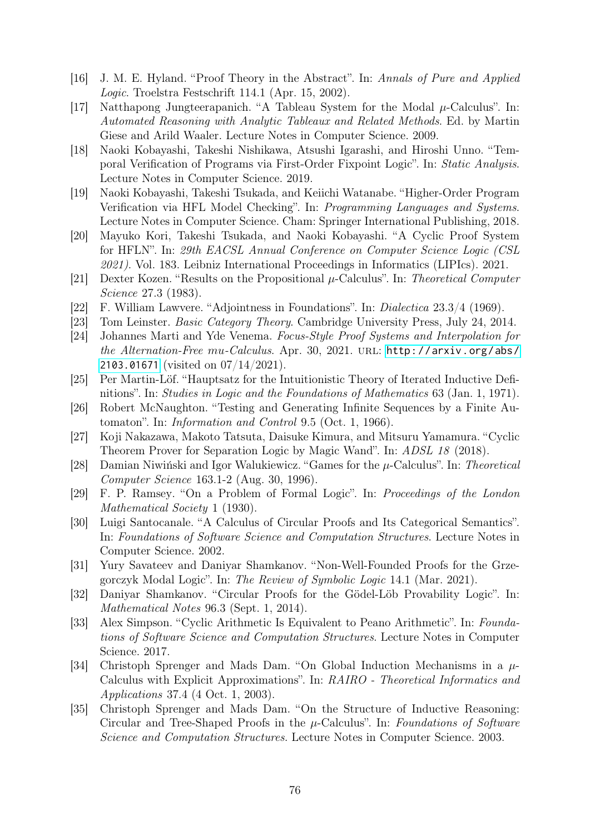- [16] J. M. E. Hyland. "Proof Theory in the Abstract". In: Annals of Pure and Applied Logic. Troelstra Festschrift 114.1 (Apr. 15, 2002).
- <span id="page-79-9"></span>[17] Natthapong Jungteerapanich. "A Tableau System for the Modal  $\mu$ -Calculus". In: Automated Reasoning with Analytic Tableaux and Related Methods. Ed. by Martin Giese and Arild Waaler. Lecture Notes in Computer Science. 2009.
- [18] Naoki Kobayashi, Takeshi Nishikawa, Atsushi Igarashi, and Hiroshi Unno. "Temporal Verification of Programs via First-Order Fixpoint Logic". In: Static Analysis. Lecture Notes in Computer Science. 2019.
- [19] Naoki Kobayashi, Takeshi Tsukada, and Keiichi Watanabe. "Higher-Order Program Verification via HFL Model Checking". In: Programming Languages and Systems. Lecture Notes in Computer Science. Cham: Springer International Publishing, 2018.
- <span id="page-79-5"></span>[20] Mayuko Kori, Takeshi Tsukada, and Naoki Kobayashi. "A Cyclic Proof System for HFLN". In: 29th EACSL Annual Conference on Computer Science Logic (CSL 2021). Vol. 183. Leibniz International Proceedings in Informatics (LIPIcs). 2021.
- [21] Dexter Kozen. "Results on the Propositional  $\mu$ -Calculus". In: Theoretical Computer Science 27.3 (1983).
- [22] F. William Lawvere. "Adjointness in Foundations". In: Dialectica 23.3/4 (1969).
- [23] Tom Leinster. Basic Category Theory. Cambridge University Press, July 24, 2014.
- [24] Johannes Marti and Yde Venema. Focus-Style Proof Systems and Interpolation for the Alternation-Free mu-Calculus. Apr. 30, 2021. URL: [http://arxiv.org/abs/](http://arxiv.org/abs/2103.01671) [2103.01671](http://arxiv.org/abs/2103.01671) (visited on 07/14/2021).
- <span id="page-79-4"></span>[25] Per Martin-Löf. "Hauptsatz for the Intuitionistic Theory of Iterated Inductive Definitions". In: Studies in Logic and the Foundations of Mathematics 63 (Jan. 1, 1971).
- [26] Robert McNaughton. "Testing and Generating Infinite Sequences by a Finite Automaton". In: Information and Control 9.5 (Oct. 1, 1966).
- [27] Koji Nakazawa, Makoto Tatsuta, Daisuke Kimura, and Mitsuru Yamamura. "Cyclic Theorem Prover for Separation Logic by Magic Wand". In: ADSL 18 (2018).
- <span id="page-79-6"></span>[28] Damian Niwiński and Igor Walukiewicz. "Games for the  $\mu$ -Calculus". In: Theoretical Computer Science 163.1-2 (Aug. 30, 1996).
- [29] F. P. Ramsey. "On a Problem of Formal Logic". In: Proceedings of the London Mathematical Society 1 (1930).
- <span id="page-79-3"></span>[30] Luigi Santocanale. "A Calculus of Circular Proofs and Its Categorical Semantics". In: Foundations of Software Science and Computation Structures. Lecture Notes in Computer Science. 2002.
- <span id="page-79-8"></span>[31] Yury Savateev and Daniyar Shamkanov. "Non-Well-Founded Proofs for the Grzegorczyk Modal Logic". In: The Review of Symbolic Logic 14.1 (Mar. 2021).
- <span id="page-79-0"></span>[32] Daniyar Shamkanov. "Circular Proofs for the Gödel-Löb Provability Logic". In: Mathematical Notes 96.3 (Sept. 1, 2014).
- <span id="page-79-2"></span>[33] Alex Simpson. "Cyclic Arithmetic Is Equivalent to Peano Arithmetic". In: Foundations of Software Science and Computation Structures. Lecture Notes in Computer Science. 2017.
- <span id="page-79-1"></span>[34] Christoph Sprenger and Mads Dam. "On Global Induction Mechanisms in a  $\mu$ -Calculus with Explicit Approximations". In: RAIRO - Theoretical Informatics and Applications 37.4 (4 Oct. 1, 2003).
- <span id="page-79-7"></span>[35] Christoph Sprenger and Mads Dam. "On the Structure of Inductive Reasoning: Circular and Tree-Shaped Proofs in the  $\mu$ -Calculus". In: Foundations of Software Science and Computation Structures. Lecture Notes in Computer Science. 2003.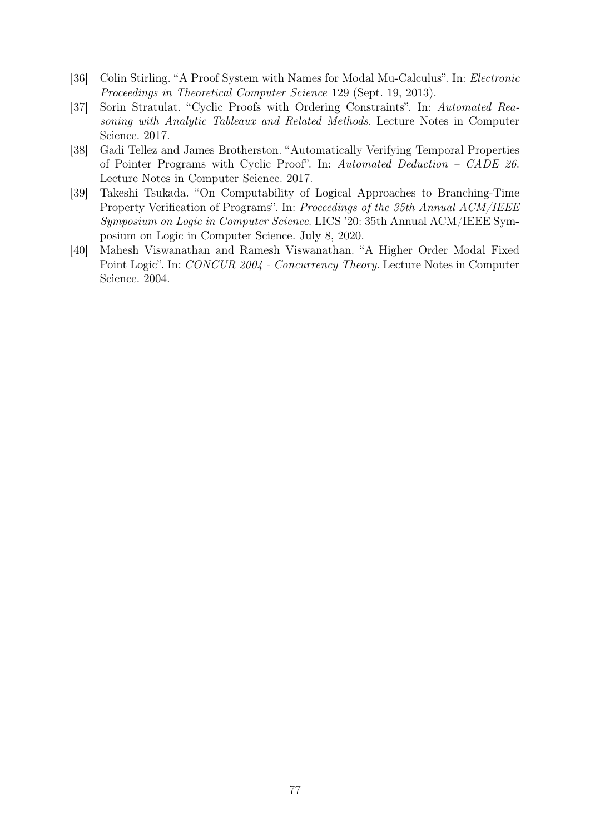- <span id="page-80-1"></span>[36] Colin Stirling. "A Proof System with Names for Modal Mu-Calculus". In: Electronic Proceedings in Theoretical Computer Science 129 (Sept. 19, 2013).
- <span id="page-80-0"></span>[37] Sorin Stratulat. "Cyclic Proofs with Ordering Constraints". In: Automated Reasoning with Analytic Tableaux and Related Methods. Lecture Notes in Computer Science. 2017.
- [38] Gadi Tellez and James Brotherston. "Automatically Verifying Temporal Properties of Pointer Programs with Cyclic Proof". In: Automated Deduction – CADE 26. Lecture Notes in Computer Science. 2017.
- [39] Takeshi Tsukada. "On Computability of Logical Approaches to Branching-Time Property Verification of Programs". In: Proceedings of the 35th Annual ACM/IEEE Symposium on Logic in Computer Science. LICS '20: 35th Annual ACM/IEEE Symposium on Logic in Computer Science. July 8, 2020.
- [40] Mahesh Viswanathan and Ramesh Viswanathan. "A Higher Order Modal Fixed Point Logic". In: CONCUR 2004 - Concurrency Theory. Lecture Notes in Computer Science. 2004.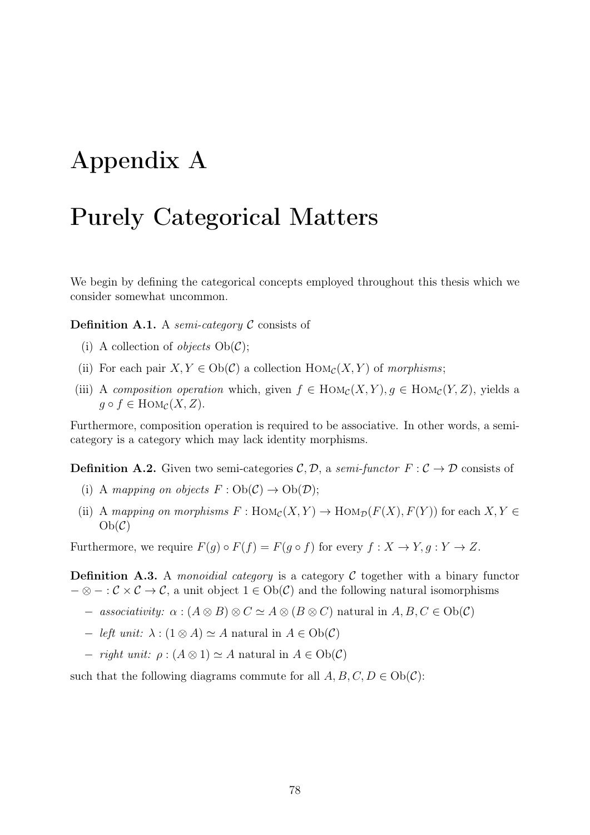# Appendix A

### Purely Categorical Matters

We begin by defining the categorical concepts employed throughout this thesis which we consider somewhat uncommon.

**Definition A.1.** A semi-category  $\mathcal C$  consists of

- (i) A collection of *objects*  $Ob(\mathcal{C})$ ;
- (ii) For each pair  $X, Y \in Ob(\mathcal{C})$  a collection  $Hom_{\mathcal{C}}(X, Y)$  of morphisms;
- (iii) A composition operation which, given  $f \in Hom_{\mathcal{C}}(X, Y), g \in Hom_{\mathcal{C}}(Y, Z)$ , yields a  $g \circ f \in \text{Hom}_{\mathcal{C}}(X, Z).$

Furthermore, composition operation is required to be associative. In other words, a semicategory is a category which may lack identity morphisms.

**Definition A.2.** Given two semi-categories  $\mathcal{C}, \mathcal{D}$ , a semi-functor  $F : \mathcal{C} \to \mathcal{D}$  consists of

- (i) A mapping on objects  $F: Ob(\mathcal{C}) \to Ob(\mathcal{D});$
- (ii) A mapping on morphisms  $F : Hom_{\mathcal{C}}(X, Y) \to Hom_{\mathcal{D}}(F(X), F(Y))$  for each  $X, Y \in$  $Ob(\mathcal{C})$

Furthermore, we require  $F(q) \circ F(f) = F(q \circ f)$  for every  $f: X \to Y, q: Y \to Z$ .

**Definition A.3.** A *monoidial category* is a category C together with a binary functor  $-\otimes -:\mathcal{C}\times\mathcal{C}\rightarrow\mathcal{C}$ , a unit object  $1\in Ob(\mathcal{C})$  and the following natural isomorphisms

- $-$  associativity:  $\alpha$  :  $(A \otimes B) \otimes C \simeq A \otimes (B \otimes C)$  natural in  $A, B, C \in Ob(\mathcal{C})$
- $− \text{left unit: } \lambda : (1 \otimes A) \simeq A \text{ natural in } A \in Ob(\mathcal{C})$
- $− right unit: ρ: (A ⊗ 1) ≈ A natural in A ∈ Ob(C)$

such that the following diagrams commute for all  $A, B, C, D \in Ob(\mathcal{C})$ :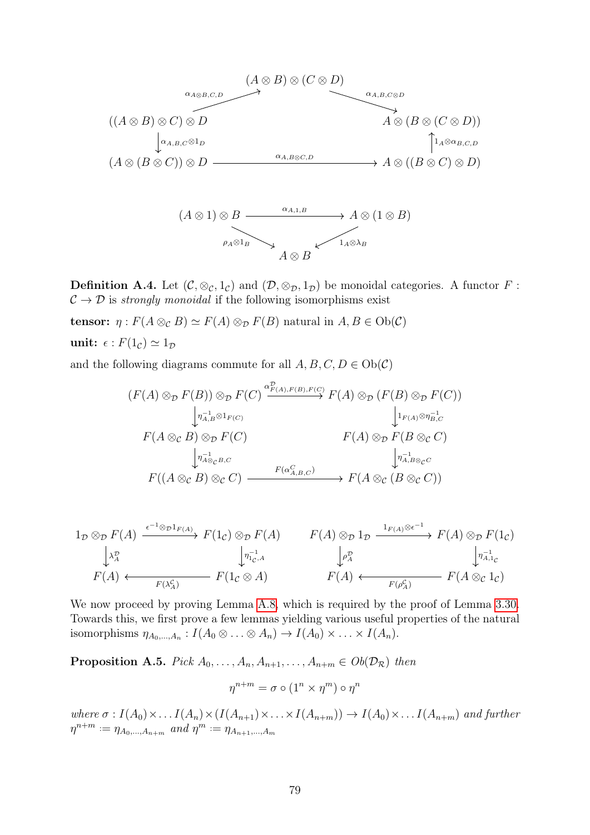

**Definition A.4.** Let  $(C, \otimes_C, 1_C)$  and  $(D, \otimes_D, 1_D)$  be monoidal categories. A functor F:  $\mathcal{C} \rightarrow \mathcal{D}$  is strongly monoidal if the following isomorphisms exist

tensor:  $\eta$ :  $F(A \otimes_{\mathcal{C}} B) \simeq F(A) \otimes_{\mathcal{D}} F(B)$  natural in  $A, B \in Ob(\mathcal{C})$ unit:  $\epsilon$ :  $F(1_c) \simeq 1_D$ 

and the following diagrams commute for all  $A, B, C, D \in Ob(\mathcal{C})$ 

$$
(F(A) \otimes_{\mathcal{D}} F(B)) \otimes_{\mathcal{D}} F(C) \xrightarrow{\alpha_{F(A),F(B),F(C)}^{p} F(A) \otimes_{\mathcal{D}} (F(B) \otimes_{\mathcal{D}} F(C))}
$$
  
\n
$$
\downarrow_{r(A) \otimes_{\mathcal{D}} P(C)} \qquad \qquad \downarrow_{r(A) \otimes_{\mathcal{D}} P(B \otimes_{\mathcal{C}} C)}
$$
  
\n
$$
F(A \otimes_{\mathcal{C}} B) \otimes_{\mathcal{D}} F(C) \qquad \qquad F(A) \otimes_{\mathcal{D}} F(B \otimes_{\mathcal{C}} C)
$$
  
\n
$$
\downarrow_{r_A, B \otimes_{\mathcal{C}} C}^{r \to 1}
$$
  
\n
$$
F((A \otimes_{\mathcal{C}} B) \otimes_{\mathcal{C}} C) \xrightarrow{F(\alpha_{A,B,C}^{C})} F(A \otimes_{\mathcal{C}} (B \otimes_{\mathcal{C}} C))
$$

$$
1_{\mathcal{D}} \otimes_{\mathcal{D}} F(A) \xrightarrow{\epsilon^{-1} \otimes_{\mathcal{D}} 1_{F(A)}} F(1_{\mathcal{C}}) \otimes_{\mathcal{D}} F(A) \longrightarrow F(A) \otimes_{\mathcal{D}} 1_{\mathcal{D}} \xrightarrow{1_{F(A)} \otimes \epsilon^{-1}} F(A) \otimes_{\mathcal{D}} F(1_{\mathcal{C}})
$$
\n
$$
\downarrow^{\lambda_{A}^{\mathcal{D}}} \downarrow^{\lambda_{A}^{\mathcal{D}}} F(A) \longleftarrow F(A) \longleftrightarrow F(A) \otimes_{\mathcal{D}} F(1_{\mathcal{C}})
$$
\n
$$
F(A) \longleftarrow F(A) \longleftrightarrow F(A) \leftrightarrow F(A) \otimes_{\mathcal{C}} F(1_{\mathcal{C}})
$$
\n
$$
F(A) \longleftarrow F(A) \otimes_{\mathcal{C}} F(A) \otimes_{\mathcal{C}} 1_{\mathcal{C}}
$$

We now proceed by proving Lemma [A.8,](#page-84-0) which is required by the proof of Lemma [3.30.](#page-35-0) Towards this, we first prove a few lemmas yielding various useful properties of the natural isomorphisms  $\eta_{A_0,...,A_n}: I(A_0 \otimes ... \otimes A_n) \to I(A_0) \times ... \times I(A_n)$ .

<span id="page-82-0"></span>**Proposition A.5.** Pick  $A_0, \ldots, A_n, A_{n+1}, \ldots, A_{n+m} \in Ob(\mathcal{D}_\mathcal{R})$  then

$$
\eta^{n+m} = \sigma \circ (1^n \times \eta^m) \circ \eta^n
$$

where  $\sigma: I(A_0) \times \ldots I(A_n) \times (I(A_{n+1}) \times \ldots \times I(A_{n+m})) \rightarrow I(A_0) \times \ldots I(A_{n+m})$  and further  $\eta^{n+m} := \eta_{A_0,...,A_{n+m}}$  and  $\eta^m := \eta_{A_{n+1},...,A_m}$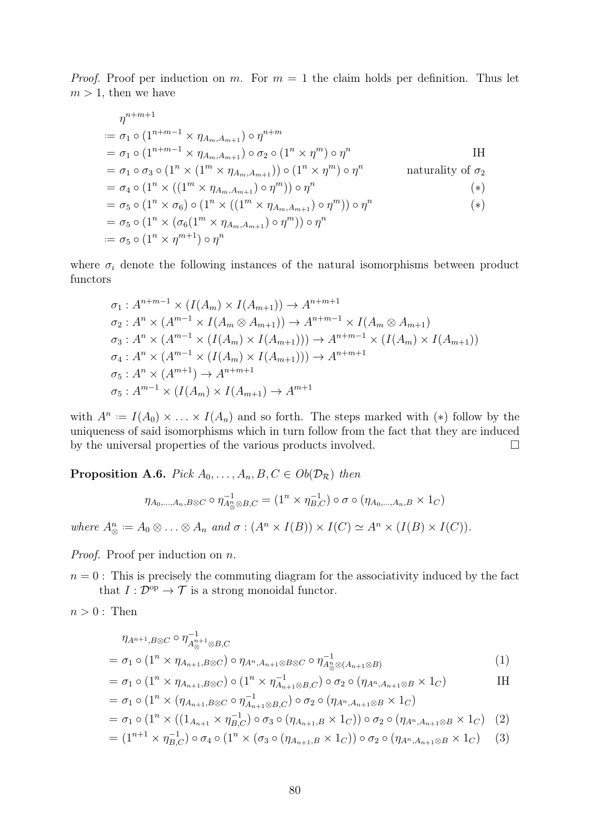*Proof.* Proof per induction on m. For  $m = 1$  the claim holds per definition. Thus let  $m > 1$ , then we have

$$
\eta^{n+m+1}
$$
\n
$$
\begin{aligned}\n&= \sigma_1 \circ (1^{n+m-1} \times \eta_{A_m, A_{m+1}}) \circ \eta^{n+m} \\
&= \sigma_1 \circ (1^{n+m-1} \times \eta_{A_m, A_{m+1}}) \circ \sigma_2 \circ (1^n \times \eta^m) \circ \eta^n \\
&= \sigma_1 \circ \sigma_3 \circ (1^n \times (1^m \times \eta_{A_m, A_{m+1}})) \circ (1^n \times \eta^m) \circ \eta^n \\
&= \sigma_4 \circ (1^n \times ((1^m \times \eta_{A_m, A_{m+1}}) \circ \eta^m)) \circ \eta^n \\
&= \sigma_5 \circ (1^n \times \sigma_6) \circ (1^n \times ((1^m \times \eta_{A_m, A_{m+1}}) \circ \eta^m)) \circ \eta^n \\
&= \sigma_5 \circ (1^n \times (\sigma_6(1^m \times \eta_{A_m, A_{m+1}}) \circ \eta^m)) \circ \eta^n \\
&= \sigma_5 \circ (1^n \times \eta^{m+1}) \circ \eta^n\n\end{aligned} \tag{*}
$$

where  $\sigma_i$  denote the following instances of the natural isomorphisms between product functors

$$
\sigma_1: A^{n+m-1} \times (I(A_m) \times I(A_{m+1})) \to A^{n+m+1}
$$
  
\n
$$
\sigma_2: A^n \times (A^{m-1} \times I(A_m \otimes A_{m+1})) \to A^{n+m-1} \times I(A_m \otimes A_{m+1})
$$
  
\n
$$
\sigma_3: A^n \times (A^{m-1} \times (I(A_m) \times I(A_{m+1}))) \to A^{n+m-1} \times (I(A_m) \times I(A_{m+1}))
$$
  
\n
$$
\sigma_4: A^n \times (A^{m-1} \times (I(A_m) \times I(A_{m+1}))) \to A^{n+m+1}
$$
  
\n
$$
\sigma_5: A^n \times (A^{m+1}) \to A^{n+m+1}
$$
  
\n
$$
\sigma_5: A^{m-1} \times (I(A_m) \times I(A_{m+1}) \to A^{m+1}
$$

with  $A^n := I(A_0) \times \ldots \times I(A_n)$  and so forth. The steps marked with (\*) follow by the uniqueness of said isomorphisms which in turn follow from the fact that they are induced by the universal properties of the various products involved.  $\Box$ 

<span id="page-83-0"></span>**Proposition A.6.** Pick  $A_0, \ldots, A_n, B, C \in Ob(\mathcal{D}_{\mathcal{R}})$  then

$$
\eta_{A_0,\dots,A_n,B\otimes C}\circ\eta_{A_{\otimes}^n\otimes B,C}^{-1}=(1^n\times\eta_{B,C}^{-1})\circ\sigma\circ(\eta_{A_0,\dots,A_n,B}\times 1_C)
$$

where  $A^n_{\otimes} := A_0 \otimes \ldots \otimes A_n$  and  $\sigma : (A^n \times I(B)) \times I(C) \simeq A^n \times (I(B) \times I(C)).$ 

Proof. Proof per induction on n.

 $n = 0$ : This is precisely the commuting diagram for the associativity induced by the fact that  $I: \mathcal{D}^{\text{op}} \to \mathcal{T}$  is a strong monoidal functor.

 $n > 0$ : Then

$$
\eta_{A^{n+1},B\otimes C} \circ \eta_{A^{n+1}_{\otimes B,C}}^{-1}
$$
\n
$$
= \sigma_1 \circ (1^n \times \eta_{A_{n+1},B\otimes C}) \circ \eta_{A^n,A_{n+1}\otimes B\otimes C} \circ \eta_{A^{n}_{\otimes A_{n+1}\otimes B})}^{-1}
$$
\n
$$
(1)
$$

$$
= \sigma_1 \circ (1^n \times \eta_{A_{n+1},B \otimes C}) \circ (1^n \times \eta_{A_{n+1} \otimes B,C}^{-1}) \circ \sigma_2 \circ (\eta_{A^n,A_{n+1} \otimes B} \times 1_C)
$$

$$
= \sigma_1 \circ (1^n \times (\eta_{A_{n+1},B\otimes C} \circ \eta_{A_{n+1}\otimes B,C}^{-1}) \circ \sigma_2 \circ (\eta_{A^n,A_{n+1}\otimes B} \times 1_C)
$$
  

$$
= \sigma_1 \circ (1^n \times ((1_{A_{n+1}} \times \eta_{B,C}^{-1}) \circ \sigma_3 \circ (\eta_{A_{n+1},B} \times 1_C)) \circ \sigma_2 \circ (\eta_{A^n,A_{n+1}\otimes B} \times 1_C) (2)
$$

$$
= (1^{n+1} \times \eta_{B,C}^{-1}) \circ \sigma_4 \circ (1^n \times (\sigma_3 \circ (\eta_{A_{n+1},B} \times 1_C)) \circ \sigma_2 \circ (\eta_{A^n,A_{n+1} \otimes B} \times 1_C) \tag{3}
$$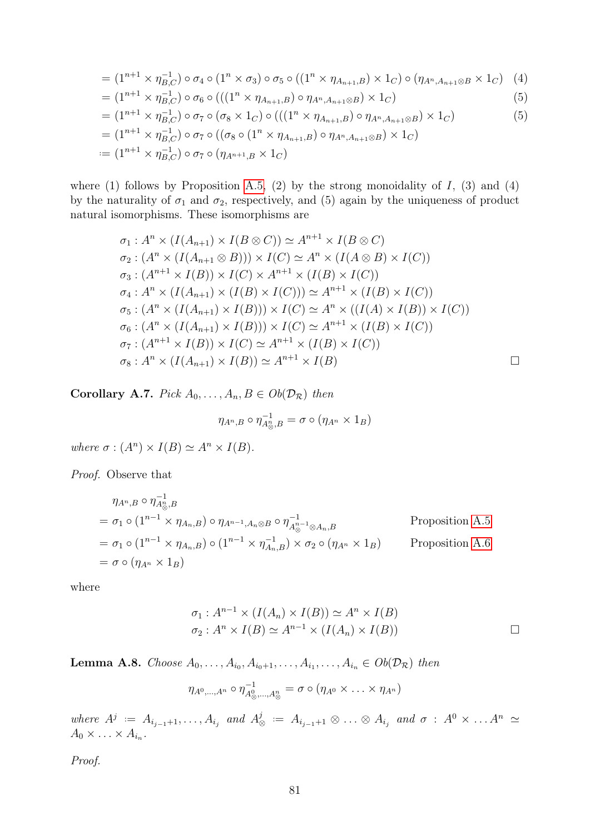$$
= (1^{n+1} \times \eta_{B,C}^{-1}) \circ \sigma_4 \circ (1^n \times \sigma_3) \circ \sigma_5 \circ ((1^n \times \eta_{A_{n+1},B}) \times 1_C) \circ (\eta_{A^n,A_{n+1} \otimes B} \times 1_C) \quad (4)
$$

$$
= (1^{n+1} \times \eta_{B,C}^{-1}) \circ \sigma_6 \circ (((1^n \times \eta_{A_{n+1},B}) \circ \eta_{A^n,A_{n+1} \otimes B}) \times 1_C) \tag{5}
$$

$$
= (1^{n+1} \times \eta_{B,C}^{-1}) \circ \sigma_7 \circ (\sigma_8 \times 1_C) \circ (((1^n \times \eta_{A_{n+1},B}) \circ \eta_{A^n,A_{n+1} \otimes B}) \times 1_C)
$$
(5)

$$
= (1^{n+1} \times \eta_{B,C}^{-1}) \circ \sigma_7 \circ ((\sigma_8 \circ (1^n \times \eta_{A_{n+1},B}) \circ \eta_{A^n,A_{n+1} \otimes B}) \times 1_C)
$$
  
 := 
$$
(1^{n+1} \times \eta_{B,C}^{-1}) \circ \sigma_7 \circ (\eta_{A^{n+1},B} \times 1_C)
$$

where (1) follows by Proposition [A.5,](#page-82-0) (2) by the strong monoidality of  $I$ , (3) and (4) by the naturality of  $\sigma_1$  and  $\sigma_2$ , respectively, and (5) again by the uniqueness of product natural isomorphisms. These isomorphisms are

$$
\sigma_1: A^n \times (I(A_{n+1}) \times I(B \otimes C)) \simeq A^{n+1} \times I(B \otimes C)
$$
  
\n
$$
\sigma_2: (A^n \times (I(A_{n+1} \otimes B))) \times I(C) \simeq A^n \times (I(A \otimes B) \times I(C))
$$
  
\n
$$
\sigma_3: (A^{n+1} \times I(B)) \times I(C) \times A^{n+1} \times (I(B) \times I(C))
$$
  
\n
$$
\sigma_4: A^n \times (I(A_{n+1}) \times (I(B) \times I(C))) \simeq A^{n+1} \times (I(B) \times I(C))
$$
  
\n
$$
\sigma_5: (A^n \times (I(A_{n+1}) \times I(B))) \times I(C) \simeq A^n \times ((I(A) \times I(B)) \times I(C))
$$
  
\n
$$
\sigma_6: (A^n \times (I(A_{n+1}) \times I(B))) \times I(C) \simeq A^{n+1} \times (I(B) \times I(C))
$$
  
\n
$$
\sigma_7: (A^{n+1} \times I(B)) \times I(C) \simeq A^{n+1} \times (I(B) \times I(C))
$$
  
\n
$$
\sigma_8: A^n \times (I(A_{n+1}) \times I(B)) \simeq A^{n+1} \times I(B)
$$

<span id="page-84-1"></span>Corollary A.7. Pick  $A_0, \ldots, A_n, B \in Ob(\mathcal{D}_{\mathcal{R}})$  then

$$
\eta_{A^n,B}\circ\eta_{A^n_{\otimes},B}^{-1}=\sigma\circ(\eta_{A^n}\times 1_B)
$$

where  $\sigma : (A^n) \times I(B) \simeq A^n \times I(B)$ .

Proof. Observe that

$$
\eta_{A^n, B} \circ \eta_{A^n_{\otimes}, B}^{-1}
$$
\n
$$
= \sigma_1 \circ (1^{n-1} \times \eta_{A_n, B}) \circ \eta_{A^{n-1}, A_n \otimes B} \circ \eta_{A^{n-1}_{\otimes} A_n, B}^{-1}
$$
\n
$$
= \sigma_1 \circ (1^{n-1} \times \eta_{A_n, B}) \circ (1^{n-1} \times \eta_{A_n, B}^{-1}) \times \sigma_2 \circ (\eta_{A^n} \times 1_B)
$$
\n
$$
= \sigma \circ (\eta_{A^n} \times 1_B)
$$
\n
$$
\text{Proposition A.6}
$$

where

$$
\sigma_1: A^{n-1} \times (I(A_n) \times I(B)) \simeq A^n \times I(B)
$$
  

$$
\sigma_2: A^n \times I(B) \simeq A^{n-1} \times (I(A_n) \times I(B)) \square
$$

<span id="page-84-0"></span>**Lemma A.8.** Choose  $A_0, \ldots, A_{i_0}, A_{i_0+1}, \ldots, A_{i_1}, \ldots, A_{i_n} \in Ob(\mathcal{D}_{\mathcal{R}})$  then

$$
\eta_{A^0,\dots,A^n} \circ \eta_{A^0_{\otimes},\dots,A^n_{\otimes}}^{-1} = \sigma \circ (\eta_{A^0} \times \ldots \times \eta_{A^n})
$$

where  $A^j := A_{i_{j-1}+1}, \ldots, A_{i_j}$  and  $A^j_{\delta}$  $\stackrel{j}{\otimes}$   $\; := \; A_{i_{j-1}+1} \otimes \ldots \otimes A_{i_j} \; \; and \; \sigma \; : \; A^0 \times \ldots A^n \; \simeq \;$  $A_0 \times \ldots \times A_{i_n}$ .

Proof.